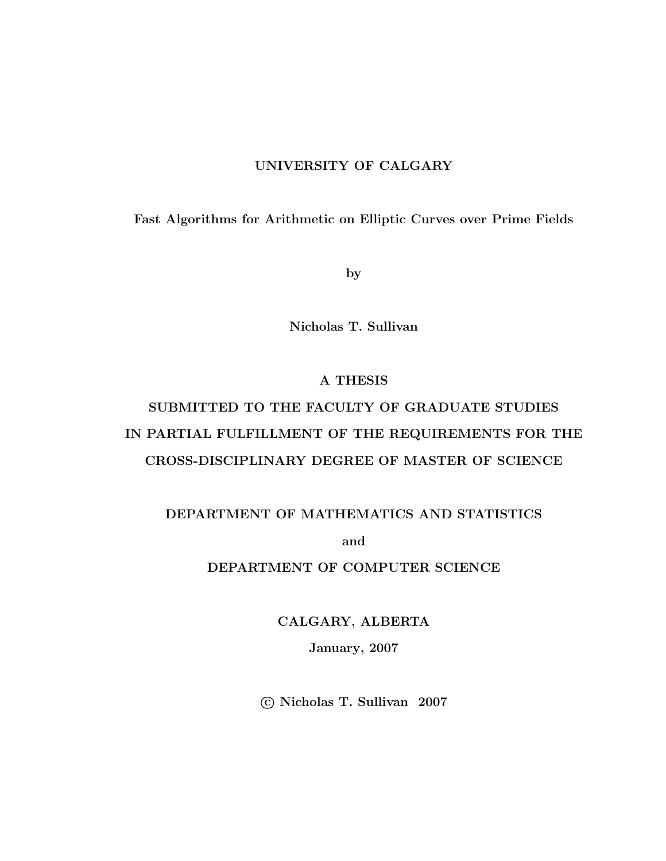### UNIVERSITY OF CALGARY

Fast Algorithms for Arithmetic on Elliptic Curves over Prime Fields

by

Nicholas T. Sullivan

### A THESIS

# SUBMITTED TO THE FACULTY OF GRADUATE STUDIES IN PARTIAL FULFILLMENT OF THE REQUIREMENTS FOR THE CROSS-DISCIPLINARY DEGREE OF MASTER OF SCIENCE

### DEPARTMENT OF MATHEMATICS AND STATISTICS

and

### DEPARTMENT OF COMPUTER SCIENCE

CALGARY, ALBERTA January, 2007

c Nicholas T. Sullivan 2007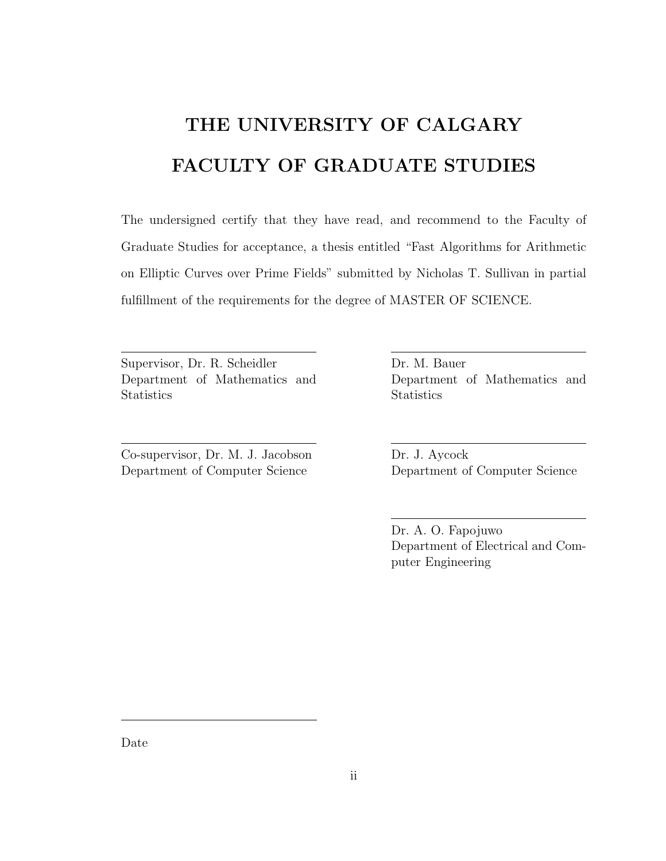# THE UNIVERSITY OF CALGARY FACULTY OF GRADUATE STUDIES

The undersigned certify that they have read, and recommend to the Faculty of Graduate Studies for acceptance, a thesis entitled "Fast Algorithms for Arithmetic on Elliptic Curves over Prime Fields" submitted by Nicholas T. Sullivan in partial fulfillment of the requirements for the degree of MASTER OF SCIENCE.

Supervisor, Dr. R. Scheidler Department of Mathematics and **Statistics** 

Co-supervisor, Dr. M. J. Jacobson Department of Computer Science

Dr. M. Bauer Department of Mathematics and **Statistics** 

Dr. J. Aycock Department of Computer Science

Dr. A. O. Fapojuwo Department of Electrical and Computer Engineering

Date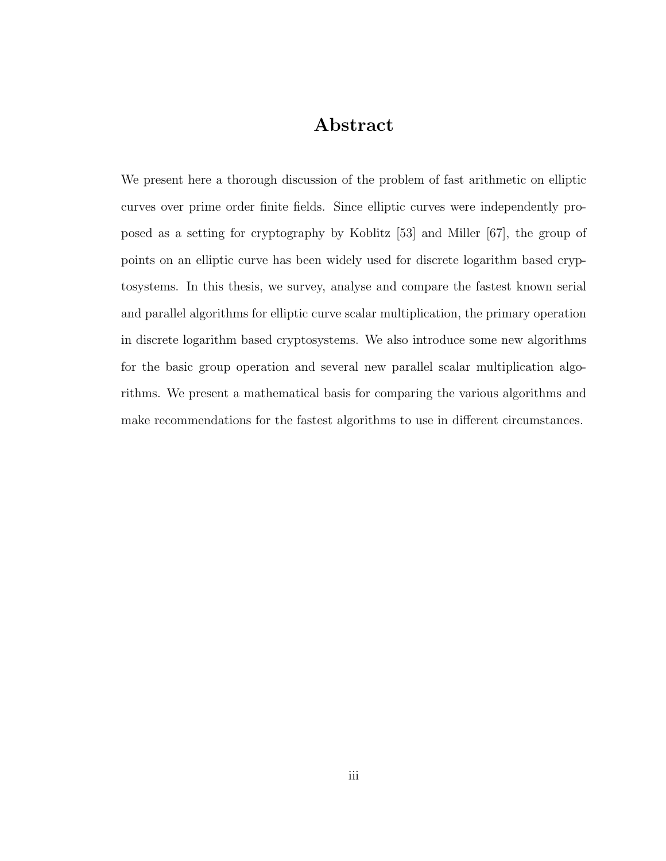## Abstract

We present here a thorough discussion of the problem of fast arithmetic on elliptic curves over prime order finite fields. Since elliptic curves were independently proposed as a setting for cryptography by Koblitz [53] and Miller [67], the group of points on an elliptic curve has been widely used for discrete logarithm based cryptosystems. In this thesis, we survey, analyse and compare the fastest known serial and parallel algorithms for elliptic curve scalar multiplication, the primary operation in discrete logarithm based cryptosystems. We also introduce some new algorithms for the basic group operation and several new parallel scalar multiplication algorithms. We present a mathematical basis for comparing the various algorithms and make recommendations for the fastest algorithms to use in different circumstances.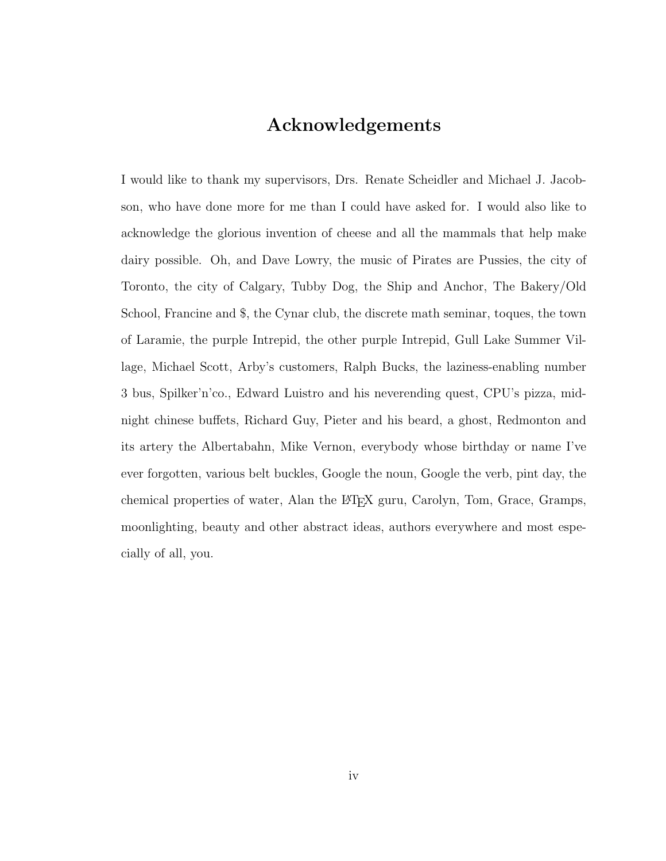## Acknowledgements

I would like to thank my supervisors, Drs. Renate Scheidler and Michael J. Jacobson, who have done more for me than I could have asked for. I would also like to acknowledge the glorious invention of cheese and all the mammals that help make dairy possible. Oh, and Dave Lowry, the music of Pirates are Pussies, the city of Toronto, the city of Calgary, Tubby Dog, the Ship and Anchor, The Bakery/Old School, Francine and \$, the Cynar club, the discrete math seminar, toques, the town of Laramie, the purple Intrepid, the other purple Intrepid, Gull Lake Summer Village, Michael Scott, Arby's customers, Ralph Bucks, the laziness-enabling number 3 bus, Spilker'n'co., Edward Luistro and his neverending quest, CPU's pizza, midnight chinese buffets, Richard Guy, Pieter and his beard, a ghost, Redmonton and its artery the Albertabahn, Mike Vernon, everybody whose birthday or name I've ever forgotten, various belt buckles, Google the noun, Google the verb, pint day, the chemical properties of water, Alan the LATEX guru, Carolyn, Tom, Grace, Gramps, moonlighting, beauty and other abstract ideas, authors everywhere and most especially of all, you.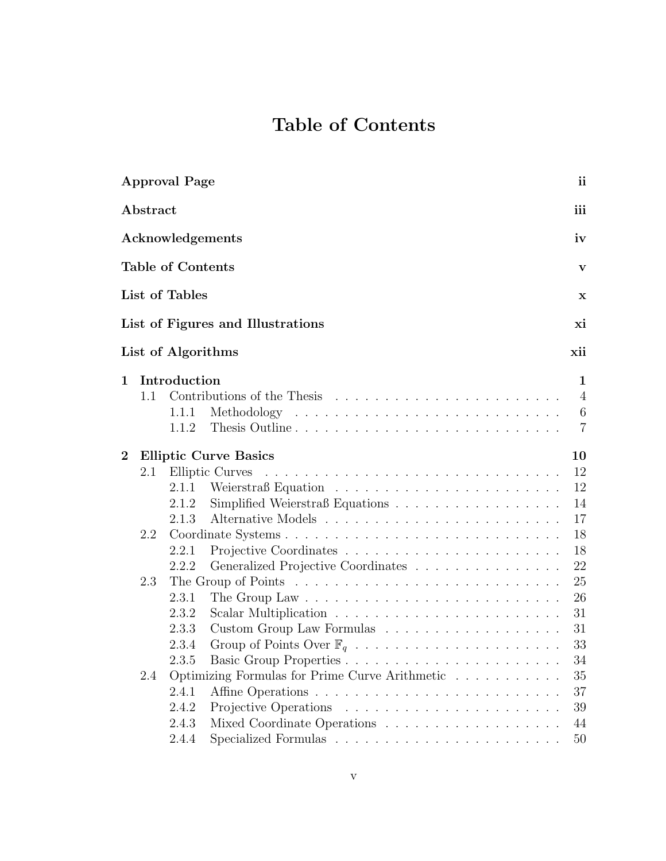# Table of Contents

|                |          | <b>Approval Page</b>     |                                                                                         | ii             |
|----------------|----------|--------------------------|-----------------------------------------------------------------------------------------|----------------|
|                | Abstract |                          |                                                                                         | iii            |
|                |          |                          | Acknowledgements                                                                        | iv             |
|                |          | <b>Table of Contents</b> |                                                                                         | V              |
|                |          | List of Tables           |                                                                                         | $\mathbf X$    |
|                |          |                          | List of Figures and Illustrations                                                       | хi             |
|                |          | List of Algorithms       |                                                                                         | xii            |
| $\mathbf{1}$   |          | Introduction             |                                                                                         | 1              |
|                | 1.1      |                          | Contributions of the Thesis                                                             | $\overline{4}$ |
|                |          | 1.1.1                    |                                                                                         | $\,6$          |
|                |          | 1.1.2                    |                                                                                         | $\overline{7}$ |
| $\overline{2}$ |          |                          | <b>Elliptic Curve Basics</b>                                                            | 10             |
|                | 2.1      |                          | Elliptic Curves                                                                         | 12             |
|                |          | 2.1.1                    |                                                                                         | 12             |
|                |          | 2.1.2                    | Simplified Weierstraß Equations                                                         | 14             |
|                |          | 2.1.3                    |                                                                                         | 17             |
|                | 2.2      |                          |                                                                                         | 18             |
|                |          | 2.2.1                    |                                                                                         | 18             |
|                |          | 2.2.2                    | Generalized Projective Coordinates                                                      | 22             |
|                | 2.3      |                          | The Group of Points $\dots \dots \dots \dots \dots \dots \dots \dots \dots \dots \dots$ | 25             |
|                |          | 2.3.1                    |                                                                                         | 26             |
|                |          | 2.3.2                    |                                                                                         | 31             |
|                |          | 2.3.3                    |                                                                                         | 31             |
|                |          | 2.3.4                    |                                                                                         | 33             |
|                |          | 2.3.5                    |                                                                                         | 34             |
|                | 2.4      |                          | Optimizing Formulas for Prime Curve Arithmetic                                          | 35             |
|                |          | 2.4.1                    |                                                                                         | 37             |
|                |          | 2.4.2                    | Projective Operations                                                                   | 39             |
|                |          | 2.4.3                    |                                                                                         | 44             |
|                |          | 2.4.4                    |                                                                                         | 50             |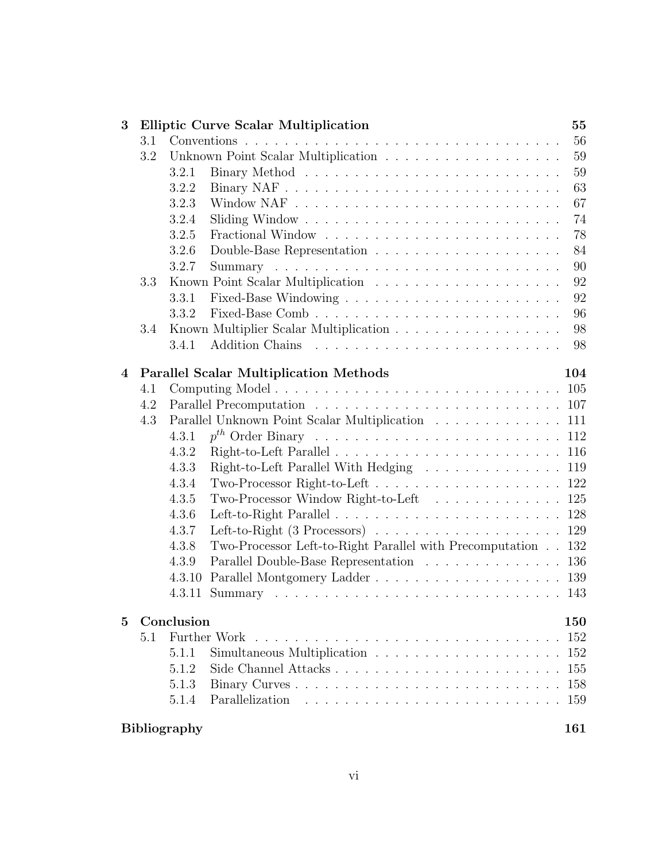| 3              |     | <b>Elliptic Curve Scalar Multiplication</b>                                            | 55  |
|----------------|-----|----------------------------------------------------------------------------------------|-----|
|                | 3.1 |                                                                                        | 56  |
|                | 3.2 |                                                                                        | 59  |
|                |     | 3.2.1                                                                                  | 59  |
|                |     | 3.2.2                                                                                  | 63  |
|                |     | 3.2.3                                                                                  | 67  |
|                |     | 3.2.4                                                                                  | 74  |
|                |     | 3.2.5                                                                                  | 78  |
|                |     | 3.2.6<br>Double-Base Representation $\ldots \ldots \ldots \ldots \ldots \ldots \ldots$ | 84  |
|                |     | 3.2.7                                                                                  | 90  |
|                | 3.3 |                                                                                        | 92  |
|                |     | 3.3.1                                                                                  | 92  |
|                |     | 3.3.2                                                                                  | 96  |
|                | 3.4 | Known Multiplier Scalar Multiplication                                                 | 98  |
|                |     | 3.4.1                                                                                  | 98  |
|                |     |                                                                                        |     |
| $\overline{4}$ |     | <b>Parallel Scalar Multiplication Methods</b>                                          | 104 |
|                | 4.1 |                                                                                        |     |
|                | 4.2 |                                                                                        |     |
|                | 4.3 | Parallel Unknown Point Scalar Multiplication 111                                       |     |
|                |     | 4.3.1                                                                                  |     |
|                |     | 4.3.2                                                                                  |     |
|                |     | Right-to-Left Parallel With Hedging 119<br>4.3.3                                       |     |
|                |     | 4.3.4                                                                                  |     |
|                |     | Two-Processor Window Right-to-Left 125<br>4.3.5                                        |     |
|                |     | 4.3.6                                                                                  |     |
|                |     | 4.3.7                                                                                  |     |
|                |     | Two-Processor Left-to-Right Parallel with Precomputation 132<br>4.3.8                  |     |
|                |     | Parallel Double-Base Representation 136<br>4.3.9<br>4.3.10                             |     |
|                |     |                                                                                        |     |
|                |     |                                                                                        |     |
| 5              |     | Conclusion                                                                             | 150 |
|                | 5.1 |                                                                                        | 152 |
|                |     | 5.1.1                                                                                  | 152 |
|                |     | 5.1.2                                                                                  | 155 |
|                |     | 5.1.3                                                                                  | 158 |
|                |     | 5.1.4                                                                                  |     |
|                |     |                                                                                        |     |
|                |     | <b>Bibliography</b>                                                                    | 161 |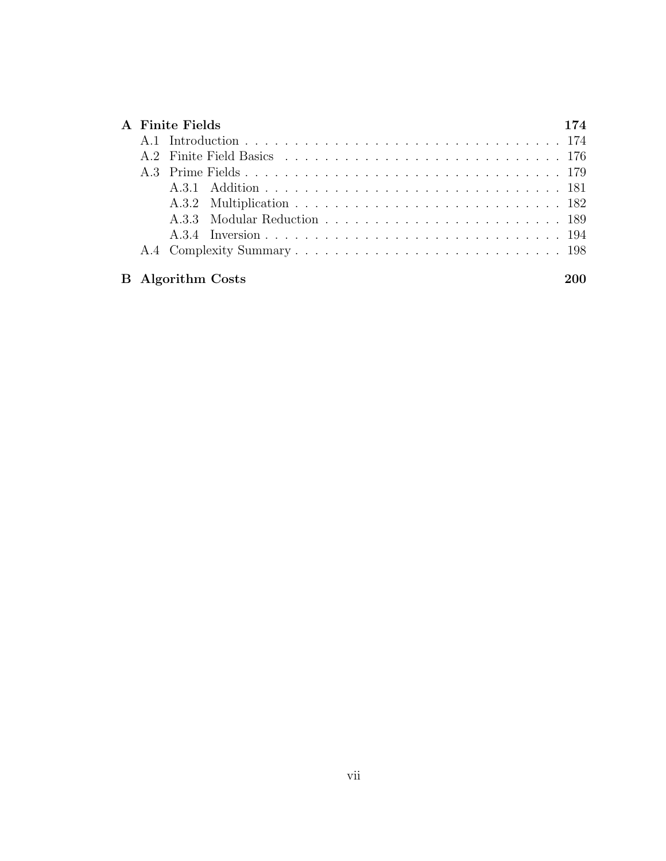|  | A Finite Fields          |  |
|--|--------------------------|--|
|  |                          |  |
|  |                          |  |
|  |                          |  |
|  |                          |  |
|  |                          |  |
|  |                          |  |
|  |                          |  |
|  |                          |  |
|  |                          |  |
|  | <b>B</b> Algorithm Costs |  |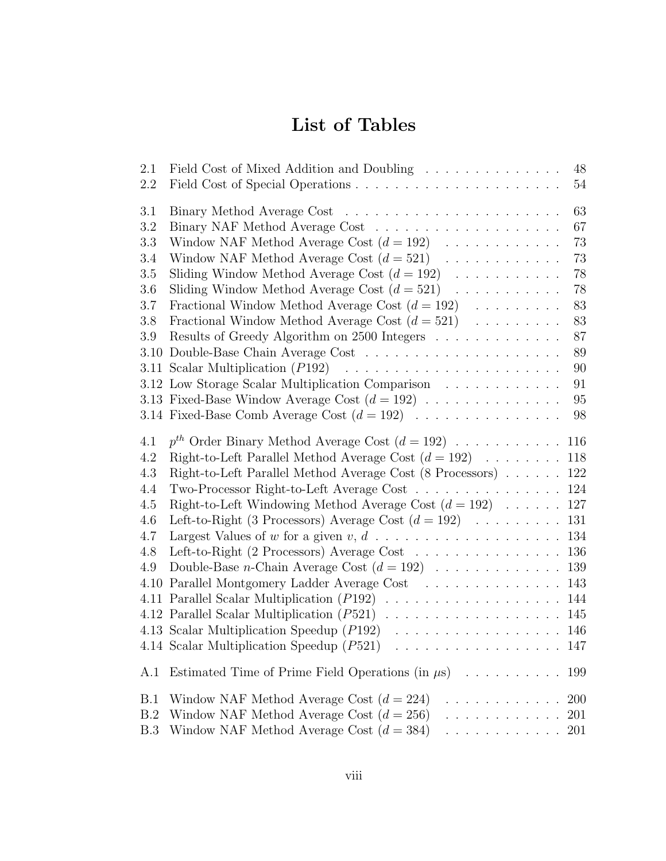# List of Tables

| 2.1        | Field Cost of Mixed Addition and Doubling<br>48                                                                       |
|------------|-----------------------------------------------------------------------------------------------------------------------|
| 2.2        | 54                                                                                                                    |
| 3.1        | 63                                                                                                                    |
| 3.2        | 67                                                                                                                    |
| 3.3        | Window NAF Method Average Cost $(d = 192)$<br>73                                                                      |
| 3.4        | 73<br>Window NAF Method Average Cost $(d = 521)$                                                                      |
| 3.5        | Sliding Window Method Average Cost $(d = 192) \dots \dots \dots$<br>78                                                |
| 3.6        | 78<br>Sliding Window Method Average Cost $(d = 521)$                                                                  |
| 3.7        | 83<br>Fractional Window Method Average Cost $(d = 192)$                                                               |
| 3.8        | 83<br>Fractional Window Method Average Cost $(d = 521)$                                                               |
| 3.9        | 87<br>Results of Greedy Algorithm on 2500 Integers                                                                    |
|            | 3.10 Double-Base Chain Average Cost $\ldots \ldots \ldots \ldots \ldots \ldots \ldots$<br>89                          |
|            | 90                                                                                                                    |
|            | 3.12 Low Storage Scalar Multiplication Comparison<br>91                                                               |
|            | 3.13 Fixed-Base Window Average Cost $(d = 192) \ldots \ldots \ldots \ldots$<br>95                                     |
|            | 3.14 Fixed-Base Comb Average Cost $(d = 192) \dots \dots \dots \dots \dots$<br>98                                     |
|            |                                                                                                                       |
| 4.1        | 118                                                                                                                   |
| 4.2<br>4.3 | Right-to-Left Parallel Method Average Cost $(d = 192) \dots \dots$                                                    |
| 4.4        | Right-to-Left Parallel Method Average Cost (8 Processors) 122<br>Two-Processor Right-to-Left Average Cost 124         |
| 4.5        |                                                                                                                       |
| 4.6        | Right-to-Left Windowing Method Average Cost $(d = 192) \dots 127$<br>131                                              |
| 4.7        | Left-to-Right (3 Processors) Average Cost $(d = 192) \dots \dots \dots$                                               |
|            | Left-to-Right (2 Processors) Average Cost 136                                                                         |
| 4.8<br>4.9 |                                                                                                                       |
|            |                                                                                                                       |
|            | 4.10 Parallel Montgomery Ladder Average Cost 143<br>4.11 Parallel Scalar Multiplication (P192) 144                    |
|            |                                                                                                                       |
|            | 4.13 Scalar Multiplication Speedup $(P192) \dots \dots \dots \dots \dots \dots \dots \dots \dots \dots 146$           |
|            |                                                                                                                       |
|            |                                                                                                                       |
| A.1        | Estimated Time of Prime Field Operations (in $\mu$ s)<br>199                                                          |
| B.1        | Window NAF Method Average Cost $(d = 224)$<br><b>200</b><br>.                                                         |
| B.2        | Window NAF Method Average Cost $(d = 256)$<br>.<br>201                                                                |
| B.3        | Window NAF Method Average Cost $(d = 384)$<br>201<br>$\mathcal{L}$ , and a set of the set of the set of $\mathcal{L}$ |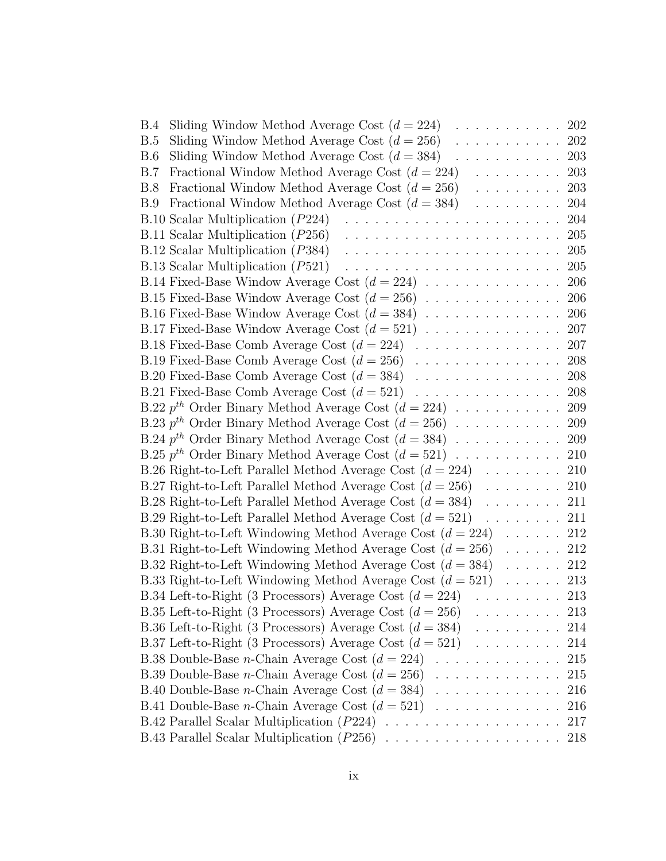| Sliding Window Method Average Cost $(d = 224)$<br>. 202                      |     |
|------------------------------------------------------------------------------|-----|
| Sliding Window Method Average Cost $(d = 256)$<br>.                          | 202 |
| Sliding Window Method Average Cost $(d = 384)$<br>. 203                      |     |
| Fractional Window Method Average Cost $(d = 224)$<br>.                       | 203 |
| Fractional Window Method Average Cost $(d = 256)$<br>. 203                   |     |
| Fractional Window Method Average Cost $(d = 384)$<br>. 204                   |     |
| B.10 Scalar Multiplication (P224)                                            | 204 |
| $B.11$ Scalar Multiplication ( $P256$ )                                      | 205 |
| B.12 Scalar Multiplication (P384)                                            | 205 |
| B.13 Scalar Multiplication (P521)                                            | 205 |
|                                                                              |     |
|                                                                              |     |
|                                                                              |     |
| B.17 Fixed-Base Window Average Cost $(d = 521)$                              | 207 |
|                                                                              |     |
|                                                                              |     |
|                                                                              |     |
|                                                                              |     |
| B.22 $p^{th}$ Order Binary Method Average Cost $(d = 224) \dots \dots \dots$ | 209 |
|                                                                              |     |
|                                                                              |     |
|                                                                              |     |
|                                                                              |     |
| B.27 Right-to-Left Parallel Method Average Cost $(d = 256)$                  | 210 |
| B.28 Right-to-Left Parallel Method Average Cost $(d = 384)$<br>. 211         |     |
| B.29 Right-to-Left Parallel Method Average Cost $(d = 521)$<br>. 211         |     |
| B.30 Right-to-Left Windowing Method Average Cost $(d = 224) \dots 212$       |     |
| B.31 Right-to-Left Windowing Method Average Cost $(d = 256)$ 212             |     |
| B.32 Right-to-Left Windowing Method Average Cost $(d = 384)$<br>$\mathbf{1}$ | 212 |
| B.33 Right-to-Left Windowing Method Average Cost $(d = 521)$ 213             |     |
| B.34 Left-to-Right (3 Processors) Average Cost $(d = 224)$ 213               |     |
| B.35 Left-to-Right (3 Processors) Average Cost $(d = 256)$<br>. 213          |     |
| B.36 Left-to-Right (3 Processors) Average Cost $(d = 384) \dots \dots \dots$ | 214 |
| B.37 Left-to-Right (3 Processors) Average Cost $(d = 521) \dots \dots \dots$ | 214 |
| B.38 Double-Base <i>n</i> -Chain Average Cost $(d = 224)$                    | 215 |
| B.39 Double-Base <i>n</i> -Chain Average Cost $(d = 256)$                    | 215 |
| B.40 Double-Base <i>n</i> -Chain Average Cost $(d = 384)$                    | 216 |
| B.41 Double-Base <i>n</i> -Chain Average Cost $(d = 521)$                    | 216 |
|                                                                              | 217 |
|                                                                              | 218 |
|                                                                              |     |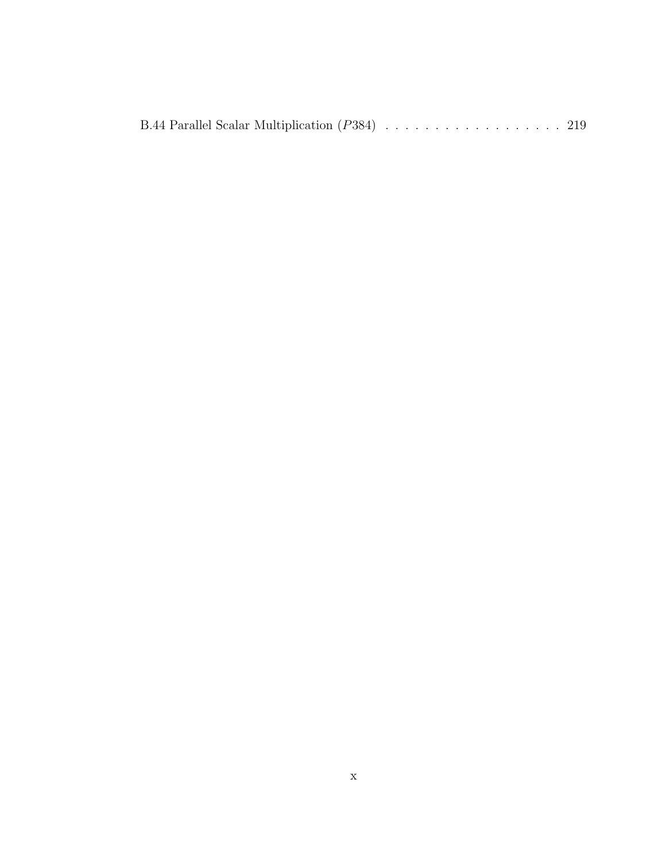B.44 Parallel Scalar Multiplication  $(P384)$  . . . . . . . . . . . . . . . . . . 219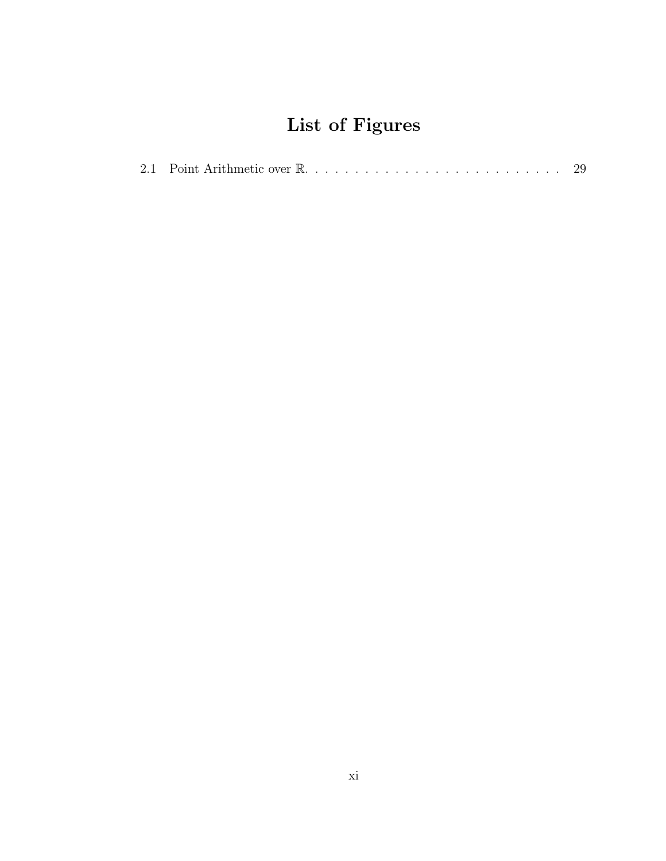# List of Figures

|--|--|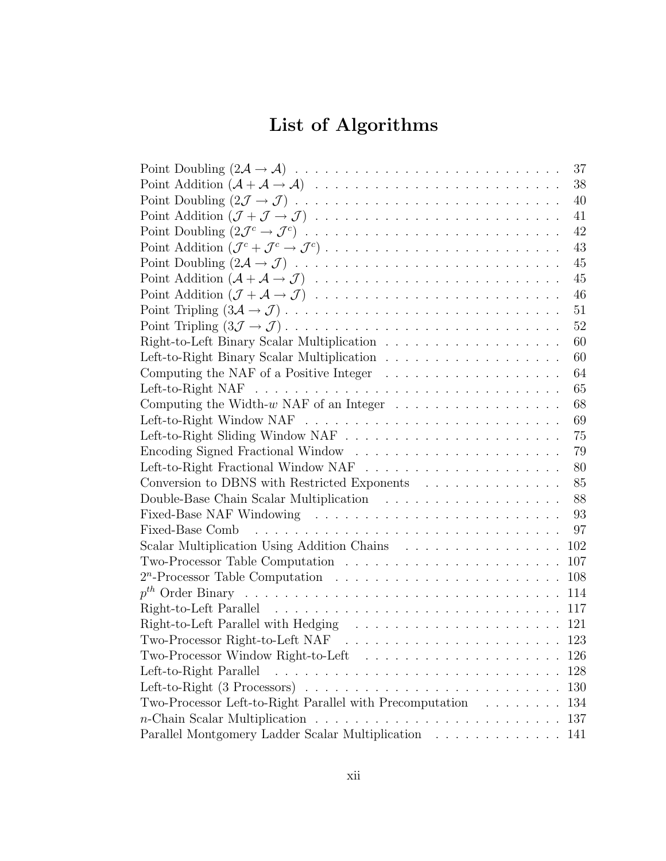# List of Algorithms

| 37                                                                                        |
|-------------------------------------------------------------------------------------------|
| 38                                                                                        |
| 40                                                                                        |
| 41                                                                                        |
| 42                                                                                        |
| 43                                                                                        |
| 45                                                                                        |
| 45                                                                                        |
| 46                                                                                        |
| 51                                                                                        |
| 52                                                                                        |
| 60                                                                                        |
| 60                                                                                        |
| Computing the NAF of a Positive Integer $\ldots \ldots \ldots \ldots \ldots \ldots$<br>64 |
| 65                                                                                        |
| Computing the Width- $w$ NAF of an Integer $\ldots \ldots \ldots \ldots \ldots$<br>68     |
| 69                                                                                        |
| 75                                                                                        |
| 79                                                                                        |
| 80                                                                                        |
| Conversion to DBNS with Restricted Exponents<br>85                                        |
| 88                                                                                        |
| 93                                                                                        |
| 97                                                                                        |
| Scalar Multiplication Using Addition Chains<br>102                                        |
| 107                                                                                       |
| 108                                                                                       |
| 114                                                                                       |
| 117                                                                                       |
| 121                                                                                       |
| Two-Processor Right-to-Left NAF $\ldots \ldots \ldots \ldots \ldots \ldots \ldots$<br>123 |
| 126                                                                                       |
| Left-to-Right Parallel<br>128                                                             |
| 130                                                                                       |
| Two-Processor Left-to-Right Parallel with Precomputation $\ldots \ldots \ldots$<br>134    |
| 137                                                                                       |
| Parallel Montgomery Ladder Scalar Multiplication<br>141                                   |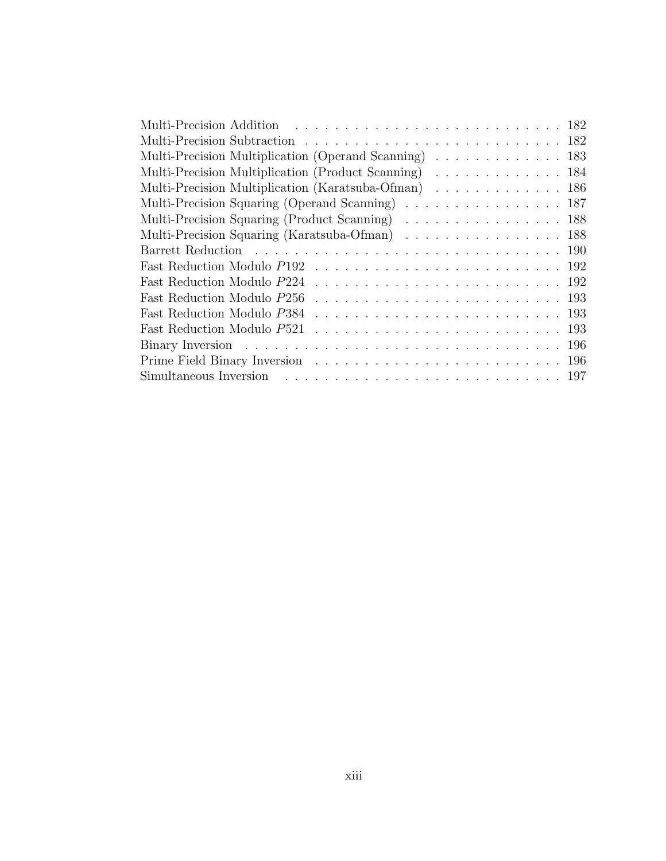| Multi-Precision Multiplication (Operand Scanning) 183 |
|-------------------------------------------------------|
| Multi-Precision Multiplication (Product Scanning) 184 |
| Multi-Precision Multiplication (Karatsuba-Ofman) 186  |
| Multi-Precision Squaring (Operand Scanning) 187       |
| Multi-Precision Squaring (Product Scanning) 188       |
| Multi-Precision Squaring (Karatsuba-Ofman) 188        |
|                                                       |
|                                                       |
|                                                       |
|                                                       |
|                                                       |
|                                                       |
|                                                       |
|                                                       |
|                                                       |
|                                                       |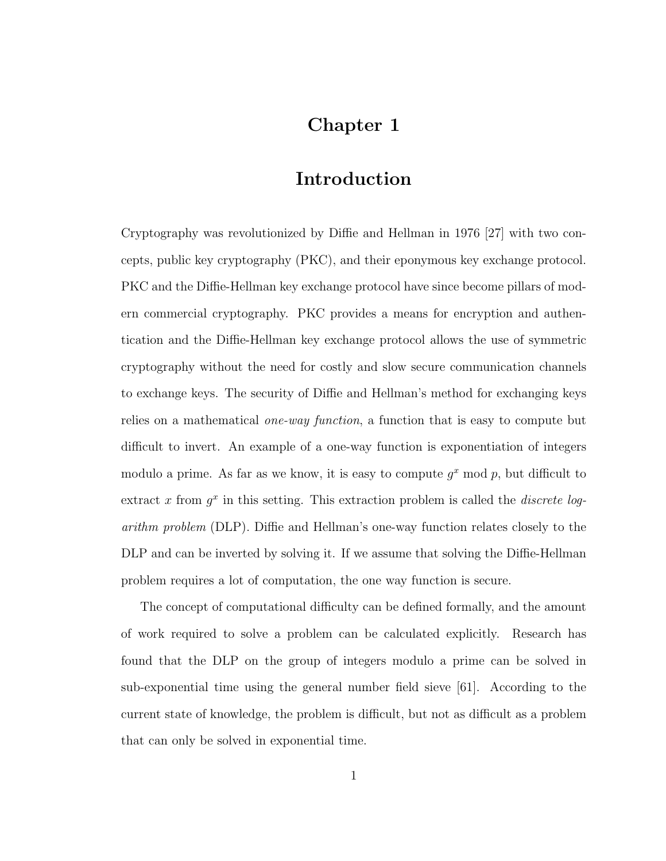## Chapter 1

## Introduction

Cryptography was revolutionized by Diffie and Hellman in 1976 [27] with two concepts, public key cryptography (PKC), and their eponymous key exchange protocol. PKC and the Diffie-Hellman key exchange protocol have since become pillars of modern commercial cryptography. PKC provides a means for encryption and authentication and the Diffie-Hellman key exchange protocol allows the use of symmetric cryptography without the need for costly and slow secure communication channels to exchange keys. The security of Diffie and Hellman's method for exchanging keys relies on a mathematical one-way function, a function that is easy to compute but difficult to invert. An example of a one-way function is exponentiation of integers modulo a prime. As far as we know, it is easy to compute  $g^x$  mod p, but difficult to extract x from  $g^x$  in this setting. This extraction problem is called the *discrete log*arithm problem (DLP). Diffie and Hellman's one-way function relates closely to the DLP and can be inverted by solving it. If we assume that solving the Diffie-Hellman problem requires a lot of computation, the one way function is secure.

The concept of computational difficulty can be defined formally, and the amount of work required to solve a problem can be calculated explicitly. Research has found that the DLP on the group of integers modulo a prime can be solved in sub-exponential time using the general number field sieve [61]. According to the current state of knowledge, the problem is difficult, but not as difficult as a problem that can only be solved in exponential time.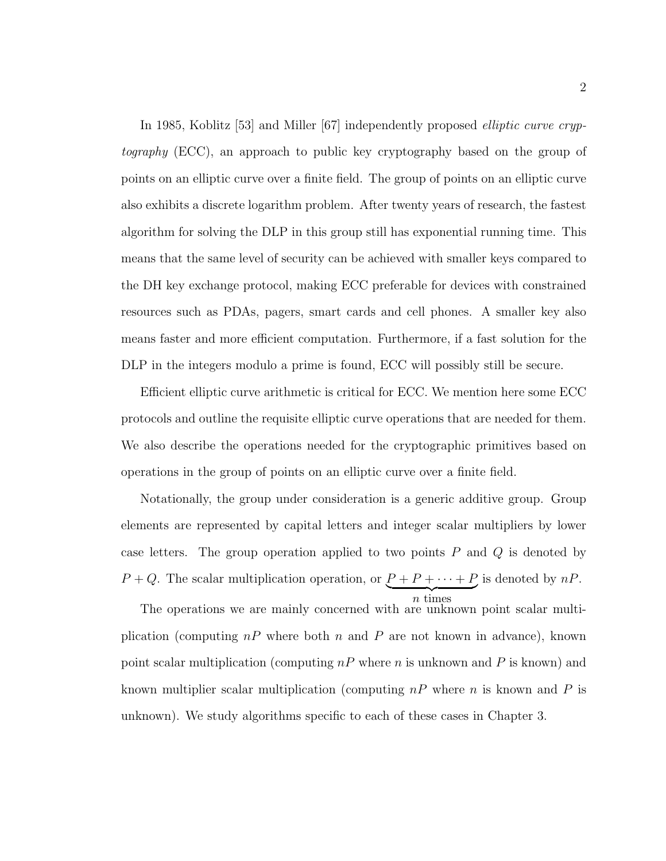In 1985, Koblitz [53] and Miller [67] independently proposed *elliptic curve cryp*tography (ECC), an approach to public key cryptography based on the group of points on an elliptic curve over a finite field. The group of points on an elliptic curve also exhibits a discrete logarithm problem. After twenty years of research, the fastest algorithm for solving the DLP in this group still has exponential running time. This means that the same level of security can be achieved with smaller keys compared to the DH key exchange protocol, making ECC preferable for devices with constrained resources such as PDAs, pagers, smart cards and cell phones. A smaller key also means faster and more efficient computation. Furthermore, if a fast solution for the DLP in the integers modulo a prime is found, ECC will possibly still be secure.

Efficient elliptic curve arithmetic is critical for ECC. We mention here some ECC protocols and outline the requisite elliptic curve operations that are needed for them. We also describe the operations needed for the cryptographic primitives based on operations in the group of points on an elliptic curve over a finite field.

Notationally, the group under consideration is a generic additive group. Group elements are represented by capital letters and integer scalar multipliers by lower case letters. The group operation applied to two points  $P$  and  $Q$  is denoted by  $P+Q$ . The scalar multiplication operation, or  $P+P+\cdots+P$  $\overbrace{n \text{ times}}$ is denoted by  $nP$ .

n times

The operations we are mainly concerned with are unknown point scalar multiplication (computing  $nP$  where both n and P are not known in advance), known point scalar multiplication (computing  $nP$  where n is unknown and P is known) and known multiplier scalar multiplication (computing  $nP$  where n is known and P is unknown). We study algorithms specific to each of these cases in Chapter 3.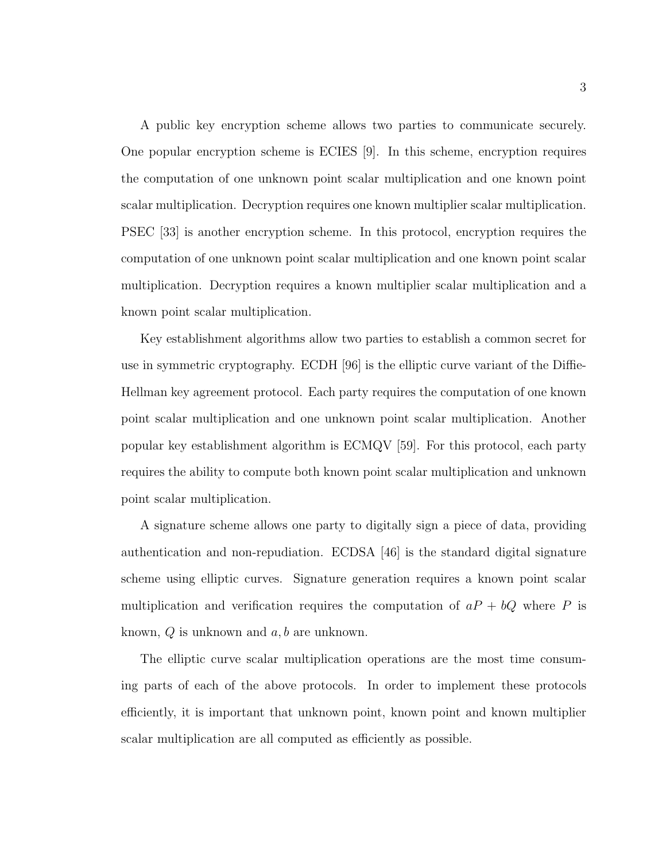A public key encryption scheme allows two parties to communicate securely. One popular encryption scheme is ECIES [9]. In this scheme, encryption requires the computation of one unknown point scalar multiplication and one known point scalar multiplication. Decryption requires one known multiplier scalar multiplication. PSEC [33] is another encryption scheme. In this protocol, encryption requires the computation of one unknown point scalar multiplication and one known point scalar multiplication. Decryption requires a known multiplier scalar multiplication and a known point scalar multiplication.

Key establishment algorithms allow two parties to establish a common secret for use in symmetric cryptography. ECDH [96] is the elliptic curve variant of the Diffie-Hellman key agreement protocol. Each party requires the computation of one known point scalar multiplication and one unknown point scalar multiplication. Another popular key establishment algorithm is ECMQV [59]. For this protocol, each party requires the ability to compute both known point scalar multiplication and unknown point scalar multiplication.

A signature scheme allows one party to digitally sign a piece of data, providing authentication and non-repudiation. ECDSA [46] is the standard digital signature scheme using elliptic curves. Signature generation requires a known point scalar multiplication and verification requires the computation of  $aP + bQ$  where P is known,  $Q$  is unknown and  $a, b$  are unknown.

The elliptic curve scalar multiplication operations are the most time consuming parts of each of the above protocols. In order to implement these protocols efficiently, it is important that unknown point, known point and known multiplier scalar multiplication are all computed as efficiently as possible.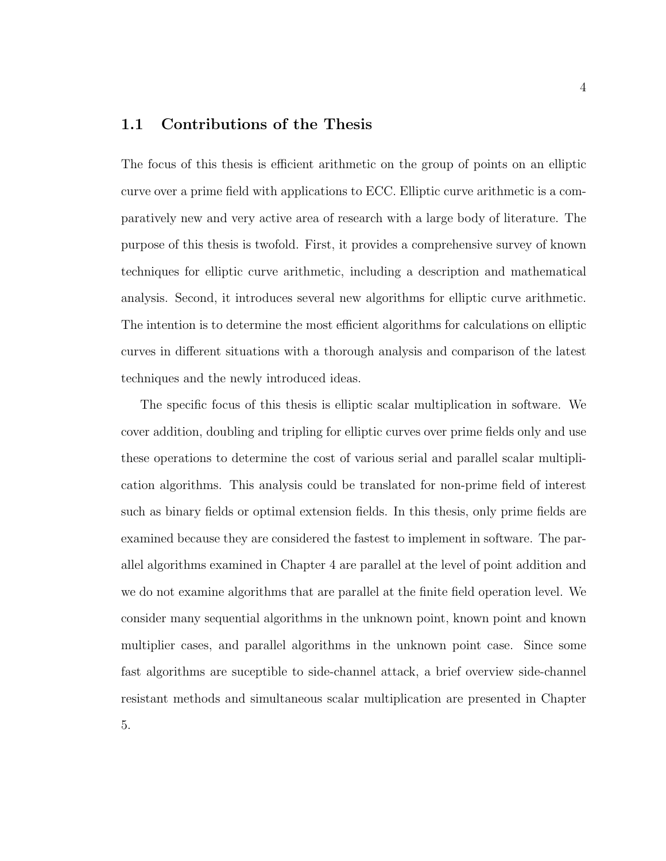### 1.1 Contributions of the Thesis

The focus of this thesis is efficient arithmetic on the group of points on an elliptic curve over a prime field with applications to ECC. Elliptic curve arithmetic is a comparatively new and very active area of research with a large body of literature. The purpose of this thesis is twofold. First, it provides a comprehensive survey of known techniques for elliptic curve arithmetic, including a description and mathematical analysis. Second, it introduces several new algorithms for elliptic curve arithmetic. The intention is to determine the most efficient algorithms for calculations on elliptic curves in different situations with a thorough analysis and comparison of the latest techniques and the newly introduced ideas.

The specific focus of this thesis is elliptic scalar multiplication in software. We cover addition, doubling and tripling for elliptic curves over prime fields only and use these operations to determine the cost of various serial and parallel scalar multiplication algorithms. This analysis could be translated for non-prime field of interest such as binary fields or optimal extension fields. In this thesis, only prime fields are examined because they are considered the fastest to implement in software. The parallel algorithms examined in Chapter 4 are parallel at the level of point addition and we do not examine algorithms that are parallel at the finite field operation level. We consider many sequential algorithms in the unknown point, known point and known multiplier cases, and parallel algorithms in the unknown point case. Since some fast algorithms are suceptible to side-channel attack, a brief overview side-channel resistant methods and simultaneous scalar multiplication are presented in Chapter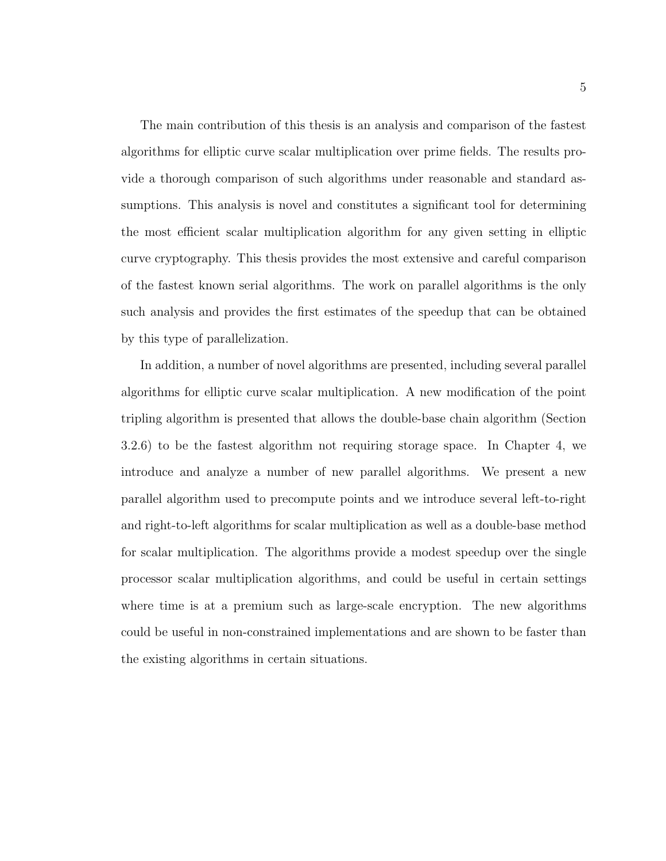The main contribution of this thesis is an analysis and comparison of the fastest algorithms for elliptic curve scalar multiplication over prime fields. The results provide a thorough comparison of such algorithms under reasonable and standard assumptions. This analysis is novel and constitutes a significant tool for determining the most efficient scalar multiplication algorithm for any given setting in elliptic curve cryptography. This thesis provides the most extensive and careful comparison of the fastest known serial algorithms. The work on parallel algorithms is the only such analysis and provides the first estimates of the speedup that can be obtained by this type of parallelization.

In addition, a number of novel algorithms are presented, including several parallel algorithms for elliptic curve scalar multiplication. A new modification of the point tripling algorithm is presented that allows the double-base chain algorithm (Section 3.2.6) to be the fastest algorithm not requiring storage space. In Chapter 4, we introduce and analyze a number of new parallel algorithms. We present a new parallel algorithm used to precompute points and we introduce several left-to-right and right-to-left algorithms for scalar multiplication as well as a double-base method for scalar multiplication. The algorithms provide a modest speedup over the single processor scalar multiplication algorithms, and could be useful in certain settings where time is at a premium such as large-scale encryption. The new algorithms could be useful in non-constrained implementations and are shown to be faster than the existing algorithms in certain situations.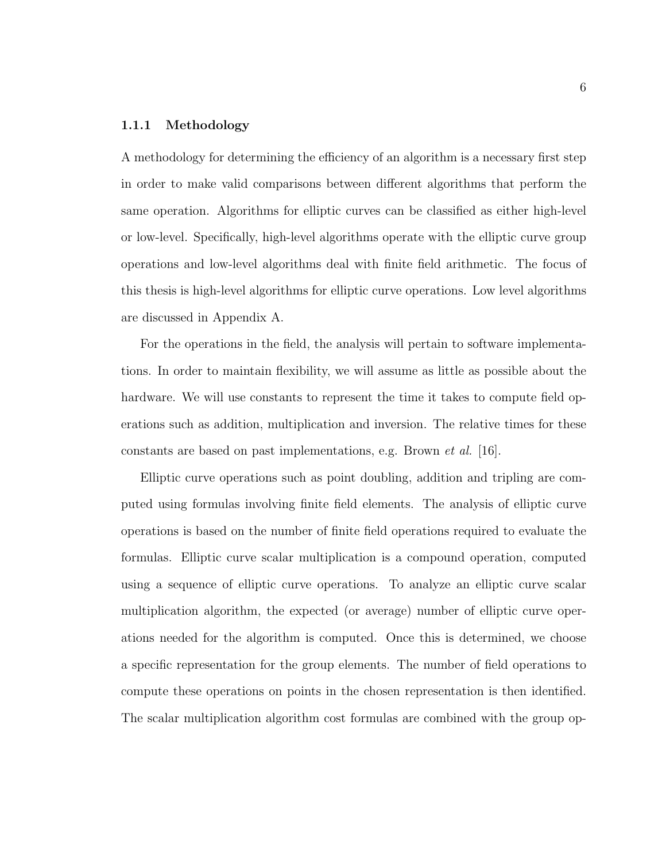#### 1.1.1 Methodology

A methodology for determining the efficiency of an algorithm is a necessary first step in order to make valid comparisons between different algorithms that perform the same operation. Algorithms for elliptic curves can be classified as either high-level or low-level. Specifically, high-level algorithms operate with the elliptic curve group operations and low-level algorithms deal with finite field arithmetic. The focus of this thesis is high-level algorithms for elliptic curve operations. Low level algorithms are discussed in Appendix A.

For the operations in the field, the analysis will pertain to software implementations. In order to maintain flexibility, we will assume as little as possible about the hardware. We will use constants to represent the time it takes to compute field operations such as addition, multiplication and inversion. The relative times for these constants are based on past implementations, e.g. Brown *et al.* [16].

Elliptic curve operations such as point doubling, addition and tripling are computed using formulas involving finite field elements. The analysis of elliptic curve operations is based on the number of finite field operations required to evaluate the formulas. Elliptic curve scalar multiplication is a compound operation, computed using a sequence of elliptic curve operations. To analyze an elliptic curve scalar multiplication algorithm, the expected (or average) number of elliptic curve operations needed for the algorithm is computed. Once this is determined, we choose a specific representation for the group elements. The number of field operations to compute these operations on points in the chosen representation is then identified. The scalar multiplication algorithm cost formulas are combined with the group op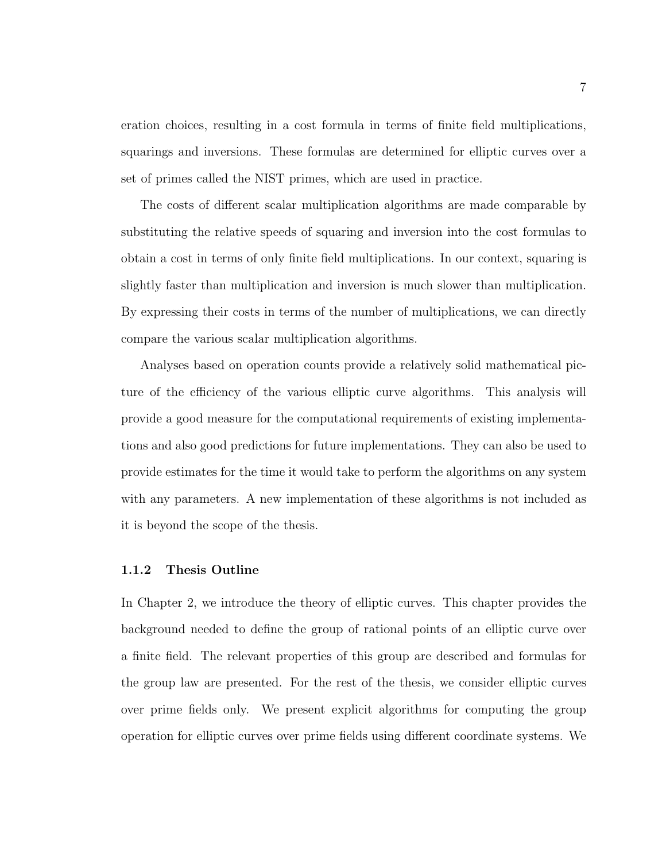eration choices, resulting in a cost formula in terms of finite field multiplications, squarings and inversions. These formulas are determined for elliptic curves over a set of primes called the NIST primes, which are used in practice.

The costs of different scalar multiplication algorithms are made comparable by substituting the relative speeds of squaring and inversion into the cost formulas to obtain a cost in terms of only finite field multiplications. In our context, squaring is slightly faster than multiplication and inversion is much slower than multiplication. By expressing their costs in terms of the number of multiplications, we can directly compare the various scalar multiplication algorithms.

Analyses based on operation counts provide a relatively solid mathematical picture of the efficiency of the various elliptic curve algorithms. This analysis will provide a good measure for the computational requirements of existing implementations and also good predictions for future implementations. They can also be used to provide estimates for the time it would take to perform the algorithms on any system with any parameters. A new implementation of these algorithms is not included as it is beyond the scope of the thesis.

#### 1.1.2 Thesis Outline

In Chapter 2, we introduce the theory of elliptic curves. This chapter provides the background needed to define the group of rational points of an elliptic curve over a finite field. The relevant properties of this group are described and formulas for the group law are presented. For the rest of the thesis, we consider elliptic curves over prime fields only. We present explicit algorithms for computing the group operation for elliptic curves over prime fields using different coordinate systems. We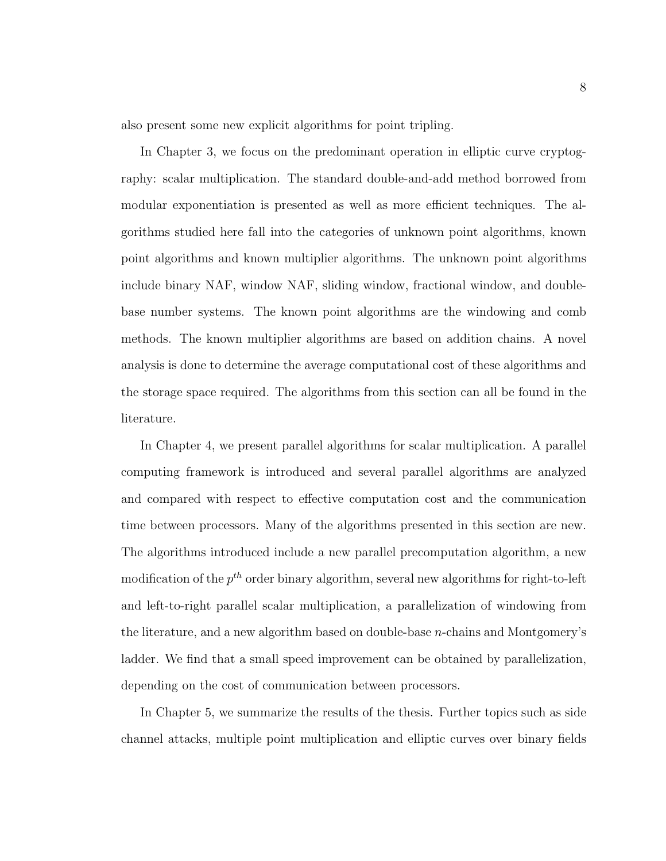also present some new explicit algorithms for point tripling.

In Chapter 3, we focus on the predominant operation in elliptic curve cryptography: scalar multiplication. The standard double-and-add method borrowed from modular exponentiation is presented as well as more efficient techniques. The algorithms studied here fall into the categories of unknown point algorithms, known point algorithms and known multiplier algorithms. The unknown point algorithms include binary NAF, window NAF, sliding window, fractional window, and doublebase number systems. The known point algorithms are the windowing and comb methods. The known multiplier algorithms are based on addition chains. A novel analysis is done to determine the average computational cost of these algorithms and the storage space required. The algorithms from this section can all be found in the literature.

In Chapter 4, we present parallel algorithms for scalar multiplication. A parallel computing framework is introduced and several parallel algorithms are analyzed and compared with respect to effective computation cost and the communication time between processors. Many of the algorithms presented in this section are new. The algorithms introduced include a new parallel precomputation algorithm, a new modification of the  $p^{th}$  order binary algorithm, several new algorithms for right-to-left and left-to-right parallel scalar multiplication, a parallelization of windowing from the literature, and a new algorithm based on double-base n-chains and Montgomery's ladder. We find that a small speed improvement can be obtained by parallelization, depending on the cost of communication between processors.

In Chapter 5, we summarize the results of the thesis. Further topics such as side channel attacks, multiple point multiplication and elliptic curves over binary fields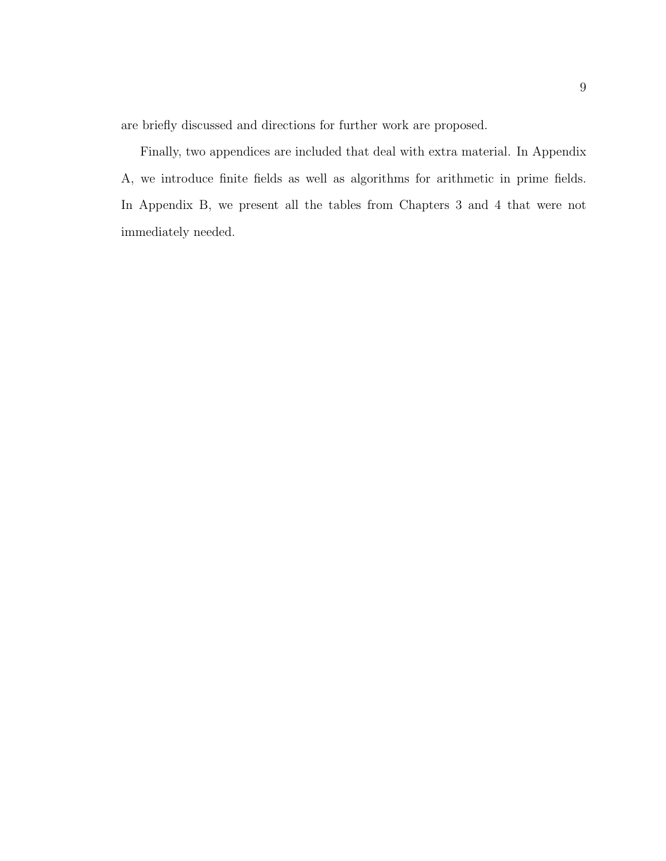are briefly discussed and directions for further work are proposed.

Finally, two appendices are included that deal with extra material. In Appendix A, we introduce finite fields as well as algorithms for arithmetic in prime fields. In Appendix B, we present all the tables from Chapters 3 and 4 that were not immediately needed.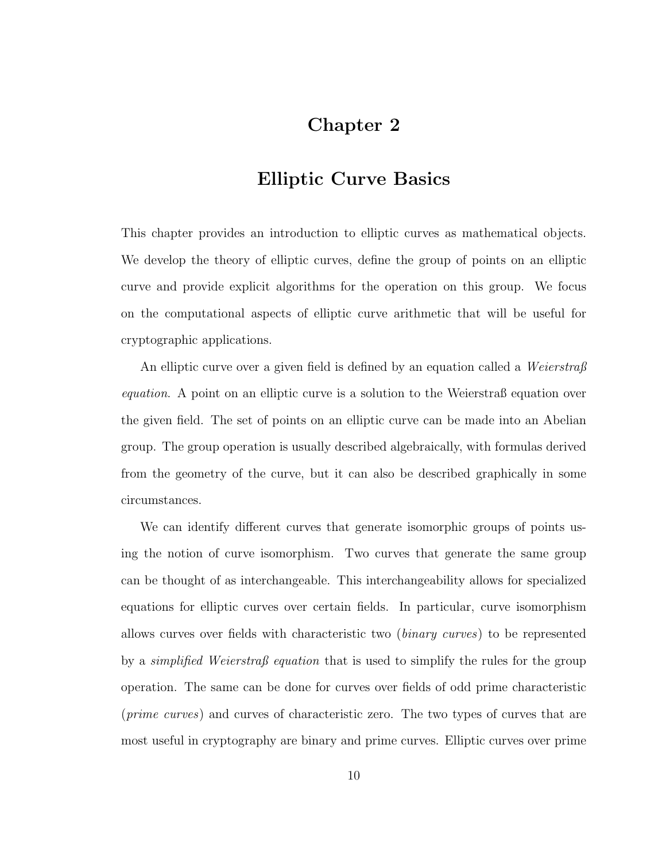## Chapter 2

## Elliptic Curve Basics

This chapter provides an introduction to elliptic curves as mathematical objects. We develop the theory of elliptic curves, define the group of points on an elliptic curve and provide explicit algorithms for the operation on this group. We focus on the computational aspects of elliptic curve arithmetic that will be useful for cryptographic applications.

An elliptic curve over a given field is defined by an equation called a *Weierstraß* equation. A point on an elliptic curve is a solution to the Weierstraß equation over the given field. The set of points on an elliptic curve can be made into an Abelian group. The group operation is usually described algebraically, with formulas derived from the geometry of the curve, but it can also be described graphically in some circumstances.

We can identify different curves that generate isomorphic groups of points using the notion of curve isomorphism. Two curves that generate the same group can be thought of as interchangeable. This interchangeability allows for specialized equations for elliptic curves over certain fields. In particular, curve isomorphism allows curves over fields with characteristic two (binary curves) to be represented by a *simplified Weierstraß equation* that is used to simplify the rules for the group operation. The same can be done for curves over fields of odd prime characteristic (prime curves) and curves of characteristic zero. The two types of curves that are most useful in cryptography are binary and prime curves. Elliptic curves over prime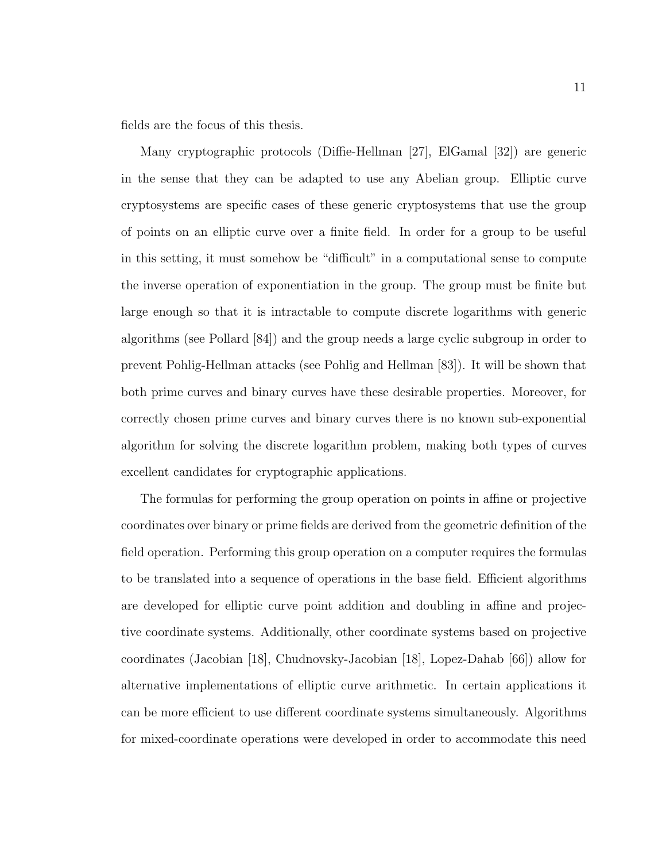fields are the focus of this thesis.

Many cryptographic protocols (Diffie-Hellman [27], ElGamal [32]) are generic in the sense that they can be adapted to use any Abelian group. Elliptic curve cryptosystems are specific cases of these generic cryptosystems that use the group of points on an elliptic curve over a finite field. In order for a group to be useful in this setting, it must somehow be "difficult" in a computational sense to compute the inverse operation of exponentiation in the group. The group must be finite but large enough so that it is intractable to compute discrete logarithms with generic algorithms (see Pollard [84]) and the group needs a large cyclic subgroup in order to prevent Pohlig-Hellman attacks (see Pohlig and Hellman [83]). It will be shown that both prime curves and binary curves have these desirable properties. Moreover, for correctly chosen prime curves and binary curves there is no known sub-exponential algorithm for solving the discrete logarithm problem, making both types of curves excellent candidates for cryptographic applications.

The formulas for performing the group operation on points in affine or projective coordinates over binary or prime fields are derived from the geometric definition of the field operation. Performing this group operation on a computer requires the formulas to be translated into a sequence of operations in the base field. Efficient algorithms are developed for elliptic curve point addition and doubling in affine and projective coordinate systems. Additionally, other coordinate systems based on projective coordinates (Jacobian [18], Chudnovsky-Jacobian [18], Lopez-Dahab [66]) allow for alternative implementations of elliptic curve arithmetic. In certain applications it can be more efficient to use different coordinate systems simultaneously. Algorithms for mixed-coordinate operations were developed in order to accommodate this need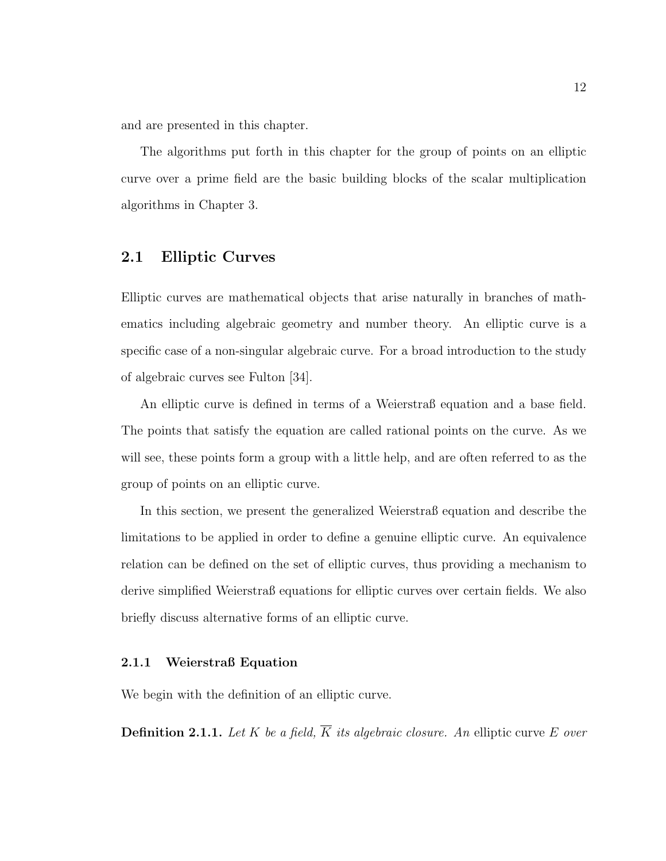and are presented in this chapter.

The algorithms put forth in this chapter for the group of points on an elliptic curve over a prime field are the basic building blocks of the scalar multiplication algorithms in Chapter 3.

### 2.1 Elliptic Curves

Elliptic curves are mathematical objects that arise naturally in branches of mathematics including algebraic geometry and number theory. An elliptic curve is a specific case of a non-singular algebraic curve. For a broad introduction to the study of algebraic curves see Fulton [34].

An elliptic curve is defined in terms of a Weierstraß equation and a base field. The points that satisfy the equation are called rational points on the curve. As we will see, these points form a group with a little help, and are often referred to as the group of points on an elliptic curve.

In this section, we present the generalized Weierstraß equation and describe the limitations to be applied in order to define a genuine elliptic curve. An equivalence relation can be defined on the set of elliptic curves, thus providing a mechanism to derive simplified Weierstraß equations for elliptic curves over certain fields. We also briefly discuss alternative forms of an elliptic curve.

#### 2.1.1 Weierstraß Equation

We begin with the definition of an elliptic curve.

**Definition 2.1.1.** Let K be a field,  $\overline{K}$  its algebraic closure. An elliptic curve E over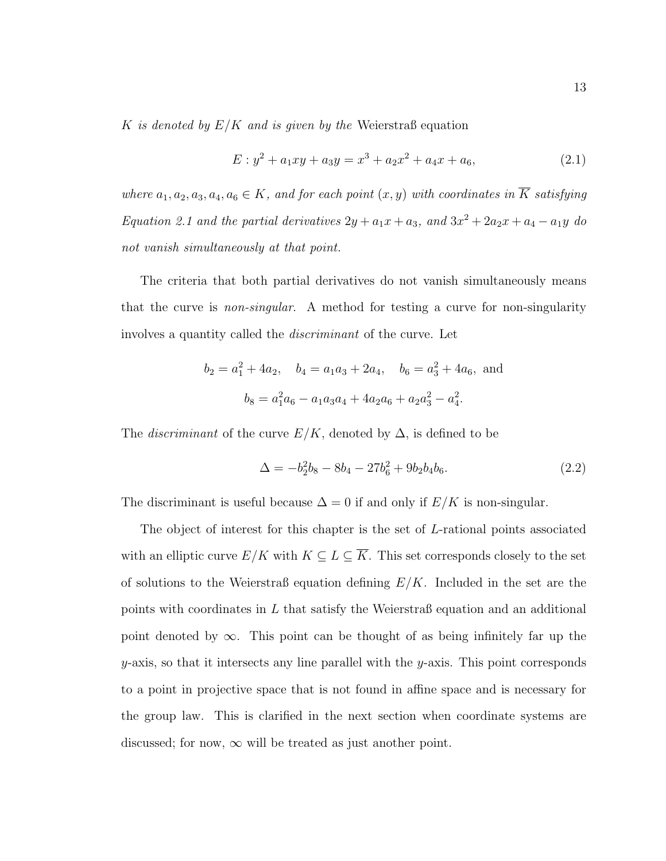K is denoted by  $E/K$  and is given by the Weierstraß equation

$$
E: y^2 + a_1xy + a_3y = x^3 + a_2x^2 + a_4x + a_6,
$$
\n(2.1)

where  $a_1, a_2, a_3, a_4, a_6 \in K$ , and for each point  $(x, y)$  with coordinates in  $\overline{K}$  satisfying Equation 2.1 and the partial derivatives  $2y + a_1x + a_3$ , and  $3x^2 + 2a_2x + a_4 - a_1y$  do not vanish simultaneously at that point.

The criteria that both partial derivatives do not vanish simultaneously means that the curve is non-singular. A method for testing a curve for non-singularity involves a quantity called the discriminant of the curve. Let

$$
b_2 = a_1^2 + 4a_2
$$
,  $b_4 = a_1a_3 + 2a_4$ ,  $b_6 = a_3^2 + 4a_6$ , and  
 $b_8 = a_1^2a_6 - a_1a_3a_4 + 4a_2a_6 + a_2a_3^2 - a_4^2$ .

The *discriminant* of the curve  $E/K$ , denoted by  $\Delta$ , is defined to be

$$
\Delta = -b_2^2 b_8 - 8b_4 - 27b_6^2 + 9b_2b_4b_6. \tag{2.2}
$$

The discriminant is useful because  $\Delta = 0$  if and only if  $E/K$  is non-singular.

The object of interest for this chapter is the set of L-rational points associated with an elliptic curve  $E/K$  with  $K \subseteq L \subseteq \overline{K}$ . This set corresponds closely to the set of solutions to the Weierstraß equation defining  $E/K$ . Included in the set are the points with coordinates in L that satisfy the Weierstraß equation and an additional point denoted by  $\infty$ . This point can be thought of as being infinitely far up the  $y$ -axis, so that it intersects any line parallel with the  $y$ -axis. This point corresponds to a point in projective space that is not found in affine space and is necessary for the group law. This is clarified in the next section when coordinate systems are discussed; for now,  $\infty$  will be treated as just another point.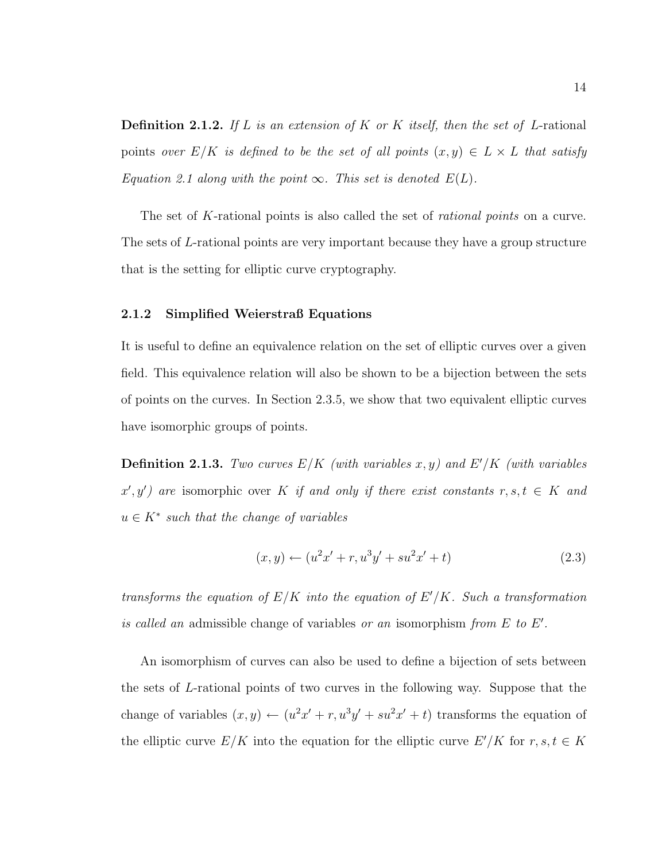**Definition 2.1.2.** If L is an extension of K or K itself, then the set of L-rational points over  $E/K$  is defined to be the set of all points  $(x, y) \in L \times L$  that satisfy Equation 2.1 along with the point  $\infty$ . This set is denoted  $E(L)$ .

The set of K-rational points is also called the set of *rational points* on a curve. The sets of L-rational points are very important because they have a group structure that is the setting for elliptic curve cryptography.

#### 2.1.2 Simplified Weierstraß Equations

It is useful to define an equivalence relation on the set of elliptic curves over a given field. This equivalence relation will also be shown to be a bijection between the sets of points on the curves. In Section 2.3.5, we show that two equivalent elliptic curves have isomorphic groups of points.

**Definition 2.1.3.** Two curves  $E/K$  (with variables x, y) and  $E'/K$  (with variables  $x', y'$  are isomorphic over K if and only if there exist constants  $r, s, t \in K$  and  $u \in K^*$  such that the change of variables

$$
(x,y) \leftarrow (u^2x' + r, u^3y' + su^2x' + t)
$$
\n(2.3)

transforms the equation of  $E/K$  into the equation of  $E'/K$ . Such a transformation is called an admissible change of variables or an isomorphism from  $E$  to  $E'$ .

An isomorphism of curves can also be used to define a bijection of sets between the sets of L-rational points of two curves in the following way. Suppose that the change of variables  $(x, y) \leftarrow (u^2x' + r, u^3y' + su^2x' + t)$  transforms the equation of the elliptic curve  $E/K$  into the equation for the elliptic curve  $E'/K$  for  $r, s, t \in K$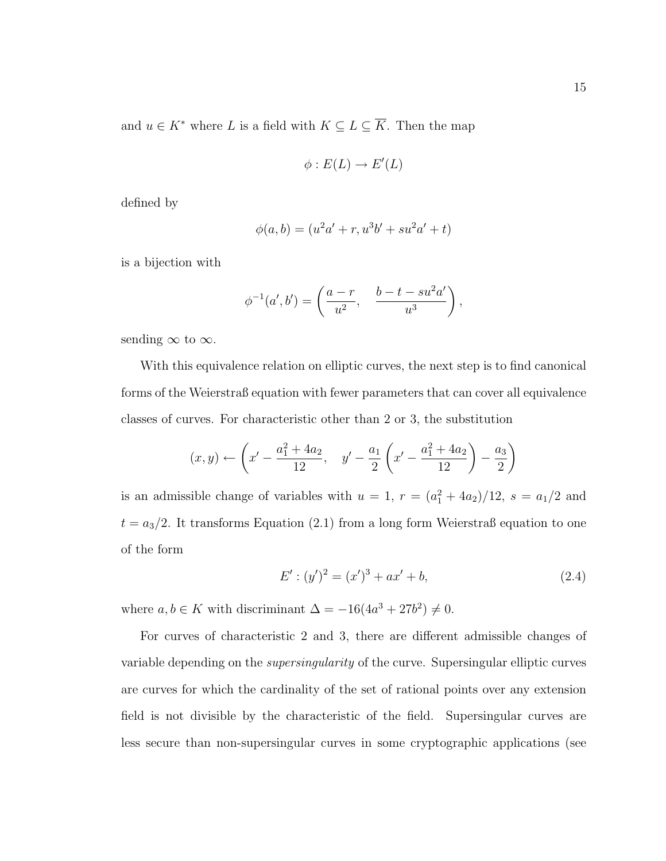$$
\phi: E(L) \to E'(L)
$$

defined by

$$
\phi(a, b) = (u^2a' + r, u^3b' + su^2a' + t)
$$

is a bijection with

$$
\phi^{-1}(a', b') = \left(\frac{a-r}{u^2}, \frac{b-t-su^2a'}{u^3}\right),
$$

sending  $\infty$  to  $\infty$ .

With this equivalence relation on elliptic curves, the next step is to find canonical forms of the Weierstraß equation with fewer parameters that can cover all equivalence classes of curves. For characteristic other than 2 or 3, the substitution

$$
(x,y) \leftarrow \left(x' - \frac{a_1^2 + 4a_2}{12}, y' - \frac{a_1}{2}\left(x' - \frac{a_1^2 + 4a_2}{12}\right) - \frac{a_3}{2}\right)
$$

is an admissible change of variables with  $u = 1$ ,  $r = (a_1^2 + 4a_2)/12$ ,  $s = a_1/2$  and  $t = a_3/2$ . It transforms Equation (2.1) from a long form Weierstraß equation to one of the form

$$
E' : (y')^2 = (x')^3 + ax' + b,\tag{2.4}
$$

where  $a, b \in K$  with discriminant  $\Delta = -16(4a^3 + 27b^2) \neq 0$ .

For curves of characteristic 2 and 3, there are different admissible changes of variable depending on the supersingularity of the curve. Supersingular elliptic curves are curves for which the cardinality of the set of rational points over any extension field is not divisible by the characteristic of the field. Supersingular curves are less secure than non-supersingular curves in some cryptographic applications (see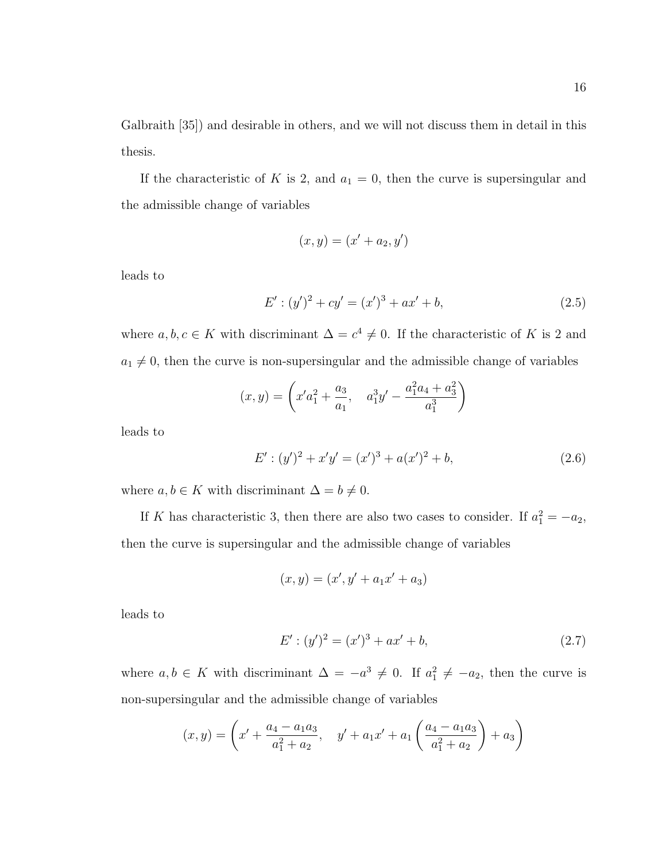Galbraith [35]) and desirable in others, and we will not discuss them in detail in this thesis.

If the characteristic of K is 2, and  $a_1 = 0$ , then the curve is supersingular and the admissible change of variables

$$
(x,y) = (x'+a_2,y')
$$

leads to

$$
E' : (y')^{2} + cy' = (x')^{3} + ax' + b,
$$
\n(2.5)

where  $a, b, c \in K$  with discriminant  $\Delta = c^4 \neq 0$ . If the characteristic of K is 2 and  $a_1 \neq 0$ , then the curve is non-supersingular and the admissible change of variables

$$
(x,y) = \left(x'a_1^2 + \frac{a_3}{a_1}, a_1^3y' - \frac{a_1^2a_4 + a_3^2}{a_1^3}\right)
$$

leads to

$$
E' : (y')^{2} + x'y' = (x')^{3} + a(x')^{2} + b,
$$
\n(2.6)

where  $a, b \in K$  with discriminant  $\Delta = b \neq 0$ .

If K has characteristic 3, then there are also two cases to consider. If  $a_1^2 = -a_2$ , then the curve is supersingular and the admissible change of variables

$$
(x, y) = (x', y' + a_1 x' + a_3)
$$

leads to

$$
E': (y')^2 = (x')^3 + ax' + b,\tag{2.7}
$$

where  $a, b \in K$  with discriminant  $\Delta = -a^3 \neq 0$ . If  $a_1^2 \neq -a_2$ , then the curve is non-supersingular and the admissible change of variables

$$
(x,y) = \left(x' + \frac{a_4 - a_1 a_3}{a_1^2 + a_2}, \quad y' + a_1 x' + a_1 \left(\frac{a_4 - a_1 a_3}{a_1^2 + a_2}\right) + a_3\right)
$$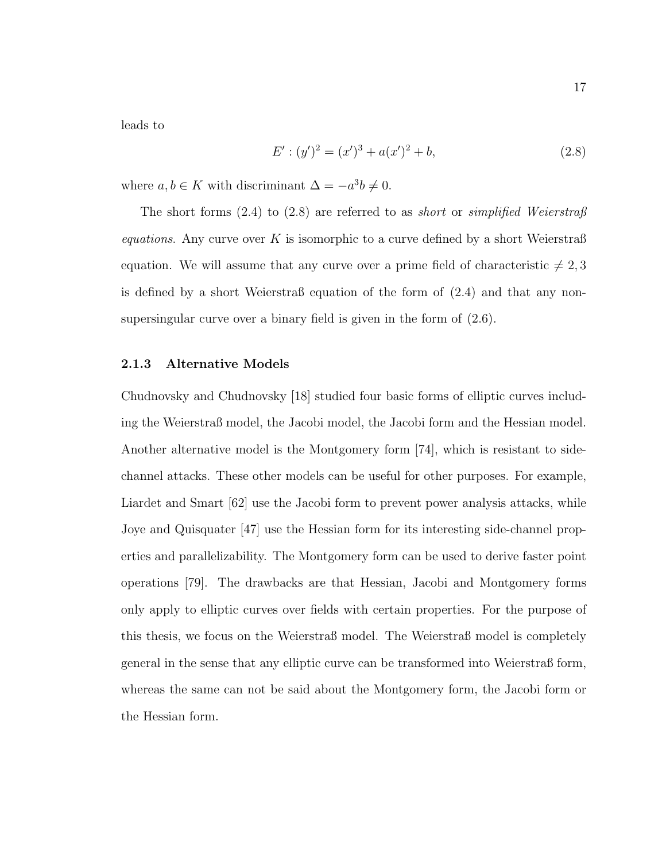leads to

$$
E': (y')^2 = (x')^3 + a(x')^2 + b,\tag{2.8}
$$

where  $a, b \in K$  with discriminant  $\Delta = -a^3b \neq 0$ .

The short forms (2.4) to (2.8) are referred to as *short* or *simplified Weierstraß* equations. Any curve over K is isomorphic to a curve defined by a short Weierstraß equation. We will assume that any curve over a prime field of characteristic  $\neq 2, 3$ is defined by a short Weierstraß equation of the form of (2.4) and that any nonsupersingular curve over a binary field is given in the form of (2.6).

#### 2.1.3 Alternative Models

Chudnovsky and Chudnovsky [18] studied four basic forms of elliptic curves including the Weierstraß model, the Jacobi model, the Jacobi form and the Hessian model. Another alternative model is the Montgomery form [74], which is resistant to sidechannel attacks. These other models can be useful for other purposes. For example, Liardet and Smart [62] use the Jacobi form to prevent power analysis attacks, while Joye and Quisquater [47] use the Hessian form for its interesting side-channel properties and parallelizability. The Montgomery form can be used to derive faster point operations [79]. The drawbacks are that Hessian, Jacobi and Montgomery forms only apply to elliptic curves over fields with certain properties. For the purpose of this thesis, we focus on the Weierstraß model. The Weierstraß model is completely general in the sense that any elliptic curve can be transformed into Weierstraß form, whereas the same can not be said about the Montgomery form, the Jacobi form or the Hessian form.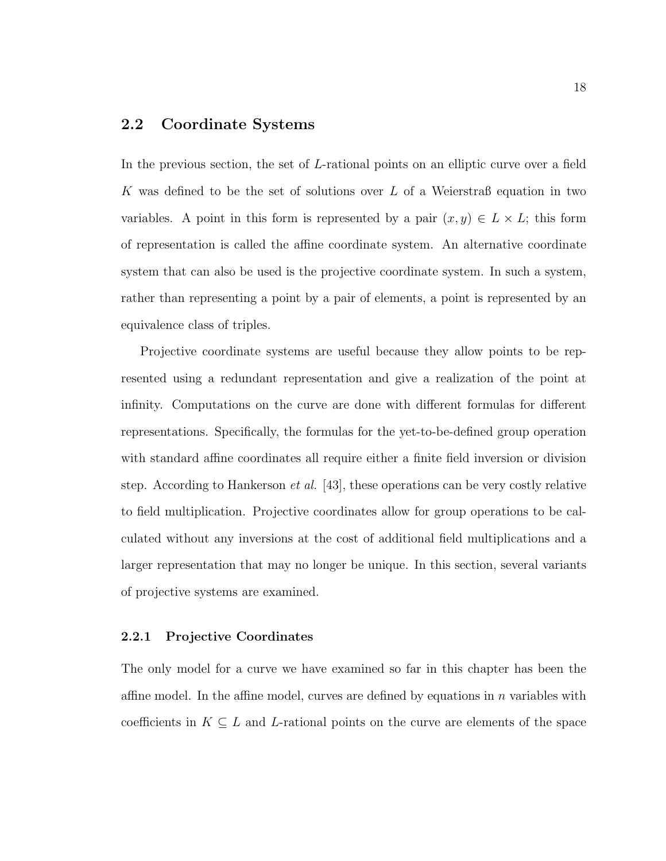### 2.2 Coordinate Systems

In the previous section, the set of L-rational points on an elliptic curve over a field K was defined to be the set of solutions over L of a Weierstraß equation in two variables. A point in this form is represented by a pair  $(x, y) \in L \times L$ ; this form of representation is called the affine coordinate system. An alternative coordinate system that can also be used is the projective coordinate system. In such a system, rather than representing a point by a pair of elements, a point is represented by an equivalence class of triples.

Projective coordinate systems are useful because they allow points to be represented using a redundant representation and give a realization of the point at infinity. Computations on the curve are done with different formulas for different representations. Specifically, the formulas for the yet-to-be-defined group operation with standard affine coordinates all require either a finite field inversion or division step. According to Hankerson *et al.* [43], these operations can be very costly relative to field multiplication. Projective coordinates allow for group operations to be calculated without any inversions at the cost of additional field multiplications and a larger representation that may no longer be unique. In this section, several variants of projective systems are examined.

#### 2.2.1 Projective Coordinates

The only model for a curve we have examined so far in this chapter has been the affine model. In the affine model, curves are defined by equations in n variables with coefficients in  $K \subseteq L$  and L-rational points on the curve are elements of the space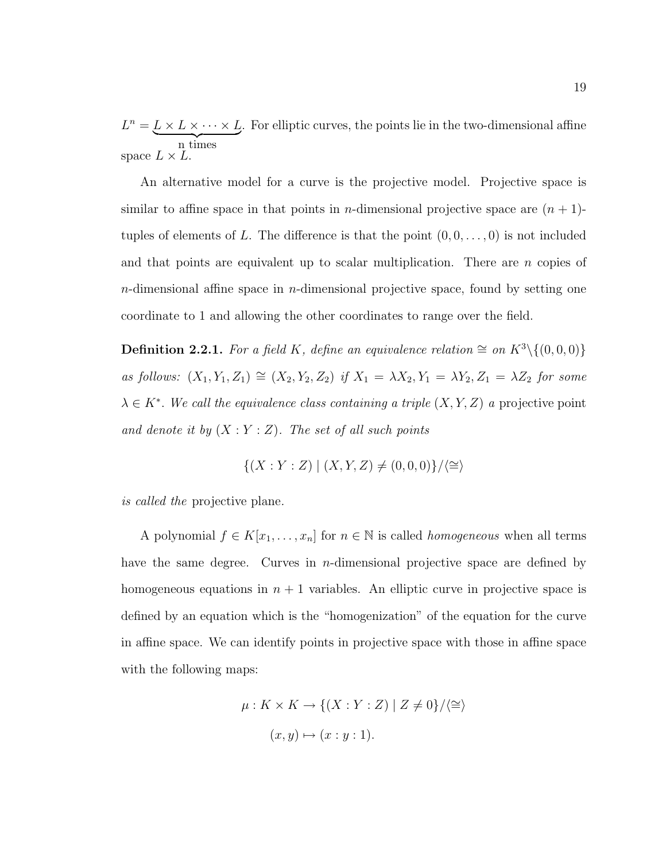$L^n = L \times L \times \cdots \times L$ n times . For elliptic curves, the points lie in the two-dimensional affine space  $L \times L$ .

An alternative model for a curve is the projective model. Projective space is similar to affine space in that points in *n*-dimensional projective space are  $(n + 1)$ tuples of elements of L. The difference is that the point  $(0, 0, \ldots, 0)$  is not included and that points are equivalent up to scalar multiplication. There are  $n$  copies of  $n$ -dimensional affine space in  $n$ -dimensional projective space, found by setting one coordinate to 1 and allowing the other coordinates to range over the field.

**Definition 2.2.1.** For a field K, define an equivalence relation  $\cong$  on  $K^3 \setminus \{(0,0,0)\}$ as follows:  $(X_1, Y_1, Z_1) \cong (X_2, Y_2, Z_2)$  if  $X_1 = \lambda X_2, Y_1 = \lambda Y_2, Z_1 = \lambda Z_2$  for some  $\lambda \in K^*$ . We call the equivalence class containing a triple  $(X, Y, Z)$  a projective point and denote it by  $(X:Y:Z)$ . The set of all such points

$$
\{(X:Y:Z) \mid (X,Y,Z) \neq (0,0,0)\}/\langle \cong \rangle
$$

is called the projective plane.

A polynomial  $f \in K[x_1, \ldots, x_n]$  for  $n \in \mathbb{N}$  is called *homogeneous* when all terms have the same degree. Curves in *n*-dimensional projective space are defined by homogeneous equations in  $n + 1$  variables. An elliptic curve in projective space is defined by an equation which is the "homogenization" of the equation for the curve in affine space. We can identify points in projective space with those in affine space with the following maps:

$$
\mu: K \times K \to \{(X:Y:Z) \mid Z \neq 0\}/\langle \cong \rangle
$$
  

$$
(x,y) \mapsto (x:y:1).
$$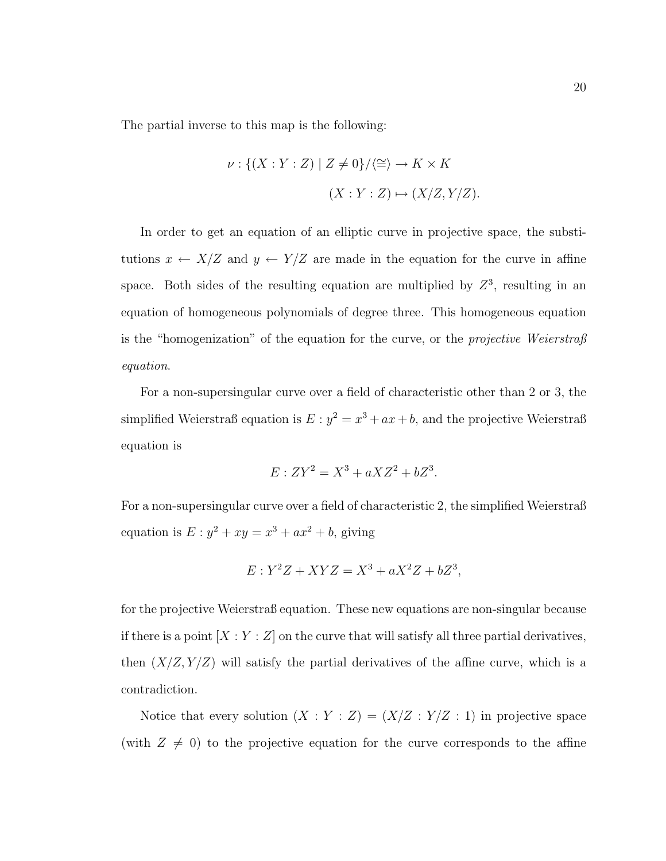The partial inverse to this map is the following:

$$
\nu: \{(X:Y:Z) \mid Z \neq 0\}/\langle \cong \rangle \to K \times K
$$

$$
(X:Y:Z) \mapsto (X/Z,Y/Z).
$$

In order to get an equation of an elliptic curve in projective space, the substitutions  $x \leftarrow X/Z$  and  $y \leftarrow Y/Z$  are made in the equation for the curve in affine space. Both sides of the resulting equation are multiplied by  $Z^3$ , resulting in an equation of homogeneous polynomials of degree three. This homogeneous equation is the "homogenization" of the equation for the curve, or the *projective Weierstraß* equation.

For a non-supersingular curve over a field of characteristic other than 2 or 3, the simplified Weierstraß equation is  $E : y^2 = x^3 + ax + b$ , and the projective Weierstraß equation is

$$
E: ZY^2 = X^3 + aXZ^2 + bZ^3.
$$

For a non-supersingular curve over a field of characteristic 2, the simplified Weierstraß equation is  $E: y^2 + xy = x^3 + ax^2 + b$ , giving

$$
E: Y^2Z + XYZ = X^3 + aX^2Z + bZ^3,
$$

for the projective Weierstraß equation. These new equations are non-singular because if there is a point  $[X:Y:Z]$  on the curve that will satisfy all three partial derivatives, then  $(X/Z, Y/Z)$  will satisfy the partial derivatives of the affine curve, which is a contradiction.

Notice that every solution  $(X:Y:Z) = (X/Z:Y/Z:1)$  in projective space (with  $Z \neq 0$ ) to the projective equation for the curve corresponds to the affine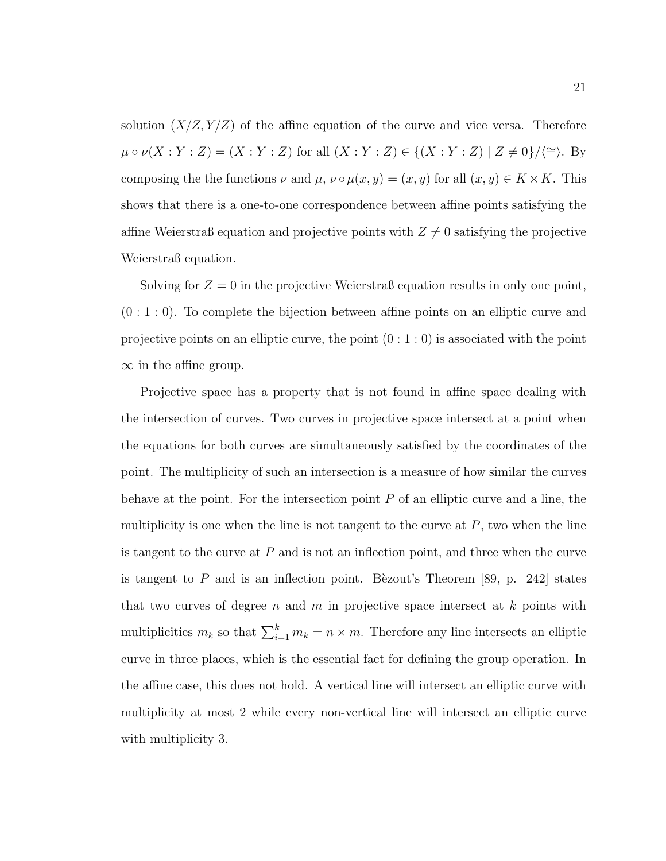solution  $(X/Z, Y/Z)$  of the affine equation of the curve and vice versa. Therefore  $\mu \circ \nu(X : Y : Z) = (X : Y : Z)$  for all  $(X : Y : Z) \in \{(X : Y : Z) | Z \neq 0\}/\langle\cong\rangle$ . By composing the the functions  $\nu$  and  $\mu$ ,  $\nu \circ \mu(x, y) = (x, y)$  for all  $(x, y) \in K \times K$ . This shows that there is a one-to-one correspondence between affine points satisfying the affine Weierstraß equation and projective points with  $Z \neq 0$  satisfying the projective Weierstraß equation.

Solving for  $Z = 0$  in the projective Weierstraß equation results in only one point,  $(0:1:0)$ . To complete the bijection between affine points on an elliptic curve and projective points on an elliptic curve, the point  $(0:1:0)$  is associated with the point  $\infty$  in the affine group.

Projective space has a property that is not found in affine space dealing with the intersection of curves. Two curves in projective space intersect at a point when the equations for both curves are simultaneously satisfied by the coordinates of the point. The multiplicity of such an intersection is a measure of how similar the curves behave at the point. For the intersection point  $P$  of an elliptic curve and a line, the multiplicity is one when the line is not tangent to the curve at  $P$ , two when the line is tangent to the curve at  $P$  and is not an inflection point, and three when the curve is tangent to  $P$  and is an inflection point. Bèzout's Theorem [89, p. 242] states that two curves of degree n and m in projective space intersect at  $k$  points with multiplicities  $m_k$  so that  $\sum_{i=1}^k m_k = n \times m$ . Therefore any line intersects an elliptic curve in three places, which is the essential fact for defining the group operation. In the affine case, this does not hold. A vertical line will intersect an elliptic curve with multiplicity at most 2 while every non-vertical line will intersect an elliptic curve with multiplicity 3.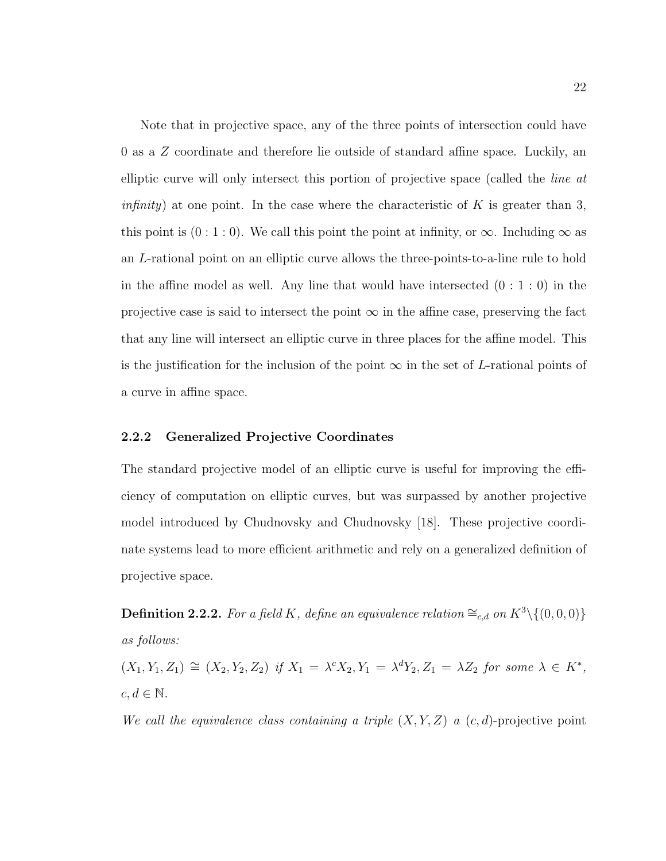Note that in projective space, any of the three points of intersection could have 0 as a Z coordinate and therefore lie outside of standard affine space. Luckily, an elliptic curve will only intersect this portion of projective space (called the line at *infinity*) at one point. In the case where the characteristic of K is greater than 3, this point is  $(0:1:0)$ . We call this point the point at infinity, or  $\infty$ . Including  $\infty$  as an L-rational point on an elliptic curve allows the three-points-to-a-line rule to hold in the affine model as well. Any line that would have intersected  $(0:1:0)$  in the projective case is said to intersect the point  $\infty$  in the affine case, preserving the fact that any line will intersect an elliptic curve in three places for the affine model. This is the justification for the inclusion of the point  $\infty$  in the set of L-rational points of a curve in affine space.

#### 2.2.2 Generalized Projective Coordinates

The standard projective model of an elliptic curve is useful for improving the efficiency of computation on elliptic curves, but was surpassed by another projective model introduced by Chudnovsky and Chudnovsky [18]. These projective coordinate systems lead to more efficient arithmetic and rely on a generalized definition of projective space.

**Definition 2.2.2.** For a field K, define an equivalence relation  $\cong_{c,d}$  on  $K^3\setminus\{(0,0,0)\}$ as follows:

 $(X_1, Y_1, Z_1) \cong (X_2, Y_2, Z_2)$  if  $X_1 = \lambda^c X_2, Y_1 = \lambda^d Y_2, Z_1 = \lambda Z_2$  for some  $\lambda \in K^*$ ,  $c, d \in \mathbb{N}$ .

We call the equivalence class containing a triple  $(X, Y, Z)$  a  $(c, d)$ -projective point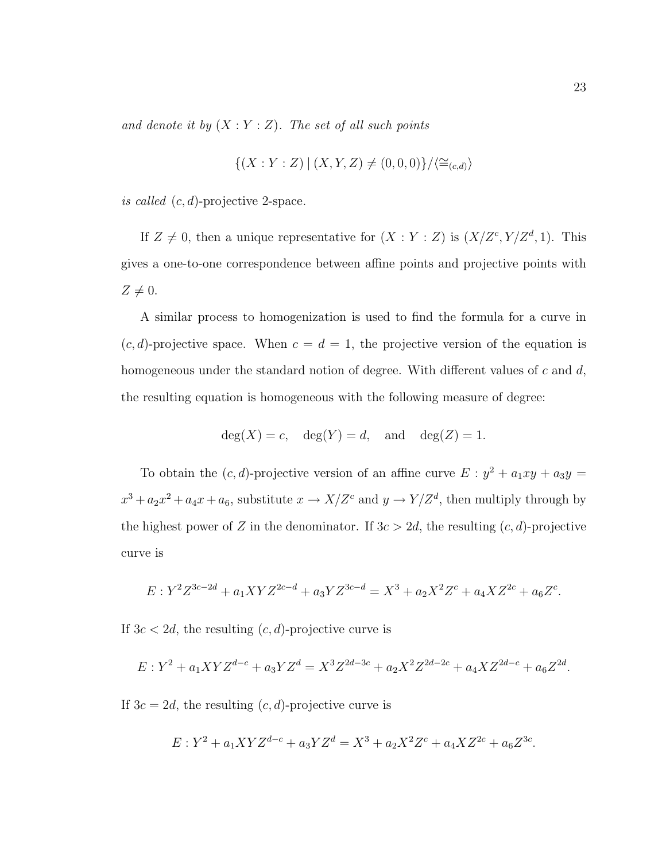and denote it by  $(X:Y:Z)$ . The set of all such points

$$
\{(X:Y:Z) | (X,Y,Z) \neq (0,0,0)\}/\langle \cong_{(c,d)} \rangle
$$

is called  $(c, d)$ -projective 2-space.

If  $Z \neq 0$ , then a unique representative for  $(X:Y:Z)$  is  $(X/Z<sup>c</sup>, Y/Z<sup>d</sup>, 1)$ . This gives a one-to-one correspondence between affine points and projective points with  $Z \neq 0$ .

A similar process to homogenization is used to find the formula for a curve in  $(c, d)$ -projective space. When  $c = d = 1$ , the projective version of the equation is homogeneous under the standard notion of degree. With different values of  $c$  and  $d$ , the resulting equation is homogeneous with the following measure of degree:

$$
deg(X) = c
$$
,  $deg(Y) = d$ , and  $deg(Z) = 1$ .

To obtain the  $(c, d)$ -projective version of an affine curve  $E : y^2 + a_1xy + a_3y = 0$  $x^3 + a_2x^2 + a_4x + a_6$ , substitute  $x \to X/Z^c$  and  $y \to Y/Z^d$ , then multiply through by the highest power of Z in the denominator. If  $3c > 2d$ , the resulting  $(c, d)$ -projective curve is

$$
E: Y^2 Z^{3c-2d} + a_1 X Y Z^{2c-d} + a_3 Y Z^{3c-d} = X^3 + a_2 X^2 Z^c + a_4 X Z^{2c} + a_6 Z^c.
$$

If  $3c < 2d$ , the resulting  $(c, d)$ -projective curve is

$$
E: Y^2 + a_1XYZ^{d-c} + a_3YZ^d = X^3Z^{2d-3c} + a_2X^2Z^{2d-2c} + a_4XZ^{2d-c} + a_6Z^{2d}.
$$

If  $3c = 2d$ , the resulting  $(c, d)$ -projective curve is

$$
E: Y^2 + a_1XYZ^{d-c} + a_3YZ^d = X^3 + a_2X^2Z^c + a_4XZ^{2c} + a_6Z^{3c}.
$$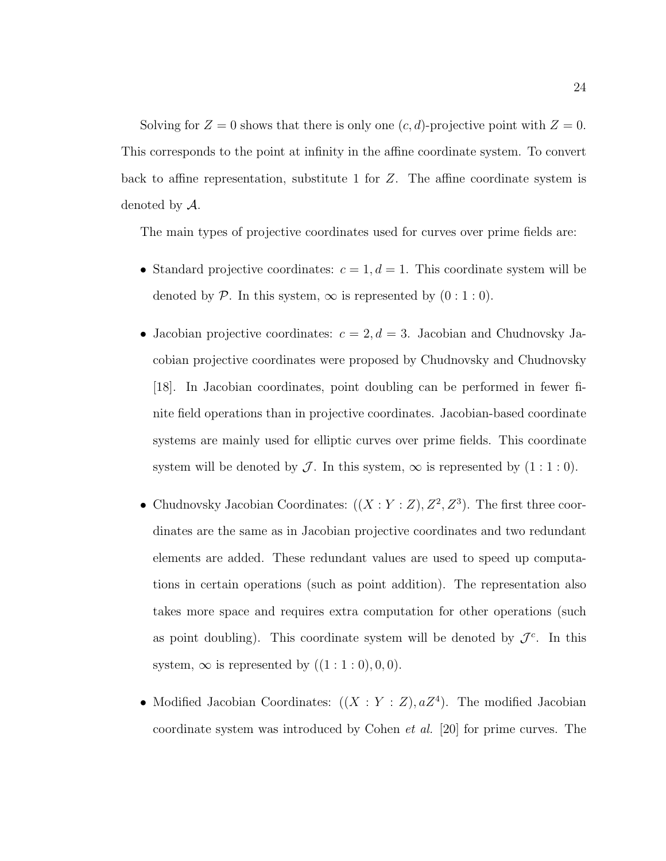Solving for  $Z = 0$  shows that there is only one  $(c, d)$ -projective point with  $Z = 0$ . This corresponds to the point at infinity in the affine coordinate system. To convert back to affine representation, substitute 1 for Z. The affine coordinate system is denoted by A.

The main types of projective coordinates used for curves over prime fields are:

- Standard projective coordinates:  $c = 1, d = 1$ . This coordinate system will be denoted by P. In this system,  $\infty$  is represented by  $(0:1:0)$ .
- Jacobian projective coordinates:  $c = 2, d = 3$ . Jacobian and Chudnovsky Jacobian projective coordinates were proposed by Chudnovsky and Chudnovsky [18]. In Jacobian coordinates, point doubling can be performed in fewer finite field operations than in projective coordinates. Jacobian-based coordinate systems are mainly used for elliptic curves over prime fields. This coordinate system will be denoted by  $\mathcal J$ . In this system,  $\infty$  is represented by  $(1:1:0)$ .
- Chudnovsky Jacobian Coordinates:  $((X:Y:Z), Z^2, Z^3)$ . The first three coordinates are the same as in Jacobian projective coordinates and two redundant elements are added. These redundant values are used to speed up computations in certain operations (such as point addition). The representation also takes more space and requires extra computation for other operations (such as point doubling). This coordinate system will be denoted by  $\mathcal{J}^c$ . In this system,  $\infty$  is represented by  $((1:1:0),0,0)$ .
- Modified Jacobian Coordinates:  $((X : Y : Z), aZ<sup>4</sup>)$ . The modified Jacobian coordinate system was introduced by Cohen et al. [20] for prime curves. The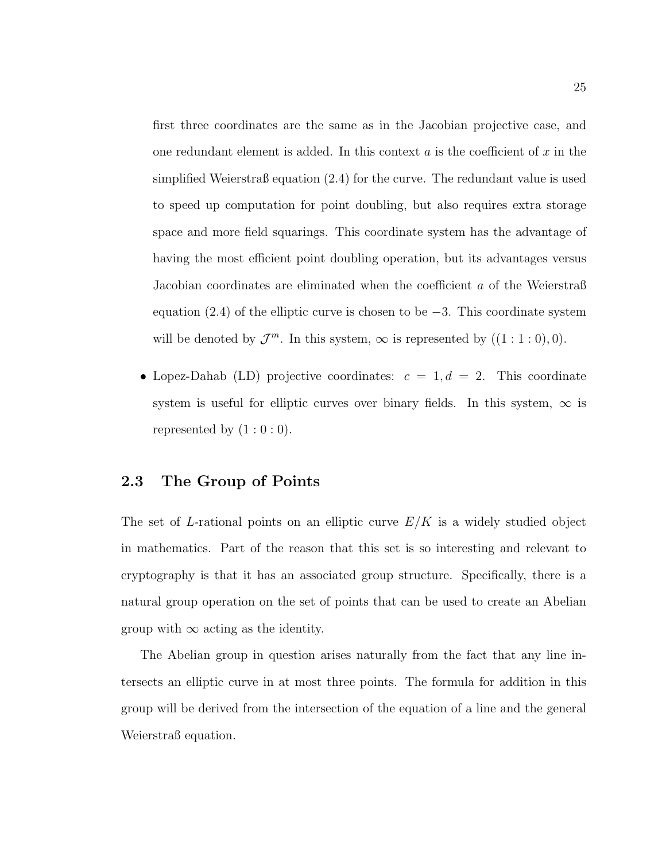first three coordinates are the same as in the Jacobian projective case, and one redundant element is added. In this context a is the coefficient of x in the simplified Weierstraß equation (2.4) for the curve. The redundant value is used to speed up computation for point doubling, but also requires extra storage space and more field squarings. This coordinate system has the advantage of having the most efficient point doubling operation, but its advantages versus Jacobian coordinates are eliminated when the coefficient a of the Weierstraß equation (2.4) of the elliptic curve is chosen to be  $-3$ . This coordinate system will be denoted by  $\mathcal{J}^m$ . In this system,  $\infty$  is represented by  $((1:1:0),0)$ .

• Lopez-Dahab (LD) projective coordinates:  $c = 1, d = 2$ . This coordinate system is useful for elliptic curves over binary fields. In this system,  $\infty$  is represented by  $(1:0:0)$ .

## 2.3 The Group of Points

The set of L-rational points on an elliptic curve  $E/K$  is a widely studied object in mathematics. Part of the reason that this set is so interesting and relevant to cryptography is that it has an associated group structure. Specifically, there is a natural group operation on the set of points that can be used to create an Abelian group with  $\infty$  acting as the identity.

The Abelian group in question arises naturally from the fact that any line intersects an elliptic curve in at most three points. The formula for addition in this group will be derived from the intersection of the equation of a line and the general Weierstraß equation.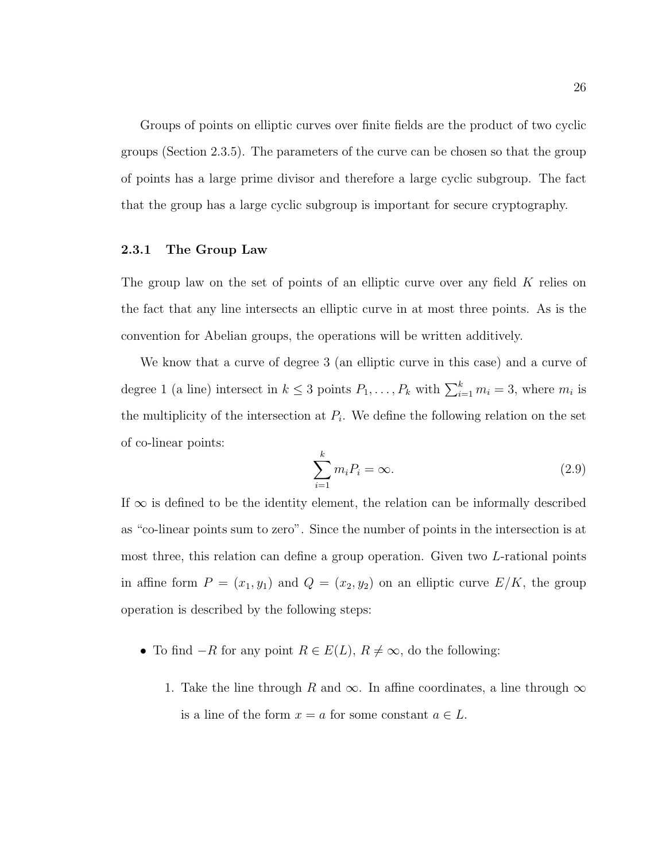Groups of points on elliptic curves over finite fields are the product of two cyclic groups (Section 2.3.5). The parameters of the curve can be chosen so that the group of points has a large prime divisor and therefore a large cyclic subgroup. The fact that the group has a large cyclic subgroup is important for secure cryptography.

## 2.3.1 The Group Law

The group law on the set of points of an elliptic curve over any field  $K$  relies on the fact that any line intersects an elliptic curve in at most three points. As is the convention for Abelian groups, the operations will be written additively.

We know that a curve of degree 3 (an elliptic curve in this case) and a curve of degree 1 (a line) intersect in  $k \leq 3$  points  $P_1, \ldots, P_k$  with  $\sum_{i=1}^k m_i = 3$ , where  $m_i$  is the multiplicity of the intersection at  $P_i$ . We define the following relation on the set of co-linear points:

$$
\sum_{i=1}^{k} m_i P_i = \infty.
$$
\n(2.9)

If  $\infty$  is defined to be the identity element, the relation can be informally described as "co-linear points sum to zero". Since the number of points in the intersection is at most three, this relation can define a group operation. Given two L-rational points in affine form  $P = (x_1, y_1)$  and  $Q = (x_2, y_2)$  on an elliptic curve  $E/K$ , the group operation is described by the following steps:

- To find  $-R$  for any point  $R \in E(L)$ ,  $R \neq \infty$ , do the following:
	- 1. Take the line through R and  $\infty$ . In affine coordinates, a line through  $\infty$ is a line of the form  $x = a$  for some constant  $a \in L$ .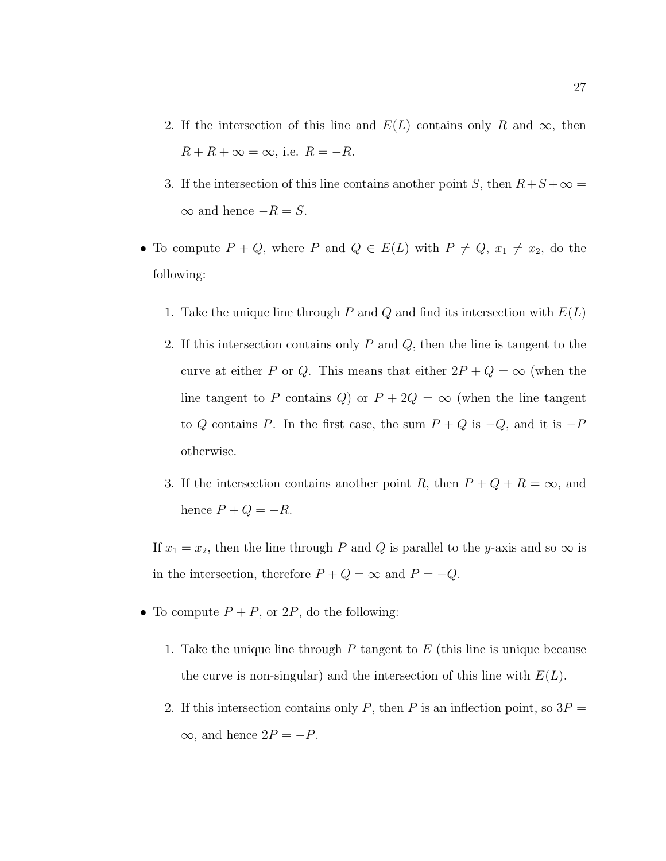- 2. If the intersection of this line and  $E(L)$  contains only R and  $\infty$ , then  $R + R + \infty = \infty$ , i.e.  $R = -R$ .
- 3. If the intersection of this line contains another point S, then  $R+S+\infty =$  $\infty$  and hence  $-R = S$ .
- To compute  $P + Q$ , where P and  $Q \in E(L)$  with  $P \neq Q$ ,  $x_1 \neq x_2$ , do the following:
	- 1. Take the unique line through P and Q and find its intersection with  $E(L)$
	- 2. If this intersection contains only  $P$  and  $Q$ , then the line is tangent to the curve at either P or Q. This means that either  $2P + Q = \infty$  (when the line tangent to P contains Q) or  $P + 2Q = \infty$  (when the line tangent to Q contains P. In the first case, the sum  $P + Q$  is  $-Q$ , and it is  $-P$ otherwise.
	- 3. If the intersection contains another point R, then  $P + Q + R = \infty$ , and hence  $P + Q = -R$ .

If  $x_1 = x_2$ , then the line through P and Q is parallel to the y-axis and so  $\infty$  is in the intersection, therefore  $P + Q = \infty$  and  $P = -Q$ .

- To compute  $P + P$ , or  $2P$ , do the following:
	- 1. Take the unique line through  $P$  tangent to  $E$  (this line is unique because the curve is non-singular) and the intersection of this line with  $E(L)$ .
	- 2. If this intersection contains only P, then P is an inflection point, so  $3P =$  $\infty$ , and hence  $2P = -P$ .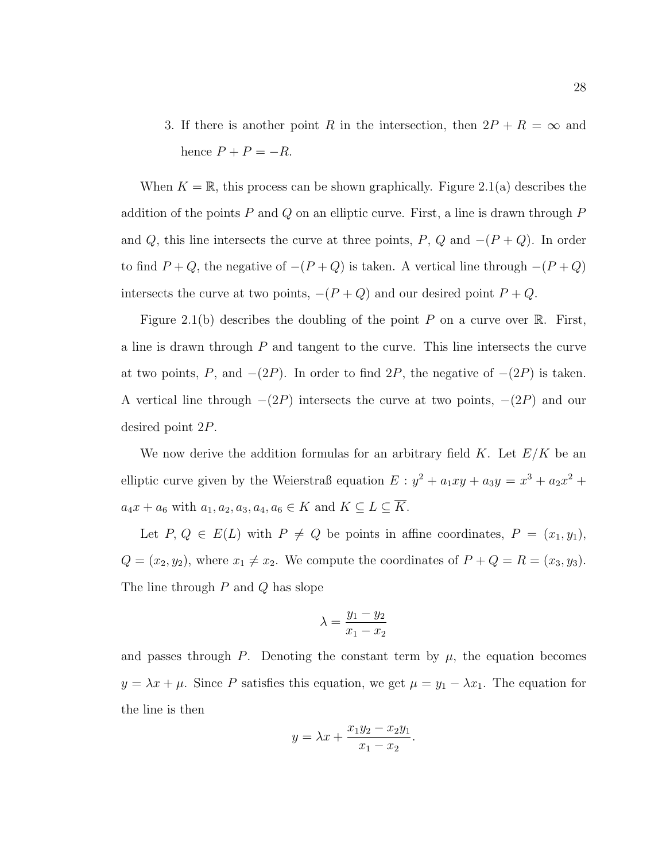3. If there is another point R in the intersection, then  $2P + R = \infty$  and hence  $P + P = -R$ .

When  $K = \mathbb{R}$ , this process can be shown graphically. Figure 2.1(a) describes the addition of the points  $P$  and  $Q$  on an elliptic curve. First, a line is drawn through  $P$ and Q, this line intersects the curve at three points, P, Q and  $-(P+Q)$ . In order to find  $P + Q$ , the negative of  $-(P + Q)$  is taken. A vertical line through  $-(P + Q)$ intersects the curve at two points,  $-(P+Q)$  and our desired point  $P+Q$ .

Figure 2.1(b) describes the doubling of the point P on a curve over R. First, a line is drawn through  $P$  and tangent to the curve. This line intersects the curve at two points, P, and  $-(2P)$ . In order to find  $2P$ , the negative of  $-(2P)$  is taken. A vertical line through  $-(2P)$  intersects the curve at two points,  $-(2P)$  and our desired point 2P.

We now derive the addition formulas for an arbitrary field K. Let  $E/K$  be an elliptic curve given by the Weierstraß equation  $E: y^2 + a_1xy + a_3y = x^3 + a_2x^2 +$  $a_4x + a_6$  with  $a_1, a_2, a_3, a_4, a_6 \in K$  and  $K \subseteq L \subseteq \overline{K}$ .

Let  $P, Q \in E(L)$  with  $P \neq Q$  be points in affine coordinates,  $P = (x_1, y_1)$ ,  $Q = (x_2, y_2)$ , where  $x_1 \neq x_2$ . We compute the coordinates of  $P + Q = R = (x_3, y_3)$ . The line through P and Q has slope

$$
\lambda = \frac{y_1 - y_2}{x_1 - x_2}
$$

and passes through P. Denoting the constant term by  $\mu$ , the equation becomes  $y = \lambda x + \mu$ . Since P satisfies this equation, we get  $\mu = y_1 - \lambda x_1$ . The equation for the line is then

$$
y = \lambda x + \frac{x_1 y_2 - x_2 y_1}{x_1 - x_2}.
$$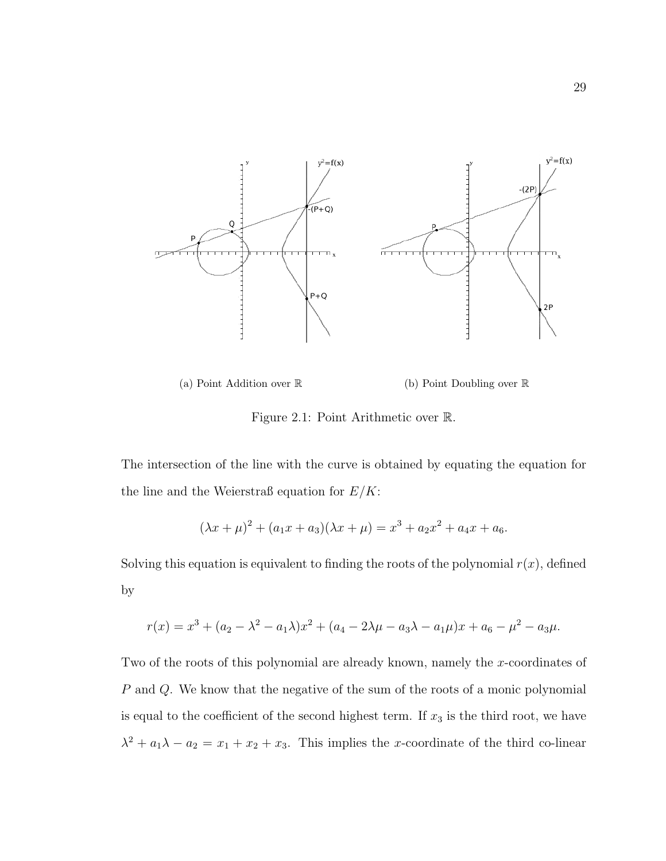



Figure 2.1: Point Arithmetic over R.

The intersection of the line with the curve is obtained by equating the equation for the line and the Weierstraß equation for  $E/K$ :

$$
(\lambda x + \mu)^2 + (a_1 x + a_3)(\lambda x + \mu) = x^3 + a_2 x^2 + a_4 x + a_6.
$$

Solving this equation is equivalent to finding the roots of the polynomial  $r(x)$ , defined by

$$
r(x) = x3 + (a2 - \lambda2 - a1\lambda)x2 + (a4 - 2\lambda\mu - a3\lambda - a1\mu)x + a6 - \mu2 - a3\mu.
$$

Two of the roots of this polynomial are already known, namely the x-coordinates of P and Q. We know that the negative of the sum of the roots of a monic polynomial is equal to the coefficient of the second highest term. If  $x_3$  is the third root, we have  $\lambda^2 + a_1 \lambda - a_2 = x_1 + x_2 + x_3$ . This implies the x-coordinate of the third co-linear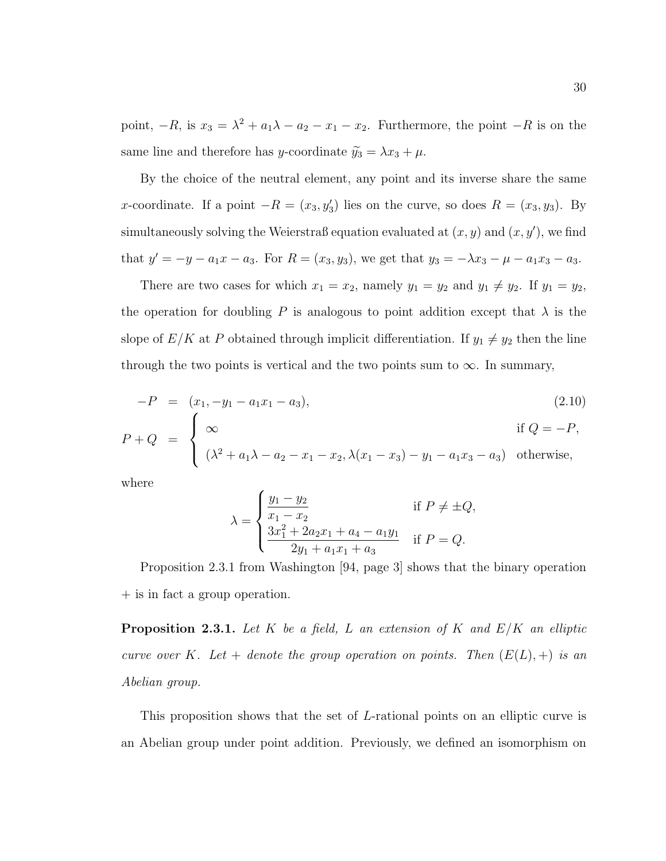point,  $-R$ , is  $x_3 = \lambda^2 + a_1\lambda - a_2 - x_1 - x_2$ . Furthermore, the point  $-R$  is on the same line and therefore has y-coordinate  $\tilde{y}_3 = \lambda x_3 + \mu$ .

By the choice of the neutral element, any point and its inverse share the same x-coordinate. If a point  $-R = (x_3, y_3)$  lies on the curve, so does  $R = (x_3, y_3)$ . By simultaneously solving the Weierstraß equation evaluated at  $(x, y)$  and  $(x, y')$ , we find that  $y' = -y - a_1x - a_3$ . For  $R = (x_3, y_3)$ , we get that  $y_3 = -\lambda x_3 - \mu - a_1x_3 - a_3$ .

There are two cases for which  $x_1 = x_2$ , namely  $y_1 = y_2$  and  $y_1 \neq y_2$ . If  $y_1 = y_2$ , the operation for doubling P is analogous to point addition except that  $\lambda$  is the slope of  $E/K$  at P obtained through implicit differentiation. If  $y_1 \neq y_2$  then the line through the two points is vertical and the two points sum to  $\infty$ . In summary,

$$
-P = (x_1, -y_1 - a_1x_1 - a_3),
$$
\n
$$
P + Q = \begin{cases} \infty & \text{if } Q = -P, \\ (\lambda^2 + a_1\lambda - a_2 - x_1 - x_2, \lambda(x_1 - x_3) - y_1 - a_1x_3 - a_3) & \text{otherwise,} \end{cases}
$$
\n(2.10)

where

$$
\lambda = \begin{cases} \frac{y_1 - y_2}{x_1 - x_2} & \text{if } P \neq \pm Q, \\ \frac{3x_1^2 + 2a_2x_1 + a_4 - a_1y_1}{2y_1 + a_1x_1 + a_3} & \text{if } P = Q. \end{cases}
$$

Proposition 2.3.1 from Washington [94, page 3] shows that the binary operation + is in fact a group operation.

**Proposition 2.3.1.** Let K be a field, L an extension of K and  $E/K$  an elliptic curve over K. Let  $+$  denote the group operation on points. Then  $(E(L), +)$  is an Abelian group.

This proposition shows that the set of L-rational points on an elliptic curve is an Abelian group under point addition. Previously, we defined an isomorphism on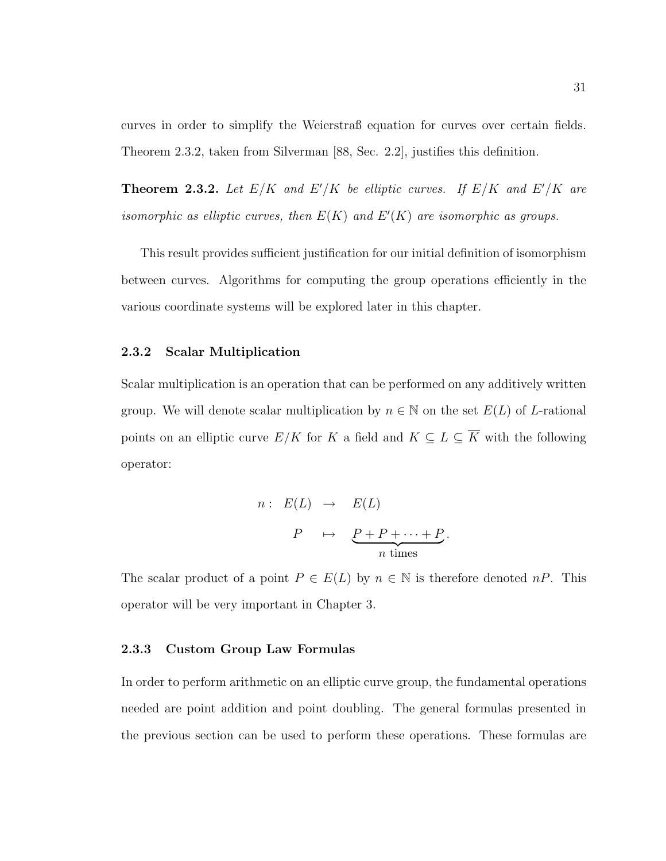curves in order to simplify the Weierstraß equation for curves over certain fields. Theorem 2.3.2, taken from Silverman [88, Sec. 2.2], justifies this definition.

**Theorem 2.3.2.** Let  $E/K$  and  $E'/K$  be elliptic curves. If  $E/K$  and  $E'/K$  are isomorphic as elliptic curves, then  $E(K)$  and  $E'(K)$  are isomorphic as groups.

This result provides sufficient justification for our initial definition of isomorphism between curves. Algorithms for computing the group operations efficiently in the various coordinate systems will be explored later in this chapter.

### 2.3.2 Scalar Multiplication

Scalar multiplication is an operation that can be performed on any additively written group. We will denote scalar multiplication by  $n \in \mathbb{N}$  on the set  $E(L)$  of L-rational points on an elliptic curve  $E/K$  for K a field and  $K \subseteq L \subseteq \overline{K}$  with the following operator:

$$
n: E(L) \rightarrow E(L)
$$
  

$$
P \rightarrow \underbrace{P+P+\cdots+P}_{n \text{ times}}
$$

.

The scalar product of a point  $P \in E(L)$  by  $n \in \mathbb{N}$  is therefore denoted  $nP$ . This operator will be very important in Chapter 3.

#### 2.3.3 Custom Group Law Formulas

In order to perform arithmetic on an elliptic curve group, the fundamental operations needed are point addition and point doubling. The general formulas presented in the previous section can be used to perform these operations. These formulas are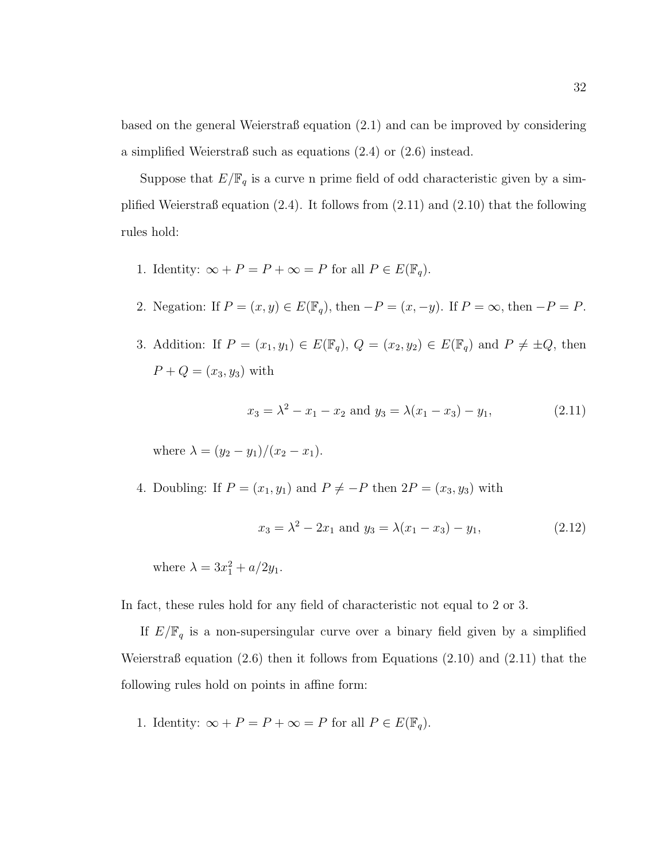based on the general Weierstraß equation (2.1) and can be improved by considering a simplified Weierstraß such as equations (2.4) or (2.6) instead.

Suppose that  $E/\mathbb{F}_q$  is a curve n prime field of odd characteristic given by a simplified Weierstraß equation  $(2.4)$ . It follows from  $(2.11)$  and  $(2.10)$  that the following rules hold:

- 1. Identity:  $\infty + P = P + \infty = P$  for all  $P \in E(\mathbb{F}_q)$ .
- 2. Negation: If  $P = (x, y) \in E(\mathbb{F}_q)$ , then  $-P = (x, -y)$ . If  $P = \infty$ , then  $-P = P$ .
- 3. Addition: If  $P = (x_1, y_1) \in E(\mathbb{F}_q)$ ,  $Q = (x_2, y_2) \in E(\mathbb{F}_q)$  and  $P \neq \pm Q$ , then  $P + Q = (x_3, y_3)$  with

$$
x_3 = \lambda^2 - x_1 - x_2 \text{ and } y_3 = \lambda (x_1 - x_3) - y_1,\tag{2.11}
$$

where  $\lambda = (y_2 - y_1)/(x_2 - x_1)$ .

4. Doubling: If  $P = (x_1, y_1)$  and  $P \neq -P$  then  $2P = (x_3, y_3)$  with

$$
x_3 = \lambda^2 - 2x_1 \text{ and } y_3 = \lambda(x_1 - x_3) - y_1,\tag{2.12}
$$

where  $\lambda = 3x_1^2 + a/2y_1$ .

In fact, these rules hold for any field of characteristic not equal to 2 or 3.

If  $E/\mathbb{F}_q$  is a non-supersingular curve over a binary field given by a simplified Weierstraß equation  $(2.6)$  then it follows from Equations  $(2.10)$  and  $(2.11)$  that the following rules hold on points in affine form:

1. Identity:  $\infty + P = P + \infty = P$  for all  $P \in E(\mathbb{F}_q)$ .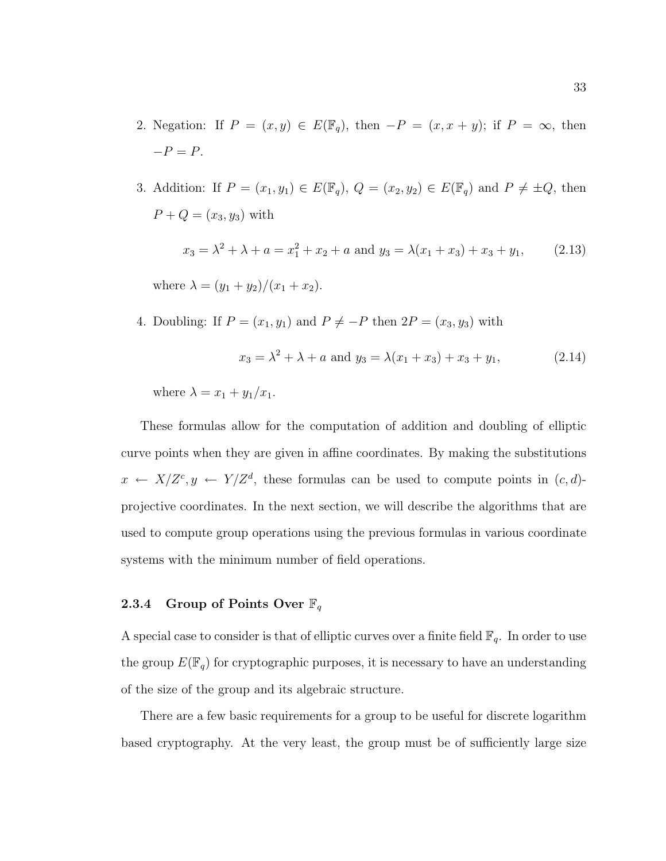- 2. Negation: If  $P = (x, y) \in E(\mathbb{F}_q)$ , then  $-P = (x, x + y)$ ; if  $P = \infty$ , then  $-P = P$ .
- 3. Addition: If  $P = (x_1, y_1) \in E(\mathbb{F}_q)$ ,  $Q = (x_2, y_2) \in E(\mathbb{F}_q)$  and  $P \neq \pm Q$ , then  $P + Q = (x_3, y_3)$  with

$$
x_3 = \lambda^2 + \lambda + a = x_1^2 + x_2 + a \text{ and } y_3 = \lambda(x_1 + x_3) + x_3 + y_1,
$$
 (2.13)

where  $\lambda = (y_1 + y_2)/(x_1 + x_2)$ .

4. Doubling: If  $P = (x_1, y_1)$  and  $P \neq -P$  then  $2P = (x_3, y_3)$  with

$$
x_3 = \lambda^2 + \lambda + a \text{ and } y_3 = \lambda(x_1 + x_3) + x_3 + y_1,\tag{2.14}
$$

where  $\lambda = x_1 + y_1/x_1$ .

These formulas allow for the computation of addition and doubling of elliptic curve points when they are given in affine coordinates. By making the substitutions  $x \leftarrow X/Z^c, y \leftarrow Y/Z^d$ , these formulas can be used to compute points in  $(c, d)$ projective coordinates. In the next section, we will describe the algorithms that are used to compute group operations using the previous formulas in various coordinate systems with the minimum number of field operations.

# 2.3.4 Group of Points Over  $\mathbb{F}_q$

A special case to consider is that of elliptic curves over a finite field  $\mathbb{F}_q$ . In order to use the group  $E(\mathbb{F}_q)$  for cryptographic purposes, it is necessary to have an understanding of the size of the group and its algebraic structure.

There are a few basic requirements for a group to be useful for discrete logarithm based cryptography. At the very least, the group must be of sufficiently large size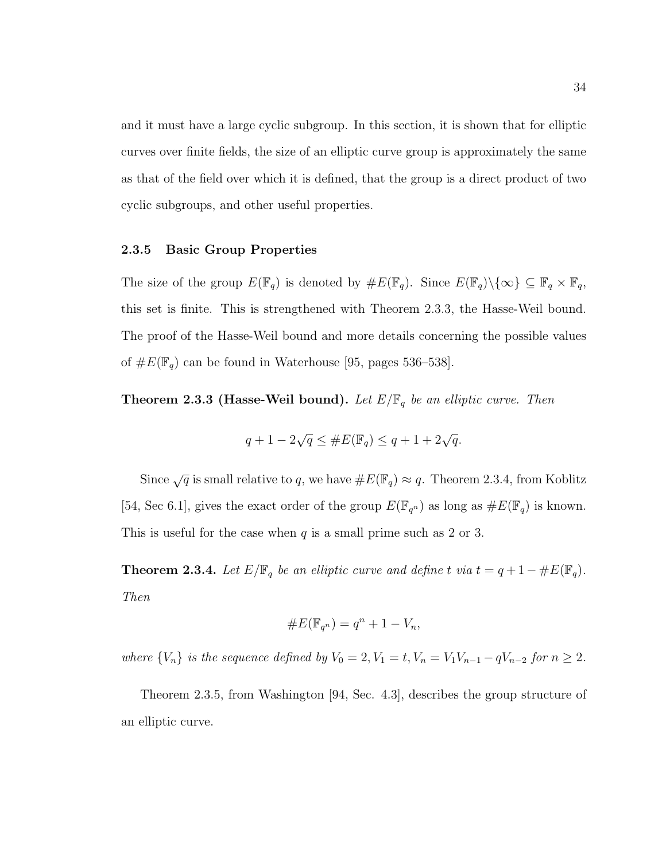and it must have a large cyclic subgroup. In this section, it is shown that for elliptic curves over finite fields, the size of an elliptic curve group is approximately the same as that of the field over which it is defined, that the group is a direct product of two cyclic subgroups, and other useful properties.

#### 2.3.5 Basic Group Properties

The size of the group  $E(\mathbb{F}_q)$  is denoted by  $\#E(\mathbb{F}_q)$ . Since  $E(\mathbb{F}_q)\setminus\{\infty\}\subseteq \mathbb{F}_q\times\mathbb{F}_q$ , this set is finite. This is strengthened with Theorem 2.3.3, the Hasse-Weil bound. The proof of the Hasse-Weil bound and more details concerning the possible values of  $\#E(\mathbb{F}_q)$  can be found in Waterhouse [95, pages 536–538].

**Theorem 2.3.3 (Hasse-Weil bound).** Let  $E/\mathbb{F}_q$  be an elliptic curve. Then

$$
q + 1 - 2\sqrt{q} \le \#E(\mathbb{F}_q) \le q + 1 + 2\sqrt{q}.
$$

Since  $\sqrt{q}$  is small relative to q, we have  $\#E(\mathbb{F}_q) \approx q$ . Theorem 2.3.4, from Koblitz [54, Sec 6.1], gives the exact order of the group  $E(\mathbb{F}_{q^n})$  as long as  $\#E(\mathbb{F}_q)$  is known. This is useful for the case when q is a small prime such as 2 or 3.

**Theorem 2.3.4.** Let  $E/\mathbb{F}_q$  be an elliptic curve and define t via  $t = q + 1 - \#E(\mathbb{F}_q)$ . Then

$$
\#E(\mathbb{F}_{q^n}) = q^n + 1 - V_n,
$$

where  $\{V_n\}$  is the sequence defined by  $V_0 = 2, V_1 = t, V_n = V_1V_{n-1} - qV_{n-2}$  for  $n \geq 2$ .

Theorem 2.3.5, from Washington [94, Sec. 4.3], describes the group structure of an elliptic curve.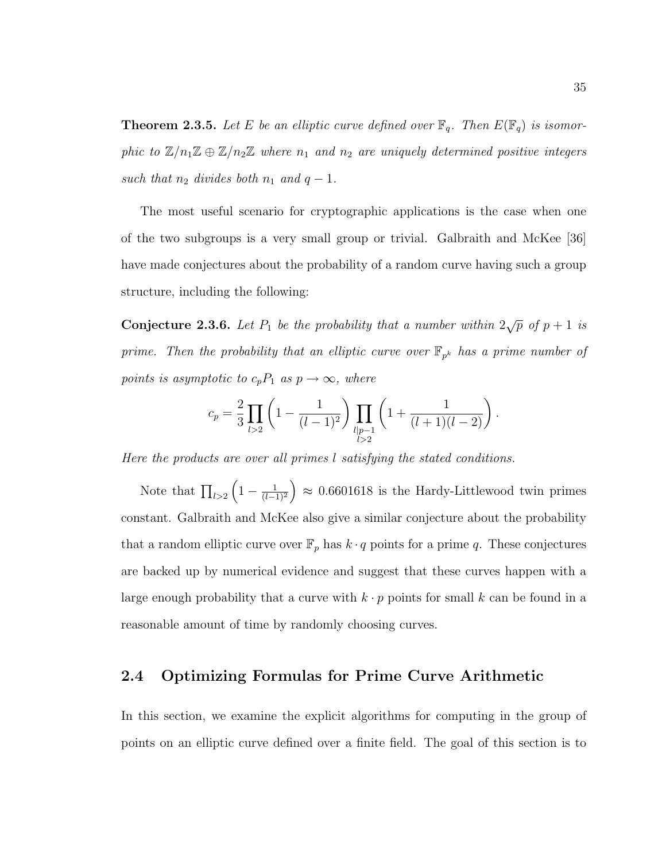**Theorem 2.3.5.** Let E be an elliptic curve defined over  $\mathbb{F}_q$ . Then  $E(\mathbb{F}_q)$  is isomorphic to  $\mathbb{Z}/n_1\mathbb{Z} \oplus \mathbb{Z}/n_2\mathbb{Z}$  where  $n_1$  and  $n_2$  are uniquely determined positive integers such that  $n_2$  divides both  $n_1$  and  $q-1$ .

The most useful scenario for cryptographic applications is the case when one of the two subgroups is a very small group or trivial. Galbraith and McKee [36] have made conjectures about the probability of a random curve having such a group structure, including the following:

**Conjecture 2.3.6.** Let  $P_1$  be the probability that a number within  $2\sqrt{p}$  of  $p+1$  is prime. Then the probability that an elliptic curve over  $\mathbb{F}_{p^k}$  has a prime number of points is asymptotic to  $c_pP_1$  as  $p \to \infty$ , where

$$
c_p = \frac{2}{3} \prod_{l>2} \left(1 - \frac{1}{(l-1)^2}\right) \prod_{\substack{l \mid p-1 \\ l>2}} \left(1 + \frac{1}{(l+1)(l-2)}\right).
$$

Here the products are over all primes l satisfying the stated conditions.

Note that  $\prod_{l>2} \left(1 - \frac{1}{(l-1)}\right)$  $\left(\frac{1}{(l-1)^2}\right) \approx 0.6601618$  is the Hardy-Littlewood twin primes constant. Galbraith and McKee also give a similar conjecture about the probability that a random elliptic curve over  $\mathbb{F}_p$  has  $k \cdot q$  points for a prime q. These conjectures are backed up by numerical evidence and suggest that these curves happen with a large enough probability that a curve with  $k \cdot p$  points for small k can be found in a reasonable amount of time by randomly choosing curves.

# 2.4 Optimizing Formulas for Prime Curve Arithmetic

In this section, we examine the explicit algorithms for computing in the group of points on an elliptic curve defined over a finite field. The goal of this section is to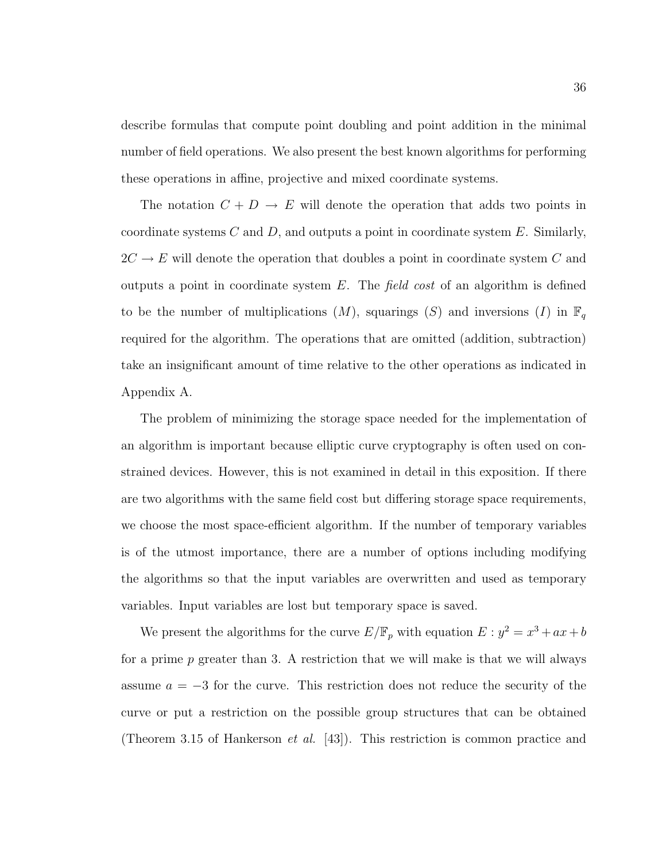describe formulas that compute point doubling and point addition in the minimal number of field operations. We also present the best known algorithms for performing these operations in affine, projective and mixed coordinate systems.

The notation  $C + D \to E$  will denote the operation that adds two points in coordinate systems  $C$  and  $D$ , and outputs a point in coordinate system  $E$ . Similarly,  $2C \rightarrow E$  will denote the operation that doubles a point in coordinate system  $C$  and outputs a point in coordinate system  $E$ . The field cost of an algorithm is defined to be the number of multiplications  $(M)$ , squarings  $(S)$  and inversions  $(I)$  in  $\mathbb{F}_q$ required for the algorithm. The operations that are omitted (addition, subtraction) take an insignificant amount of time relative to the other operations as indicated in Appendix A.

The problem of minimizing the storage space needed for the implementation of an algorithm is important because elliptic curve cryptography is often used on constrained devices. However, this is not examined in detail in this exposition. If there are two algorithms with the same field cost but differing storage space requirements, we choose the most space-efficient algorithm. If the number of temporary variables is of the utmost importance, there are a number of options including modifying the algorithms so that the input variables are overwritten and used as temporary variables. Input variables are lost but temporary space is saved.

We present the algorithms for the curve  $E/\mathbb{F}_p$  with equation  $E: y^2 = x^3 + ax + b$ for a prime p greater than 3. A restriction that we will make is that we will always assume  $a = -3$  for the curve. This restriction does not reduce the security of the curve or put a restriction on the possible group structures that can be obtained (Theorem 3.15 of Hankerson *et al.* [43]). This restriction is common practice and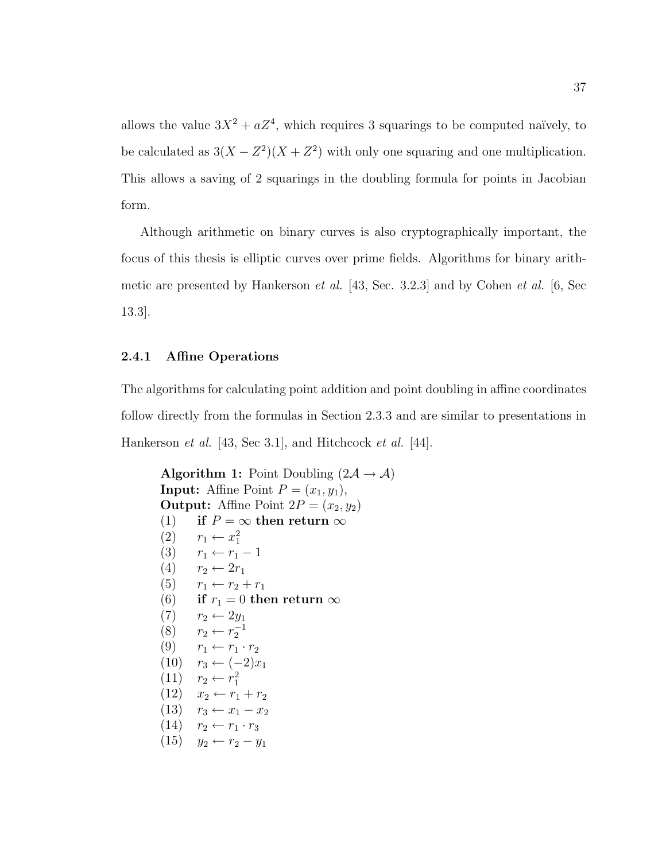allows the value  $3X^2 + aZ^4$ , which requires 3 squarings to be computed naïvely, to be calculated as  $3(X - Z^2)(X + Z^2)$  with only one squaring and one multiplication. This allows a saving of 2 squarings in the doubling formula for points in Jacobian form.

Although arithmetic on binary curves is also cryptographically important, the focus of this thesis is elliptic curves over prime fields. Algorithms for binary arithmetic are presented by Hankerson et al. [43, Sec. 3.2.3] and by Cohen et al. [6, Sec 13.3].

### 2.4.1 Affine Operations

The algorithms for calculating point addition and point doubling in affine coordinates follow directly from the formulas in Section 2.3.3 and are similar to presentations in Hankerson *et al.* [43, Sec 3.1], and Hitchcock *et al.* [44].

Algorithm 1: Point Doubling  $(2\mathcal{A} \rightarrow \mathcal{A})$ **Input:** Affine Point  $P = (x_1, y_1)$ , **Output:** Affine Point  $2P = (x_2, y_2)$ (1) if  $P = \infty$  then return  $\infty$  $(2)$   $r_1 \leftarrow x_1^2$ (3)  $r_1 \leftarrow r_1 - 1$  $(4)$   $r_2 \leftarrow 2r_1$ (5)  $r_1 \leftarrow r_2 + r_1$ (6) if  $r_1 = 0$  then return  $\infty$  $(7)$   $r_2 \leftarrow 2y_1$ (8)  $r_2 \leftarrow r_2^{-1}$  $(9)$   $r_1 \leftarrow r_1 \cdot r_2$  $(10)$   $r_3$  ←  $(-2)x_1$  $(11)$   $r_2 \leftarrow r_1^2$  $(12)$   $x_2$  ←  $r_1 + r_2$  $(13)$   $r_3 \leftarrow x_1 - x_2$  $(14)$   $r_2 \leftarrow r_1 \cdot r_3$  $(15)$   $y_2$  ←  $r_2$  −  $y_1$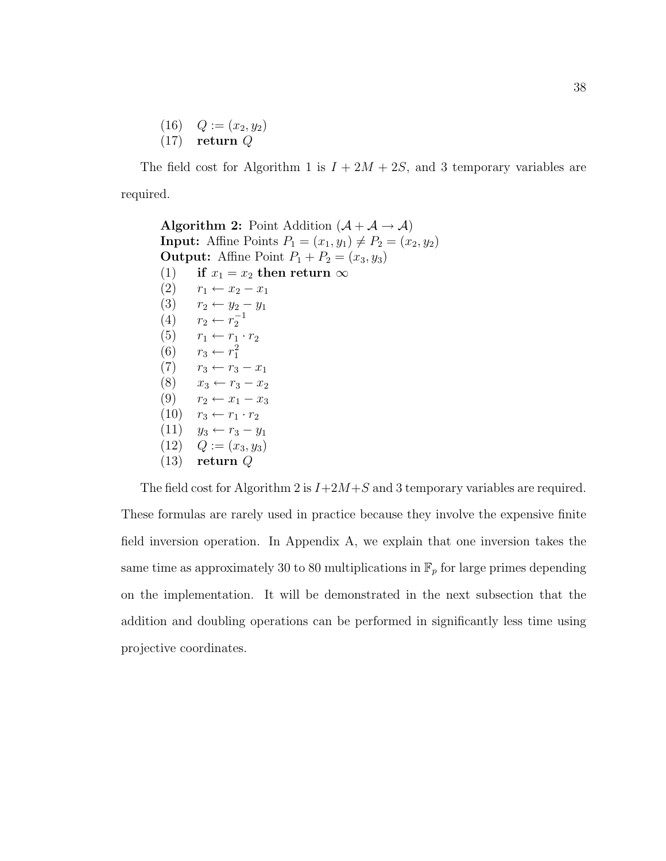$(16)$   $Q := (x_2, y_2)$  $(17)$  return Q

The field cost for Algorithm 1 is  $I + 2M + 2S$ , and 3 temporary variables are required.

```
Algorithm 2: Point Addition (\mathcal{A} + \mathcal{A} \rightarrow \mathcal{A})Input: Affine Points P_1 = (x_1, y_1) \neq P_2 = (x_2, y_2)Output: Affine Point P_1 + P_2 = (x_3, y_3)(1) if x_1 = x_2 then return \infty(2) r_1 \leftarrow x_2 - x_1(3) r_2 ← y_2 – y_1(4) r_2 ← r_2^{-1}(5) r_1 \leftarrow r_1 \cdot r_2(6) r_3 \leftarrow r_1^2(7) r_3 \leftarrow r_3 - x_1(8) x_3 \leftarrow r_3 - x_2(9) r_2 \leftarrow x_1 - x_3(10) r_3 \leftarrow r_1 \cdot r_2(11) y<sub>3</sub> ← r_3 - y_1(12) Q := (x_3, y_3)(13) return Q
```
The field cost for Algorithm 2 is  $I+2M+S$  and 3 temporary variables are required. These formulas are rarely used in practice because they involve the expensive finite field inversion operation. In Appendix A, we explain that one inversion takes the same time as approximately 30 to 80 multiplications in  $\mathbb{F}_p$  for large primes depending on the implementation. It will be demonstrated in the next subsection that the addition and doubling operations can be performed in significantly less time using projective coordinates.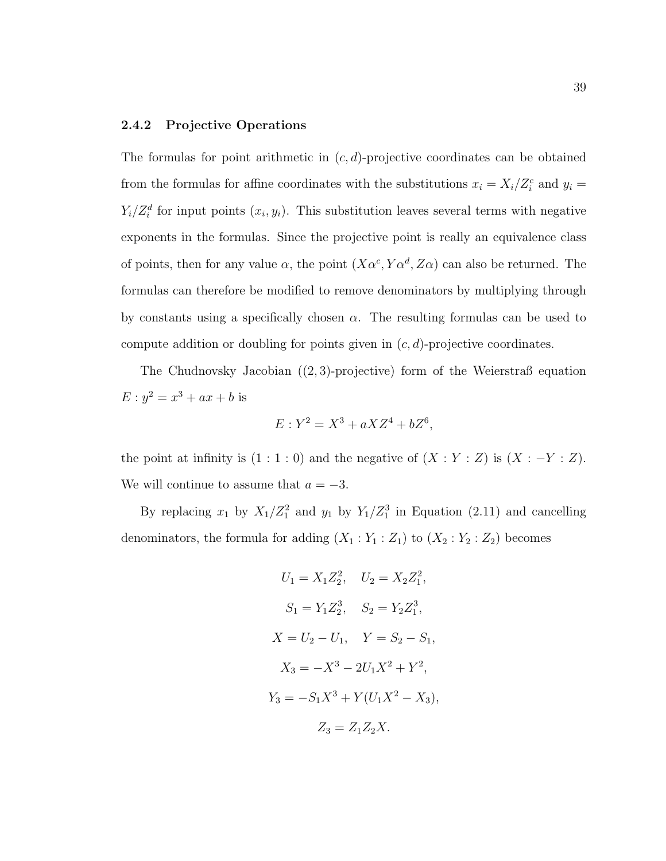## 2.4.2 Projective Operations

The formulas for point arithmetic in  $(c, d)$ -projective coordinates can be obtained from the formulas for affine coordinates with the substitutions  $x_i = X_i/Z_i^c$  and  $y_i =$  $Y_i/Z_i^d$  for input points  $(x_i, y_i)$ . This substitution leaves several terms with negative exponents in the formulas. Since the projective point is really an equivalence class of points, then for any value  $\alpha$ , the point  $(X\alpha^c, Y\alpha^d, Z\alpha)$  can also be returned. The formulas can therefore be modified to remove denominators by multiplying through by constants using a specifically chosen  $\alpha$ . The resulting formulas can be used to compute addition or doubling for points given in  $(c, d)$ -projective coordinates.

The Chudnovsky Jacobian  $((2, 3)$ -projective) form of the Weierstraß equation  $E: y^2 = x^3 + ax + b$  is

$$
E: Y^2 = X^3 + aXZ^4 + bZ^6,
$$

the point at infinity is  $(1:1:0)$  and the negative of  $(X:Y:Z)$  is  $(X:-Y:Z)$ . We will continue to assume that  $a = -3$ .

By replacing  $x_1$  by  $X_1/Z_1^2$  and  $y_1$  by  $Y_1/Z_1^3$  in Equation (2.11) and cancelling denominators, the formula for adding  $(X_1 : Y_1 : Z_1)$  to  $(X_2 : Y_2 : Z_2)$  becomes

$$
U_1 = X_1 Z_2^2, \quad U_2 = X_2 Z_1^2,
$$
  
\n
$$
S_1 = Y_1 Z_2^3, \quad S_2 = Y_2 Z_1^3,
$$
  
\n
$$
X = U_2 - U_1, \quad Y = S_2 - S_1,
$$
  
\n
$$
X_3 = -X^3 - 2U_1 X^2 + Y^2,
$$
  
\n
$$
Y_3 = -S_1 X^3 + Y(U_1 X^2 - X_3),
$$
  
\n
$$
Z_3 = Z_1 Z_2 X.
$$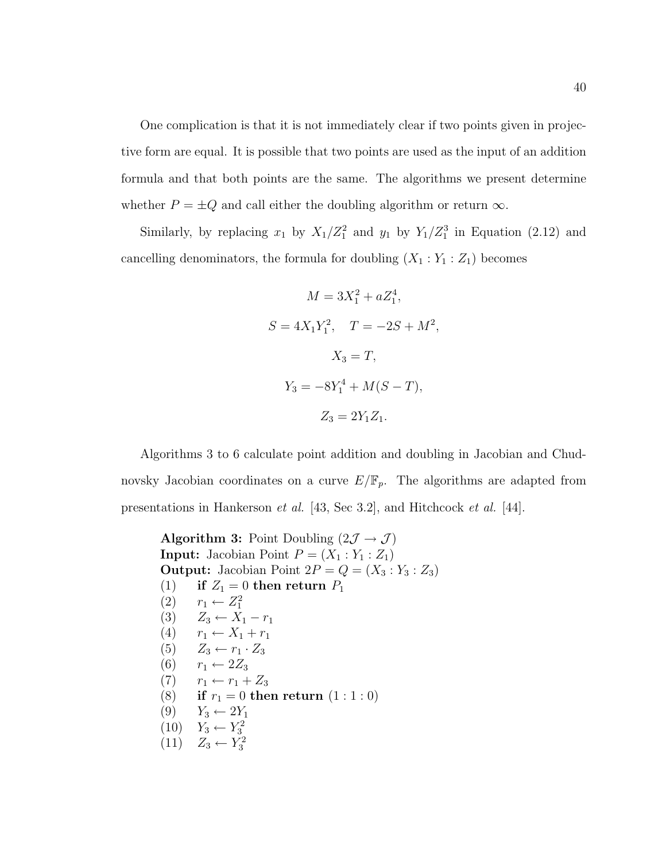One complication is that it is not immediately clear if two points given in projective form are equal. It is possible that two points are used as the input of an addition formula and that both points are the same. The algorithms we present determine whether  $P = \pm Q$  and call either the doubling algorithm or return  $\infty$ .

Similarly, by replacing  $x_1$  by  $X_1/Z_1^2$  and  $y_1$  by  $Y_1/Z_1^3$  in Equation (2.12) and cancelling denominators, the formula for doubling  $(X_1 : Y_1 : Z_1)$  becomes

$$
M = 3X_1^2 + aZ_1^4,
$$
  
\n
$$
S = 4X_1Y_1^2, \quad T = -2S + M^2,
$$
  
\n
$$
X_3 = T,
$$
  
\n
$$
Y_3 = -8Y_1^4 + M(S - T),
$$
  
\n
$$
Z_3 = 2Y_1Z_1.
$$

Algorithms 3 to 6 calculate point addition and doubling in Jacobian and Chudnovsky Jacobian coordinates on a curve  $E/\mathbb{F}_p$ . The algorithms are adapted from presentations in Hankerson et al. [43, Sec 3.2], and Hitchcock et al. [44].

Algorithm 3: Point Doubling  $(2\mathcal{J} \rightarrow \mathcal{J})$ **Input:** Jacobian Point  $P = (X_1 : Y_1 : Z_1)$ **Output:** Jacobian Point  $2P = Q = (X_3 : Y_3 : Z_3)$ (1) if  $Z_1 = 0$  then return  $P_1$  $(2)$   $r_1$  ←  $Z_1^2$ (3)  $Z_3 \leftarrow X_1 - r_1$ (4)  $r_1 \leftarrow X_1 + r_1$ (5)  $Z_3 \leftarrow r_1 \cdot Z_3$ (6)  $r_1 \leftarrow 2Z_3$  $(7)$   $r_1 \leftarrow r_1 + Z_3$ (8) if  $r_1 = 0$  then return  $(1 : 1 : 0)$  $(9)$   $Y_3 \leftarrow 2Y_1$  $(10)$   $Y_3 \leftarrow Y_3^2$  $(11)$   $Z_3 \leftarrow Y_3^2$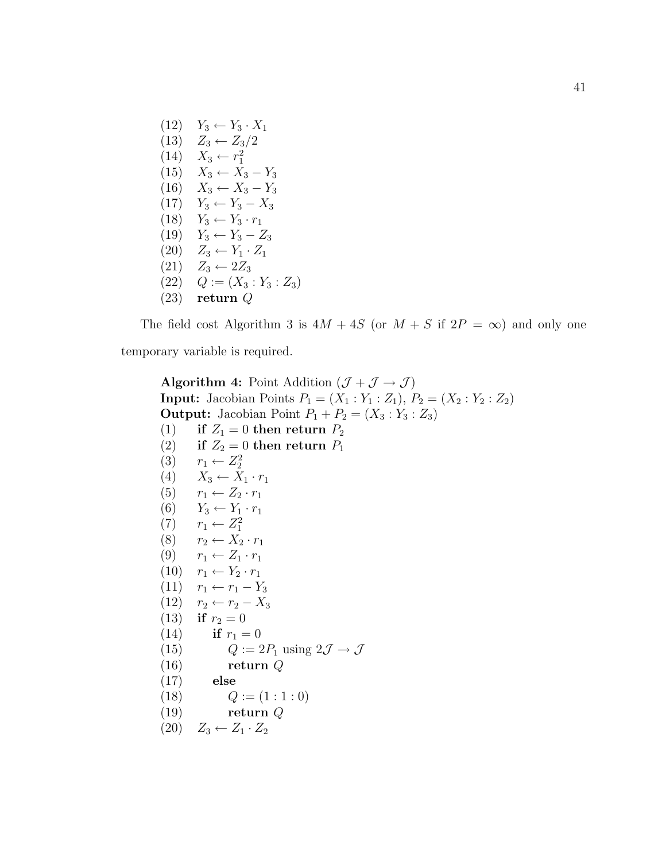$(12)$   $Y_3 \leftarrow Y_3 \cdot X_1$ (13)  $Z_3 \leftarrow Z_3/2$  $(14)$   $X_3 \leftarrow r_1^2$  $(15)$   $X_3 \leftarrow X_3 - Y_3$  $(16)$   $X_3 \leftarrow X_3 - Y_3$  $(17)$   $Y_3 \leftarrow Y_3 - X_3$  $(18)$   $Y_3 \leftarrow Y_3 \cdot r_1$  $(19)$   $Y_3 \leftarrow Y_3 - Z_3$  $(20)$   $Z_3 \leftarrow Y_1 \cdot Z_1$  $(21)$   $Z_3 \leftarrow 2Z_3$  $(22)$   $Q := (X_3 : Y_3 : Z_3)$ (23) return Q

The field cost Algorithm 3 is  $4M + 4S$  (or  $M + S$  if  $2P = \infty$ ) and only one temporary variable is required.

```
Algorithm 4: Point Addition (\mathcal{J} + \mathcal{J} \rightarrow \mathcal{J})Input: Jacobian Points P_1 = (X_1 : Y_1 : Z_1), P_2 = (X_2 : Y_2 : Z_2)Output: Jacobian Point P_1 + P_2 = (X_3 : Y_3 : Z_3)(1) if Z_1 = 0 then return P_2(2) if Z_2 = 0 then return P_1(3) r_1 \leftarrow Z_2^2(4) X_3 \leftarrow \overline{X}_1 \cdot r_1(5) r_1 \leftarrow Z_2 \cdot r_1(6) Y_3 \leftarrow Y_1 \cdot r_1(7) r_1 \leftarrow Z_1^2(8) r_2 \leftarrow X_2 \cdot r_1(9) r_1 \leftarrow Z_1 \cdot r_1(10) r_1 \leftarrow Y_2 \cdot r_1(11) r_1 \leftarrow r_1 - Y_3(12) r_2 \leftarrow r_2 - X_3(13) if r_2 = 0(14) if r_1 = 0(15) Q := 2P_1 \text{ using } 2\mathcal{J} \to \mathcal{J}(16) return Q
(17) else
(18) Q := (1:1:0)(19) return Q(20) Z_3 \leftarrow Z_1 \cdot Z_2
```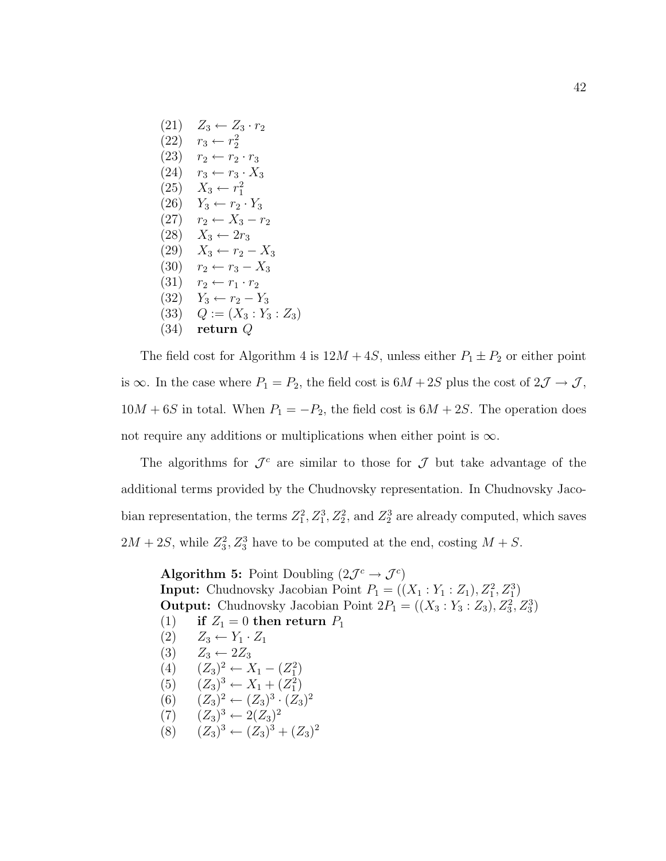$(21)$   $Z_3 \leftarrow Z_3 \cdot r_2$  $(22)$   $r_3 \leftarrow r_2^2$  $(23)$   $r_2 \leftarrow r_2 \cdot r_3$  $(24)$   $r_3 \leftarrow r_3 \cdot X_3$  $(25)$   $X_3 \leftarrow r_1^2$  $(26)$   $Y_3 \leftarrow r_2 \cdot Y_3$  $(27)$   $r_2 \leftarrow X_3 - r_2$  $(28)$   $X_3 \leftarrow 2r_3$  $(29)$   $X_3 \leftarrow r_2 - X_3$ (30)  $r_2 \leftarrow r_3 - X_3$  $(31)$   $r_2 \leftarrow r_1 \cdot r_2$  $(32)$   $Y_3 \leftarrow r_2 - Y_3$  $(33)$   $Q := (X_3 : Y_3 : Z_3)$ (34) return Q

The field cost for Algorithm 4 is  $12M + 4S$ , unless either  $P_1 \pm P_2$  or either point is  $\infty$ . In the case where  $P_1 = P_2$ , the field cost is  $6M + 2S$  plus the cost of  $2\mathcal{J} \rightarrow \mathcal{J}$ ,  $10M + 6S$  in total. When  $P_1 = -P_2$ , the field cost is  $6M + 2S$ . The operation does not require any additions or multiplications when either point is  $\infty$ .

The algorithms for  $\mathcal{J}^c$  are similar to those for  $\mathcal J$  but take advantage of the additional terms provided by the Chudnovsky representation. In Chudnovsky Jacobian representation, the terms  $Z_1^2, Z_1^3, Z_2^2$ , and  $Z_2^3$  are already computed, which saves  $2M + 2S$ , while  $Z_3^2$ ,  $Z_3^3$  have to be computed at the end, costing  $M + S$ .

Algorithm 5: Point Doubling  $(2\mathcal{J}^c \rightarrow \mathcal{J}^c)$ **Input:** Chudnovsky Jacobian Point  $P_1 = ((X_1 : Y_1 : Z_1), Z_1^2, Z_1^3)$ **Output:** Chudnovsky Jacobian Point  $2P_1 = ((X_3 : Y_3 : Z_3), Z_3^2, Z_3^3)$ (1) if  $Z_1 = 0$  then return  $P_1$  $(Z)$   $Z_3 \leftarrow Y_1 \cdot Z_1$  $(3)$   $Z_3 \leftarrow 2Z_3$ (4)  $(Z_3)^2 \leftarrow X_1 - (Z_1^2)$ (5)  $(Z_3)^3 \leftarrow X_1 + (Z_1^2)$ (6)  $(Z_3)^2 \leftarrow (Z_3)^3 \cdot (Z_3)^2$  $(7)$   $(Z_3)^3 \leftarrow 2(Z_3)^2$ (8)  $(Z_3)^3 \leftarrow (Z_3)^3 + (Z_3)^2$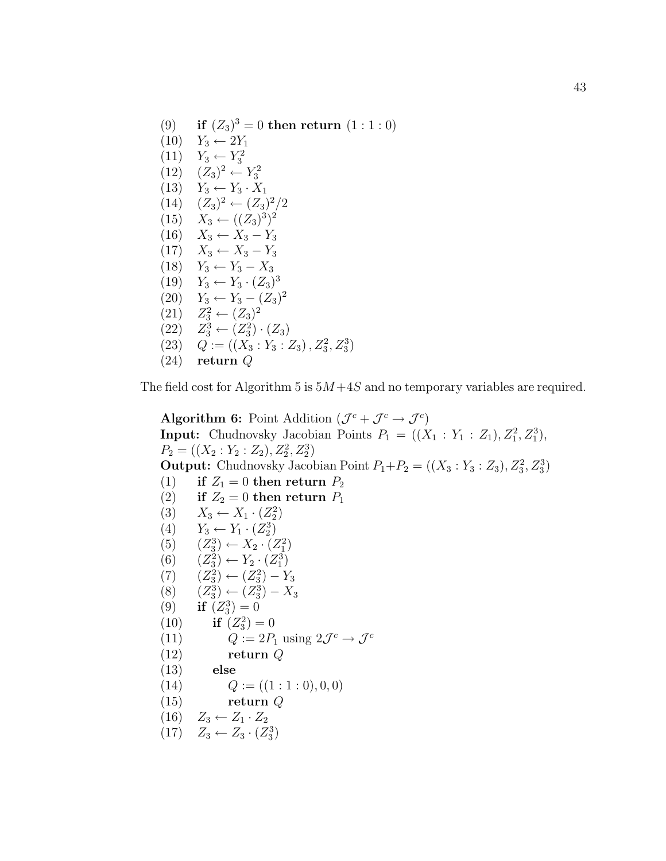(9) if  $(Z_3)^3 = 0$  then return  $(1:1:0)$  $(10)$   $Y_3 \leftarrow 2Y_1$  $(11)$  *Y*<sub>3</sub> ← *Y*<sub>3</sub><sup>2</sup>  $(12) \quad (Z_3)^2 \leftarrow Y_3^2$  $(13)$   $Y_3 \leftarrow Y_3 \cdot X_1$  $(14) \quad (Z_3)^2 \leftarrow (Z_3)^2/2$  $(15)$   $X_3 \leftarrow ((Z_3)^3)^2$  $(16)$   $X_3 \leftarrow X_3 - Y_3$  $(17)$   $X_3$  ←  $X_3$  −  $Y_3$  $(18)$   $Y_3 \leftarrow Y_3 - X_3$ (19)  $Y_3 \leftarrow Y_3 \cdot (Z_3)^3$  $(20)$  *Y*<sub>3</sub> ← *Y*<sub>3</sub> –  $(Z_3)^2$ (21)  $Z_3^2 \leftarrow (Z_3)^2$ (22)  $Z_3^3 \leftarrow (Z_3^2) \cdot (Z_3)$ (23)  $Q := ((X_3 : Y_3 : Z_3), Z_3^2, Z_3^3)$ (24) return Q

The field cost for Algorithm 5 is  $5M+4S$  and no temporary variables are required.

Algorithm 6: Point Addition  $(\mathcal{J}^c + \mathcal{J}^c \rightarrow \mathcal{J}^c)$ **Input:** Chudnovsky Jacobian Points  $P_1 = ((X_1 : Y_1 : Z_1), Z_1^2, Z_1^3)$ ,  $P_2 = ((X_2 : Y_2 : Z_2), Z_2^2, Z_2^3)$ **Output:** Chudnovsky Jacobian Point  $P_1 + P_2 = ((X_3 : Y_3 : Z_3), Z_3^2, Z_3^3)$ (1) if  $Z_1 = 0$  then return  $P_2$ (2) if  $Z_2 = 0$  then return  $P_1$ (3)  $X_3 \leftarrow X_1 \cdot (Z_2^2)$ (4)  $Y_3 \leftarrow Y_1 \cdot (Z_2^3)$ (5)  $(Z_3^3) \leftarrow X_2 \cdot (Z_1^2)$ (6)  $(Z_3^2) \leftarrow Y_2 \cdot (Z_1^3)$  $(7)$   $(Z_3^2) \leftarrow (Z_3^2) - Y_3$  $(8)$  $(S_3^3) \leftarrow (Z_3^3) - X_3$ (9) if  $(Z_3^3) = 0$ (10) if  $(Z_3^2) = 0$ (11)  $Q := 2P_1 \text{ using } 2\mathcal{J}^c \to \mathcal{J}^c$ (12) return Q (13) else (14)  $Q := ((1:1:0), 0, 0)$  $(15)$  return  $Q$  $(16)$   $Z_3 \leftarrow Z_1 \cdot Z_2$ 

 $(17)$   $Z_3 \leftarrow Z_3 \cdot (Z_3^3)$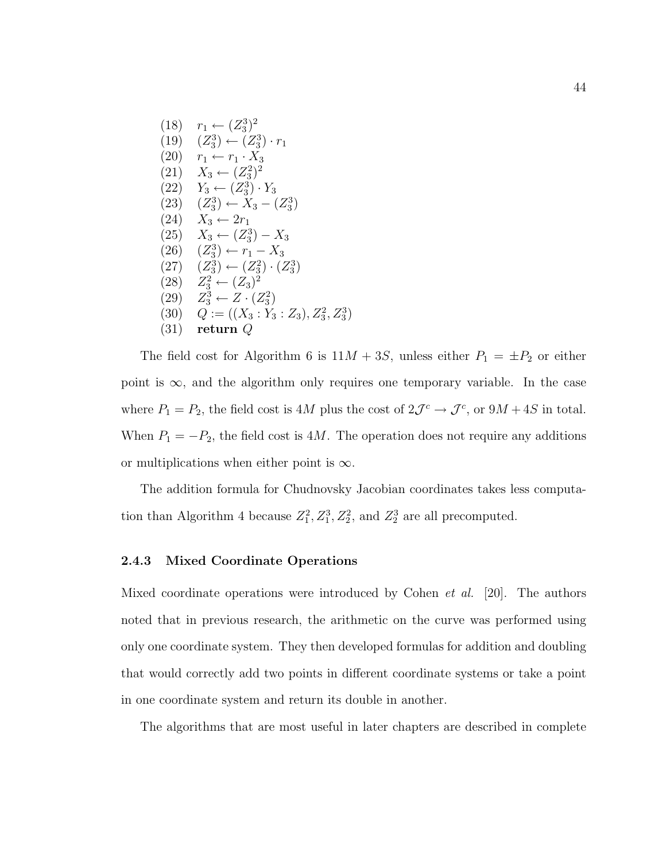$(18)$   $r_1 \leftarrow (Z_3^3)^2$  $(19) \quad (Z_3^3) \leftarrow (Z_3^3) \cdot r_1$  $(20)$   $r_1 \leftarrow r_1 \cdot X_3$  $(21)$   $X_3 \leftarrow (Z_3^2)^2$  $(22)$   $Y_3 \leftarrow (Z_3^3) \cdot Y_3$  $(23) \quad (Z_3^3) \leftarrow X_3 - (Z_3^3)$  $(24)$   $X_3 \leftarrow 2r_1$  $(25)$   $X_3 \leftarrow (Z_3^3) - X_3$  $(26) \quad (Z_3^3) \leftarrow r_1 - X_3$  $(27) \quad (Z_3^3) \leftarrow (Z_3^2) \cdot (Z_3^3)$ (28)  $Z_3^2 \leftarrow (Z_3)^2$ (29)  $Z_3^3 \leftarrow Z \cdot (Z_3^2)$ (30)  $Q := ((X_3 : Y_3 : Z_3), Z_3^2, Z_3^3)$ (31) return Q

The field cost for Algorithm 6 is  $11M + 3S$ , unless either  $P_1 = \pm P_2$  or either point is  $\infty$ , and the algorithm only requires one temporary variable. In the case where  $P_1 = P_2$ , the field cost is 4M plus the cost of  $2\mathcal{J}^c \rightarrow \mathcal{J}^c$ , or  $9M + 4S$  in total. When  $P_1 = -P_2$ , the field cost is 4M. The operation does not require any additions or multiplications when either point is  $\infty$ .

The addition formula for Chudnovsky Jacobian coordinates takes less computation than Algorithm 4 because  $Z_1^2, Z_1^3, Z_2^2$ , and  $Z_2^3$  are all precomputed.

#### 2.4.3 Mixed Coordinate Operations

Mixed coordinate operations were introduced by Cohen *et al.* [20]. The authors noted that in previous research, the arithmetic on the curve was performed using only one coordinate system. They then developed formulas for addition and doubling that would correctly add two points in different coordinate systems or take a point in one coordinate system and return its double in another.

The algorithms that are most useful in later chapters are described in complete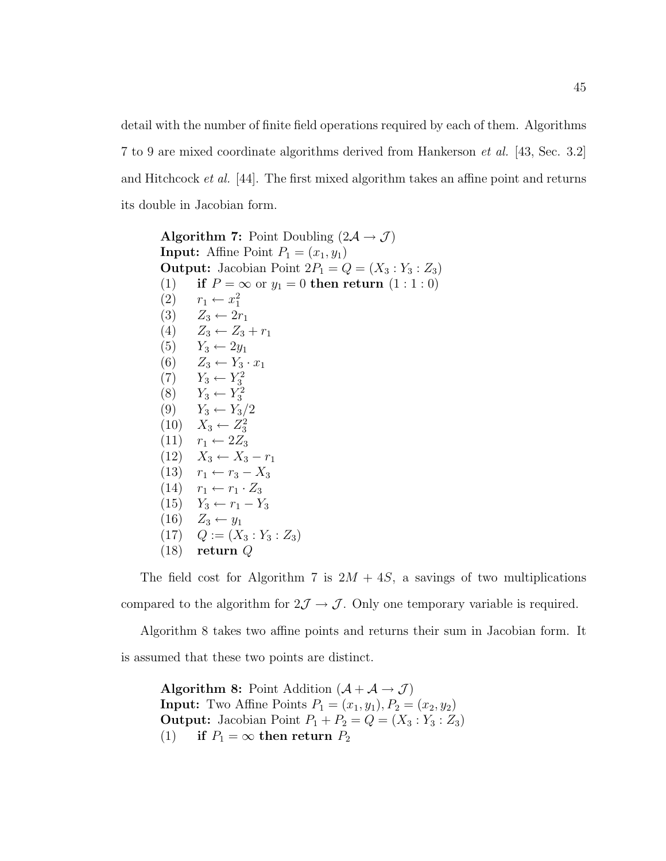detail with the number of finite field operations required by each of them. Algorithms 7 to 9 are mixed coordinate algorithms derived from Hankerson et al. [43, Sec. 3.2] and Hitchcock et al. [44]. The first mixed algorithm takes an affine point and returns its double in Jacobian form.

Algorithm 7: Point Doubling  $(2\mathcal{A} \rightarrow \mathcal{J})$ **Input:** Affine Point  $P_1 = (x_1, y_1)$ **Output:** Jacobian Point  $2P_1 = Q = (X_3 : Y_3 : Z_3)$ (1) if  $P = \infty$  or  $y_1 = 0$  then return  $(1:1:0)$ (2)  $r_1 \leftarrow x_1^2$ (3)  $Z_3 \leftarrow 2r_1$ (4)  $Z_3 \leftarrow Z_3 + r_1$  $(5)$   $Y_3 \leftarrow 2y_1$ (6)  $Z_3 \leftarrow Y_3 \cdot x_1$ (7)  $Y_3 \leftarrow Y_3^2$ (8)  $Y_3 \leftarrow Y_3^2$  $(9)$   $Y_3 \leftarrow Y_3/2$  $(10)$   $X_3 \leftarrow Z_3^2$  $(11)$   $r_1 \leftarrow 2Z_3$  $(12)$   $X_3 \leftarrow X_3 - r_1$ (13)  $r_1 \leftarrow r_3 - X_3$  $(14)$   $r_1 \leftarrow r_1 \cdot Z_3$  $(15)$   $Y_3 \leftarrow r_1 - Y_3$  $(16)$   $Z_3 \leftarrow y_1$  $(17)$   $Q := (X_3 : Y_3 : Z_3)$ (18) return Q

The field cost for Algorithm 7 is  $2M + 4S$ , a savings of two multiplications compared to the algorithm for  $2\mathcal{J} \rightarrow \mathcal{J}$ . Only one temporary variable is required.

Algorithm 8 takes two affine points and returns their sum in Jacobian form. It is assumed that these two points are distinct.

Algorithm 8: Point Addition  $(\mathcal{A} + \mathcal{A} \rightarrow \mathcal{J})$ **Input:** Two Affine Points  $P_1 = (x_1, y_1), P_2 = (x_2, y_2)$ **Output:** Jacobian Point  $P_1 + P_2 = Q = (X_3 : Y_3 : Z_3)$ (1) if  $P_1 = \infty$  then return  $P_2$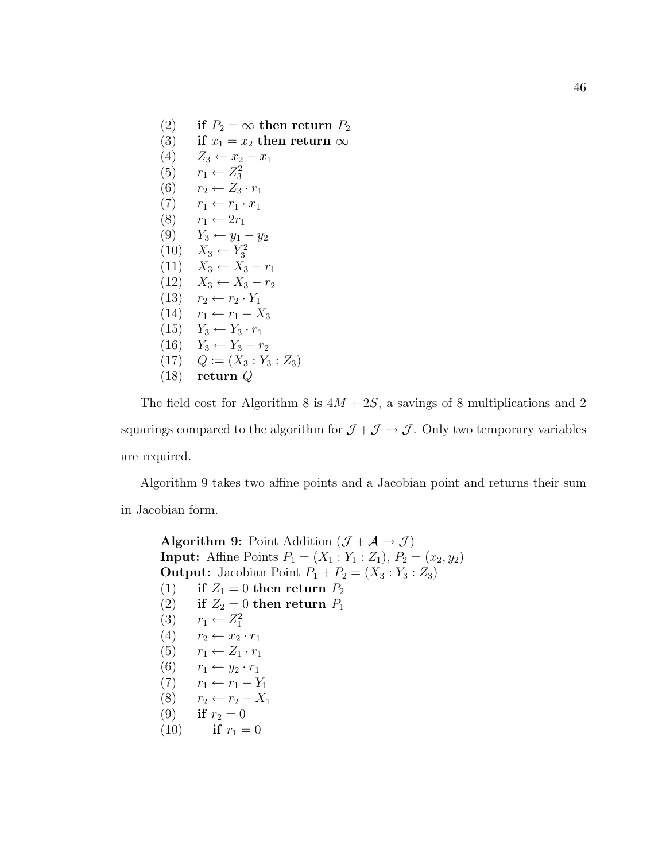(2) if  $P_2 = \infty$  then return  $P_2$ (3) if  $x_1 = x_2$  then return  $\infty$  $(4)$   $Z_3 \leftarrow x_2 - x_1$ (5)  $r_1 \leftarrow Z_3^2$ (6)  $r_2 \leftarrow Z_3 \cdot r_1$  $(7)$   $r_1 \leftarrow r_1 \cdot x_1$  $(8)$   $r_1 \leftarrow 2r_1$ (9)  $Y_3 \leftarrow y_1 - y_2$  $(10)$   $X_3$  ←  $Y_3^2$  $(11)$   $X_3 \leftarrow X_3 - r_1$  $(12)$   $X_3 \leftarrow X_3 - r_2$  $(13)$   $r_2 \leftarrow r_2 \cdot Y_1$  $(14)$   $r_1$  ←  $r_1$  −  $X_3$  $(15)$   $Y_3 \leftarrow Y_3 \cdot r_1$  $(16)$   $Y_3 \leftarrow Y_3 - r_2$  $(17)$   $Q := (X_3 : Y_3 : Z_3)$ (18) return Q

The field cost for Algorithm 8 is  $4M + 2S$ , a savings of 8 multiplications and 2 squarings compared to the algorithm for  $\mathcal{J} + \mathcal{J} \rightarrow \mathcal{J}$ . Only two temporary variables are required.

Algorithm 9 takes two affine points and a Jacobian point and returns their sum in Jacobian form.

Algorithm 9: Point Addition  $(\mathcal{J} + \mathcal{A} \rightarrow \mathcal{J})$ **Input:** Affine Points  $P_1 = (X_1 : Y_1 : Z_1), P_2 = (x_2, y_2)$ **Output:** Jacobian Point  $P_1 + P_2 = (X_3 : Y_3 : Z_3)$ (1) if  $Z_1 = 0$  then return  $P_2$ (2) if  $Z_2 = 0$  then return  $P_1$ (3)  $r_1 \leftarrow Z_1^2$ (4)  $r_2 \leftarrow x_2 \cdot r_1$  $(5)$   $r_1 \leftarrow Z_1 \cdot r_1$  $(6)$   $r_1 \leftarrow y_2 \cdot r_1$  $(7)$   $r_1 \leftarrow r_1 - Y_1$ (8)  $r_2 \leftarrow r_2 - X_1$ (9) if  $r_2 = 0$ (10) if  $r_1 = 0$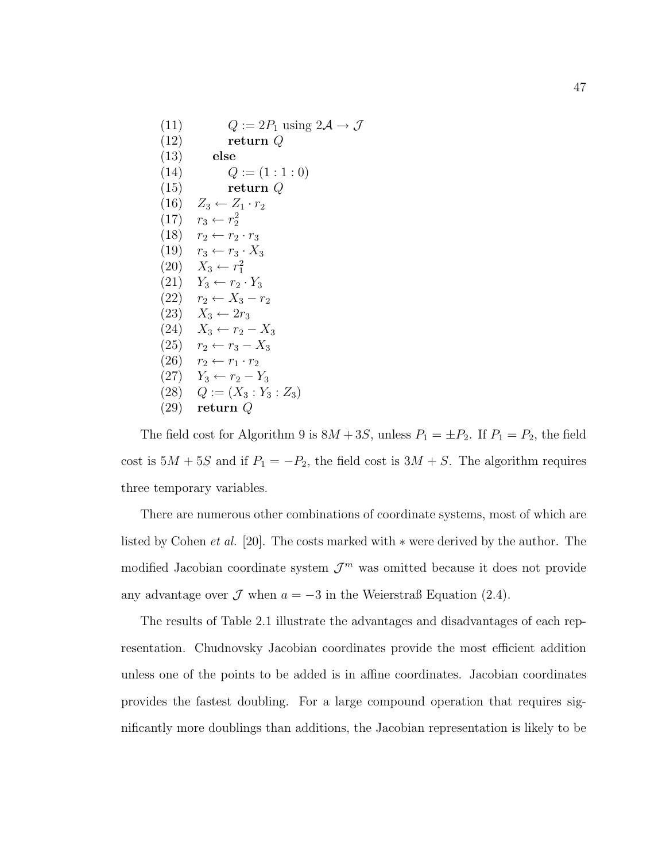(11)  $Q := 2P_1 \text{ using } 2\mathcal{A} \to \mathcal{J}$  $(12)$  return Q (13) else (14)  $Q := (1:1:0)$ (15) return Q (16)  $Z_3 \leftarrow Z_1 \cdot r_2$  $(17)$   $r_3 \leftarrow r_2^2$  $(18)$   $r_2 \leftarrow r_2 \cdot r_3$ (19)  $r_3 \leftarrow r_3 \cdot X_3$  $(20)$   $X_3 \leftarrow r_1^2$  $(21)$   $Y_3 \leftarrow r_2 \cdot Y_3$  $(22)$   $r_2 \leftarrow X_3 - r_2$  $(23)$   $X_3 \leftarrow 2r_3$  $(24)$   $X_3 \leftarrow r_2 - X_3$ (25)  $r_2 \leftarrow r_3 - X_3$  $(26)$   $r_2 \leftarrow r_1 \cdot r_2$  $(27)$   $Y_3 \leftarrow r_2 - Y_3$  $(28)$   $Q := (X_3 : Y_3 : Z_3)$ (29) return Q

The field cost for Algorithm 9 is  $8M + 3S$ , unless  $P_1 = \pm P_2$ . If  $P_1 = P_2$ , the field cost is  $5M + 5S$  and if  $P_1 = -P_2$ , the field cost is  $3M + S$ . The algorithm requires three temporary variables.

There are numerous other combinations of coordinate systems, most of which are listed by Cohen et al. [20]. The costs marked with ∗ were derived by the author. The modified Jacobian coordinate system  $\mathcal{J}^m$  was omitted because it does not provide any advantage over  $\mathcal J$  when  $a = -3$  in the Weierstraß Equation (2.4).

The results of Table 2.1 illustrate the advantages and disadvantages of each representation. Chudnovsky Jacobian coordinates provide the most efficient addition unless one of the points to be added is in affine coordinates. Jacobian coordinates provides the fastest doubling. For a large compound operation that requires significantly more doublings than additions, the Jacobian representation is likely to be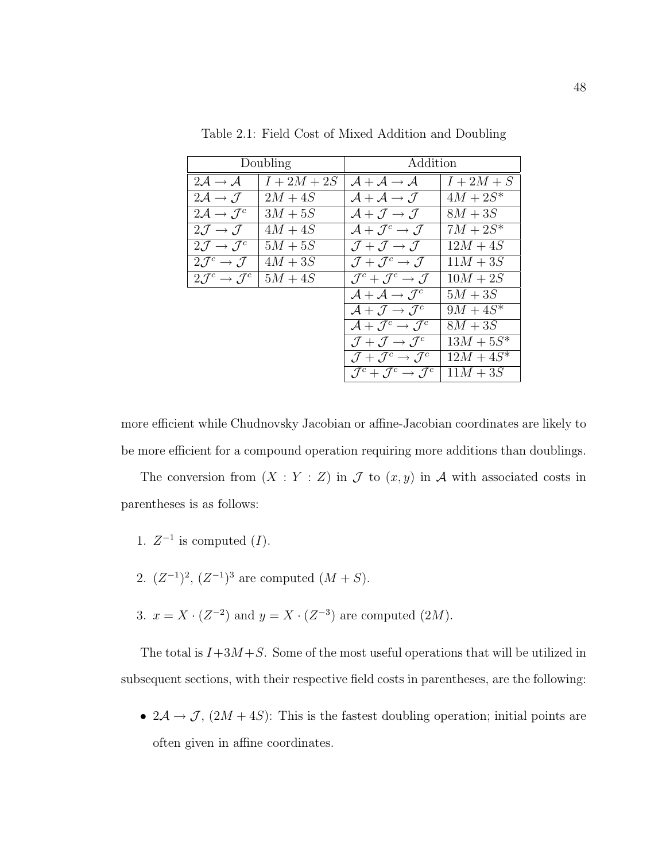| Doubling                                   |           | Addition                                                             |              |
|--------------------------------------------|-----------|----------------------------------------------------------------------|--------------|
| $2\mathcal{A} \rightarrow \mathcal{A}$     | $I+2M+2S$ | $\mathcal{A} + \mathcal{A} \rightarrow \mathcal{A}$                  | $I+2M+S$     |
| $2\mathcal{A} \rightarrow \mathcal{J}$     | $2M+4S$   | $\mathcal{A} + \mathcal{A} \rightarrow \mathcal{J}$                  | $4M + 2S^*$  |
| $2\mathcal{A} \rightarrow \mathcal{J}^c$   | $3M+5S$   | $\mathcal{A} + \mathcal{J} \rightarrow \mathcal{J}$                  | $8M+3S$      |
| $2\mathcal{J} \rightarrow \mathcal{J}$     | $4M+4S$   | $\mathcal{A} + \mathcal{J}^c \rightarrow \mathcal{J}$                | $7M + 2S^*$  |
| $2\mathcal{J} \rightarrow \mathcal{J}^c$   | $5M+5S$   | $\mathcal{J} + \mathcal{J} \rightarrow \mathcal{J}$                  | $12M + 4S$   |
| $2\mathcal{J}^c \rightarrow \mathcal{J}$   | $4M+3S$   | $\mathcal{J} + \mathcal{J}^c \rightarrow \mathcal{J}$                | $11M + 3S$   |
| $2\mathcal{J}^c \rightarrow \mathcal{J}^c$ | $5M+4S$   | $\mathcal{J}^c + \mathcal{J}^c \rightarrow \mathcal{J}$              | $10M + 2S$   |
|                                            |           | $\mathcal{A} + \mathcal{A} \rightarrow \mathcal{J}^c$                | $5M+3S$      |
|                                            |           | $\mathcal{A} + \mathcal{J} \rightarrow \mathcal{J}^c$                | $9M + 4S^*$  |
|                                            |           | $\mathcal{A} + \mathcal{J}^c \rightarrow \mathcal{J}^c$              | $8M + 3S$    |
|                                            |           | $\mathcal{J} + \mathcal{J} \rightarrow \mathcal{J}^c$                | $13M + 5S^*$ |
|                                            |           | $\mathcal{J} + \mathcal{J}^c \rightarrow \mathcal{J}^c$              | $12M + 4S^*$ |
|                                            |           | $\mathcal{J}^c + \mathcal{J}^c \rightarrow \overline{\mathcal{J}^c}$ | $11M+3S$     |

Table 2.1: Field Cost of Mixed Addition and Doubling

more efficient while Chudnovsky Jacobian or affine-Jacobian coordinates are likely to be more efficient for a compound operation requiring more additions than doublings.

The conversion from  $(X : Y : Z)$  in  $\mathcal J$  to  $(x, y)$  in  $\mathcal A$  with associated costs in parentheses is as follows:

- 1.  $Z^{-1}$  is computed  $(I)$ .
- 2.  $(Z^{-1})^2$ ,  $(Z^{-1})^3$  are computed  $(M + S)$ .
- 3.  $x = X \cdot (Z^{-2})$  and  $y = X \cdot (Z^{-3})$  are computed  $(2M)$ .

The total is  $I+3M+S$ . Some of the most useful operations that will be utilized in subsequent sections, with their respective field costs in parentheses, are the following:

•  $2\mathcal{A} \rightarrow \mathcal{J}$ ,  $(2M + 4S)$ : This is the fastest doubling operation; initial points are often given in affine coordinates.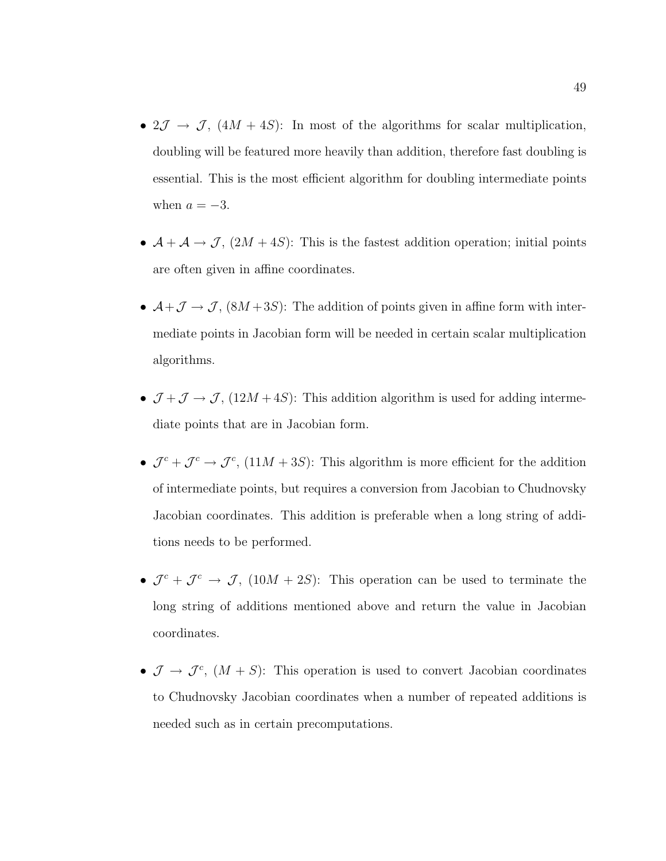- $2\mathcal{J} \rightarrow \mathcal{J}$ ,  $(4M + 4S)$ : In most of the algorithms for scalar multiplication, doubling will be featured more heavily than addition, therefore fast doubling is essential. This is the most efficient algorithm for doubling intermediate points when  $a = -3$ .
- $\mathcal{A} + \mathcal{A} \rightarrow \mathcal{J}$ ,  $(2M + 4S)$ : This is the fastest addition operation; initial points are often given in affine coordinates.
- $\mathcal{A}+\mathcal{J}\rightarrow\mathcal{J}$ ,  $(8M+3S)$ : The addition of points given in affine form with intermediate points in Jacobian form will be needed in certain scalar multiplication algorithms.
- $\mathcal{J} + \mathcal{J} \rightarrow \mathcal{J}$ ,  $(12M + 4S)$ : This addition algorithm is used for adding intermediate points that are in Jacobian form.
- $\mathcal{J}^c + \mathcal{J}^c \rightarrow \mathcal{J}^c$ , (11M + 3S): This algorithm is more efficient for the addition of intermediate points, but requires a conversion from Jacobian to Chudnovsky Jacobian coordinates. This addition is preferable when a long string of additions needs to be performed.
- $\mathcal{J}^c + \mathcal{J}^c \rightarrow \mathcal{J}$ ,  $(10M + 2S)$ : This operation can be used to terminate the long string of additions mentioned above and return the value in Jacobian coordinates.
- $\mathcal{J} \to \mathcal{J}^c$ ,  $(M + S)$ : This operation is used to convert Jacobian coordinates to Chudnovsky Jacobian coordinates when a number of repeated additions is needed such as in certain precomputations.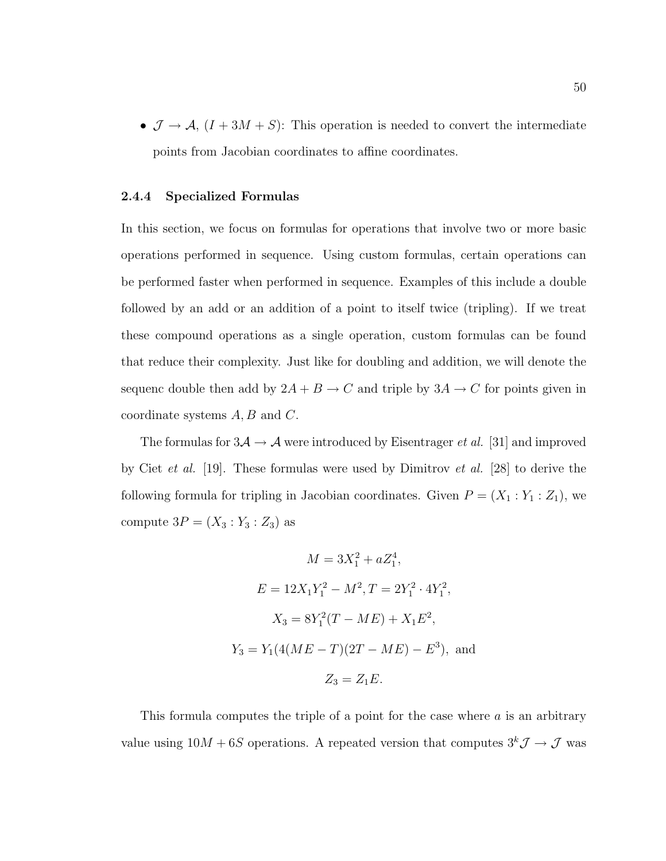•  $\mathcal{J} \to \mathcal{A}, (I + 3M + S)$ : This operation is needed to convert the intermediate points from Jacobian coordinates to affine coordinates.

## 2.4.4 Specialized Formulas

In this section, we focus on formulas for operations that involve two or more basic operations performed in sequence. Using custom formulas, certain operations can be performed faster when performed in sequence. Examples of this include a double followed by an add or an addition of a point to itself twice (tripling). If we treat these compound operations as a single operation, custom formulas can be found that reduce their complexity. Just like for doubling and addition, we will denote the sequenc double then add by  $2A + B \rightarrow C$  and triple by  $3A \rightarrow C$  for points given in coordinate systems  $A, B$  and  $C$ .

The formulas for  $3\mathcal{A} \rightarrow \mathcal{A}$  were introduced by Eisentrager *et al.* [31] and improved by Ciet et al. [19]. These formulas were used by Dimitrov et al. [28] to derive the following formula for tripling in Jacobian coordinates. Given  $P = (X_1 : Y_1 : Z_1)$ , we compute  $3P = (X_3 : Y_3 : Z_3)$  as

$$
M = 3X_1^2 + aZ_1^4,
$$
  
\n
$$
E = 12X_1Y_1^2 - M^2, T = 2Y_1^2 \cdot 4Y_1^2,
$$
  
\n
$$
X_3 = 8Y_1^2(T - ME) + X_1E^2,
$$
  
\n
$$
Y_3 = Y_1(4(ME - T)(2T - ME) - E^3),
$$
 and  
\n
$$
Z_3 = Z_1E.
$$

This formula computes the triple of a point for the case where  $a$  is an arbitrary value using  $10M + 6S$  operations. A repeated version that computes  $3^k \mathcal{J} \rightarrow \mathcal{J}$  was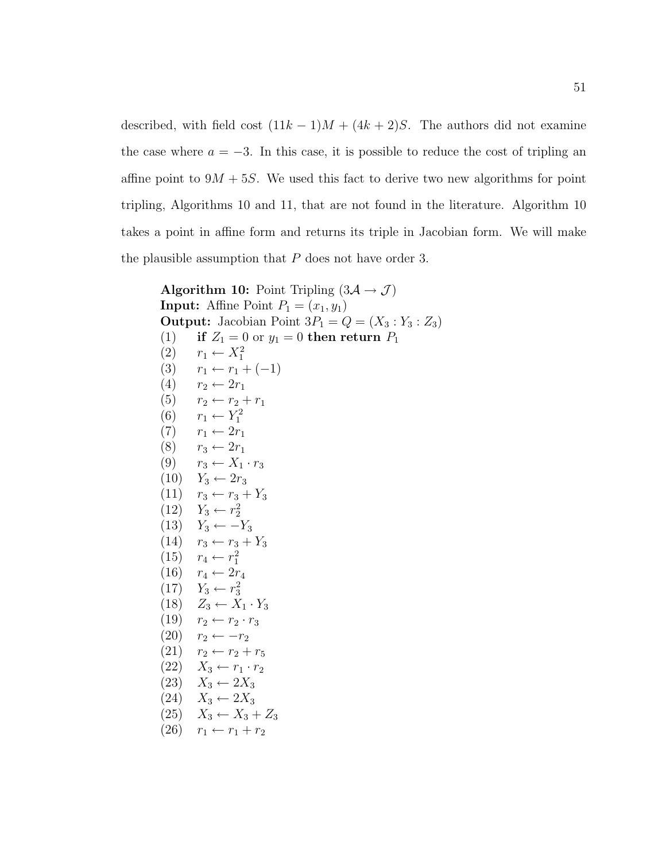described, with field cost  $(11k - 1)M + (4k + 2)S$ . The authors did not examine the case where  $a = -3$ . In this case, it is possible to reduce the cost of tripling an affine point to  $9M + 5S$ . We used this fact to derive two new algorithms for point tripling, Algorithms 10 and 11, that are not found in the literature. Algorithm 10 takes a point in affine form and returns its triple in Jacobian form. We will make the plausible assumption that  $P$  does not have order 3.

**Algorithm 10:** Point Tripling  $(3\mathcal{A} \rightarrow \mathcal{J})$ **Input:** Affine Point  $P_1 = (x_1, y_1)$ **Output:** Jacobian Point  $3P_1 = Q = (X_3 : Y_3 : Z_3)$ (1) if  $Z_1 = 0$  or  $y_1 = 0$  then return  $P_1$  $(2)$   $r_1 \leftarrow X_1^2$ (3)  $r_1 \leftarrow r_1 + (-1)$ (4)  $r_2 \leftarrow 2r_1$ (5)  $r_2 \leftarrow r_2 + r_1$ (6)  $r_1 \leftarrow Y_1^2$  $(7)$   $r_1 \leftarrow 2r_1$  $(8)$   $r_3 \leftarrow 2r_1$ (9)  $r_3 \leftarrow X_1 \cdot r_3$  $(10)$   $Y_3 \leftarrow 2r_3$  $(11)$   $r_3 \leftarrow r_3 + Y_3$  $(12)$   $Y_3 \leftarrow r_2^2$  $(13)$   $Y_3 \leftarrow -Y_3$  $(14)$   $r_3 \leftarrow r_3 + Y_3$  $(15)$   $r_4 \leftarrow r_1^2$  $(16)$   $r_4 \leftarrow 2r_4$  $(17)$   $Y_3 \leftarrow r_3^2$  $(18)$   $Z_3 \leftarrow X_1 \cdot Y_3$ (19)  $r_2 \leftarrow r_2 \cdot r_3$  $(20)$   $r_2 \leftarrow -r_2$  $(21)$   $r_2$  ←  $r_2$  +  $r_5$  $(22)$   $X_3 \leftarrow r_1 \cdot r_2$  $(23)$   $X_3 \leftarrow 2X_3$  $(24)$   $X_3 \leftarrow 2X_3$  $(25)$   $X_3 \leftarrow X_3 + Z_3$ (26)  $r_1 \leftarrow r_1 + r_2$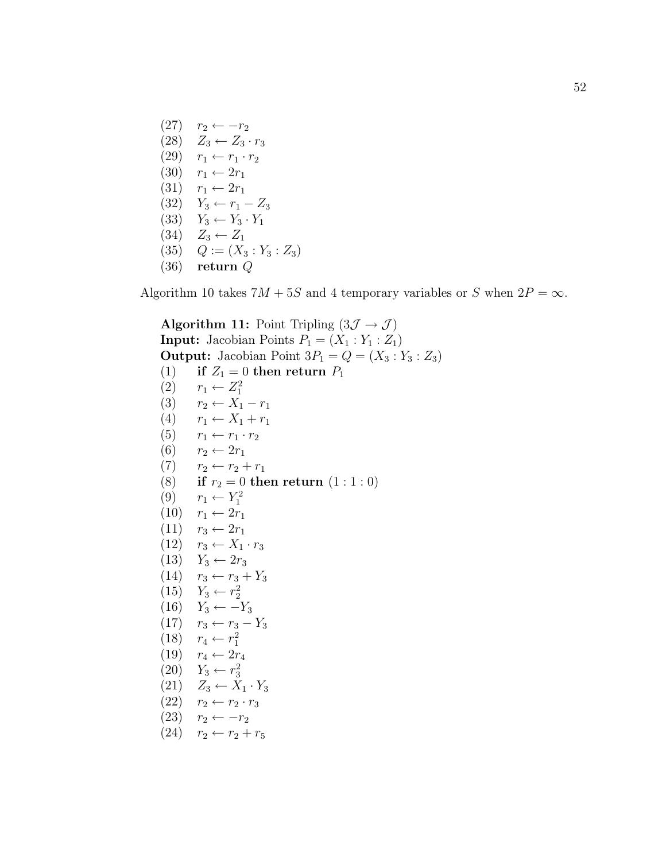$(27)$   $r_2 \leftarrow -r_2$  $(28)$   $Z_3 \leftarrow Z_3 \cdot r_3$  $(29)$   $r_1 \leftarrow r_1 \cdot r_2$  $(30)$   $r_1 \leftarrow 2r_1$  $(31)$   $r_1 \leftarrow 2r_1$  $(32)$   $Y_3$  ←  $r_1$  –  $Z_3$  $(33)$   $Y_3 \leftarrow Y_3 \cdot Y_1$  $(34)$   $Z_3 \leftarrow Z_1$  $(35)$   $Q := (X_3 : Y_3 : Z_3)$ (36) return Q

Algorithm 10 takes  $7M + 5S$  and 4 temporary variables or S when  $2P = \infty$ .

Algorithm 11: Point Tripling  $(3\mathcal{J} \rightarrow \mathcal{J})$ **Input:** Jacobian Points  $P_1 = (X_1 : Y_1 : Z_1)$ **Output:** Jacobian Point  $3P_1 = Q = (X_3 : Y_3 : Z_3)$ (1) if  $Z_1 = 0$  then return  $P_1$  $(2)$   $r_1 \leftarrow Z_1^2$ (3)  $r_2 \leftarrow X_1 - r_1$ (4)  $r_1 \leftarrow X_1 + r_1$ (5)  $r_1 \leftarrow r_1 \cdot r_2$ (6)  $r_2 \leftarrow 2r_1$  $(7)$   $r_2 \leftarrow r_2 + r_1$ (8) if  $r_2 = 0$  then return  $(1 : 1 : 0)$ (9)  $r_1 \leftarrow Y_1^2$  $(10)$   $r_1$  ←  $2r_1$  $(11)$   $r_3 \leftarrow 2r_1$  $(12)$   $r_3 \leftarrow X_1 \cdot r_3$  $(13)$   $Y_3 \leftarrow 2r_3$  $(14)$   $r_3 \leftarrow r_3 + Y_3$  $(15)$   $Y_3 \leftarrow r_2^2$  $(16)$   $Y_3 \leftarrow -Y_3$  $(17)$   $r_3 \leftarrow r_3 - Y_3$  $(18)$   $r_4 \leftarrow r_1^2$  $(19)$   $r_4 \leftarrow 2r_4$  $(20)$   $Y_3 \leftarrow r_3^2$  $(21)$   $Z_3 \leftarrow \tilde{X}_1 \cdot Y_3$  $(22)$   $r_2 \leftarrow r_2 \cdot r_3$ (23)  $r_2 \leftarrow -r_2$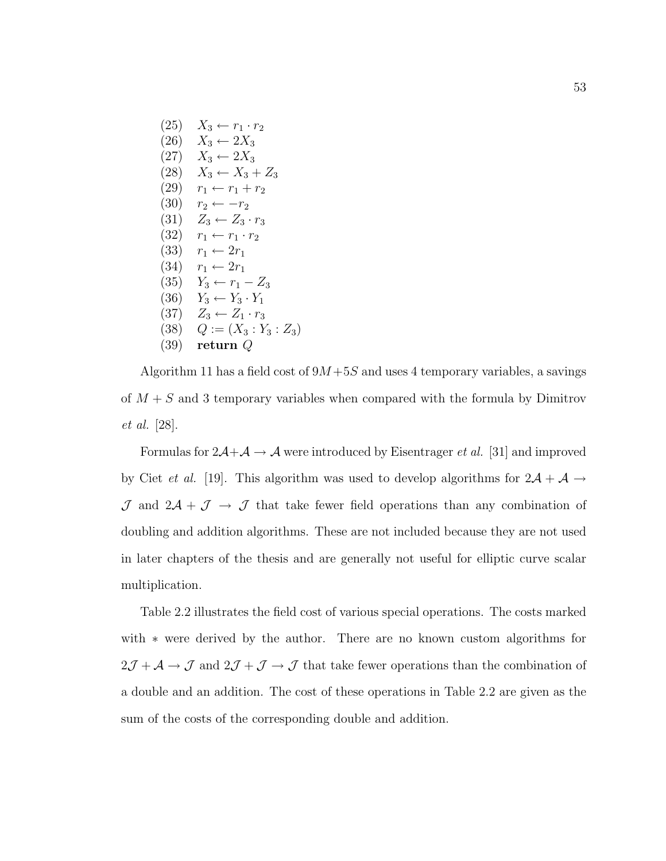$(25)$   $X_3 \leftarrow r_1 \cdot r_2$  $(26)$   $X_3 \leftarrow 2X_3$  $(27)$   $X_3 \leftarrow 2X_3$  $(28)$   $X_3 \leftarrow X_3 + Z_3$  $(29)$   $r_1 \leftarrow r_1 + r_2$  $(30)$   $r_2 \leftarrow -r_2$ (31)  $Z_3 \leftarrow Z_3 \cdot r_3$  $(32)$   $r_1 \leftarrow r_1 \cdot r_2$ (33)  $r_1 \leftarrow 2r_1$  $(34)$   $r_1 \leftarrow 2r_1$ (35)  $Y_3 \leftarrow r_1 - Z_3$  $(36)$   $Y_3 \leftarrow Y_3 \cdot Y_1$ (37)  $Z_3 \leftarrow Z_1 \cdot r_3$  $(38)$   $Q := (X_3 : Y_3 : Z_3)$ (39) return Q

Algorithm 11 has a field cost of  $9M+5S$  and uses 4 temporary variables, a savings of  $M + S$  and 3 temporary variables when compared with the formula by Dimitrov et al. [28].

Formulas for  $2\mathcal{A}+\mathcal{A}\rightarrow\mathcal{A}$  were introduced by Eisentrager *et al.* [31] and improved by Ciet *et al.* [19]. This algorithm was used to develop algorithms for  $2\mathcal{A} + \mathcal{A} \rightarrow$  $J$  and  $2\mathcal{A} + \mathcal{J} \rightarrow \mathcal{J}$  that take fewer field operations than any combination of doubling and addition algorithms. These are not included because they are not used in later chapters of the thesis and are generally not useful for elliptic curve scalar multiplication.

Table 2.2 illustrates the field cost of various special operations. The costs marked with ∗ were derived by the author. There are no known custom algorithms for  $2\mathcal{J} + \mathcal{A} \rightarrow \mathcal{J}$  and  $2\mathcal{J} + \mathcal{J} \rightarrow \mathcal{J}$  that take fewer operations than the combination of a double and an addition. The cost of these operations in Table 2.2 are given as the sum of the costs of the corresponding double and addition.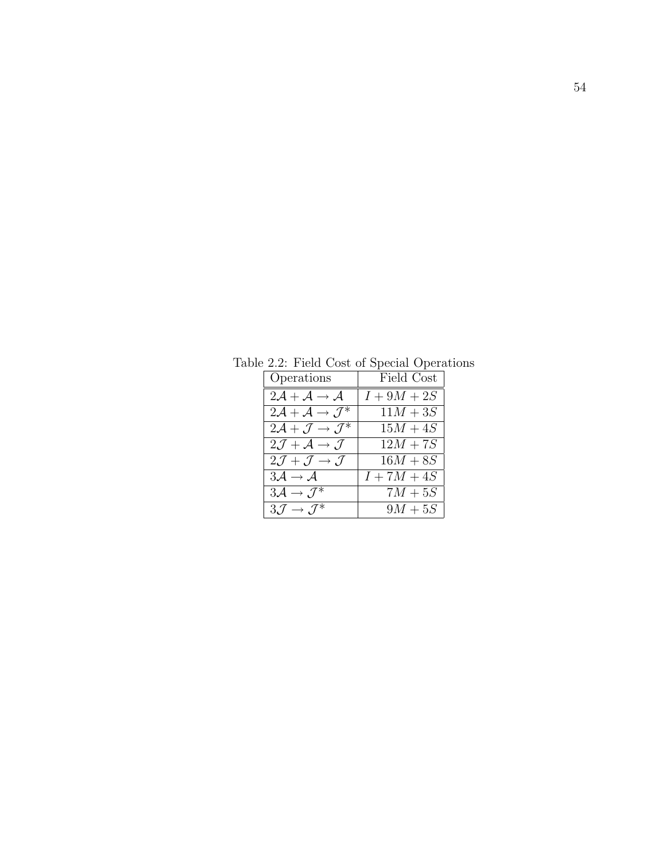| Operations                                             | Field Cost    |
|--------------------------------------------------------|---------------|
| $2\mathcal{A} + \mathcal{A} \rightarrow \mathcal{A}$   | $I+9M+2S$     |
| $2\mathcal{A} + \mathcal{A} \rightarrow \mathcal{J}^*$ | $11M + 3S$    |
| $2\mathcal{A} + \mathcal{J} \rightarrow \mathcal{J}^*$ | $15M + 4S$    |
| $2\mathcal{J} + \mathcal{A} \rightarrow \mathcal{J}$   | $12M + 7S$    |
| $2\mathcal{J} + \mathcal{J} \rightarrow \mathcal{J}$   | $16M + 8S$    |
| $3\mathcal{A} \rightarrow \mathcal{A}$                 | $I + 7M + 4S$ |
| $3\mathcal{A} \rightarrow \mathcal{J}^*$               | $7M+5S$       |
| $3\mathcal{J} \rightarrow \mathcal{J}^*$               | $9M+5S$       |

Table 2.2: Field Cost of Special Operations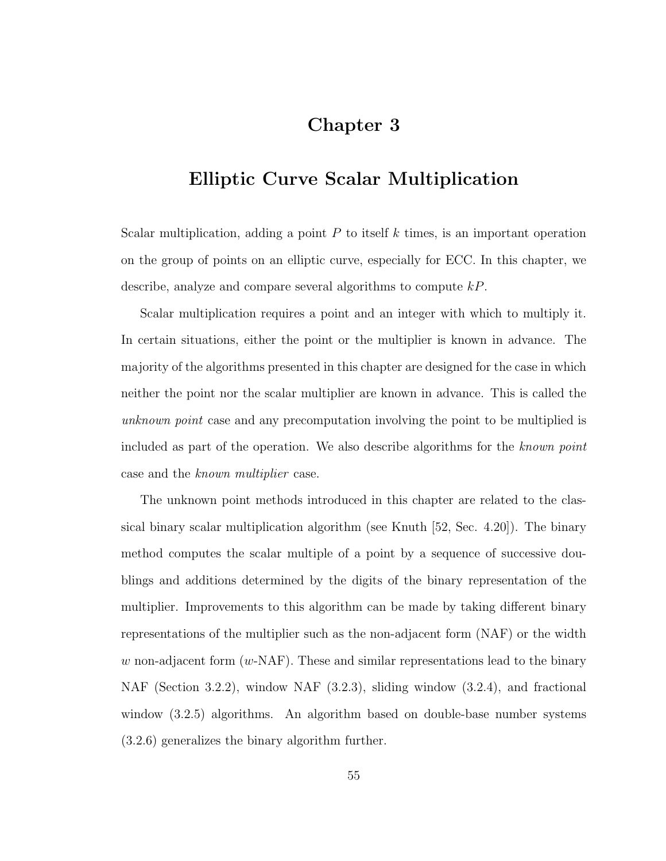# Chapter 3

# Elliptic Curve Scalar Multiplication

Scalar multiplication, adding a point  $P$  to itself  $k$  times, is an important operation on the group of points on an elliptic curve, especially for ECC. In this chapter, we describe, analyze and compare several algorithms to compute kP.

Scalar multiplication requires a point and an integer with which to multiply it. In certain situations, either the point or the multiplier is known in advance. The majority of the algorithms presented in this chapter are designed for the case in which neither the point nor the scalar multiplier are known in advance. This is called the unknown point case and any precomputation involving the point to be multiplied is included as part of the operation. We also describe algorithms for the known point case and the known multiplier case.

The unknown point methods introduced in this chapter are related to the classical binary scalar multiplication algorithm (see Knuth [52, Sec. 4.20]). The binary method computes the scalar multiple of a point by a sequence of successive doublings and additions determined by the digits of the binary representation of the multiplier. Improvements to this algorithm can be made by taking different binary representations of the multiplier such as the non-adjacent form (NAF) or the width w non-adjacent form  $(w\text{-}NAF)$ . These and similar representations lead to the binary NAF (Section 3.2.2), window NAF (3.2.3), sliding window (3.2.4), and fractional window (3.2.5) algorithms. An algorithm based on double-base number systems (3.2.6) generalizes the binary algorithm further.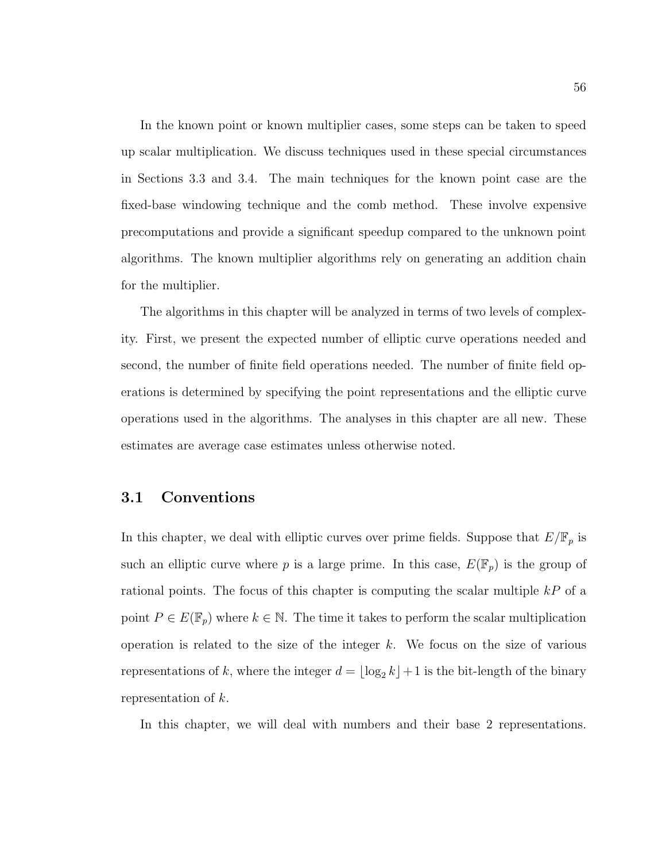In the known point or known multiplier cases, some steps can be taken to speed up scalar multiplication. We discuss techniques used in these special circumstances in Sections 3.3 and 3.4. The main techniques for the known point case are the fixed-base windowing technique and the comb method. These involve expensive precomputations and provide a significant speedup compared to the unknown point algorithms. The known multiplier algorithms rely on generating an addition chain for the multiplier.

The algorithms in this chapter will be analyzed in terms of two levels of complexity. First, we present the expected number of elliptic curve operations needed and second, the number of finite field operations needed. The number of finite field operations is determined by specifying the point representations and the elliptic curve operations used in the algorithms. The analyses in this chapter are all new. These estimates are average case estimates unless otherwise noted.

## 3.1 Conventions

In this chapter, we deal with elliptic curves over prime fields. Suppose that  $E/\mathbb{F}_p$  is such an elliptic curve where p is a large prime. In this case,  $E(\mathbb{F}_p)$  is the group of rational points. The focus of this chapter is computing the scalar multiple  $kP$  of a point  $P \in E(\mathbb{F}_p)$  where  $k \in \mathbb{N}$ . The time it takes to perform the scalar multiplication operation is related to the size of the integer  $k$ . We focus on the size of various representations of k, where the integer  $d = \lfloor \log_2 k \rfloor + 1$  is the bit-length of the binary representation of k.

In this chapter, we will deal with numbers and their base 2 representations.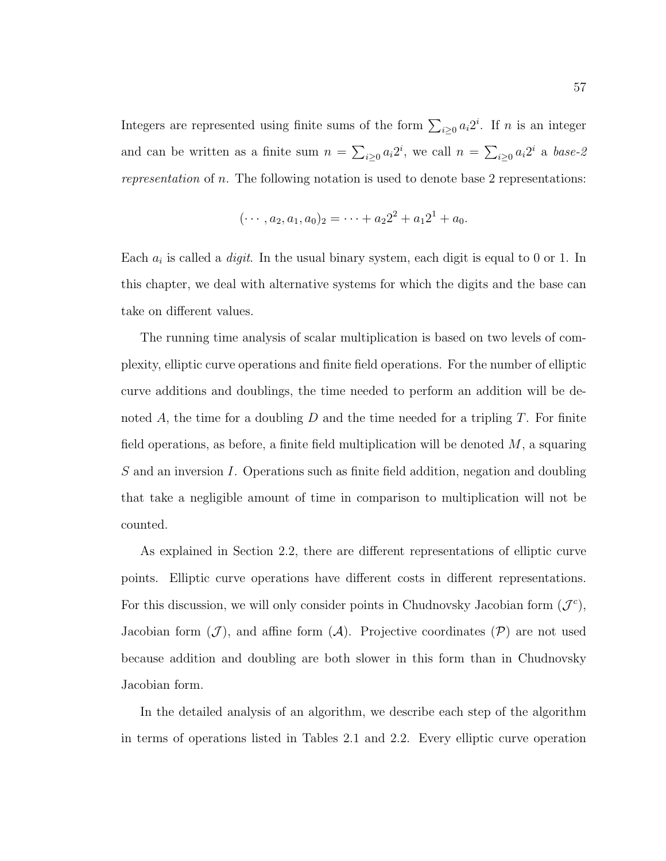Integers are represented using finite sums of the form  $\sum_{i\geq 0} a_i 2^i$ . If n is an integer and can be written as a finite sum  $n = \sum_{i\geq 0} a_i 2^i$ , we call  $n = \sum_{i\geq 0} a_i 2^i$  a base-2 representation of n. The following notation is used to denote base 2 representations:

$$
(\cdots, a_2, a_1, a_0)_2 = \cdots + a_2 2^2 + a_1 2^1 + a_0.
$$

Each  $a_i$  is called a *digit*. In the usual binary system, each digit is equal to 0 or 1. In this chapter, we deal with alternative systems for which the digits and the base can take on different values.

The running time analysis of scalar multiplication is based on two levels of complexity, elliptic curve operations and finite field operations. For the number of elliptic curve additions and doublings, the time needed to perform an addition will be denoted A, the time for a doubling  $D$  and the time needed for a tripling  $T$ . For finite field operations, as before, a finite field multiplication will be denoted  $M$ , a squaring  $S$  and an inversion I. Operations such as finite field addition, negation and doubling that take a negligible amount of time in comparison to multiplication will not be counted.

As explained in Section 2.2, there are different representations of elliptic curve points. Elliptic curve operations have different costs in different representations. For this discussion, we will only consider points in Chudnovsky Jacobian form  $(\mathcal{J}^c)$ , Jacobian form  $(\mathcal{J})$ , and affine form  $(\mathcal{A})$ . Projective coordinates  $(\mathcal{P})$  are not used because addition and doubling are both slower in this form than in Chudnovsky Jacobian form.

In the detailed analysis of an algorithm, we describe each step of the algorithm in terms of operations listed in Tables 2.1 and 2.2. Every elliptic curve operation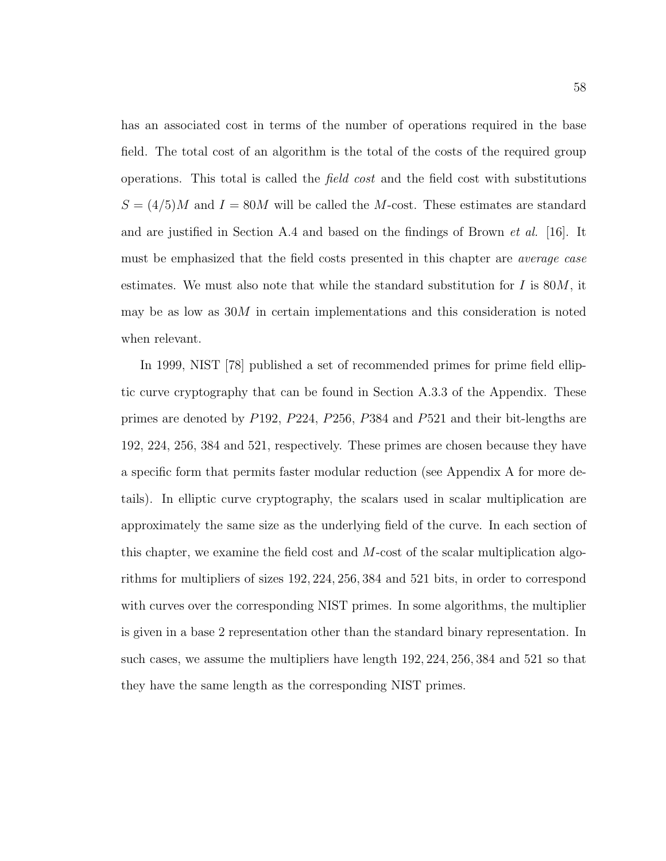has an associated cost in terms of the number of operations required in the base field. The total cost of an algorithm is the total of the costs of the required group operations. This total is called the field cost and the field cost with substitutions  $S = (4/5)M$  and  $I = 80M$  will be called the M-cost. These estimates are standard and are justified in Section A.4 and based on the findings of Brown  $et \ al.$  [16]. It must be emphasized that the field costs presented in this chapter are average case estimates. We must also note that while the standard substitution for  $I$  is  $80M$ , it may be as low as 30M in certain implementations and this consideration is noted when relevant.

In 1999, NIST [78] published a set of recommended primes for prime field elliptic curve cryptography that can be found in Section A.3.3 of the Appendix. These primes are denoted by P192, P224, P256, P384 and P521 and their bit-lengths are 192, 224, 256, 384 and 521, respectively. These primes are chosen because they have a specific form that permits faster modular reduction (see Appendix A for more details). In elliptic curve cryptography, the scalars used in scalar multiplication are approximately the same size as the underlying field of the curve. In each section of this chapter, we examine the field cost and M-cost of the scalar multiplication algorithms for multipliers of sizes 192, 224, 256, 384 and 521 bits, in order to correspond with curves over the corresponding NIST primes. In some algorithms, the multiplier is given in a base 2 representation other than the standard binary representation. In such cases, we assume the multipliers have length 192, 224, 256, 384 and 521 so that they have the same length as the corresponding NIST primes.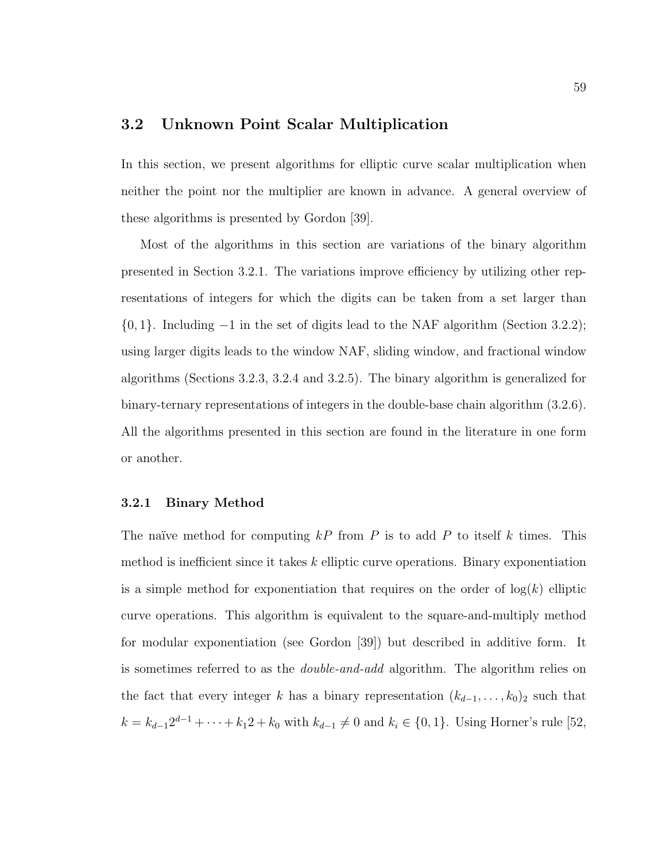# 3.2 Unknown Point Scalar Multiplication

In this section, we present algorithms for elliptic curve scalar multiplication when neither the point nor the multiplier are known in advance. A general overview of these algorithms is presented by Gordon [39].

Most of the algorithms in this section are variations of the binary algorithm presented in Section 3.2.1. The variations improve efficiency by utilizing other representations of integers for which the digits can be taken from a set larger than {0, 1}. Including −1 in the set of digits lead to the NAF algorithm (Section 3.2.2); using larger digits leads to the window NAF, sliding window, and fractional window algorithms (Sections 3.2.3, 3.2.4 and 3.2.5). The binary algorithm is generalized for binary-ternary representations of integers in the double-base chain algorithm (3.2.6). All the algorithms presented in this section are found in the literature in one form or another.

### 3.2.1 Binary Method

The naïve method for computing  $kP$  from P is to add P to itself k times. This method is inefficient since it takes  $k$  elliptic curve operations. Binary exponentiation is a simple method for exponentiation that requires on the order of  $log(k)$  elliptic curve operations. This algorithm is equivalent to the square-and-multiply method for modular exponentiation (see Gordon [39]) but described in additive form. It is sometimes referred to as the *double-and-add* algorithm. The algorithm relies on the fact that every integer k has a binary representation  $(k_{d-1}, \ldots, k_0)_2$  such that  $k = k_{d-1}2^{d-1} + \cdots + k_12 + k_0$  with  $k_{d-1} \neq 0$  and  $k_i \in \{0, 1\}$ . Using Horner's rule [52,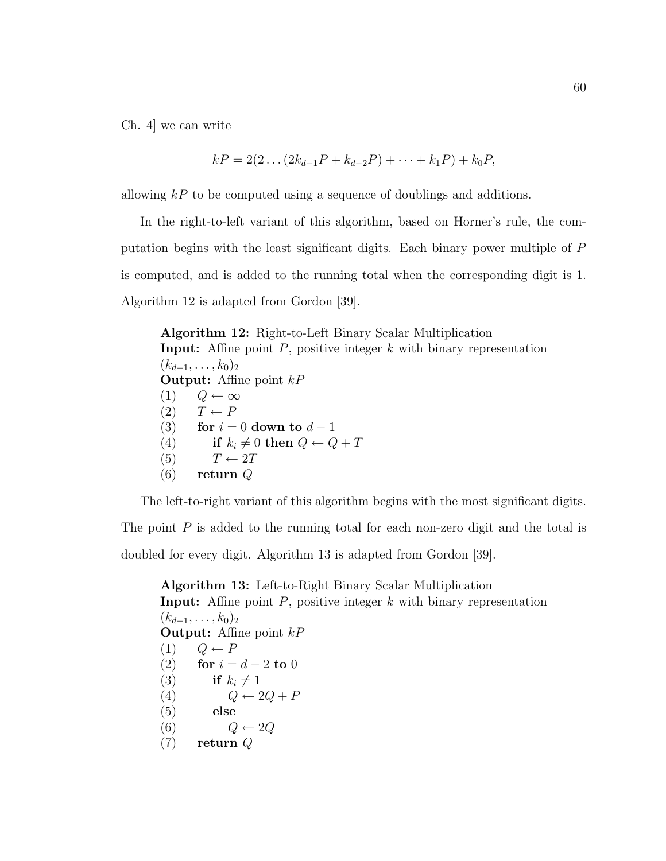Ch. 4] we can write

$$
kP = 2(2 \dots (2k_{d-1}P + k_{d-2}P) + \dots + k_1P) + k_0P,
$$

allowing  $kP$  to be computed using a sequence of doublings and additions.

In the right-to-left variant of this algorithm, based on Horner's rule, the computation begins with the least significant digits. Each binary power multiple of P is computed, and is added to the running total when the corresponding digit is 1. Algorithm 12 is adapted from Gordon [39].

Algorithm 12: Right-to-Left Binary Scalar Multiplication **Input:** Affine point  $P$ , positive integer  $k$  with binary representation  $(k_{d-1}, \ldots, k_0)_2$ **Output:** Affine point  $kP$ (1)  $Q \leftarrow \infty$  $(2)$   $T \leftarrow P$ (3) for  $i = 0$  down to  $d - 1$ (4) if  $k_i \neq 0$  then  $Q \leftarrow Q + T$ (5)  $T \leftarrow 2T$  $(6)$  return Q

The left-to-right variant of this algorithm begins with the most significant digits.

The point  $P$  is added to the running total for each non-zero digit and the total is doubled for every digit. Algorithm 13 is adapted from Gordon [39].

Algorithm 13: Left-to-Right Binary Scalar Multiplication **Input:** Affine point  $P$ , positive integer  $k$  with binary representation  $(k_{d-1}, \ldots, k_0)_2$ **Output:** Affine point  $kP$  $(1)$   $Q \leftarrow P$ (2) for  $i = d - 2$  to 0 (3) if  $k_i \neq 1$ (4)  $Q \leftarrow 2Q + P$ (5) else (6)  $Q \leftarrow 2Q$ (7) return Q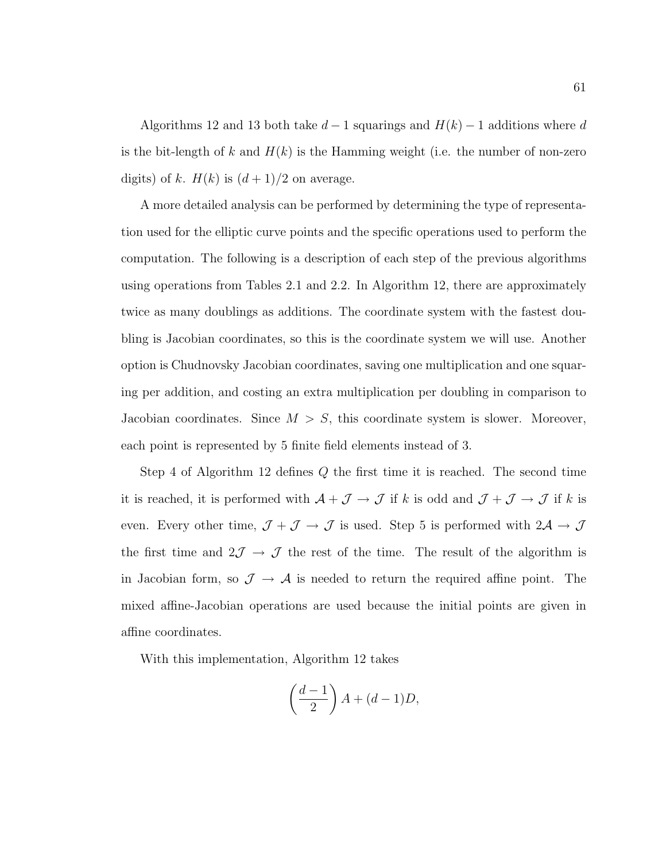Algorithms 12 and 13 both take  $d-1$  squarings and  $H(k) - 1$  additions where d is the bit-length of k and  $H(k)$  is the Hamming weight (i.e. the number of non-zero digits) of k.  $H(k)$  is  $(d+1)/2$  on average.

A more detailed analysis can be performed by determining the type of representation used for the elliptic curve points and the specific operations used to perform the computation. The following is a description of each step of the previous algorithms using operations from Tables 2.1 and 2.2. In Algorithm 12, there are approximately twice as many doublings as additions. The coordinate system with the fastest doubling is Jacobian coordinates, so this is the coordinate system we will use. Another option is Chudnovsky Jacobian coordinates, saving one multiplication and one squaring per addition, and costing an extra multiplication per doubling in comparison to Jacobian coordinates. Since  $M > S$ , this coordinate system is slower. Moreover, each point is represented by 5 finite field elements instead of 3.

Step 4 of Algorithm 12 defines Q the first time it is reached. The second time it is reached, it is performed with  $A + \mathcal{J} \to \mathcal{J}$  if k is odd and  $\mathcal{J} + \mathcal{J} \to \mathcal{J}$  if k is even. Every other time,  $\mathcal{J} + \mathcal{J} \to \mathcal{J}$  is used. Step 5 is performed with  $2\mathcal{A} \to \mathcal{J}$ the first time and  $2\mathcal{J} \rightarrow \mathcal{J}$  the rest of the time. The result of the algorithm is in Jacobian form, so  $\mathcal{J} \to \mathcal{A}$  is needed to return the required affine point. The mixed affine-Jacobian operations are used because the initial points are given in affine coordinates.

With this implementation, Algorithm 12 takes

$$
\left(\frac{d-1}{2}\right)A + (d-1)D,
$$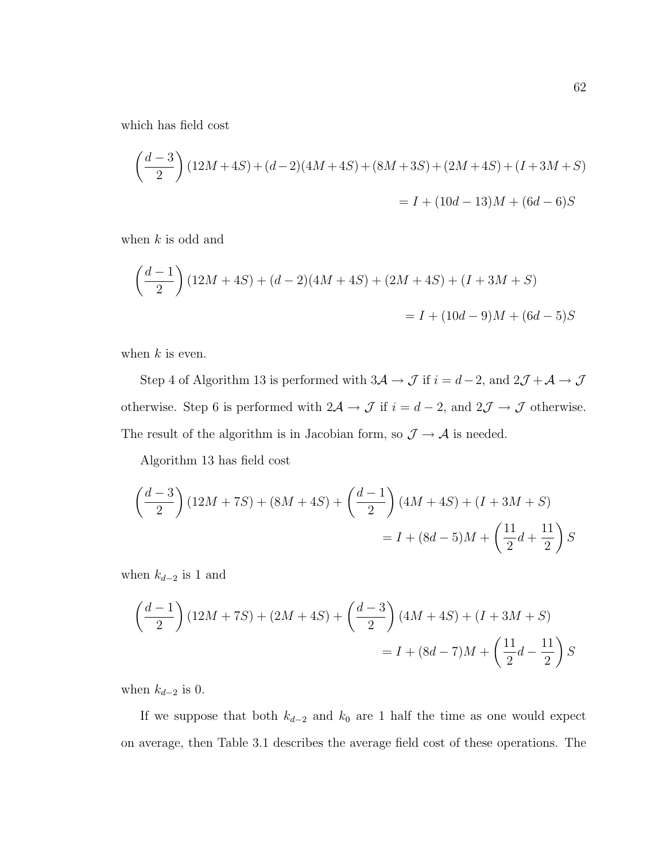which has field cost

$$
\left(\frac{d-3}{2}\right)(12M+4S) + (d-2)(4M+4S) + (8M+3S) + (2M+4S) + (I+3M+S)
$$
  
= I + (10d - 13)M + (6d - 6)S

when  $k$  is odd and

$$
\left(\frac{d-1}{2}\right)(12M+4S) + (d-2)(4M+4S) + (2M+4S) + (I+3M+S)
$$
  
= I + (10d-9)M + (6d-5)S

when  $k$  is even.

Step 4 of Algorithm 13 is performed with  $3\mathcal{A} \to \mathcal{J}$  if  $i = d-2$ , and  $2\mathcal{J} + \mathcal{A} \to \mathcal{J}$ otherwise. Step 6 is performed with  $2\mathcal{A} \to \mathcal{J}$  if  $i = d - 2$ , and  $2\mathcal{J} \to \mathcal{J}$  otherwise. The result of the algorithm is in Jacobian form, so  $\mathcal{J} \to \mathcal{A}$  is needed.

Algorithm 13 has field cost

$$
\left(\frac{d-3}{2}\right)(12M+7S) + (8M+4S) + \left(\frac{d-1}{2}\right)(4M+4S) + (I+3M+S)
$$
  
= I + (8d-5)M +  $\left(\frac{11}{2}d + \frac{11}{2}\right)S$ 

when  $k_{d-2}$  is 1 and

$$
\left(\frac{d-1}{2}\right)(12M+7S) + (2M+4S) + \left(\frac{d-3}{2}\right)(4M+4S) + (I+3M+S)
$$
  
= I + (8d-7)M +  $\left(\frac{11}{2}d - \frac{11}{2}\right)S$ 

when  $k_{d-2}$  is 0.

If we suppose that both  $k_{d-2}$  and  $k_0$  are 1 half the time as one would expect on average, then Table 3.1 describes the average field cost of these operations. The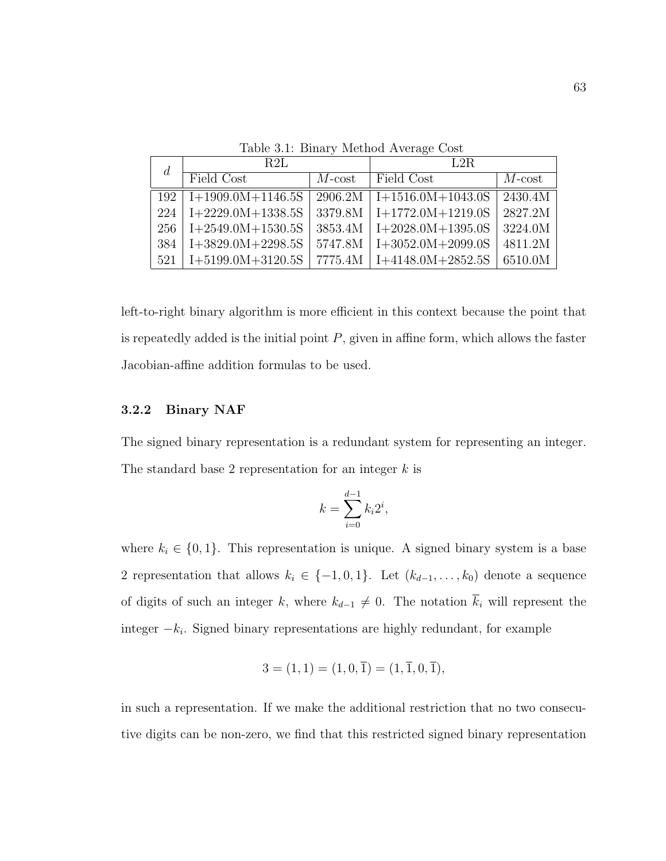| $\overline{d}$ | R2L                 |           | L2R                           |           |  |
|----------------|---------------------|-----------|-------------------------------|-----------|--|
|                | Field Cost          | $M$ -cost | Field Cost                    | $M$ -cost |  |
| 192            | $I+1909.0M+1146.5S$ |           | $2906.2M$   I+1516.0M+1043.0S | 2430.4M   |  |
| 224            | $I+2229.0M+1338.5S$ |           | $3379.8M$   I+1772.0M+1219.0S | 2827.2M   |  |
| 256            | $I+2549.0M+1530.5S$ |           | $3853.4M$   I+2028.0M+1395.0S | 3224.0M   |  |
| 384            | $I+3829.0M+2298.5S$ |           | $5747.8M$   I+3052.0M+2099.0S | 4811.2M   |  |
| 521            | $I+5199.0M+3120.5S$ | 7775.4M   | $I+4148.0M+2852.5S$           | 6510.0M   |  |

Table 3.1: Binary Method Average Cost

left-to-right binary algorithm is more efficient in this context because the point that is repeatedly added is the initial point  $P$ , given in affine form, which allows the faster Jacobian-affine addition formulas to be used.

# 3.2.2 Binary NAF

The signed binary representation is a redundant system for representing an integer. The standard base 2 representation for an integer  $k$  is

$$
k = \sum_{i=0}^{d-1} k_i 2^i,
$$

where  $k_i \in \{0, 1\}$ . This representation is unique. A signed binary system is a base 2 representation that allows  $k_i \in \{-1, 0, 1\}$ . Let  $(k_{d-1}, \ldots, k_0)$  denote a sequence of digits of such an integer k, where  $k_{d-1} \neq 0$ . The notation  $\overline{k}_i$  will represent the integer  $-k_i$ . Signed binary representations are highly redundant, for example

$$
3 = (1, 1) = (1, 0, \overline{1}) = (1, \overline{1}, 0, \overline{1}),
$$

in such a representation. If we make the additional restriction that no two consecutive digits can be non-zero, we find that this restricted signed binary representation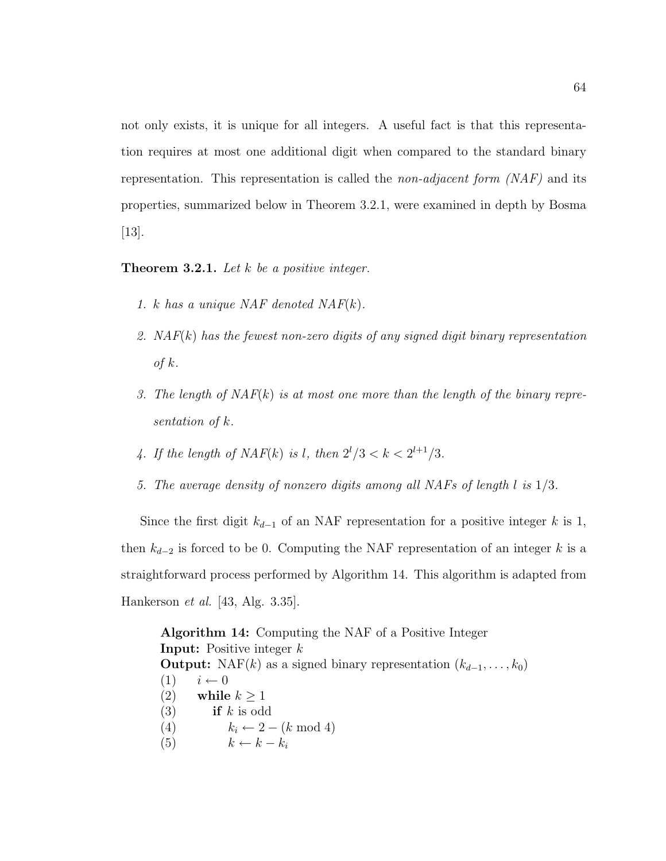not only exists, it is unique for all integers. A useful fact is that this representation requires at most one additional digit when compared to the standard binary representation. This representation is called the *non-adjacent form*  $(NAF)$  and its properties, summarized below in Theorem 3.2.1, were examined in depth by Bosma [13].

**Theorem 3.2.1.** Let  $k$  be a positive integer.

- 1. k has a unique NAF denoted  $NAF(k)$ .
- 2. NAF(k) has the fewest non-zero digits of any signed digit binary representation of  $k$ .
- 3. The length of  $NAF(k)$  is at most one more than the length of the binary representation of k.
- 4. If the length of  $NAF(k)$  is l, then  $2^{l}/3 < k < 2^{l+1}/3$ .
- 5. The average density of nonzero digits among all NAFs of length l is 1/3.

Since the first digit  $k_{d-1}$  of an NAF representation for a positive integer k is 1, then  $k_{d-2}$  is forced to be 0. Computing the NAF representation of an integer k is a straightforward process performed by Algorithm 14. This algorithm is adapted from Hankerson et al. [43, Alg. 3.35].

Algorithm 14: Computing the NAF of a Positive Integer **Input:** Positive integer  $k$ **Output:** NAF(k) as a signed binary representation  $(k_{d-1}, \ldots, k_0)$  $(1)$   $i \leftarrow 0$ (2) while  $k > 1$ (3) if k is odd (4)  $k_i \leftarrow 2 - (k \mod 4)$ (5)  $k \leftarrow k - k_i$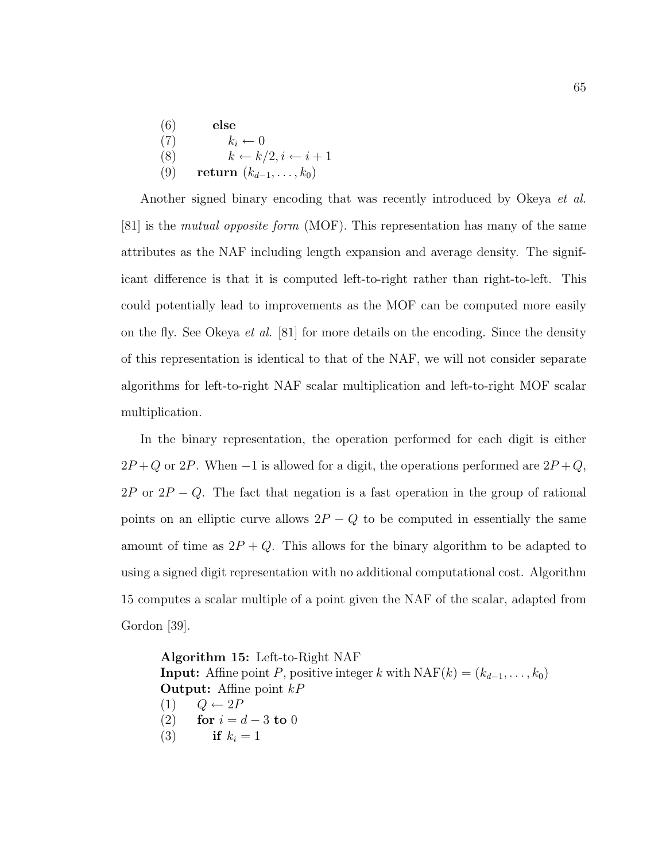| (6) | else                                 |
|-----|--------------------------------------|
| (7) | $k_i \leftarrow 0$                   |
| (8) | $k \leftarrow k/2, i \leftarrow i+1$ |
| (9) | return $(k_{d-1}, \ldots, k_0)$      |

Another signed binary encoding that was recently introduced by Okeya *et al.* [81] is the mutual opposite form (MOF). This representation has many of the same attributes as the NAF including length expansion and average density. The significant difference is that it is computed left-to-right rather than right-to-left. This could potentially lead to improvements as the MOF can be computed more easily on the fly. See Okeya et al. [81] for more details on the encoding. Since the density of this representation is identical to that of the NAF, we will not consider separate algorithms for left-to-right NAF scalar multiplication and left-to-right MOF scalar multiplication.

In the binary representation, the operation performed for each digit is either  $2P+Q$  or 2P. When -1 is allowed for a digit, the operations performed are  $2P+Q$ ,  $2P$  or  $2P - Q$ . The fact that negation is a fast operation in the group of rational points on an elliptic curve allows  $2P - Q$  to be computed in essentially the same amount of time as  $2P+Q$ . This allows for the binary algorithm to be adapted to using a signed digit representation with no additional computational cost. Algorithm 15 computes a scalar multiple of a point given the NAF of the scalar, adapted from Gordon [39].

```
Algorithm 15: Left-to-Right NAF
Input: Affine point P, positive integer k with \text{NAF}(k) = (k_{d-1}, \ldots, k_0)Output: Affine point kP(1) Q \leftarrow 2P(2) for i = d - 3 to 0
(3) if k_i = 1
```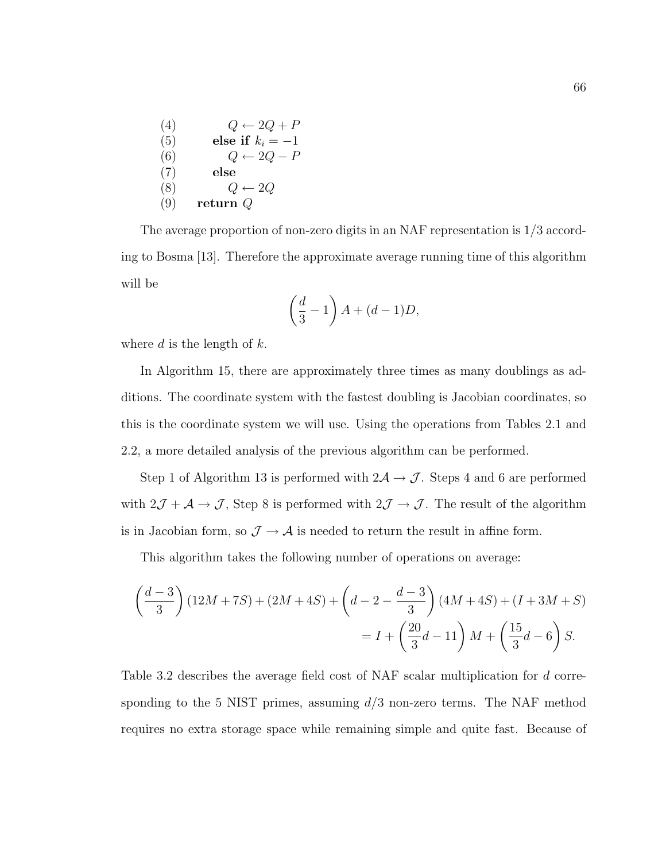| (4) | $Q \leftarrow 2Q + P$ |
|-----|-----------------------|
| (5) | else if $k_i = -1$    |
| (6) | $Q \leftarrow 2Q - P$ |
| (7) | else                  |
| (8) | $Q \leftarrow 2Q$     |
| (9) | return $Q$            |

The average proportion of non-zero digits in an NAF representation is 1/3 according to Bosma [13]. Therefore the approximate average running time of this algorithm will be

$$
\left(\frac{d}{3} - 1\right)A + (d - 1)D,
$$

where  $d$  is the length of  $k$ .

In Algorithm 15, there are approximately three times as many doublings as additions. The coordinate system with the fastest doubling is Jacobian coordinates, so this is the coordinate system we will use. Using the operations from Tables 2.1 and 2.2, a more detailed analysis of the previous algorithm can be performed.

Step 1 of Algorithm 13 is performed with  $2\mathcal{A} \rightarrow \mathcal{J}$ . Steps 4 and 6 are performed with  $2\mathcal{J} + \mathcal{A} \rightarrow \mathcal{J}$ , Step 8 is performed with  $2\mathcal{J} \rightarrow \mathcal{J}$ . The result of the algorithm is in Jacobian form, so  $\mathcal{J} \to \mathcal{A}$  is needed to return the result in affine form.

This algorithm takes the following number of operations on average:

$$
\left(\frac{d-3}{3}\right)(12M+7S) + (2M+4S) + \left(d-2 - \frac{d-3}{3}\right)(4M+4S) + (I+3M+S)
$$
  
=  $I + \left(\frac{20}{3}d - 11\right)M + \left(\frac{15}{3}d - 6\right)S.$ 

Table 3.2 describes the average field cost of NAF scalar multiplication for d corresponding to the 5 NIST primes, assuming  $d/3$  non-zero terms. The NAF method requires no extra storage space while remaining simple and quite fast. Because of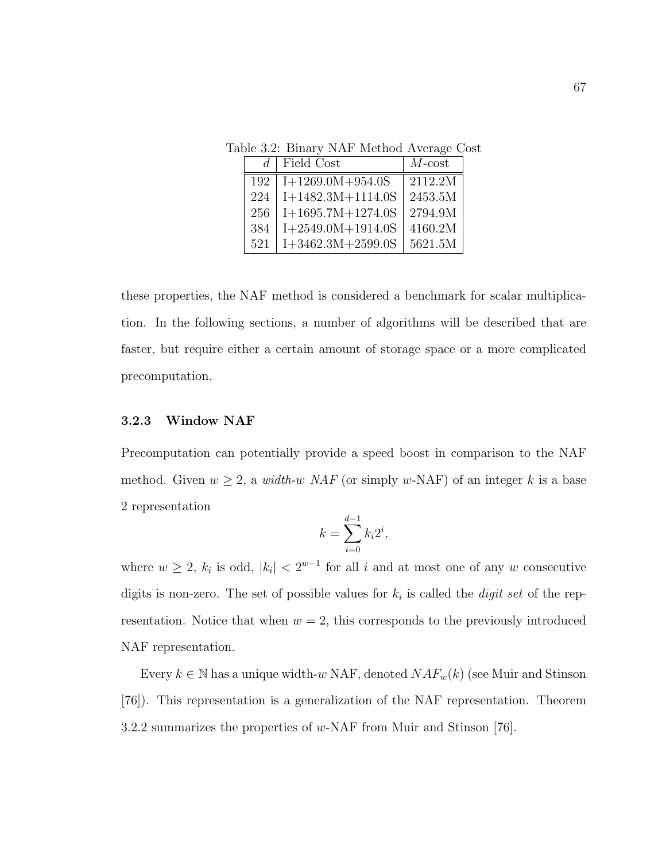Table 3.2: Binary NAF Method Average Cost

| d   | Field Cost          | $M$ -cost |
|-----|---------------------|-----------|
| 192 | $I+1269.0M+954.0S$  | 2112.2M   |
| 224 | $I+1482.3M+1114.0S$ | 2453.5M   |
| 256 | $I+1695.7M+1274.0S$ | 2794.9M   |
| 384 | $I+2549.0M+1914.0S$ | 4160.2M   |
| 521 | $I+3462.3M+2599.0S$ | 5621.5M   |

these properties, the NAF method is considered a benchmark for scalar multiplication. In the following sections, a number of algorithms will be described that are faster, but require either a certain amount of storage space or a more complicated precomputation.

## 3.2.3 Window NAF

Precomputation can potentially provide a speed boost in comparison to the NAF method. Given  $w \ge 2$ , a *width-w NAF* (or simply *w*-NAF) of an integer k is a base 2 representation

$$
k = \sum_{i=0}^{d-1} k_i 2^i,
$$

where  $w \geq 2$ ,  $k_i$  is odd,  $|k_i| < 2^{w-1}$  for all i and at most one of any w consecutive digits is non-zero. The set of possible values for  $k_i$  is called the *digit set* of the representation. Notice that when  $w = 2$ , this corresponds to the previously introduced NAF representation.

Every  $k \in \mathbb{N}$  has a unique width-w NAF, denoted  $NAF_w(k)$  (see Muir and Stinson [76]). This representation is a generalization of the NAF representation. Theorem 3.2.2 summarizes the properties of w-NAF from Muir and Stinson [76].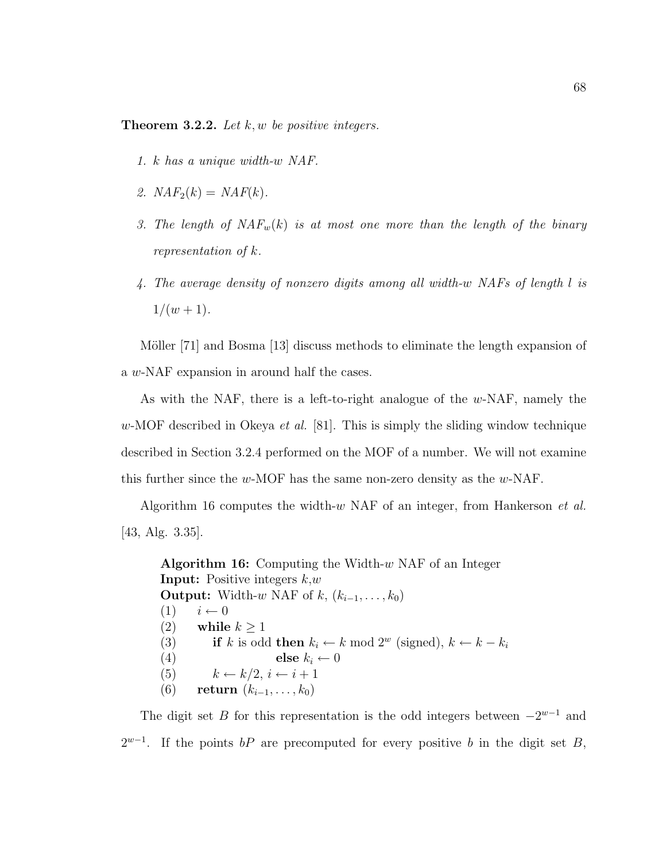**Theorem 3.2.2.** Let  $k, w$  be positive integers.

- 1. k has a unique width-w NAF.
- 2.  $NAF_2(k) = NAF(k)$ .
- 3. The length of  $NAF_w(k)$  is at most one more than the length of the binary representation of k.
- 4. The average density of nonzero digits among all width-w NAFs of length l is  $1/(w+1)$ .

Möller [71] and Bosma [13] discuss methods to eliminate the length expansion of a w-NAF expansion in around half the cases.

As with the NAF, there is a left-to-right analogue of the w-NAF, namely the w-MOF described in Okeya *et al.* [81]. This is simply the sliding window technique described in Section 3.2.4 performed on the MOF of a number. We will not examine this further since the w-MOF has the same non-zero density as the w-NAF.

Algorithm 16 computes the width-w NAF of an integer, from Hankerson et al. [43, Alg. 3.35].

**Algorithm 16:** Computing the Width- $w$  NAF of an Integer **Input:** Positive integers  $k, w$ **Output:** Width-w NAF of k,  $(k_{i-1}, \ldots, k_0)$  $(1)$   $i \leftarrow 0$ (2) while  $k \geq 1$ (3) if k is odd then  $k_i \leftarrow k \mod 2^w$  (signed),  $k \leftarrow k - k_i$ (4) else  $k_i \leftarrow 0$ (5)  $k \leftarrow k/2, i \leftarrow i+1$ (6) return  $(k_{i-1}, \ldots, k_0)$ 

The digit set B for this representation is the odd integers between  $-2^{w-1}$  and  $2^{w-1}$ . If the points bP are precomputed for every positive b in the digit set B,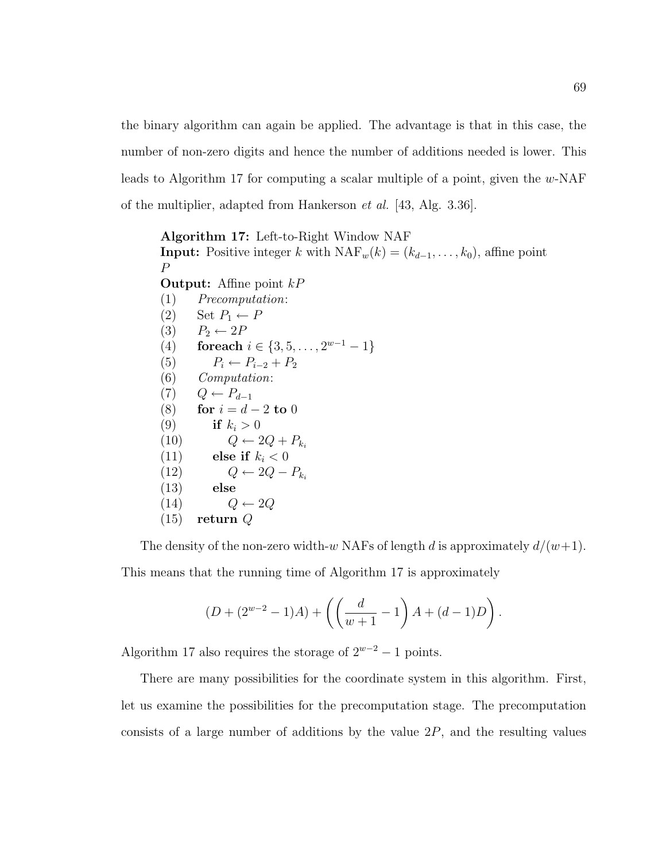the binary algorithm can again be applied. The advantage is that in this case, the number of non-zero digits and hence the number of additions needed is lower. This leads to Algorithm 17 for computing a scalar multiple of a point, given the w-NAF of the multiplier, adapted from Hankerson et al. [43, Alg. 3.36].

Algorithm 17: Left-to-Right Window NAF **Input:** Positive integer k with  $\text{NAF}_w(k) = (k_{d-1}, \ldots, k_0)$ , affine point P **Output:** Affine point  $kP$ (1) Precomputation: (2) Set  $P_1 \leftarrow P$ (3)  $P_2 \leftarrow 2P$ (4) for each  $i \in \{3, 5, \ldots, 2^{w-1} - 1\}$ (5)  $P_i \leftarrow P_{i-2} + P_2$ (6) Computation:  $(7)$   $Q \leftarrow P_{d-1}$ (8) for  $i = d - 2$  to 0 (9) if  $k_i > 0$ (10)  $Q \leftarrow 2Q + P_{k_i}$ (11) else if  $k_i < 0$ (12)  $Q \leftarrow 2Q - P_{ki}$ (13) else  $(14)$   $Q \leftarrow 2Q$ (15) return Q

The density of the non-zero width-w NAFs of length d is approximately  $d/(w+1)$ . This means that the running time of Algorithm 17 is approximately

$$
(D + (2^{w-2} - 1)A) + \left( \left( \frac{d}{w+1} - 1 \right) A + (d-1)D \right).
$$

Algorithm 17 also requires the storage of  $2^{w-2} - 1$  points.

There are many possibilities for the coordinate system in this algorithm. First, let us examine the possibilities for the precomputation stage. The precomputation consists of a large number of additions by the value  $2P$ , and the resulting values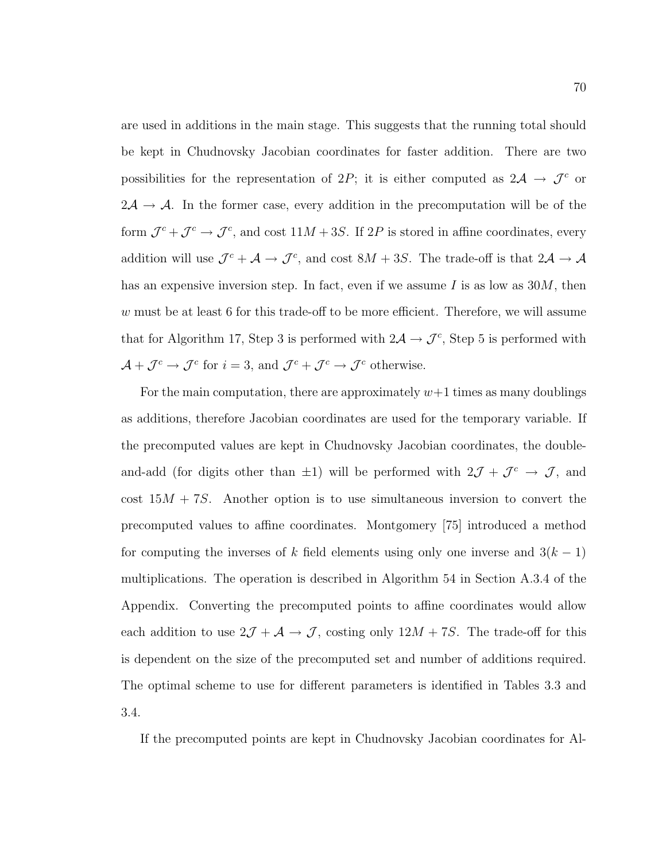are used in additions in the main stage. This suggests that the running total should be kept in Chudnovsky Jacobian coordinates for faster addition. There are two possibilities for the representation of 2P; it is either computed as  $2\mathcal{A} \rightarrow \mathcal{J}^c$  or  $2\mathcal{A} \rightarrow \mathcal{A}$ . In the former case, every addition in the precomputation will be of the form  $\mathcal{J}^c + \mathcal{J}^c \rightarrow \mathcal{J}^c$ , and cost  $11M + 3S$ . If 2P is stored in affine coordinates, every addition will use  $\mathcal{J}^c + \mathcal{A} \to \mathcal{J}^c$ , and cost  $8M + 3S$ . The trade-off is that  $2\mathcal{A} \to \mathcal{A}$ has an expensive inversion step. In fact, even if we assume I is as low as  $30M$ , then w must be at least 6 for this trade-off to be more efficient. Therefore, we will assume that for Algorithm 17, Step 3 is performed with  $2\mathcal{A} \rightarrow \mathcal{J}^c$ , Step 5 is performed with  $\mathcal{A} + \mathcal{J}^c \to \mathcal{J}^c$  for  $i = 3$ , and  $\mathcal{J}^c + \mathcal{J}^c \to \mathcal{J}^c$  otherwise.

For the main computation, there are approximately  $w+1$  times as many doublings as additions, therefore Jacobian coordinates are used for the temporary variable. If the precomputed values are kept in Chudnovsky Jacobian coordinates, the doubleand-add (for digits other than  $\pm 1$ ) will be performed with  $2\mathcal{J} + \mathcal{J}^c \rightarrow \mathcal{J}$ , and cost  $15M + 7S$ . Another option is to use simultaneous inversion to convert the precomputed values to affine coordinates. Montgomery [75] introduced a method for computing the inverses of k field elements using only one inverse and  $3(k-1)$ multiplications. The operation is described in Algorithm 54 in Section A.3.4 of the Appendix. Converting the precomputed points to affine coordinates would allow each addition to use  $2\mathcal{J} + \mathcal{A} \rightarrow \mathcal{J}$ , costing only  $12M + 7S$ . The trade-off for this is dependent on the size of the precomputed set and number of additions required. The optimal scheme to use for different parameters is identified in Tables 3.3 and 3.4.

If the precomputed points are kept in Chudnovsky Jacobian coordinates for Al-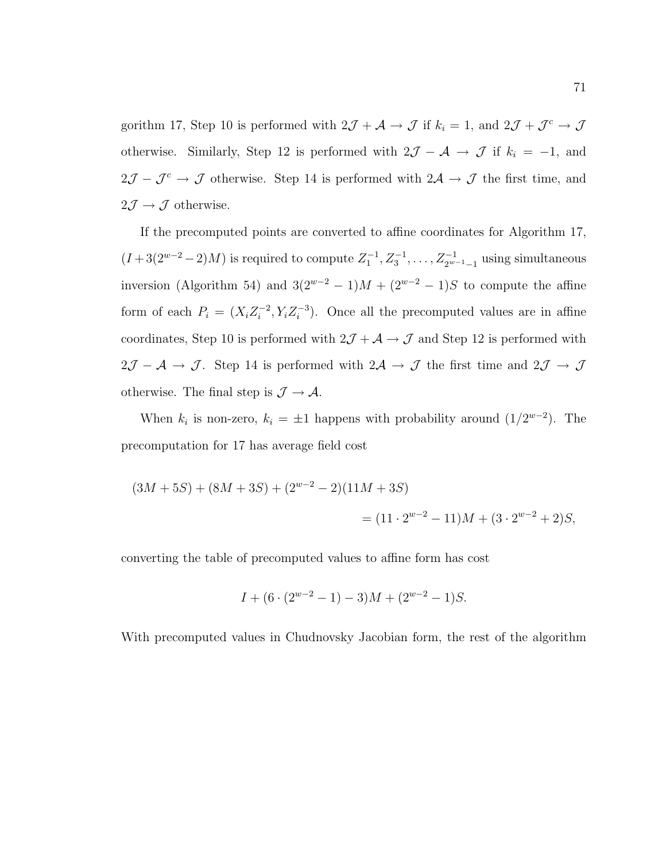gorithm 17, Step 10 is performed with  $2\mathcal{J} + \mathcal{A} \to \mathcal{J}$  if  $k_i = 1$ , and  $2\mathcal{J} + \mathcal{J}^c \to \mathcal{J}$ otherwise. Similarly, Step 12 is performed with  $2\mathcal{J} - \mathcal{A} \rightarrow \mathcal{J}$  if  $k_i = -1$ , and  $2\mathcal{J} - \mathcal{J}^c \rightarrow \mathcal{J}$  otherwise. Step 14 is performed with  $2\mathcal{A} \rightarrow \mathcal{J}$  the first time, and  $2J \rightarrow J$  otherwise.

If the precomputed points are converted to affine coordinates for Algorithm 17,  $(I+3(2^{w-2}-2)M)$  is required to compute  $Z_1^{-1}, Z_3^{-1}, \ldots, Z_{2^{w-1}-1}^{-1}$  using simultaneous inversion (Algorithm 54) and  $3(2^{w-2} - 1)M + (2^{w-2} - 1)S$  to compute the affine form of each  $P_i = (X_i Z_i^{-2})$  $i^{-2}$ ,  $Y_i Z_i^{-3}$  $\binom{-3}{i}$ . Once all the precomputed values are in affine coordinates, Step 10 is performed with  $2\mathcal{J} + \mathcal{A} \rightarrow \mathcal{J}$  and Step 12 is performed with  $2\mathcal{J} - \mathcal{A} \to \mathcal{J}$ . Step 14 is performed with  $2\mathcal{A} \to \mathcal{J}$  the first time and  $2\mathcal{J} \to \mathcal{J}$ otherwise. The final step is  $\mathcal{J} \rightarrow \mathcal{A}$ .

When  $k_i$  is non-zero,  $k_i = \pm 1$  happens with probability around  $(1/2^{w-2})$ . The precomputation for 17 has average field cost

$$
(3M + 5S) + (8M + 3S) + (2w-2 – 2)(11M + 3S)
$$
  
=  $(11 \cdot 2w-2 – 11)M + (3 \cdot 2w-2 + 2)S,$ 

converting the table of precomputed values to affine form has cost

$$
I + (6 \cdot (2^{w-2} - 1) - 3)M + (2^{w-2} - 1)S.
$$

With precomputed values in Chudnovsky Jacobian form, the rest of the algorithm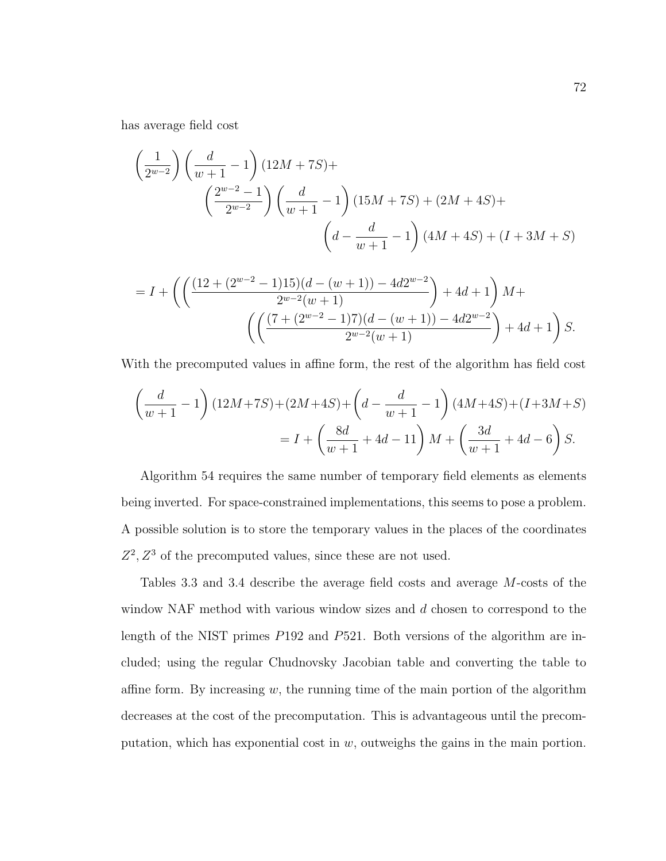has average field cost

$$
\left(\frac{1}{2^{w-2}}\right) \left(\frac{d}{w+1} - 1\right) (12M + 7S) +
$$
  

$$
\left(\frac{2^{w-2} - 1}{2^{w-2}}\right) \left(\frac{d}{w+1} - 1\right) (15M + 7S) + (2M + 4S) +
$$
  

$$
\left(d - \frac{d}{w+1} - 1\right) (4M + 4S) + (I + 3M + S)
$$

$$
= I + \left( \left( \frac{(12 + (2^{w-2} - 1)15)(d - (w+1)) - 4d2^{w-2}}{2^{w-2}(w+1)} \right) + 4d + 1 \right) M + \left( \left( \frac{(7 + (2^{w-2} - 1)7)(d - (w+1)) - 4d2^{w-2}}{2^{w-2}(w+1)} \right) + 4d + 1 \right) S.
$$

With the precomputed values in affine form, the rest of the algorithm has field cost

$$
\left(\frac{d}{w+1} - 1\right)(12M+7S) + (2M+4S) + \left(d - \frac{d}{w+1} - 1\right)(4M+4S) + (I+3M+S)
$$

$$
= I + \left(\frac{8d}{w+1} + 4d - 11\right)M + \left(\frac{3d}{w+1} + 4d - 6\right)S.
$$

Algorithm 54 requires the same number of temporary field elements as elements being inverted. For space-constrained implementations, this seems to pose a problem. A possible solution is to store the temporary values in the places of the coordinates  $Z^2, Z^3$  of the precomputed values, since these are not used.

Tables 3.3 and 3.4 describe the average field costs and average M-costs of the window NAF method with various window sizes and d chosen to correspond to the length of the NIST primes P192 and P521. Both versions of the algorithm are included; using the regular Chudnovsky Jacobian table and converting the table to affine form. By increasing  $w$ , the running time of the main portion of the algorithm decreases at the cost of the precomputation. This is advantageous until the precomputation, which has exponential cost in  $w$ , outweighs the gains in the main portion.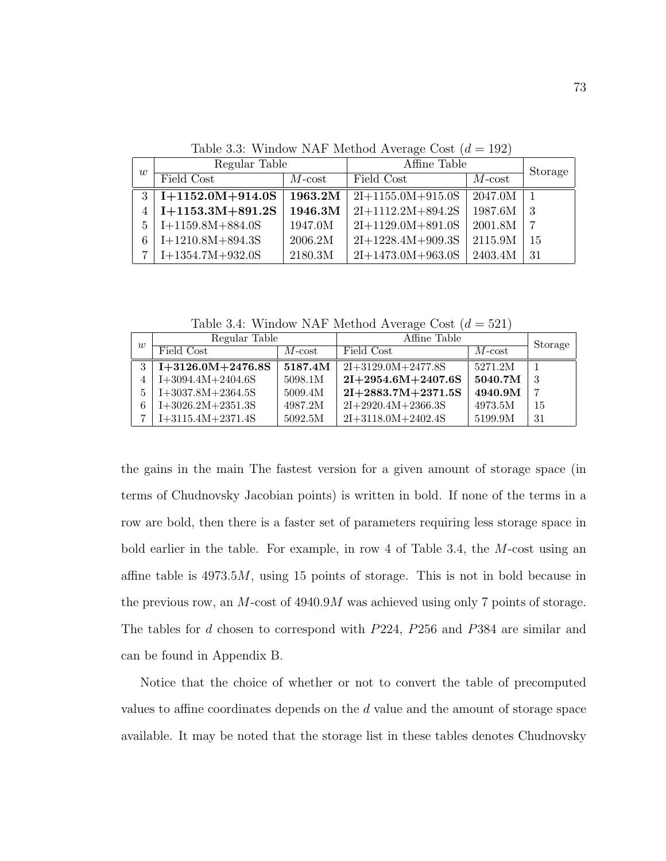|   | Regular Table      |           | Affine Table        | Storage   |    |
|---|--------------------|-----------|---------------------|-----------|----|
| w | Field Cost         | $M$ -cost | Field Cost          | $M$ -cost |    |
| 3 | $I+1152.0M+914.0S$ | 1963.2M   | $2I+1155.0M+915.0S$ | 2047.0M   |    |
| 4 | $I+1153.3M+891.2S$ | 1946.3M   | $2I+1112.2M+894.2S$ | 1987.6M   | -3 |
| 5 | $I+1159.8M+884.0S$ | 1947.0M   | $2I+1129.0M+891.0S$ | 2001.8M   |    |
|   | $I+1210.8M+894.3S$ | 2006.2M   | $2I+1228.4M+909.3S$ | 2115.9M   | 15 |
|   | $I+1354.7M+932.0S$ | 2180.3M   | $2I+1473.0M+963.0S$ | 2403.4M   | 31 |

Table 3.3: Window NAF Method Average Cost  $(d = 192)$ 

Table 3.4: Window NAF Method Average Cost  $(d = 521)$ 

| $\overline{w}$ | Regular Table       |                          | Affine Table         |           | Storage |
|----------------|---------------------|--------------------------|----------------------|-----------|---------|
|                | Field Cost          | $M\text{-}\mathrm{cost}$ | Field Cost           | $M$ -cost |         |
|                | $I+3126.0M+2476.8S$ | 5187.4M                  | $2I+3129.0M+2477.8S$ | 5271.2M   |         |
|                | $I+3094.4M+2404.6S$ | 5098.1M                  | $2I+2954.6M+2407.6S$ | 5040.7M   | -3      |
| 5              | $I+3037.8M+2364.5S$ | 5009.4M                  | $2I+2883.7M+2371.5S$ | 4940.9M   | 7       |
| 6              | $I+3026.2M+2351.3S$ | 4987.2M                  | $2I+2920.4M+2366.3S$ | 4973.5M   | 15      |
|                | $I+3115.4M+2371.4S$ | 5092.5M                  | $2I+3118.0M+2402.4S$ | 5199.9M   | 31      |

the gains in the main The fastest version for a given amount of storage space (in terms of Chudnovsky Jacobian points) is written in bold. If none of the terms in a row are bold, then there is a faster set of parameters requiring less storage space in bold earlier in the table. For example, in row 4 of Table 3.4, the M-cost using an affine table is  $4973.5M$ , using 15 points of storage. This is not in bold because in the previous row, an M-cost of 4940.9M was achieved using only 7 points of storage. The tables for d chosen to correspond with P224, P256 and P384 are similar and can be found in Appendix B.

Notice that the choice of whether or not to convert the table of precomputed values to affine coordinates depends on the d value and the amount of storage space available. It may be noted that the storage list in these tables denotes Chudnovsky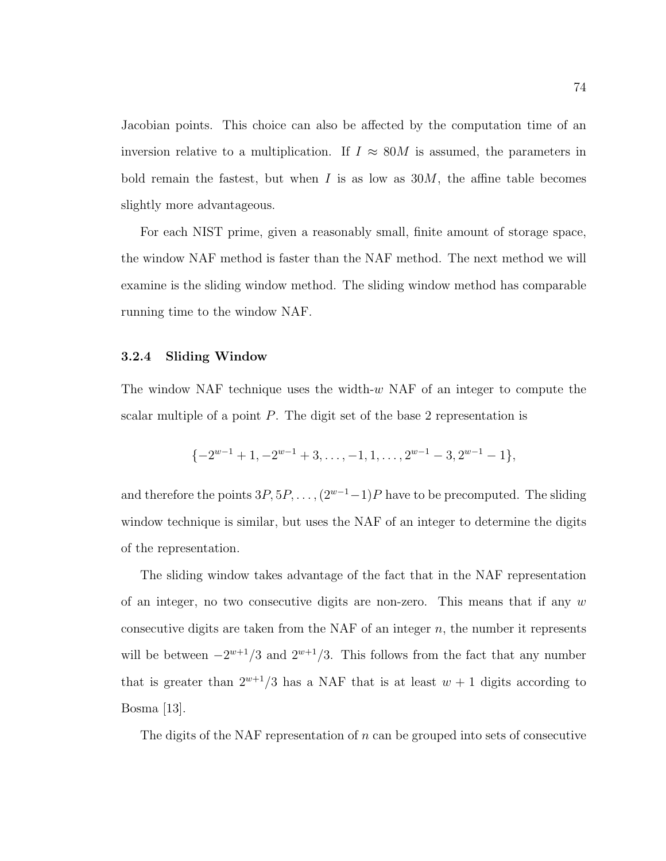Jacobian points. This choice can also be affected by the computation time of an inversion relative to a multiplication. If  $I \approx 80M$  is assumed, the parameters in bold remain the fastest, but when  $I$  is as low as  $30M$ , the affine table becomes slightly more advantageous.

For each NIST prime, given a reasonably small, finite amount of storage space, the window NAF method is faster than the NAF method. The next method we will examine is the sliding window method. The sliding window method has comparable running time to the window NAF.

#### 3.2.4 Sliding Window

The window NAF technique uses the width- $w$  NAF of an integer to compute the scalar multiple of a point P. The digit set of the base 2 representation is

$$
\{-2^{w-1}+1, -2^{w-1}+3, \dots, -1, 1, \dots, 2^{w-1}-3, 2^{w-1}-1\},\
$$

and therefore the points  $3P, 5P, \ldots, (2^{w-1}-1)P$  have to be precomputed. The sliding window technique is similar, but uses the NAF of an integer to determine the digits of the representation.

The sliding window takes advantage of the fact that in the NAF representation of an integer, no two consecutive digits are non-zero. This means that if any  $w$ consecutive digits are taken from the NAF of an integer  $n$ , the number it represents will be between  $-2^{w+1}/3$  and  $2^{w+1}/3$ . This follows from the fact that any number that is greater than  $2^{w+1}/3$  has a NAF that is at least  $w + 1$  digits according to Bosma [13].

The digits of the NAF representation of  $n$  can be grouped into sets of consecutive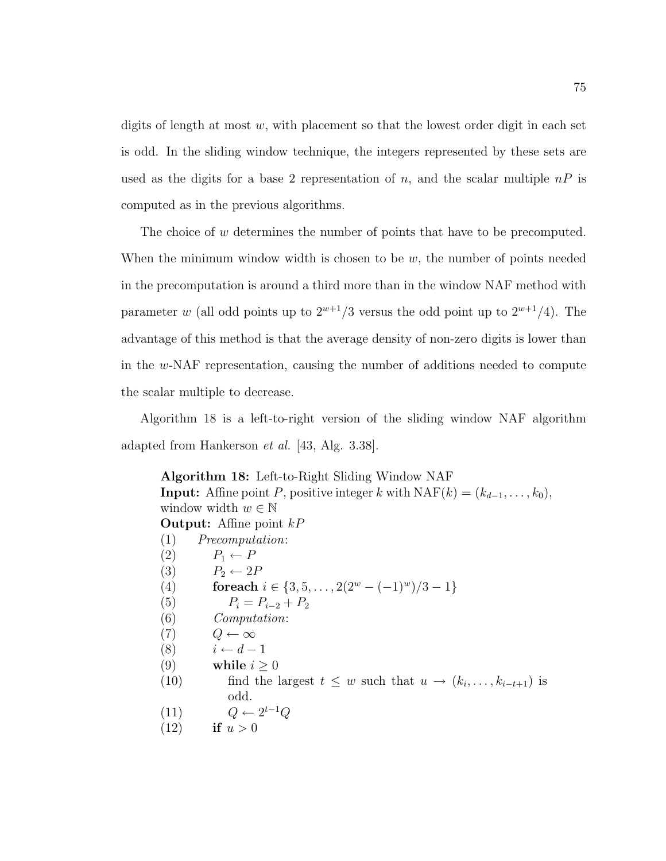digits of length at most  $w$ , with placement so that the lowest order digit in each set is odd. In the sliding window technique, the integers represented by these sets are used as the digits for a base 2 representation of n, and the scalar multiple  $nP$  is computed as in the previous algorithms.

The choice of w determines the number of points that have to be precomputed. When the minimum window width is chosen to be  $w$ , the number of points needed in the precomputation is around a third more than in the window NAF method with parameter w (all odd points up to  $2^{w+1}/3$  versus the odd point up to  $2^{w+1}/4$ ). The advantage of this method is that the average density of non-zero digits is lower than in the w-NAF representation, causing the number of additions needed to compute the scalar multiple to decrease.

Algorithm 18 is a left-to-right version of the sliding window NAF algorithm adapted from Hankerson et al. [43, Alg. 3.38].

Algorithm 18: Left-to-Right Sliding Window NAF **Input:** Affine point P, positive integer k with  $\text{NAF}(k) = (k_{d-1}, \ldots, k_0)$ , window width  $w \in \mathbb{N}$ **Output:** Affine point  $kP$ (1) Precomputation: (2)  $P_1 \leftarrow P$ (3)  $P_2 \leftarrow 2P$ (4) for each  $i \in \{3, 5, \ldots, 2(2^w - (-1)^w)/3 - 1\}$ (5)  $P_i = P_{i-2} + P_2$ (6) Computation:  $(7)$   $Q \leftarrow \infty$ (8)  $i \leftarrow d-1$ (9) while  $i \geq 0$ (10) find the largest  $t \leq w$  such that  $u \to (k_i, \ldots, k_{i-t+1})$  is odd. (11)  $Q \leftarrow 2^{t-1}Q$ (12) if  $u > 0$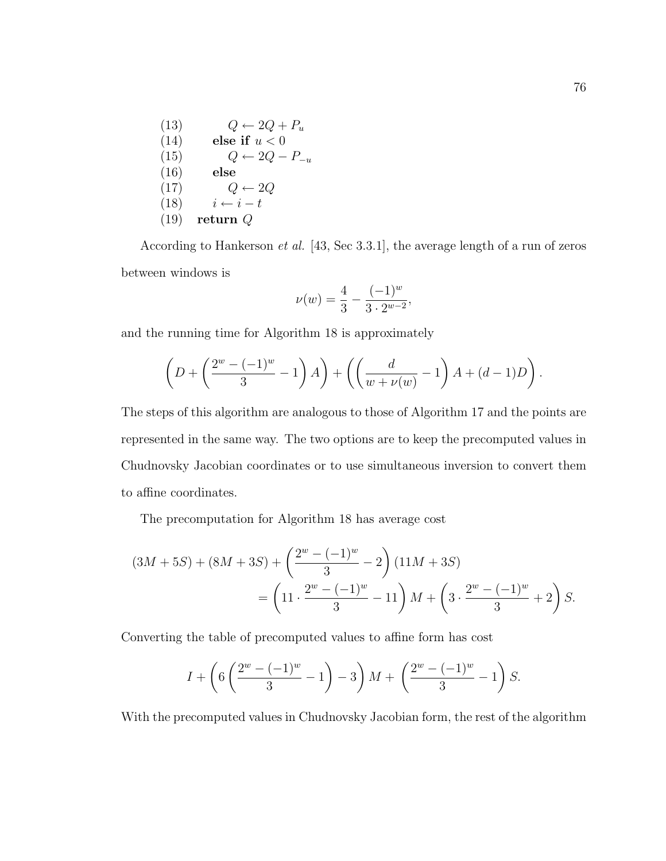(13)  $Q \leftarrow 2Q + P_u$ (14) else if  $u < 0$ (15)  $Q \leftarrow 2Q - P_{-u}$ (16) else  $(17)$   $Q \leftarrow 2Q$ (18)  $i \leftarrow i - t$  $(19)$  return Q

According to Hankerson et al. [43, Sec 3.3.1], the average length of a run of zeros between windows is

$$
\nu(w) = \frac{4}{3} - \frac{(-1)^w}{3 \cdot 2^{w-2}},
$$

and the running time for Algorithm 18 is approximately

$$
\left(D + \left(\frac{2^w - (-1)^w}{3} - 1\right)A\right) + \left(\left(\frac{d}{w + \nu(w)} - 1\right)A + (d - 1)D\right)
$$

The steps of this algorithm are analogous to those of Algorithm 17 and the points are represented in the same way. The two options are to keep the precomputed values in Chudnovsky Jacobian coordinates or to use simultaneous inversion to convert them to affine coordinates.

The precomputation for Algorithm 18 has average cost

$$
(3M+5S) + (8M+3S) + \left(\frac{2^w - (-1)^w}{3} - 2\right)(11M+3S)
$$
  
=  $\left(11 \cdot \frac{2^w - (-1)^w}{3} - 11\right)M + \left(3 \cdot \frac{2^w - (-1)^w}{3} + 2\right)S.$ 

Converting the table of precomputed values to affine form has cost

$$
I + \left(6\left(\frac{2^w - (-1)^w}{3} - 1\right) - 3\right)M + \left(\frac{2^w - (-1)^w}{3} - 1\right)S.
$$

With the precomputed values in Chudnovsky Jacobian form, the rest of the algorithm

.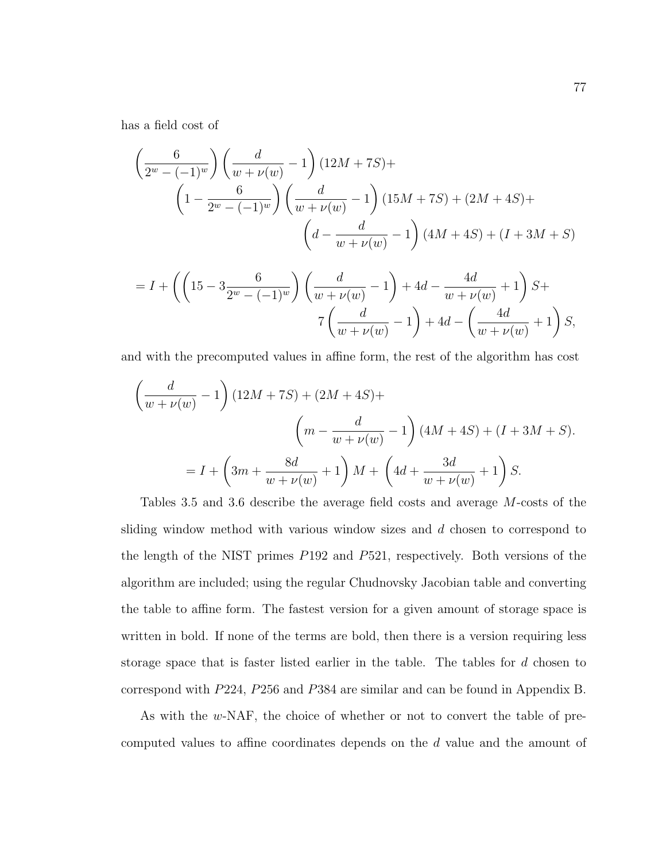has a field cost of

$$
\left(\frac{6}{2^w - (-1)^w}\right) \left(\frac{d}{w + \nu(w)} - 1\right) (12M + 7S) +
$$
\n
$$
\left(1 - \frac{6}{2^w - (-1)^w}\right) \left(\frac{d}{w + \nu(w)} - 1\right) (15M + 7S) + (2M + 4S) +
$$
\n
$$
\left(d - \frac{d}{w + \nu(w)} - 1\right) (4M + 4S) + (I + 3M + S)
$$

$$
= I + \left( \left( 15 - 3\frac{6}{2^w - (-1)^w} \right) \left( \frac{d}{w + \nu(w)} - 1 \right) + 4d - \frac{4d}{w + \nu(w)} + 1 \right) S +
$$
  

$$
7 \left( \frac{d}{w + \nu(w)} - 1 \right) + 4d - \left( \frac{4d}{w + \nu(w)} + 1 \right) S,
$$

and with the precomputed values in affine form, the rest of the algorithm has cost

$$
\left(\frac{d}{w+\nu(w)}-1\right)(12M+7S) + (2M+4S) +
$$
\n
$$
\left(m - \frac{d}{w+\nu(w)} - 1\right)(4M+4S) + (I+3M+S).
$$
\n
$$
= I + \left(3m + \frac{8d}{w+\nu(w)} + 1\right)M + \left(4d + \frac{3d}{w+\nu(w)} + 1\right)S.
$$

Tables 3.5 and 3.6 describe the average field costs and average M-costs of the sliding window method with various window sizes and d chosen to correspond to the length of the NIST primes P192 and P521, respectively. Both versions of the algorithm are included; using the regular Chudnovsky Jacobian table and converting the table to affine form. The fastest version for a given amount of storage space is written in bold. If none of the terms are bold, then there is a version requiring less storage space that is faster listed earlier in the table. The tables for d chosen to correspond with P224, P256 and P384 are similar and can be found in Appendix B.

As with the w-NAF, the choice of whether or not to convert the table of precomputed values to affine coordinates depends on the d value and the amount of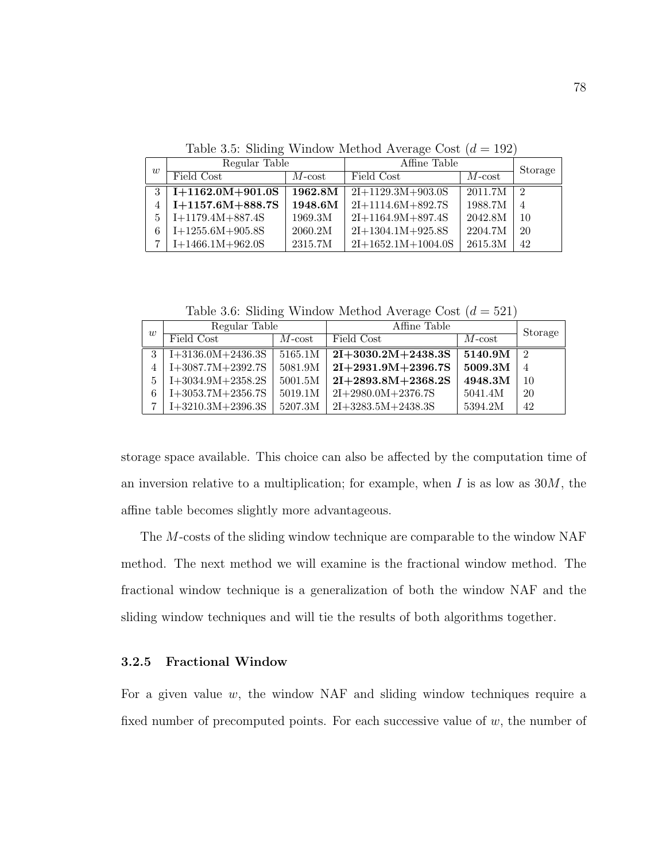| w | Regular Table      |                 | Affine Table         |           | Storage       |
|---|--------------------|-----------------|----------------------|-----------|---------------|
|   | Field Cost         | $M\text{-cost}$ | Field Cost           | $M$ -cost |               |
| 3 | $I+1162.0M+901.0S$ | 1962.8M         | $2I+1129.3M+903.0S$  | 2011.7M   | $\mathcal{D}$ |
|   | $I+1157.6M+888.7S$ | 1948.6M         | $2I+1114.6M+892.7S$  | 1988.7M   | 4             |
| 5 | $I+1179.4M+887.4S$ | 1969.3M         | $2I+1164.9M+897.4S$  | 2042.8M   | 10            |
| 6 | $I+1255.6M+905.8S$ | 2060.2M         | $2I+1304.1M+925.8S$  | 2204.7M   | 20            |
|   | $I+1466.1M+962.0S$ | 2315.7M         | $2I+1652.1M+1004.0S$ | 2615.3M   | 42            |

Table 3.5: Sliding Window Method Average Cost  $(d = 192)$ 

Table 3.6: Sliding Window Method Average Cost  $(d = 521)$ 

|   | Regular Table       |                | Affine Table         | Storage   |                |
|---|---------------------|----------------|----------------------|-----------|----------------|
| w | Field Cost          | $M$ - $\cos t$ | Field Cost           | $M$ -cost |                |
|   | $I+3136.0M+2436.3S$ | 5165.1M        | $2I+3030.2M+2438.3S$ | 5140.9M   | -2             |
|   | $I+3087.7M+2392.7S$ | 5081.9M        | $2I+2931.9M+2396.7S$ | 5009.3M   | $\overline{4}$ |
| 5 | $I+3034.9M+2358.2S$ | $5001.5M$      | $2I+2893.8M+2368.2S$ | 4948.3M   | 10             |
| 6 | $I+3053.7M+2356.7S$ | 5019.1M        | $2I+2980.0M+2376.7S$ | 5041.4M   | 20             |
|   | $I+3210.3M+2396.3S$ | 5207.3M        | $2I+3283.5M+2438.3S$ | 5394.2M   | 42             |

storage space available. This choice can also be affected by the computation time of an inversion relative to a multiplication; for example, when  $I$  is as low as  $30M$ , the affine table becomes slightly more advantageous.

The M-costs of the sliding window technique are comparable to the window NAF method. The next method we will examine is the fractional window method. The fractional window technique is a generalization of both the window NAF and the sliding window techniques and will tie the results of both algorithms together.

## 3.2.5 Fractional Window

For a given value  $w$ , the window NAF and sliding window techniques require a fixed number of precomputed points. For each successive value of  $w$ , the number of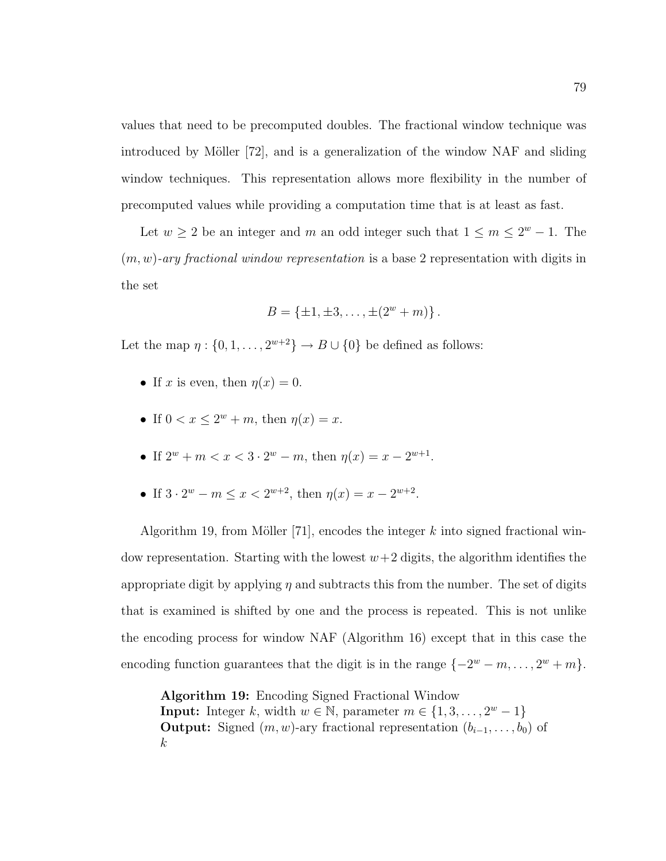values that need to be precomputed doubles. The fractional window technique was introduced by Möller  $[72]$ , and is a generalization of the window NAF and sliding window techniques. This representation allows more flexibility in the number of precomputed values while providing a computation time that is at least as fast.

Let  $w \ge 2$  be an integer and m an odd integer such that  $1 \le m \le 2^w - 1$ . The  $(m, w)$ -ary fractional window representation is a base 2 representation with digits in the set

$$
B = \{\pm 1, \pm 3, \dots, \pm (2^w + m)\}.
$$

Let the map  $\eta: \{0, 1, \ldots, 2^{w+2}\} \to B \cup \{0\}$  be defined as follows:

- If x is even, then  $\eta(x) = 0$ .
- If  $0 < x \leq 2^w + m$ , then  $\eta(x) = x$ .
- If  $2^w + m < x < 3 \cdot 2^w m$ , then  $\eta(x) = x 2^{w+1}$ .
- If  $3 \cdot 2^w m \le x < 2^{w+2}$ , then  $\eta(x) = x 2^{w+2}$ .

Algorithm 19, from Möller [71], encodes the integer  $k$  into signed fractional window representation. Starting with the lowest  $w+2$  digits, the algorithm identifies the appropriate digit by applying  $\eta$  and subtracts this from the number. The set of digits that is examined is shifted by one and the process is repeated. This is not unlike the encoding process for window NAF (Algorithm 16) except that in this case the encoding function guarantees that the digit is in the range  $\{-2^w - m, \ldots, 2^w + m\}.$ 

Algorithm 19: Encoding Signed Fractional Window **Input:** Integer k, width  $w \in \mathbb{N}$ , parameter  $m \in \{1, 3, ..., 2^w - 1\}$ **Output:** Signed  $(m, w)$ -ary fractional representation  $(b_{i-1}, \ldots, b_0)$  of k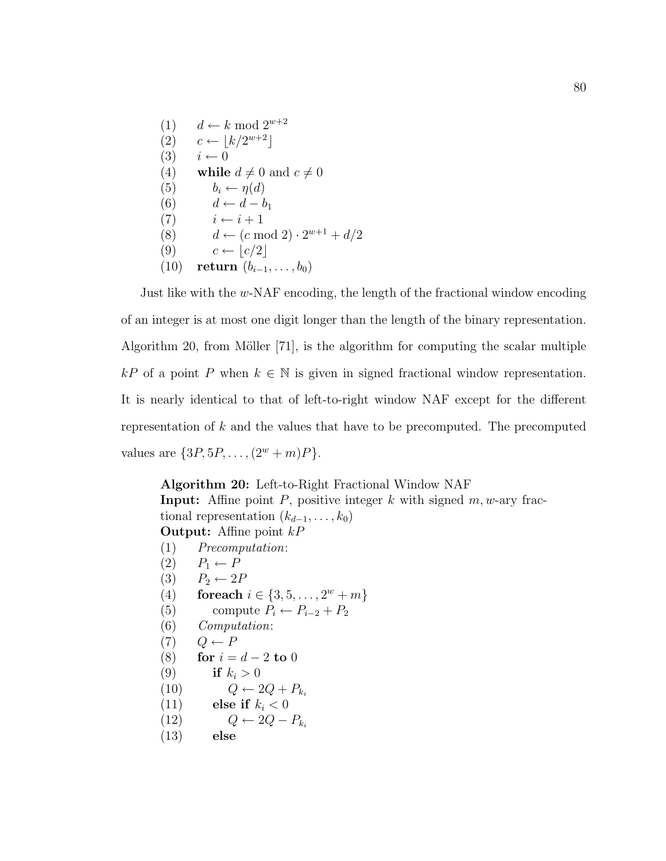(1)  $d \leftarrow k \mod 2^{w+2}$  $(2)$   $c \leftarrow \lfloor k/2^{w+2} \rfloor$  $(3)$   $i \leftarrow 0$ (4) while  $d \neq 0$  and  $c \neq 0$ (5)  $b_i \leftarrow \eta(d)$ (6)  $d \leftarrow d - b_1$ (7)  $i \leftarrow i + 1$ (8)  $d \leftarrow (c \mod 2) \cdot 2^{w+1} + d/2$ (9)  $c \leftarrow |c/2|$ (10) return  $(b_{i-1}, \ldots, b_0)$ 

Just like with the w-NAF encoding, the length of the fractional window encoding of an integer is at most one digit longer than the length of the binary representation. Algorithm 20, from Möller  $[71]$ , is the algorithm for computing the scalar multiple kP of a point P when  $k \in \mathbb{N}$  is given in signed fractional window representation. It is nearly identical to that of left-to-right window NAF except for the different representation of  $k$  and the values that have to be precomputed. The precomputed values are  $\{3P, 5P, \ldots, (2^w + m)P\}.$ 

Algorithm 20: Left-to-Right Fractional Window NAF **Input:** Affine point  $P$ , positive integer  $k$  with signed  $m, w$ -ary fractional representation  $(k_{d-1}, \ldots, k_0)$ **Output:** Affine point  $kP$ (1) Precomputation:  $(2)$   $P_1 \leftarrow P$ (3)  $P_2 \leftarrow 2P$ (4) for each  $i \in \{3, 5, ..., 2^w + m\}$ (5) compute  $P_i \leftarrow P_{i-2} + P_2$ 

(6) Computation:  $(7)$   $Q \leftarrow P$ 

- (8) for  $i = d 2$  to 0
- (9) if  $k_i > 0$
- $(10) \t Q \leftarrow 2Q + P_{k_i}$
- (11) else if  $k_i < 0$
- (12)  $Q \leftarrow 2Q P_{ki}$
- (13) else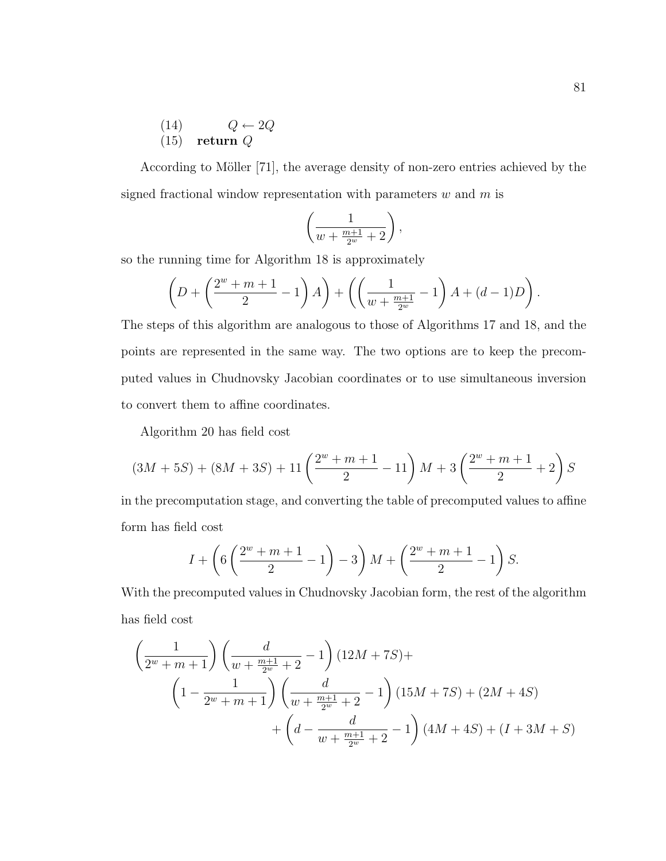$$
\begin{array}{ll} (14) & Q \leftarrow 2Q \\ (15) & \text{return } Q \end{array}
$$

According to Möller [71], the average density of non-zero entries achieved by the signed fractional window representation with parameters  $w$  and  $m$  is

$$
\left(\frac{1}{w+\frac{m+1}{2^w}+2}\right),\
$$

so the running time for Algorithm 18 is approximately

$$
\left(D + \left(\frac{2^w + m + 1}{2} - 1\right)A\right) + \left(\left(\frac{1}{w + \frac{m+1}{2^w}} - 1\right)A + (d-1)D\right).
$$

The steps of this algorithm are analogous to those of Algorithms 17 and 18, and the points are represented in the same way. The two options are to keep the precomputed values in Chudnovsky Jacobian coordinates or to use simultaneous inversion to convert them to affine coordinates.

Algorithm 20 has field cost

$$
(3M+5S) + (8M+3S) + 11\left(\frac{2^w+m+1}{2} - 11\right)M + 3\left(\frac{2^w+m+1}{2} + 2\right)S
$$

in the precomputation stage, and converting the table of precomputed values to affine form has field cost

$$
I + \left(6\left(\frac{2^w + m + 1}{2} - 1\right) - 3\right)M + \left(\frac{2^w + m + 1}{2} - 1\right)S.
$$

With the precomputed values in Chudnovsky Jacobian form, the rest of the algorithm has field cost

$$
\left(\frac{1}{2^{w}+m+1}\right)\left(\frac{d}{w+\frac{m+1}{2^{w}}+2}-1\right)(12M+7S)+
$$
\n
$$
\left(1-\frac{1}{2^{w}+m+1}\right)\left(\frac{d}{w+\frac{m+1}{2^{w}}+2}-1\right)(15M+7S)+(2M+4S)
$$
\n
$$
+\left(d-\frac{d}{w+\frac{m+1}{2^{w}}+2}-1\right)(4M+4S)+(I+3M+S)
$$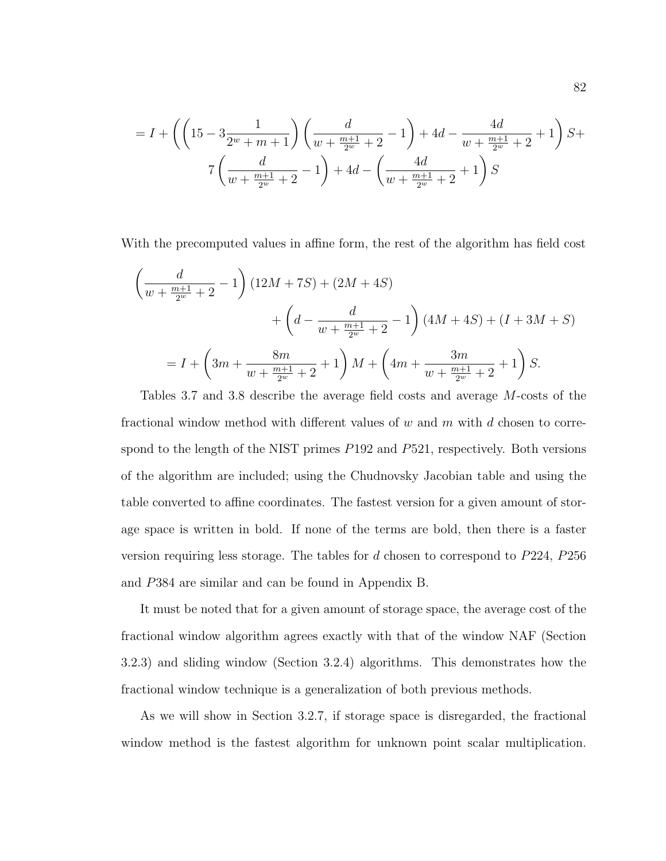$$
= I + \left( \left( 15 - 3\frac{1}{2^w + m + 1} \right) \left( \frac{d}{w + \frac{m+1}{2^w} + 2} - 1 \right) + 4d - \frac{4d}{w + \frac{m+1}{2^w} + 2} + 1 \right) S +
$$
  

$$
7 \left( \frac{d}{w + \frac{m+1}{2^w} + 2} - 1 \right) + 4d - \left( \frac{4d}{w + \frac{m+1}{2^w} + 2} + 1 \right) S
$$

With the precomputed values in affine form, the rest of the algorithm has field cost

$$
\left(\frac{d}{w + \frac{m+1}{2^w} + 2} - 1\right) \left(12M + 7S\right) + \left(2M + 4S\right) \n+ \left(d - \frac{d}{w + \frac{m+1}{2^w} + 2} - 1\right) \left(4M + 4S\right) + \left(I + 3M + S\right) \n= I + \left(3m + \frac{8m}{w + \frac{m+1}{2^w} + 2} + 1\right)M + \left(4m + \frac{3m}{w + \frac{m+1}{2^w} + 2} + 1\right)S.
$$

Tables 3.7 and 3.8 describe the average field costs and average M-costs of the fractional window method with different values of  $w$  and  $m$  with  $d$  chosen to correspond to the length of the NIST primes  $P192$  and  $P521$ , respectively. Both versions of the algorithm are included; using the Chudnovsky Jacobian table and using the table converted to affine coordinates. The fastest version for a given amount of storage space is written in bold. If none of the terms are bold, then there is a faster version requiring less storage. The tables for d chosen to correspond to P224, P256 and P384 are similar and can be found in Appendix B.

It must be noted that for a given amount of storage space, the average cost of the fractional window algorithm agrees exactly with that of the window NAF (Section 3.2.3) and sliding window (Section 3.2.4) algorithms. This demonstrates how the fractional window technique is a generalization of both previous methods.

As we will show in Section 3.2.7, if storage space is disregarded, the fractional window method is the fastest algorithm for unknown point scalar multiplication.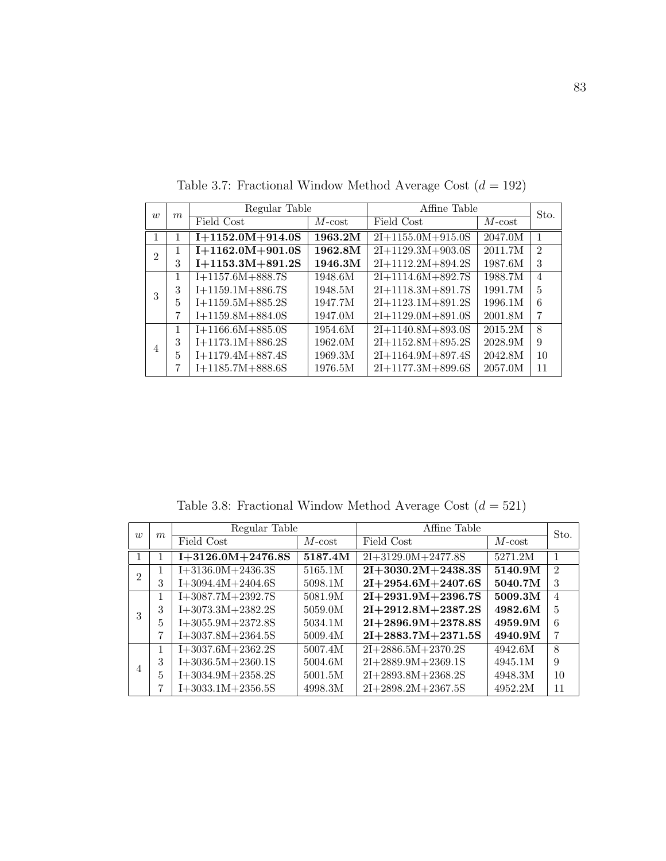| $\overline{w}$ | m | Regular Table      |           | Affine Table        |           | Sto.           |
|----------------|---|--------------------|-----------|---------------------|-----------|----------------|
|                |   | Field Cost         | $M$ -cost | Field Cost          | $M$ -cost |                |
|                |   | $I+1152.0M+914.0S$ | 1963.2M   | $2I+1155.0M+915.0S$ | 2047.0M   |                |
| $\mathfrak{D}$ | 1 | $1+1162.0M+901.0S$ | 1962.8M   | $2I+1129.3M+903.0S$ | 2011.7M   | $\mathfrak{D}$ |
|                | 3 | $I+1153.3M+891.2S$ | 1946.3M   | $2I+1112.2M+894.2S$ | 1987.6M   | 3              |
|                | 1 | $I+1157.6M+888.7S$ | 1948.6M   | $2I+1114.6M+892.7S$ | 1988.7M   | $\overline{4}$ |
| 3              | 3 | $I+1159.1M+886.7S$ | 1948.5M   | $2I+1118.3M+891.7S$ | 1991.7M   | 5              |
|                | 5 | $I+1159.5M+885.2S$ | 1947.7M   | $2I+1123.1M+891.2S$ | 1996.1M   | 6              |
|                | 7 | $I+1159.8M+884.0S$ | 1947.0M   | $2I+1129.0M+891.0S$ | 2001.8M   | 7              |
|                |   | $I+1166.6M+885.0S$ | 1954.6M   | $2I+1140.8M+893.0S$ | 2015.2M   | 8              |
| $\overline{4}$ | 3 | $I+1173.1M+886.2S$ | 1962.0M   | $2I+1152.8M+895.2S$ | 2028.9M   | 9              |
|                | 5 | $I+1179.4M+887.4S$ | 1969.3M   | $2I+1164.9M+897.4S$ | 2042.8M   | 10             |
|                | 7 | $I+1185.7M+888.6S$ | 1976.5M   | $2I+1177.3M+899.6S$ | 2057.0M   | 11             |

Table 3.7: Fractional Window Method Average Cost  $(d = 192)$ 

Table 3.8: Fractional Window Method Average Cost  $(d = 521)$ 

| $\overline{w}$ |                  | Regular Table       |           | Affine Table         |           | Sto.           |
|----------------|------------------|---------------------|-----------|----------------------|-----------|----------------|
|                | $\boldsymbol{m}$ | Field Cost          | $M$ -cost | Field Cost           | $M$ -cost |                |
|                |                  | $I+3126.0M+2476.8S$ | 5187.4M   | $2I+3129.0M+2477.8S$ | 5271.2M   | 1              |
| 2              | 1                | $I+3136.0M+2436.3S$ | 5165.1M   | $2I+3030.2M+2438.3S$ | 5140.9M   | $\mathfrak{D}$ |
|                | 3                | $I+3094.4M+2404.6S$ | 5098.1M   | $2I+2954.6M+2407.6S$ | 5040.7M   | 3              |
|                | 1                | $I+3087.7M+2392.7S$ | 5081.9M   | $2I+2931.9M+2396.7S$ | 5009.3M   | 4              |
| 3              | 3                | $I+3073.3M+2382.2S$ | 5059.0M   | $2I+2912.8M+2387.2S$ | 4982.6M   | 5              |
|                | 5                | $I+3055.9M+2372.8S$ | 5034.1M   | $2I+2896.9M+2378.8S$ | 4959.9M   | 6              |
|                | 7                | $I+3037.8M+2364.5S$ | 5009.4M   | $2I+2883.7M+2371.5S$ | 4940.9M   | 7              |
|                | 1                | $I+3037.6M+2362.2S$ | 5007.4M   | $2I+2886.5M+2370.2S$ | 4942.6M   | 8              |
| 4              | 3                | $I+3036.5M+2360.1S$ | 5004.6M   | $2I+2889.9M+2369.1S$ | 4945.1M   | 9              |
|                | 5                | $I+3034.9M+2358.2S$ | 5001.5M   | $2I+2893.8M+2368.2S$ | 4948.3M   | 10             |
|                |                  | $I+3033.1M+2356.5S$ | 4998.3M   | $2I+2898.2M+2367.5S$ | 4952.2M   | 11             |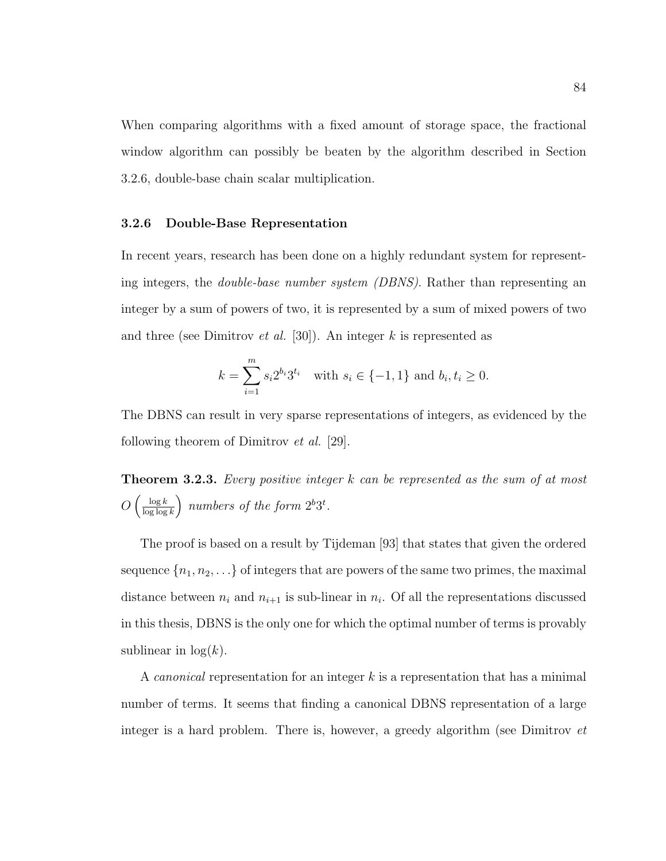When comparing algorithms with a fixed amount of storage space, the fractional window algorithm can possibly be beaten by the algorithm described in Section 3.2.6, double-base chain scalar multiplication.

#### 3.2.6 Double-Base Representation

In recent years, research has been done on a highly redundant system for representing integers, the double-base number system (DBNS). Rather than representing an integer by a sum of powers of two, it is represented by a sum of mixed powers of two and three (see Dimitrov *et al.* [30]). An integer k is represented as

$$
k = \sum_{i=1}^{m} s_i 2^{b_i} 3^{t_i} \text{ with } s_i \in \{-1, 1\} \text{ and } b_i, t_i \ge 0.
$$

The DBNS can result in very sparse representations of integers, as evidenced by the following theorem of Dimitrov et al. [29].

**Theorem 3.2.3.** Every positive integer  $k$  can be represented as the sum of at most  $O\left(\frac{\log k}{\log \log k}\right)$  $\frac{\log k}{\log \log k}$  numbers of the form  $2^b 3^t$ .

The proof is based on a result by Tijdeman [93] that states that given the ordered sequence  $\{n_1, n_2, \ldots\}$  of integers that are powers of the same two primes, the maximal distance between  $n_i$  and  $n_{i+1}$  is sub-linear in  $n_i$ . Of all the representations discussed in this thesis, DBNS is the only one for which the optimal number of terms is provably sublinear in  $log(k)$ .

A *canonical* representation for an integer  $k$  is a representation that has a minimal number of terms. It seems that finding a canonical DBNS representation of a large integer is a hard problem. There is, however, a greedy algorithm (see Dimitrov et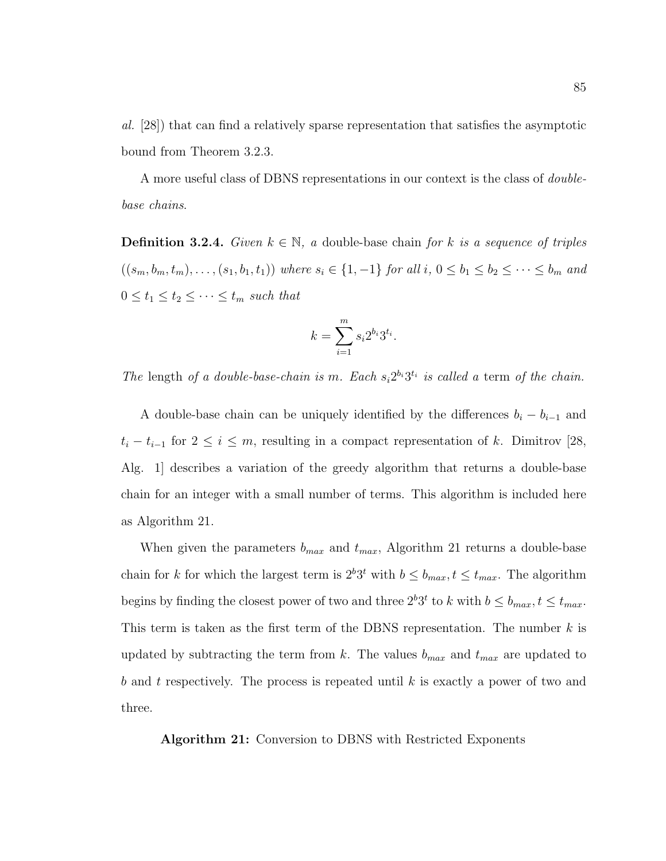al. [28]) that can find a relatively sparse representation that satisfies the asymptotic bound from Theorem 3.2.3.

A more useful class of DBNS representations in our context is the class of doublebase chains.

**Definition 3.2.4.** Given  $k \in \mathbb{N}$ , a double-base chain for k is a sequence of triples  $((s_m, b_m, t_m), \ldots, (s_1, b_1, t_1))$  where  $s_i \in \{1, -1\}$  for all  $i, 0 \leq b_1 \leq b_2 \leq \cdots \leq b_m$  and  $0 \le t_1 \le t_2 \le \cdots \le t_m$  such that

$$
k = \sum_{i=1}^{m} s_i 2^{b_i} 3^{t_i}.
$$

The length of a double-base-chain is m. Each  $s_i 2^{b_i} 3^{t_i}$  is called a term of the chain.

A double-base chain can be uniquely identified by the differences  $b_i - b_{i-1}$  and  $t_i - t_{i-1}$  for  $2 \leq i \leq m$ , resulting in a compact representation of k. Dimitrov [28, Alg. 1] describes a variation of the greedy algorithm that returns a double-base chain for an integer with a small number of terms. This algorithm is included here as Algorithm 21.

When given the parameters  $b_{max}$  and  $t_{max}$ , Algorithm 21 returns a double-base chain for k for which the largest term is  $2^b 3^t$  with  $b \leq b_{max}$ ,  $t \leq t_{max}$ . The algorithm begins by finding the closest power of two and three  $2^b 3^t$  to k with  $b \leq b_{max}$ ,  $t \leq t_{max}$ . This term is taken as the first term of the DBNS representation. The number  $k$  is updated by subtracting the term from k. The values  $b_{max}$  and  $t_{max}$  are updated to b and t respectively. The process is repeated until  $k$  is exactly a power of two and three.

Algorithm 21: Conversion to DBNS with Restricted Exponents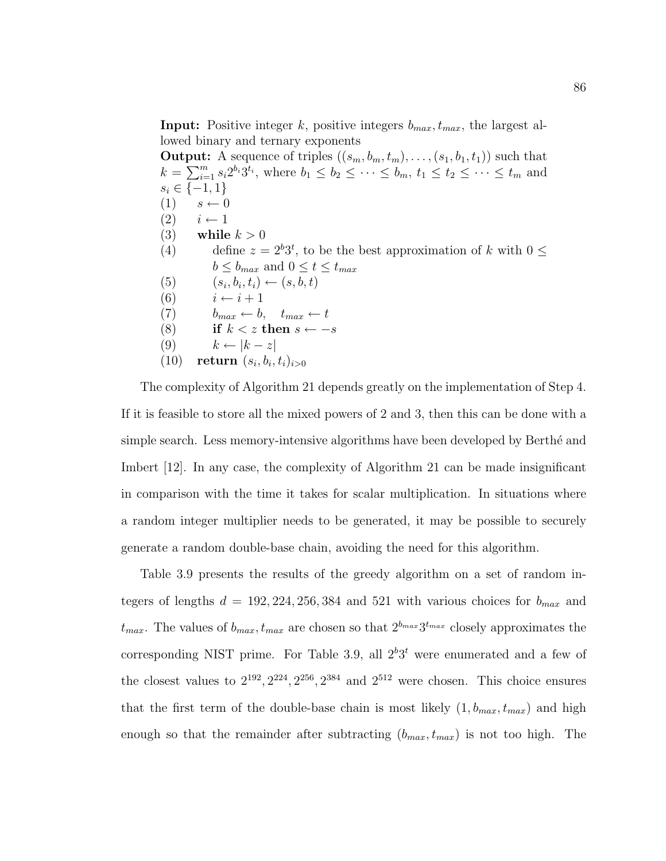**Input:** Positive integer k, positive integers  $b_{max}$ ,  $t_{max}$ , the largest allowed binary and ternary exponents

**Output:** A sequence of triples  $((s_m, b_m, t_m), \ldots, (s_1, b_1, t_1))$  such that  $k = \sum_{i=1}^m s_i 2^{b_i} 3^{t_i}$ , where  $b_1 \leq b_2 \leq \cdots \leq b_m$ ,  $t_1 \leq t_2 \leq \cdots \leq t_m$  and  $s_i \in \{-1, 1\}$  $(1)$   $s \leftarrow 0$  $(2)$   $i \leftarrow 1$ (3) while  $k > 0$ (4) define  $z = 2^b 3^t$ , to be the best approximation of k with  $0 \le$  $b \le b_{max}$  and  $0 \le t \le t_{max}$ (5)  $(s_i, b_i, t_i) \leftarrow (s, b, t)$ (6)  $i \leftarrow i + 1$ (7)  $b_{max} \leftarrow b, \quad t_{max} \leftarrow t$ (8) if  $k < z$  then  $s \leftarrow -s$ (9)  $k \leftarrow |k - z|$ (10) return  $(s_i, b_i, t_i)_{i>0}$ 

The complexity of Algorithm 21 depends greatly on the implementation of Step 4. If it is feasible to store all the mixed powers of 2 and 3, then this can be done with a simple search. Less memory-intensive algorithms have been developed by Berthé and Imbert [12]. In any case, the complexity of Algorithm 21 can be made insignificant in comparison with the time it takes for scalar multiplication. In situations where a random integer multiplier needs to be generated, it may be possible to securely generate a random double-base chain, avoiding the need for this algorithm.

Table 3.9 presents the results of the greedy algorithm on a set of random integers of lengths  $d = 192, 224, 256, 384$  and 521 with various choices for  $b_{max}$  and  $t_{max}$ . The values of  $b_{max}$ ,  $t_{max}$  are chosen so that  $2^{b_{max}}3^{t_{max}}$  closely approximates the corresponding NIST prime. For Table 3.9, all  $2^{b}3^{t}$  were enumerated and a few of the closest values to  $2^{192}$ ,  $2^{224}$ ,  $2^{256}$ ,  $2^{384}$  and  $2^{512}$  were chosen. This choice ensures that the first term of the double-base chain is most likely  $(1, b_{max}, t_{max})$  and high enough so that the remainder after subtracting  $(b_{max}, t_{max})$  is not too high. The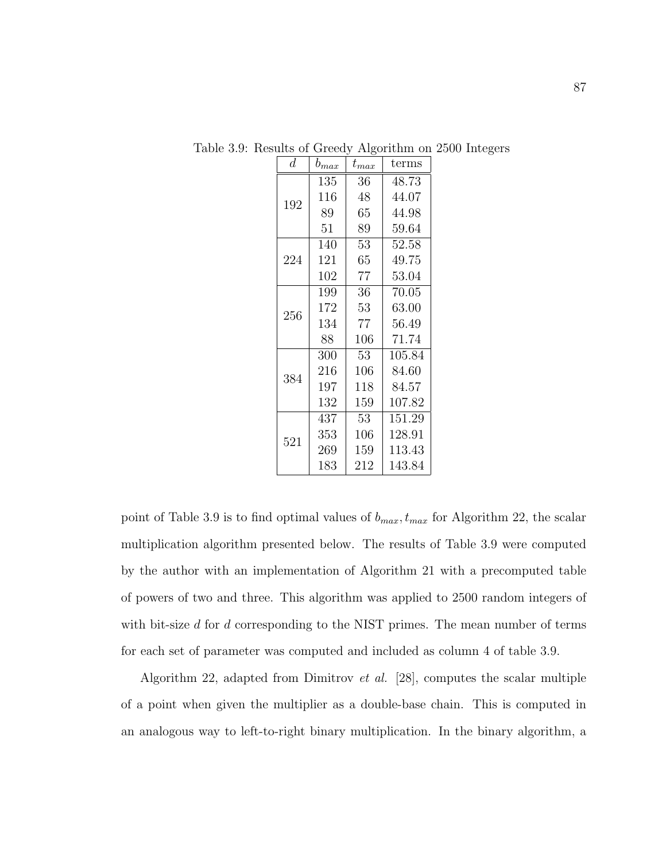| $\boldsymbol{d}$ | $b_{max}$ |             | terms  |
|------------------|-----------|-------------|--------|
|                  | 135       | 36          | 48.73  |
| 192              | 116       | 48          | 44.07  |
|                  | 89        | 65          | 44.98  |
|                  | 51        | 89          | 59.64  |
|                  | 140       | 53          | 52.58  |
| 224              | 121       | 65<br>49.75 |        |
|                  | 102       | 77          | 53.04  |
|                  | 199       | 36          | 70.05  |
| 256              | 172       | 53          | 63.00  |
|                  | 134       | 77          | 56.49  |
|                  | 88        | 106         | 71.74  |
|                  | 300       | 53          | 105.84 |
| 384              | 216       | 106         | 84.60  |
|                  | 197       | 118         | 84.57  |
|                  | 132       | 159         | 107.82 |
|                  | 437       | 53          | 151.29 |
| 521              | 353       | 106         | 128.91 |
|                  | 269       | 159         | 113.43 |
|                  | 183       | 212         | 143.84 |

Table 3.9: Results of Greedy Algorithm on 2500 Integers

point of Table 3.9 is to find optimal values of  $b_{max}$ ,  $t_{max}$  for Algorithm 22, the scalar multiplication algorithm presented below. The results of Table 3.9 were computed by the author with an implementation of Algorithm 21 with a precomputed table of powers of two and three. This algorithm was applied to 2500 random integers of with bit-size  $d$  for  $d$  corresponding to the NIST primes. The mean number of terms for each set of parameter was computed and included as column 4 of table 3.9.

Algorithm 22, adapted from Dimitrov et al. [28], computes the scalar multiple of a point when given the multiplier as a double-base chain. This is computed in an analogous way to left-to-right binary multiplication. In the binary algorithm, a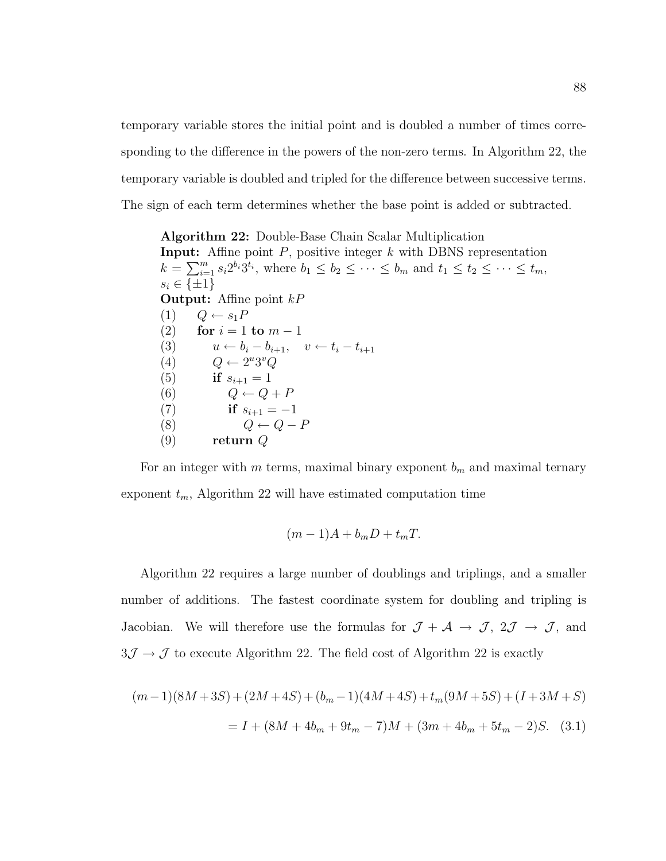temporary variable stores the initial point and is doubled a number of times corresponding to the difference in the powers of the non-zero terms. In Algorithm 22, the temporary variable is doubled and tripled for the difference between successive terms. The sign of each term determines whether the base point is added or subtracted.

Algorithm 22: Double-Base Chain Scalar Multiplication **Input:** Affine point  $P$ , positive integer  $k$  with DBNS representation  $k = \sum_{i=1}^{m} s_i 2^{b_i} 3^{t_i}$ , where  $b_1 \leq b_2 \leq \cdots \leq b_m$  and  $t_1 \leq t_2 \leq \cdots \leq t_m$ ,  $s_i \in \{\pm 1\}$ **Output:** Affine point  $kP$  $(1)$   $Q \leftarrow s_1 P$ (2) for  $i = 1$  to  $m - 1$ (3)  $u \leftarrow b_i - b_{i+1}, \quad v \leftarrow t_i - t_{i+1}$ (4)  $Q \leftarrow 2^u 3^v Q$ (5) if  $s_{i+1} = 1$ (6)  $Q \leftarrow Q + P$ (7) if  $s_{i+1} = -1$ (8)  $Q \leftarrow Q - P$  $(9)$  return  $Q$ 

For an integer with m terms, maximal binary exponent  $b_m$  and maximal ternary exponent  $t_m$ , Algorithm 22 will have estimated computation time

$$
(m-1)A + b_m D + t_m T.
$$

Algorithm 22 requires a large number of doublings and triplings, and a smaller number of additions. The fastest coordinate system for doubling and tripling is Jacobian. We will therefore use the formulas for  $\mathcal{J} + \mathcal{A} \rightarrow \mathcal{J}$ ,  $2\mathcal{J} \rightarrow \mathcal{J}$ , and  $3J \rightarrow \mathcal{J}$  to execute Algorithm 22. The field cost of Algorithm 22 is exactly

$$
(m-1)(8M+3S) + (2M+4S) + (b_m-1)(4M+4S) + t_m(9M+5S) + (I+3M+S)
$$
  
=  $I + (8M+4b_m+9t_m-7)M + (3m+4b_m+5t_m-2)S.$  (3.1)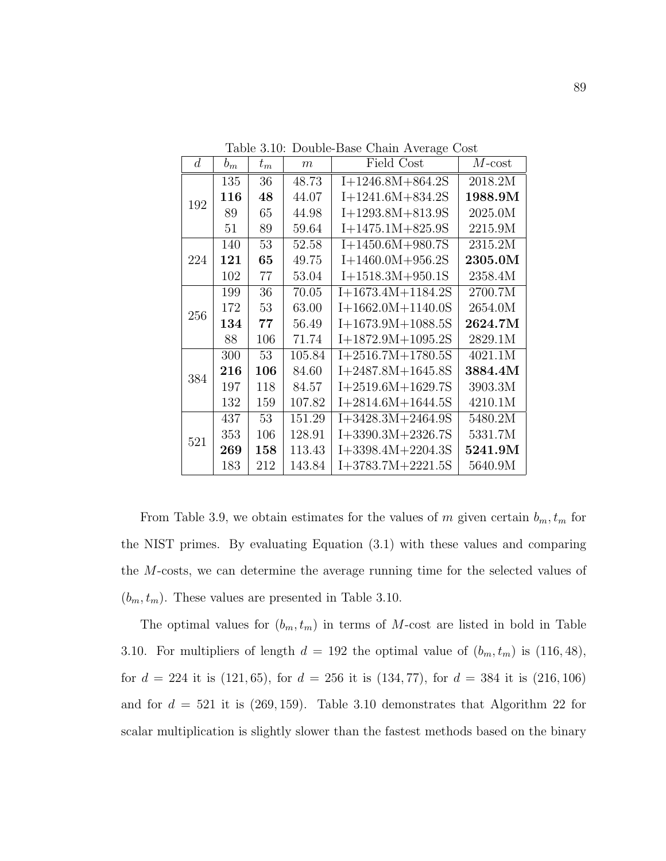| d   | $b_m$ | $t_{m}$ | $\boldsymbol{m}$ | Field Cost          | $M\text{-}\mathrm{cost}$ |
|-----|-------|---------|------------------|---------------------|--------------------------|
|     | 135   | 36      | 48.73            | $I+1246.8M+864.2S$  | 2018.2M                  |
| 192 | 116   | 48      | 44.07            | $I+1241.6M+834.2S$  | 1988.9M                  |
|     | 89    | 65      | 44.98            | $I+1293.8M+813.9S$  | 2025.0M                  |
|     | 51    | 89      | 59.64            | $I+1475.1M+825.9S$  | 2215.9M                  |
|     | 140   | 53      | 52.58            | $I+1450.6M+980.7S$  | 2315.2M                  |
| 224 | 121   | 65      | 49.75            | $I+1460.0M+956.2S$  | 2305.0M                  |
|     | 102   | 77      | 53.04            | $I+1518.3M+950.1S$  | 2358.4M                  |
|     | 199   | 36      | 70.05            | $I+1673.4M+1184.2S$ | 2700.7M                  |
|     | 172   | 53      | 63.00            | $I+1662.0M+1140.0S$ | 2654.0M                  |
| 256 | 134   | 77      | 56.49            | $I+1673.9M+1088.5S$ | 2624.7M                  |
|     | 88    | 106     | 71.74            | $I+1872.9M+1095.2S$ | 2829.1M                  |
|     | 300   | 53      | 105.84           | $I+2516.7M+1780.5S$ | 4021.1M                  |
| 384 | 216   | 106     | 84.60            | $I+2487.8M+1645.8S$ | 3884.4M                  |
|     | 197   | 118     | 84.57            | $I+2519.6M+1629.7S$ | 3903.3M                  |
|     | 132   | 159     | 107.82           | $I+2814.6M+1644.5S$ | 4210.1M                  |
|     | 437   | 53      | 151.29           | $I+3428.3M+2464.9S$ | 5480.2M                  |
| 521 | 353   | 106     | 128.91           | $I+3390.3M+2326.7S$ | 5331.7M                  |
|     | 269   | 158     | 113.43           | $I+3398.4M+2204.3S$ | 5241.9M                  |
|     | 183   | 212     | 143.84           | $I+3783.7M+2221.5S$ | 5640.9M                  |

Table 3.10: Double-Base Chain Average Cost

From Table 3.9, we obtain estimates for the values of m given certain  $b_m, t_m$  for the NIST primes. By evaluating Equation (3.1) with these values and comparing the M-costs, we can determine the average running time for the selected values of  $(b_m, t_m)$ . These values are presented in Table 3.10.

The optimal values for  $(b_m, t_m)$  in terms of M-cost are listed in bold in Table 3.10. For multipliers of length  $d = 192$  the optimal value of  $(b_m, t_m)$  is  $(116, 48)$ , for  $d = 224$  it is (121, 65), for  $d = 256$  it is (134, 77), for  $d = 384$  it is (216, 106) and for  $d = 521$  it is (269, 159). Table 3.10 demonstrates that Algorithm 22 for scalar multiplication is slightly slower than the fastest methods based on the binary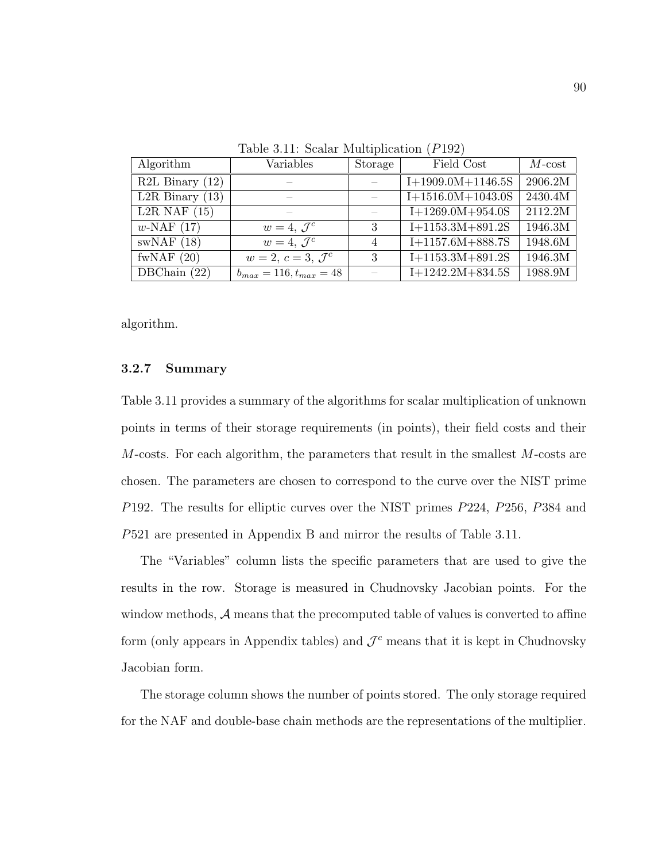| Algorithm                   | Variables                     | Storage | Field Cost          | $M$ -cost |
|-----------------------------|-------------------------------|---------|---------------------|-----------|
| $R2L$ Binary $(12)$         |                               |         | $I+1909.0M+1146.5S$ | 2906.2M   |
| L2R Binary $(13)$           |                               |         | $I+1516.0M+1043.0S$ | 2430.4M   |
| L <sub>2</sub> R NAF $(15)$ |                               |         | $I+1269.0M+954.0S$  | 2112.2M   |
| $w\text{-NAF}$ (17)         | $w=4, \mathcal{J}^c$          | 3       | $I+1153.3M+891.2S$  | 1946.3M   |
| swNAF(18)                   | $w=4, \mathcal{J}^c$          | 4       | $I+1157.6M+888.7S$  | 1948.6M   |
| fwNAF $(20)$                | $w=2, c=3, \mathcal{J}^c$     | 3       | $I+1153.3M+891.2S$  | 1946.3M   |
| DBChain $(22)$              | $b_{max} = 116, t_{max} = 48$ |         | $I+1242.2M+834.5S$  | 1988.9M   |

Table 3.11: Scalar Multiplication (P192)

algorithm.

# 3.2.7 Summary

Table 3.11 provides a summary of the algorithms for scalar multiplication of unknown points in terms of their storage requirements (in points), their field costs and their  $M$ -costs. For each algorithm, the parameters that result in the smallest  $M$ -costs are chosen. The parameters are chosen to correspond to the curve over the NIST prime P192. The results for elliptic curves over the NIST primes P224, P256, P384 and P521 are presented in Appendix B and mirror the results of Table 3.11.

The "Variables" column lists the specific parameters that are used to give the results in the row. Storage is measured in Chudnovsky Jacobian points. For the window methods,  $A$  means that the precomputed table of values is converted to affine form (only appears in Appendix tables) and  $\mathcal{J}^c$  means that it is kept in Chudnovsky Jacobian form.

The storage column shows the number of points stored. The only storage required for the NAF and double-base chain methods are the representations of the multiplier.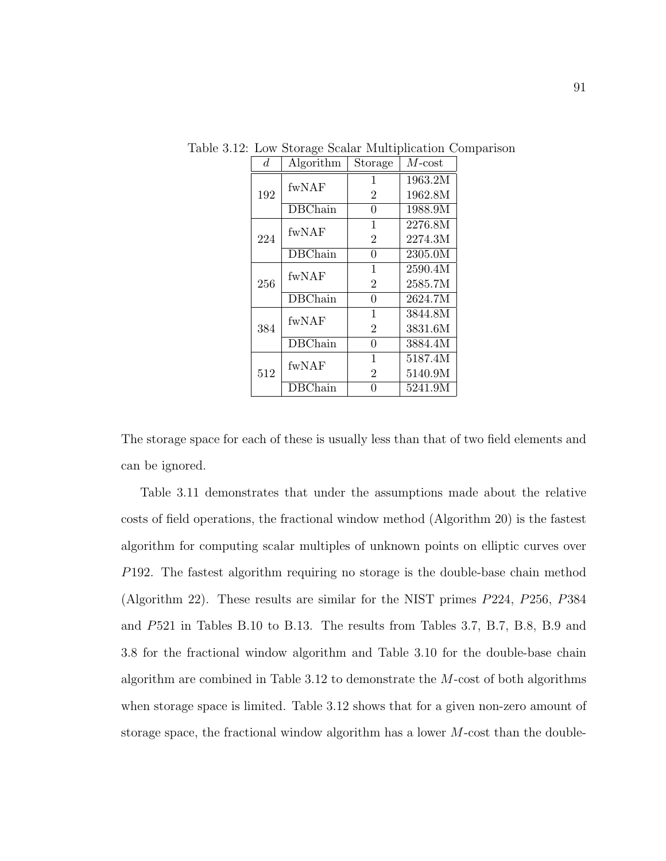|  | d.  | Algorithm      | Storage        | $M$ - $cost$ |
|--|-----|----------------|----------------|--------------|
|  | 192 | fwNAF          | 1              | 1963.2M      |
|  |     |                | $\overline{2}$ | 1962.8M      |
|  |     | DBChain        | 0              | 1988.9M      |
|  | 224 | fwNAF          | 1              | 2276.8M      |
|  |     |                | $\overline{2}$ | 2274.3M      |
|  |     | <b>DBChain</b> | 0              | 2305.0M      |
|  | 256 | fwNAF          | 1              | 2590.4M      |
|  |     |                | $\overline{2}$ | 2585.7M      |
|  |     | <b>DBChain</b> | 0              | 2624.7M      |
|  | 384 | fwNAF          | 1              | 3844.8M      |
|  |     |                | $\overline{2}$ | 3831.6M      |
|  |     | <b>DBChain</b> | 0              | 3884.4M      |
|  | 512 | fwNAF          | 1              | 5187.4M      |
|  |     |                | $\overline{2}$ | 5140.9M      |
|  |     | <b>DBChain</b> |                | 5241.9M      |

Table 3.12: Low Storage Scalar Multiplication Comparison

The storage space for each of these is usually less than that of two field elements and can be ignored.

Table 3.11 demonstrates that under the assumptions made about the relative costs of field operations, the fractional window method (Algorithm 20) is the fastest algorithm for computing scalar multiples of unknown points on elliptic curves over P192. The fastest algorithm requiring no storage is the double-base chain method (Algorithm 22). These results are similar for the NIST primes P224, P256, P384 and P521 in Tables B.10 to B.13. The results from Tables 3.7, B.7, B.8, B.9 and 3.8 for the fractional window algorithm and Table 3.10 for the double-base chain algorithm are combined in Table 3.12 to demonstrate the M-cost of both algorithms when storage space is limited. Table 3.12 shows that for a given non-zero amount of storage space, the fractional window algorithm has a lower M-cost than the double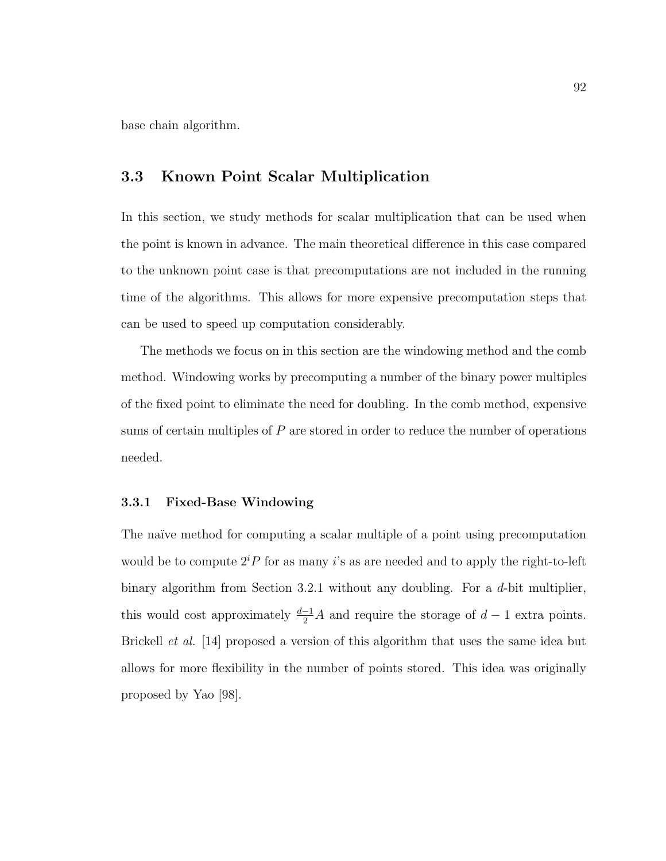base chain algorithm.

# 3.3 Known Point Scalar Multiplication

In this section, we study methods for scalar multiplication that can be used when the point is known in advance. The main theoretical difference in this case compared to the unknown point case is that precomputations are not included in the running time of the algorithms. This allows for more expensive precomputation steps that can be used to speed up computation considerably.

The methods we focus on in this section are the windowing method and the comb method. Windowing works by precomputing a number of the binary power multiples of the fixed point to eliminate the need for doubling. In the comb method, expensive sums of certain multiples of  $P$  are stored in order to reduce the number of operations needed.

#### 3.3.1 Fixed-Base Windowing

The naïve method for computing a scalar multiple of a point using precomputation would be to compute  $2^{i}P$  for as many i's as are needed and to apply the right-to-left binary algorithm from Section 3.2.1 without any doubling. For a  $d$ -bit multiplier, this would cost approximately  $\frac{d-1}{2}A$  and require the storage of  $d-1$  extra points. Brickell *et al.* [14] proposed a version of this algorithm that uses the same idea but allows for more flexibility in the number of points stored. This idea was originally proposed by Yao [98].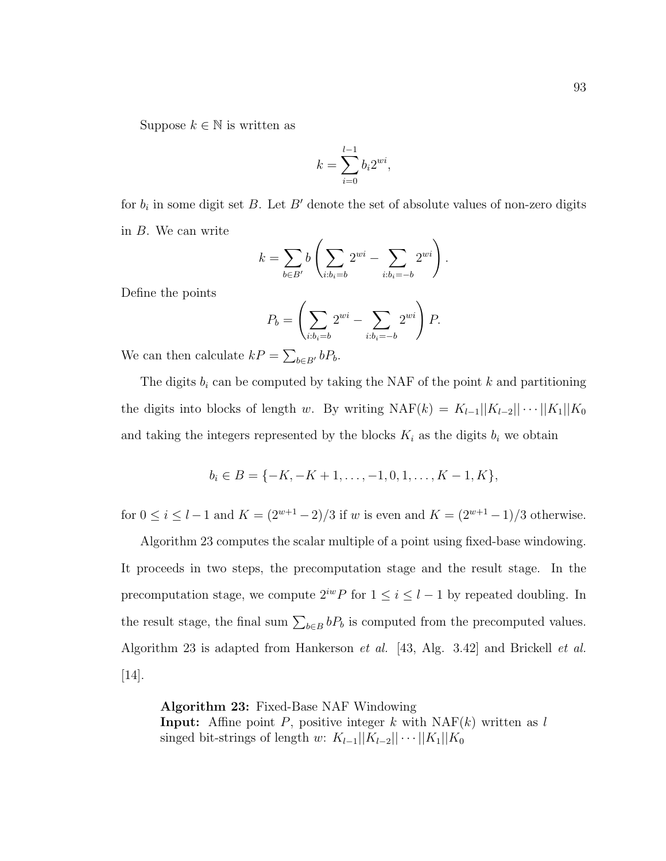Suppose  $k \in \mathbb{N}$  is written as

$$
k = \sum_{i=0}^{l-1} b_i 2^{wi},
$$

for  $b_i$  in some digit set B. Let B' denote the set of absolute values of non-zero digits in B. We can write

$$
k = \sum_{b \in B'} b\left(\sum_{i:b_i=b} 2^{wi} - \sum_{i:b_i=-b} 2^{wi}\right).
$$

Define the points

$$
P_b = \left(\sum_{i:b_i=b} 2^{wi} - \sum_{i:b_i=-b} 2^{wi}\right) P.
$$

We can then calculate  $kP = \sum_{b \in B'} bP_b$ .

The digits  $b_i$  can be computed by taking the NAF of the point k and partitioning the digits into blocks of length w. By writing NAF(k) =  $K_{l-1}||K_{l-2}||\cdots||K_1||K_0$ and taking the integers represented by the blocks  $K_i$  as the digits  $b_i$  we obtain

$$
b_i \in B = \{-K, -K+1, \dots, -1, 0, 1, \dots, K-1, K\},\
$$

for  $0 \le i \le l-1$  and  $K = (2^{w+1}-2)/3$  if w is even and  $K = (2^{w+1}-1)/3$  otherwise.

Algorithm 23 computes the scalar multiple of a point using fixed-base windowing. It proceeds in two steps, the precomputation stage and the result stage. In the precomputation stage, we compute  $2^{iw}P$  for  $1 \leq i \leq l-1$  by repeated doubling. In the result stage, the final sum  $\sum_{b \in B} bP_b$  is computed from the precomputed values. Algorithm 23 is adapted from Hankerson et al. [43, Alg. 3.42] and Brickell et al. [14].

Algorithm 23: Fixed-Base NAF Windowing **Input:** Affine point P, positive integer k with  $NAF(k)$  written as l singed bit-strings of length w:  $K_{l-1}||K_{l-2}||\cdots||K_1||K_0$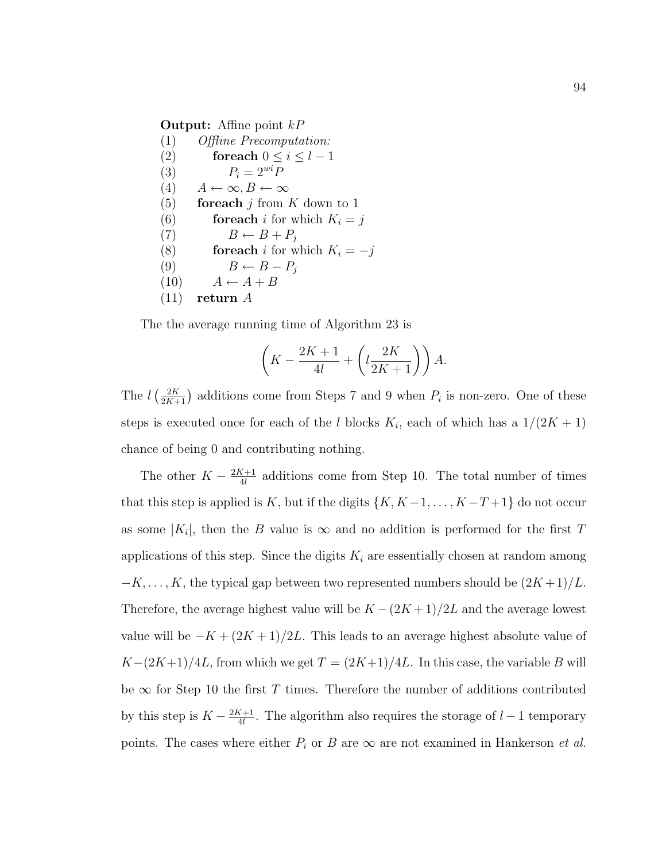## **Output:** Affine point  $kP$

(1) Offline Precomputation: (2) for each  $0 \leq i \leq l-1$ (3)  $P_i = 2^{wi}P$  $(4)$   $A \leftarrow \infty, B \leftarrow \infty$ (5) for each j from K down to 1 (6) **for each** i for which  $K_i = j$ (7)  $B \leftarrow B + P_j$ (8) **for each** i for which  $K_i = -j$ (9)  $B \leftarrow B - P_j$  $(10)$   $A \leftarrow A + B$ (11) return A

The the average running time of Algorithm 23 is

$$
\left(K - \frac{2K+1}{4l} + \left(l\frac{2K}{2K+1}\right)\right)A.
$$

The  $l\left(\frac{2K}{2K+1}\right)$  additions come from Steps 7 and 9 when  $P_i$  is non-zero. One of these steps is executed once for each of the l blocks  $K_i$ , each of which has a  $1/(2K+1)$ chance of being 0 and contributing nothing.

The other  $K - \frac{2K+1}{4}$  $\frac{K+1}{4l}$  additions come from Step 10. The total number of times that this step is applied is K, but if the digits  $\{K, K-1, \ldots, K-T+1\}$  do not occur as some  $|K_i|$ , then the B value is  $\infty$  and no addition is performed for the first T applications of this step. Since the digits  $K_i$  are essentially chosen at random among  $-K, \ldots, K$ , the typical gap between two represented numbers should be  $(2K+1)/L$ . Therefore, the average highest value will be  $K-(2K+1)/2L$  and the average lowest value will be  $-K + (2K + 1)/2L$ . This leads to an average highest absolute value of  $K-(2K+1)/4L$ , from which we get  $T=(2K+1)/4L$ . In this case, the variable B will be  $\infty$  for Step 10 the first T times. Therefore the number of additions contributed by this step is  $K - \frac{2K+1}{4}$  $\frac{K+1}{4l}$ . The algorithm also requires the storage of  $l-1$  temporary points. The cases where either  $P_i$  or B are  $\infty$  are not examined in Hankerson *et al.*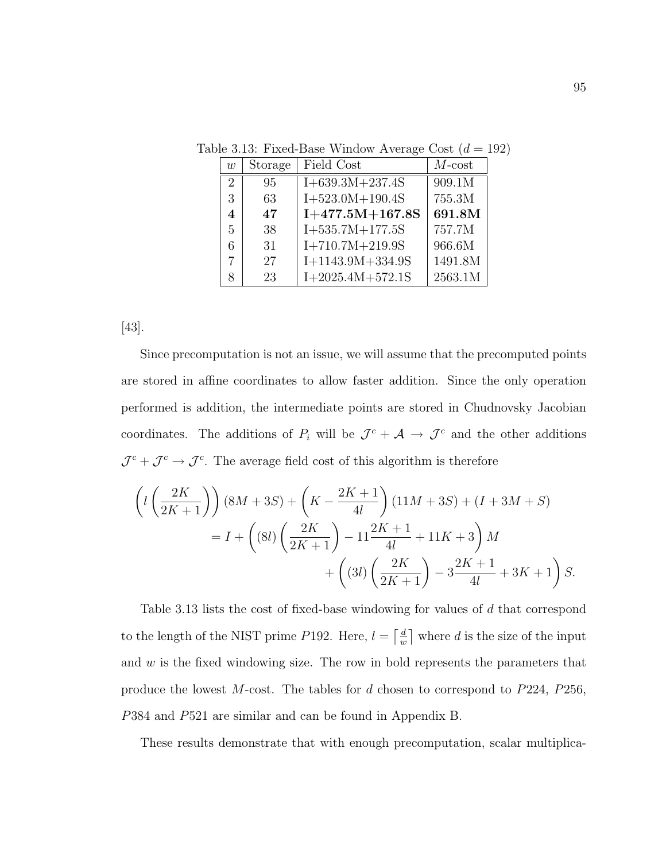| w                       | Storage | Field Cost         | $M$ -cost |
|-------------------------|---------|--------------------|-----------|
| 2                       | 95      | $I+639.3M+237.4S$  | 909.1M    |
| 3                       | 63      | $I+523.0M+190.4S$  | 755.3M    |
| $\overline{\mathbf{4}}$ | 47      | $I+477.5M+167.8S$  | 691.8M    |
| 5                       | 38      | $I+535.7M+177.5S$  | 757.7M    |
| 6                       | 31      | $I+710.7M+219.9S$  | 966.6M    |
| 7                       | 27      | $I+1143.9M+334.9S$ | 1491.8M   |
| 8                       | 23      | $I+2025.4M+572.1S$ | 2563.1M   |

Table 3.13: Fixed-Base Window Average Cost  $(d = 192)$ 

[43].

Since precomputation is not an issue, we will assume that the precomputed points are stored in affine coordinates to allow faster addition. Since the only operation performed is addition, the intermediate points are stored in Chudnovsky Jacobian coordinates. The additions of  $P_i$  will be  $\mathcal{J}^c + \mathcal{A} \to \mathcal{J}^c$  and the other additions  $\mathcal{J}^c + \mathcal{J}^c \rightarrow \mathcal{J}^c$ . The average field cost of this algorithm is therefore

$$
\left(l\left(\frac{2K}{2K+1}\right)\right)(8M+3S) + \left(K - \frac{2K+1}{4l}\right)(11M+3S) + (I + 3M + S)
$$
  
=  $I + \left((8l)\left(\frac{2K}{2K+1}\right) - 11\frac{2K+1}{4l} + 11K + 3\right)M + \left((3l)\left(\frac{2K}{2K+1}\right) - 3\frac{2K+1}{4l} + 3K + 1\right)S.$ 

Table 3.13 lists the cost of fixed-base windowing for values of d that correspond to the length of the NIST prime P192. Here,  $l = \frac{d}{dt}$  $\frac{d}{w}$  where d is the size of the input and  $w$  is the fixed windowing size. The row in bold represents the parameters that produce the lowest M-cost. The tables for d chosen to correspond to  $P224$ ,  $P256$ , P384 and P521 are similar and can be found in Appendix B.

These results demonstrate that with enough precomputation, scalar multiplica-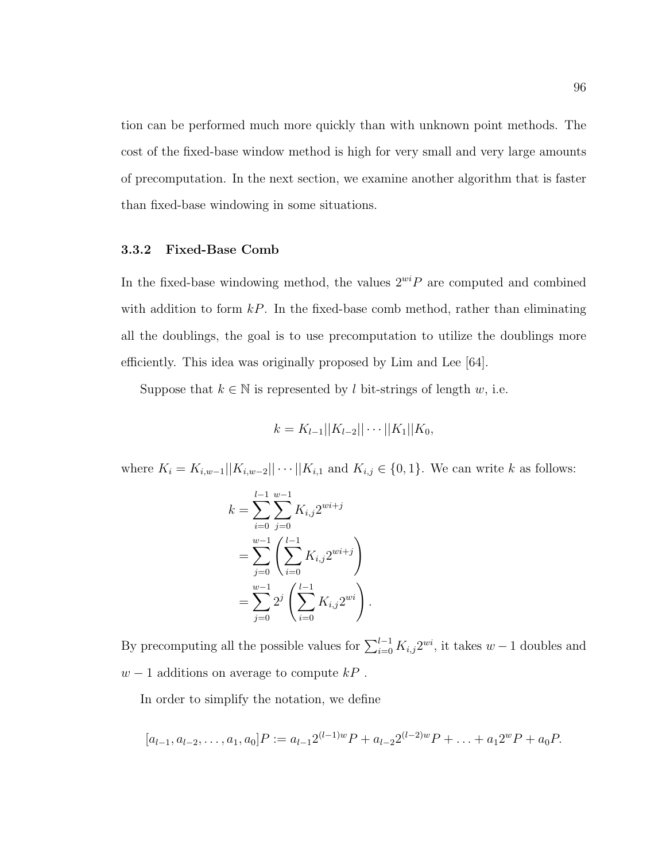tion can be performed much more quickly than with unknown point methods. The cost of the fixed-base window method is high for very small and very large amounts of precomputation. In the next section, we examine another algorithm that is faster than fixed-base windowing in some situations.

# 3.3.2 Fixed-Base Comb

In the fixed-base windowing method, the values  $2^{wi}P$  are computed and combined with addition to form  $kP$ . In the fixed-base comb method, rather than eliminating all the doublings, the goal is to use precomputation to utilize the doublings more efficiently. This idea was originally proposed by Lim and Lee [64].

Suppose that  $k \in \mathbb{N}$  is represented by l bit-strings of length w, i.e.

$$
k = K_{l-1}||K_{l-2}||\cdots||K_1||K_0,
$$

where  $K_i = K_{i,w-1}||K_{i,w-2}|| \cdots ||K_{i,1}$  and  $K_{i,j} \in \{0,1\}$ . We can write k as follows:

$$
k = \sum_{i=0}^{l-1} \sum_{j=0}^{w-1} K_{i,j} 2^{w i+j}
$$
  
= 
$$
\sum_{j=0}^{w-1} \left( \sum_{i=0}^{l-1} K_{i,j} 2^{w i+j} \right)
$$
  
= 
$$
\sum_{j=0}^{w-1} 2^j \left( \sum_{i=0}^{l-1} K_{i,j} 2^{w i} \right).
$$

By precomputing all the possible values for  $\sum_{i=0}^{l-1} K_{i,j} 2^{wi}$ , it takes  $w-1$  doubles and  $w - 1$  additions on average to compute  $kP$ .

In order to simplify the notation, we define

$$
[a_{l-1}, a_{l-2}, \dots, a_1, a_0]P := a_{l-1}2^{(l-1)w}P + a_{l-2}2^{(l-2)w}P + \dots + a_12^wP + a_0P.
$$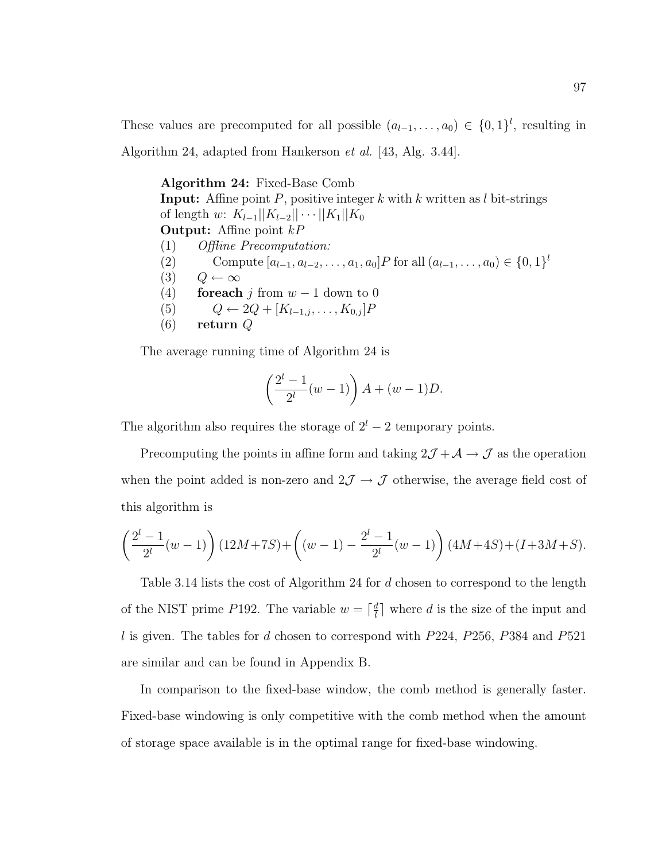These values are precomputed for all possible  $(a_{l-1},..., a_0) \in \{0,1\}^l$ , resulting in Algorithm 24, adapted from Hankerson et al. [43, Alg. 3.44].

Algorithm 24: Fixed-Base Comb **Input:** Affine point  $P$ , positive integer  $k$  with  $k$  written as  $l$  bit-strings of length w:  $K_{l-1}||K_{l-2}||\cdots||K_1||K_0$ **Output:** Affine point  $kP$ (1) Offline Precomputation: (2) Compute  $[a_{l-1}, a_{l-2}, \ldots, a_1, a_0]$ P for all  $(a_{l-1}, \ldots, a_0) \in \{0, 1\}^l$  $(3)$   $Q \leftarrow \infty$ (4) for each j from  $w - 1$  down to 0 (5)  $Q \leftarrow 2Q + [K_{l-1,j}, \ldots, K_{0,j}]P$  $(6)$  return Q

The average running time of Algorithm 24 is

$$
\left(\frac{2^l - 1}{2^l}(w - 1)\right)A + (w - 1)D.
$$

The algorithm also requires the storage of  $2<sup>l</sup> - 2$  temporary points.

Precomputing the points in affine form and taking  $2\mathcal{J} + \mathcal{A} \rightarrow \mathcal{J}$  as the operation when the point added is non-zero and  $2\mathcal{J}\rightarrow\mathcal{J}$  otherwise, the average field cost of this algorithm is

$$
\left(\frac{2^l-1}{2^l}(w-1)\right)(12M+7S) + \left((w-1) - \frac{2^l-1}{2^l}(w-1)\right)(4M+4S) + (I+3M+S).
$$

Table 3.14 lists the cost of Algorithm 24 for d chosen to correspond to the length of the NIST prime P192. The variable  $w = \lceil \frac{d}{l} \rceil$  $\frac{d}{l}$  where d is the size of the input and l is given. The tables for d chosen to correspond with  $P224$ ,  $P256$ ,  $P384$  and  $P521$ are similar and can be found in Appendix B.

In comparison to the fixed-base window, the comb method is generally faster. Fixed-base windowing is only competitive with the comb method when the amount of storage space available is in the optimal range for fixed-base windowing.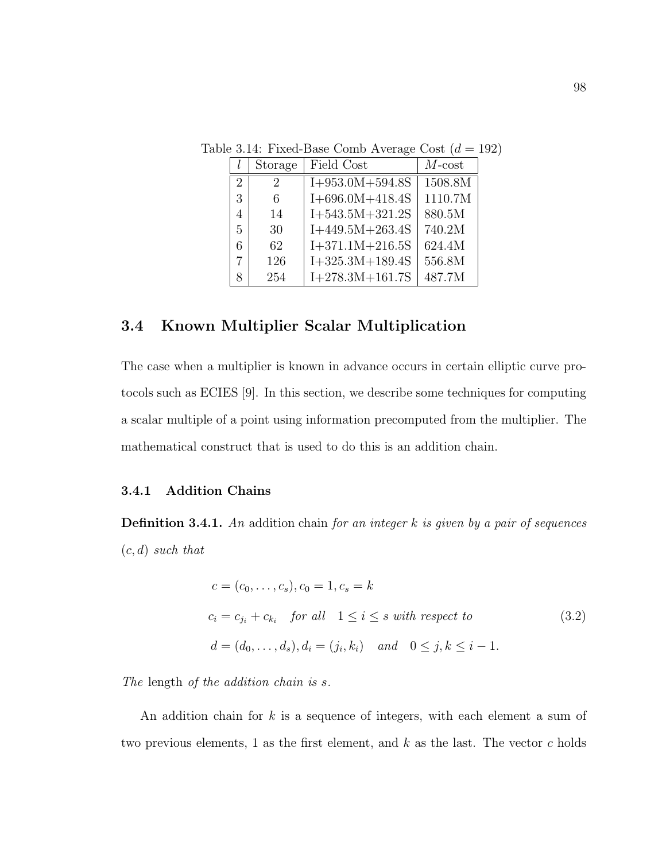|                             | Storage | Field Cost        | $M$ -cost |
|-----------------------------|---------|-------------------|-----------|
| $\mathcal{D}_{\mathcal{L}}$ | 2       | $I+953.0M+594.8S$ | 1508.8M   |
| 3                           | 6       | $I+696.0M+418.4S$ | 1110.7M   |
| 4                           | 14      | $I+543.5M+321.2S$ | 880.5M    |
| 5                           | 30      | $I+449.5M+263.4S$ | 740.2M    |
| 6                           | 62      | $I+371.1M+216.5S$ | 624.4M    |
|                             | 126     | $I+325.3M+189.4S$ | 556.8M    |
| x                           | 254     | $I+278.3M+161.7S$ | 487.7M    |

Table 3.14: Fixed-Base Comb Average Cost  $(d = 192)$ 

# 3.4 Known Multiplier Scalar Multiplication

The case when a multiplier is known in advance occurs in certain elliptic curve protocols such as ECIES [9]. In this section, we describe some techniques for computing a scalar multiple of a point using information precomputed from the multiplier. The mathematical construct that is used to do this is an addition chain.

# 3.4.1 Addition Chains

**Definition 3.4.1.** An addition chain for an integer  $k$  is given by a pair of sequences  $(c, d)$  such that

$$
c = (c_0, \dots, c_s), c_0 = 1, c_s = k
$$
  
\n
$$
c_i = c_{j_i} + c_{k_i} \quad \text{for all} \quad 1 \le i \le s \text{ with respect to}
$$
  
\n
$$
d = (d_0, \dots, d_s), d_i = (j_i, k_i) \quad \text{and} \quad 0 \le j, k \le i - 1.
$$
\n(3.2)

The length of the addition chain is s.

An addition chain for  $k$  is a sequence of integers, with each element a sum of two previous elements, 1 as the first element, and  $k$  as the last. The vector  $c$  holds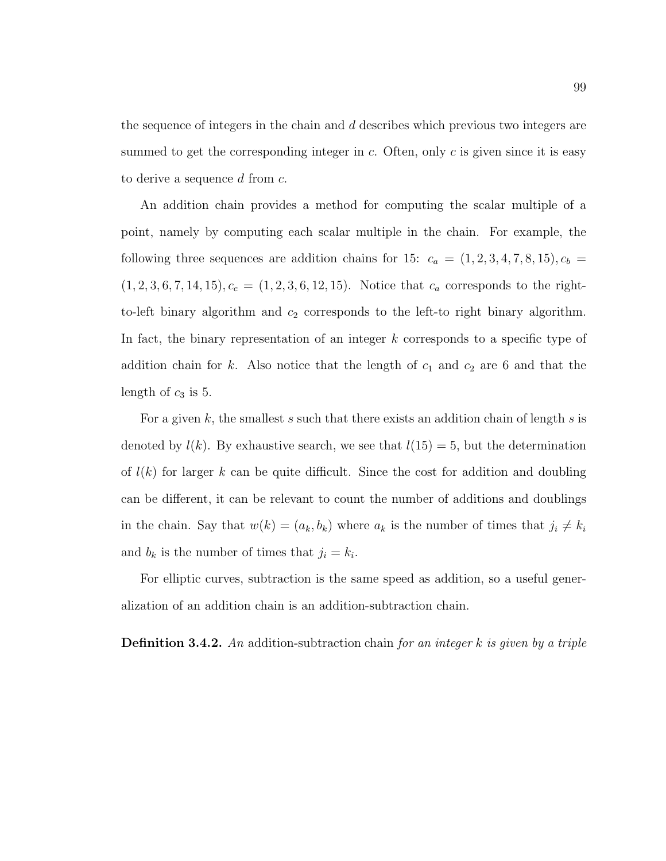the sequence of integers in the chain and d describes which previous two integers are summed to get the corresponding integer in  $c$ . Often, only  $c$  is given since it is easy to derive a sequence d from c.

An addition chain provides a method for computing the scalar multiple of a point, namely by computing each scalar multiple in the chain. For example, the following three sequences are addition chains for 15:  $c_a = (1, 2, 3, 4, 7, 8, 15), c_b =$  $(1, 2, 3, 6, 7, 14, 15), c_c = (1, 2, 3, 6, 12, 15).$  Notice that  $c_a$  corresponds to the rightto-left binary algorithm and  $c_2$  corresponds to the left-to right binary algorithm. In fact, the binary representation of an integer k corresponds to a specific type of addition chain for k. Also notice that the length of  $c_1$  and  $c_2$  are 6 and that the length of  $c_3$  is 5.

For a given k, the smallest s such that there exists an addition chain of length s is denoted by  $l(k)$ . By exhaustive search, we see that  $l(15) = 5$ , but the determination of  $l(k)$  for larger k can be quite difficult. Since the cost for addition and doubling can be different, it can be relevant to count the number of additions and doublings in the chain. Say that  $w(k) = (a_k, b_k)$  where  $a_k$  is the number of times that  $j_i \neq k_i$ and  $b_k$  is the number of times that  $j_i = k_i$ .

For elliptic curves, subtraction is the same speed as addition, so a useful generalization of an addition chain is an addition-subtraction chain.

**Definition 3.4.2.** An addition-subtraction chain for an integer  $k$  is given by a triple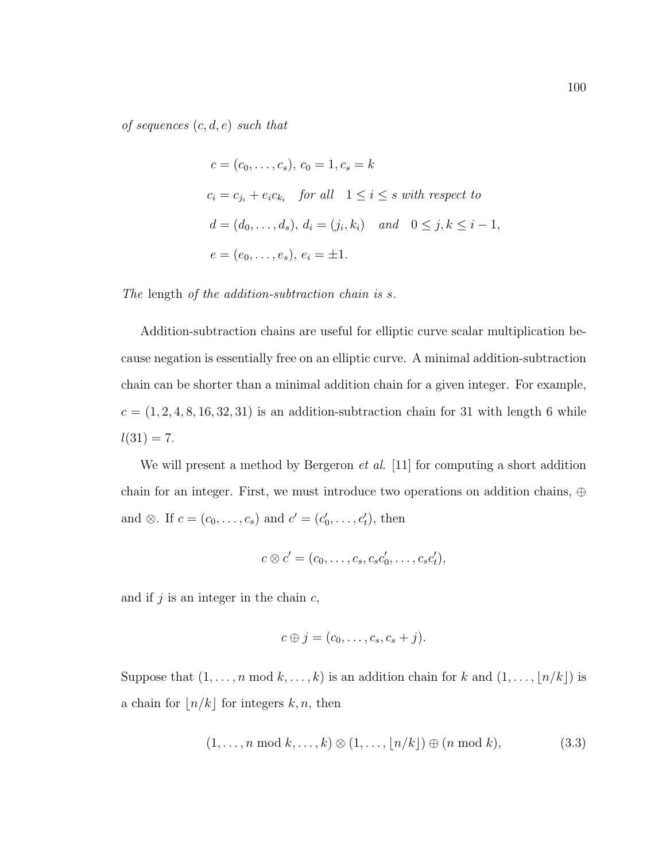of sequences  $(c, d, e)$  such that

$$
c = (c_0, \dots, c_s), c_0 = 1, c_s = k
$$
  
\n
$$
c_i = c_{j_i} + e_i c_{k_i} \quad \text{for all} \quad 1 \le i \le s \text{ with respect to}
$$
  
\n
$$
d = (d_0, \dots, d_s), d_i = (j_i, k_i) \quad \text{and} \quad 0 \le j, k \le i - 1,
$$
  
\n
$$
e = (e_0, \dots, e_s), e_i = \pm 1.
$$

The length of the addition-subtraction chain is s.

Addition-subtraction chains are useful for elliptic curve scalar multiplication because negation is essentially free on an elliptic curve. A minimal addition-subtraction chain can be shorter than a minimal addition chain for a given integer. For example,  $c = (1, 2, 4, 8, 16, 32, 31)$  is an addition-subtraction chain for 31 with length 6 while  $l(31) = 7.$ 

We will present a method by Bergeron *et al.* [11] for computing a short addition chain for an integer. First, we must introduce two operations on addition chains, ⊕ and  $\otimes$ . If  $c = (c_0, \ldots, c_s)$  and  $c' = (c'_0, \ldots, c'_t)$ , then

$$
c \otimes c' = (c_0, \ldots, c_s, c_s c'_0, \ldots, c_s c'_t),
$$

and if  $j$  is an integer in the chain  $c$ ,

$$
c \oplus j = (c_0, \ldots, c_s, c_s + j).
$$

Suppose that  $(1, \ldots, n \mod k, \ldots, k)$  is an addition chain for k and  $(1, \ldots, \lfloor n/k \rfloor)$  is a chain for  $\lfloor n/k \rfloor$  for integers k, n, then

$$
(1, \ldots, n \bmod k, \ldots, k) \otimes (1, \ldots, \lfloor n/k \rfloor) \oplus (n \bmod k), \tag{3.3}
$$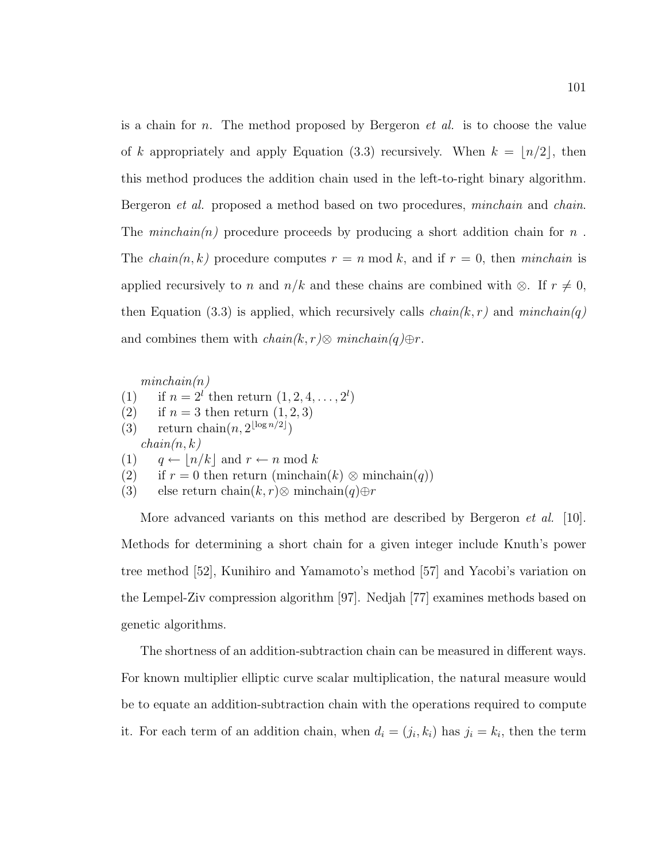is a chain for n. The method proposed by Bergeron  $et$  al. is to choose the value of k appropriately and apply Equation (3.3) recursively. When  $k = \lfloor n/2 \rfloor$ , then this method produces the addition chain used in the left-to-right binary algorithm. Bergeron *et al.* proposed a method based on two procedures, *minchain* and *chain*. The *minchain(n)* procedure proceeds by producing a short addition chain for  $n$ . The *chain*(n, k) procedure computes  $r = n \mod k$ , and if  $r = 0$ , then *minchain* is applied recursively to n and  $n/k$  and these chains are combined with ⊗. If  $r \neq 0$ , then Equation (3.3) is applied, which recursively calls  $chain(k, r)$  and  $minchain(q)$ and combines them with  $chain(k, r) \otimes minchain(q) \oplus r$ .

 $minchain(n)$ 

- (1) if  $n = 2^l$  then return  $(1, 2, 4, ..., 2^l)$
- (2) if  $n = 3$  then return  $(1, 2, 3)$
- (3) return chain $(n, 2^{\lfloor \log n/2 \rfloor})$
- $chain(n, k)$

(1)  $q \leftarrow |n/k|$  and  $r \leftarrow n \mod k$ 

- (2) if  $r = 0$  then return (minchain(k) ⊗ minchain(q))
- (3) else return chain $(k, r)$ ⊗ minchain $(q) \oplus r$

More advanced variants on this method are described by Bergeron *et al.* [10]. Methods for determining a short chain for a given integer include Knuth's power tree method [52], Kunihiro and Yamamoto's method [57] and Yacobi's variation on the Lempel-Ziv compression algorithm [97]. Nedjah [77] examines methods based on genetic algorithms.

The shortness of an addition-subtraction chain can be measured in different ways. For known multiplier elliptic curve scalar multiplication, the natural measure would be to equate an addition-subtraction chain with the operations required to compute it. For each term of an addition chain, when  $d_i = (j_i, k_i)$  has  $j_i = k_i$ , then the term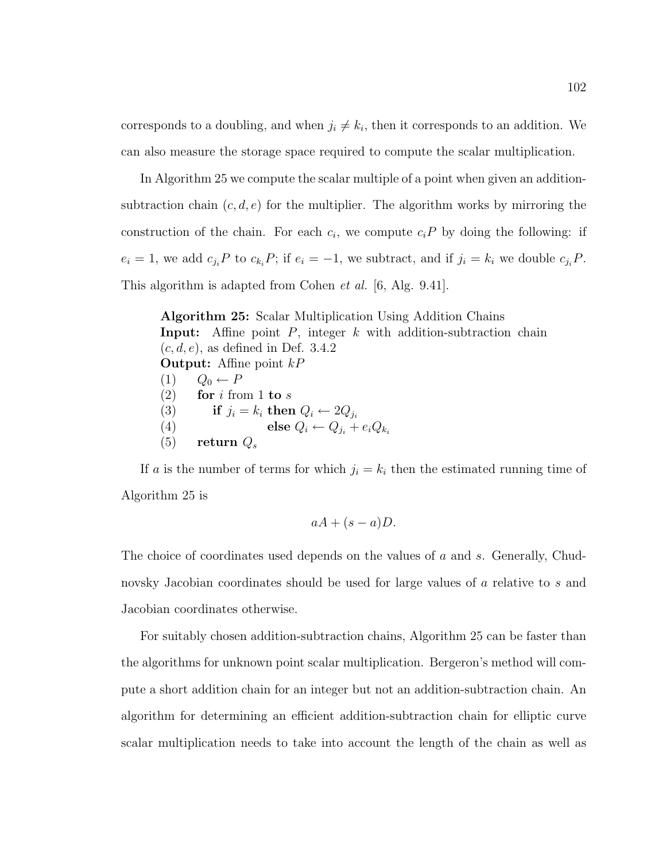corresponds to a doubling, and when  $j_i \neq k_i$ , then it corresponds to an addition. We can also measure the storage space required to compute the scalar multiplication.

In Algorithm 25 we compute the scalar multiple of a point when given an additionsubtraction chain  $(c, d, e)$  for the multiplier. The algorithm works by mirroring the construction of the chain. For each  $c_i$ , we compute  $c_i P$  by doing the following: if  $e_i = 1$ , we add  $c_{j_i}P$  to  $c_{k_i}P$ ; if  $e_i = -1$ , we subtract, and if  $j_i = k_i$  we double  $c_{j_i}P$ . This algorithm is adapted from Cohen *et al.* [6, Alg. 9.41].

Algorithm 25: Scalar Multiplication Using Addition Chains **Input:** Affine point  $P$ , integer  $k$  with addition-subtraction chain  $(c, d, e)$ , as defined in Def. 3.4.2 **Output:** Affine point  $kP$ (1)  $Q_0 \leftarrow P$ (2) for i from 1 to s (3) if  $j_i = k_i$  then  $Q_i \leftarrow 2Q_{j_i}$ (4) else  $Q_i \leftarrow Q_{j_i} + e_i Q_{k_i}$  $(5)$  return  $Q_s$ 

If a is the number of terms for which  $j_i = k_i$  then the estimated running time of Algorithm 25 is

$$
aA + (s - a)D.
$$

The choice of coordinates used depends on the values of a and s. Generally, Chudnovsky Jacobian coordinates should be used for large values of a relative to s and Jacobian coordinates otherwise.

For suitably chosen addition-subtraction chains, Algorithm 25 can be faster than the algorithms for unknown point scalar multiplication. Bergeron's method will compute a short addition chain for an integer but not an addition-subtraction chain. An algorithm for determining an efficient addition-subtraction chain for elliptic curve scalar multiplication needs to take into account the length of the chain as well as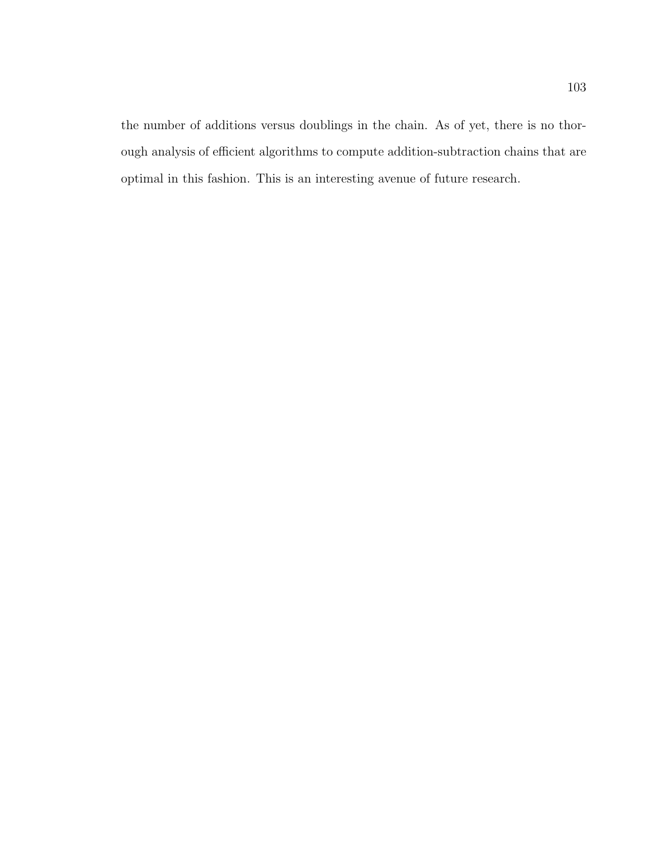the number of additions versus doublings in the chain. As of yet, there is no thorough analysis of efficient algorithms to compute addition-subtraction chains that are optimal in this fashion. This is an interesting avenue of future research.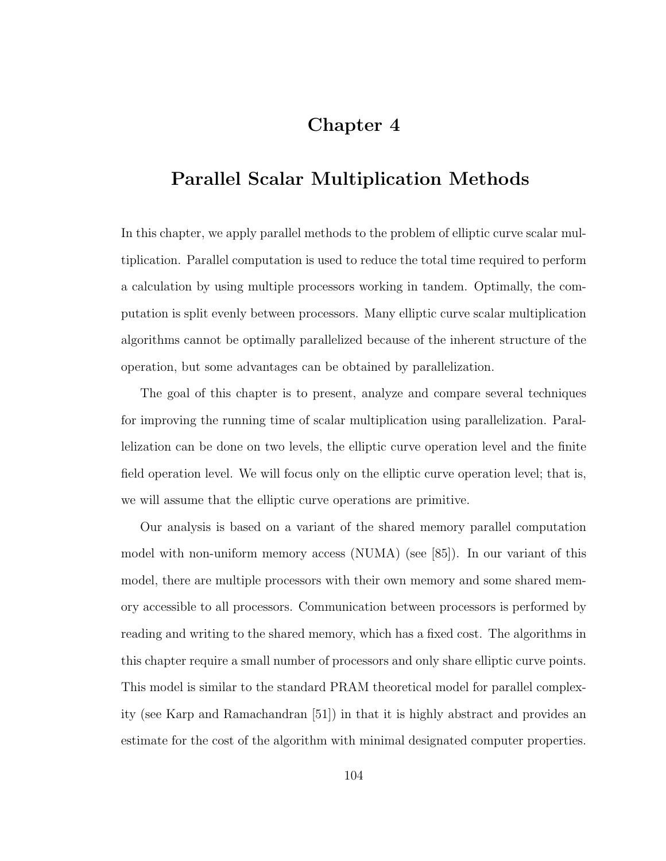# Chapter 4

# Parallel Scalar Multiplication Methods

In this chapter, we apply parallel methods to the problem of elliptic curve scalar multiplication. Parallel computation is used to reduce the total time required to perform a calculation by using multiple processors working in tandem. Optimally, the computation is split evenly between processors. Many elliptic curve scalar multiplication algorithms cannot be optimally parallelized because of the inherent structure of the operation, but some advantages can be obtained by parallelization.

The goal of this chapter is to present, analyze and compare several techniques for improving the running time of scalar multiplication using parallelization. Parallelization can be done on two levels, the elliptic curve operation level and the finite field operation level. We will focus only on the elliptic curve operation level; that is, we will assume that the elliptic curve operations are primitive.

Our analysis is based on a variant of the shared memory parallel computation model with non-uniform memory access  $(NUMA)$  (see [85]). In our variant of this model, there are multiple processors with their own memory and some shared memory accessible to all processors. Communication between processors is performed by reading and writing to the shared memory, which has a fixed cost. The algorithms in this chapter require a small number of processors and only share elliptic curve points. This model is similar to the standard PRAM theoretical model for parallel complexity (see Karp and Ramachandran [51]) in that it is highly abstract and provides an estimate for the cost of the algorithm with minimal designated computer properties.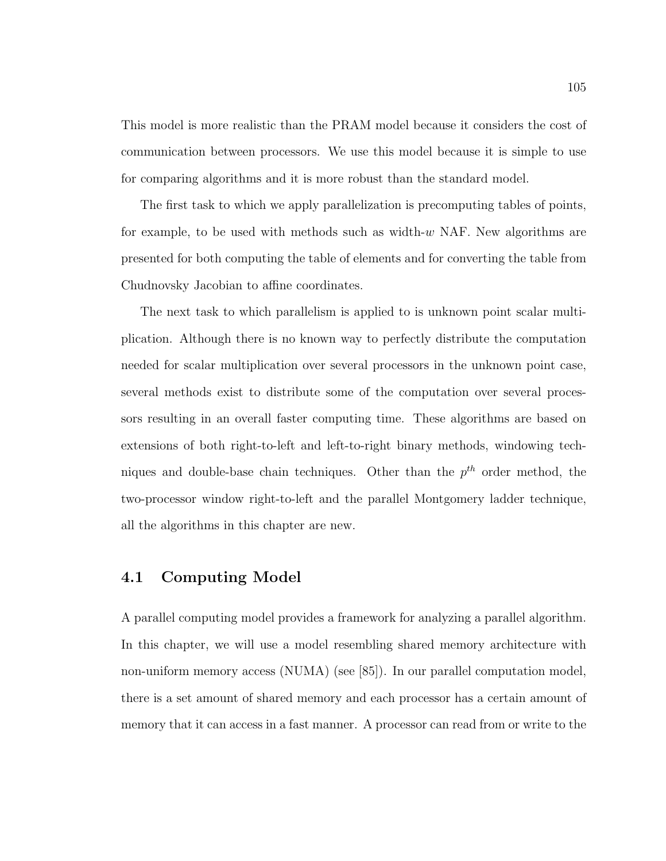This model is more realistic than the PRAM model because it considers the cost of communication between processors. We use this model because it is simple to use for comparing algorithms and it is more robust than the standard model.

The first task to which we apply parallelization is precomputing tables of points, for example, to be used with methods such as width-w NAF. New algorithms are presented for both computing the table of elements and for converting the table from Chudnovsky Jacobian to affine coordinates.

The next task to which parallelism is applied to is unknown point scalar multiplication. Although there is no known way to perfectly distribute the computation needed for scalar multiplication over several processors in the unknown point case, several methods exist to distribute some of the computation over several processors resulting in an overall faster computing time. These algorithms are based on extensions of both right-to-left and left-to-right binary methods, windowing techniques and double-base chain techniques. Other than the  $p^{th}$  order method, the two-processor window right-to-left and the parallel Montgomery ladder technique, all the algorithms in this chapter are new.

# 4.1 Computing Model

A parallel computing model provides a framework for analyzing a parallel algorithm. In this chapter, we will use a model resembling shared memory architecture with non-uniform memory access (NUMA) (see [85]). In our parallel computation model, there is a set amount of shared memory and each processor has a certain amount of memory that it can access in a fast manner. A processor can read from or write to the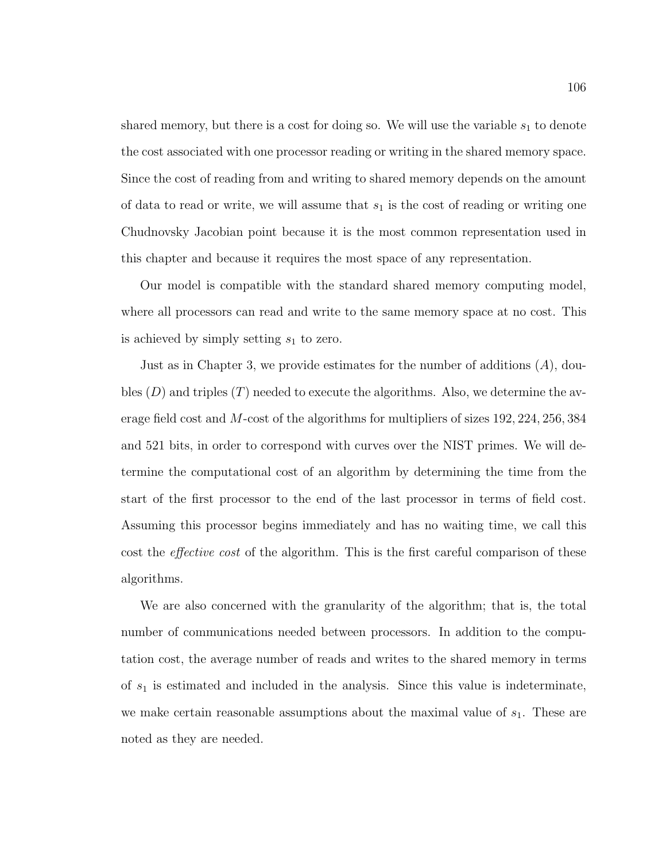shared memory, but there is a cost for doing so. We will use the variable  $s_1$  to denote the cost associated with one processor reading or writing in the shared memory space. Since the cost of reading from and writing to shared memory depends on the amount of data to read or write, we will assume that  $s_1$  is the cost of reading or writing one Chudnovsky Jacobian point because it is the most common representation used in this chapter and because it requires the most space of any representation.

Our model is compatible with the standard shared memory computing model, where all processors can read and write to the same memory space at no cost. This is achieved by simply setting  $s_1$  to zero.

Just as in Chapter 3, we provide estimates for the number of additions  $(A)$ , doubles  $(D)$  and triples  $(T)$  needed to execute the algorithms. Also, we determine the average field cost and M-cost of the algorithms for multipliers of sizes 192, 224, 256, 384 and 521 bits, in order to correspond with curves over the NIST primes. We will determine the computational cost of an algorithm by determining the time from the start of the first processor to the end of the last processor in terms of field cost. Assuming this processor begins immediately and has no waiting time, we call this cost the *effective cost* of the algorithm. This is the first careful comparison of these algorithms.

We are also concerned with the granularity of the algorithm; that is, the total number of communications needed between processors. In addition to the computation cost, the average number of reads and writes to the shared memory in terms of  $s_1$  is estimated and included in the analysis. Since this value is indeterminate, we make certain reasonable assumptions about the maximal value of  $s<sub>1</sub>$ . These are noted as they are needed.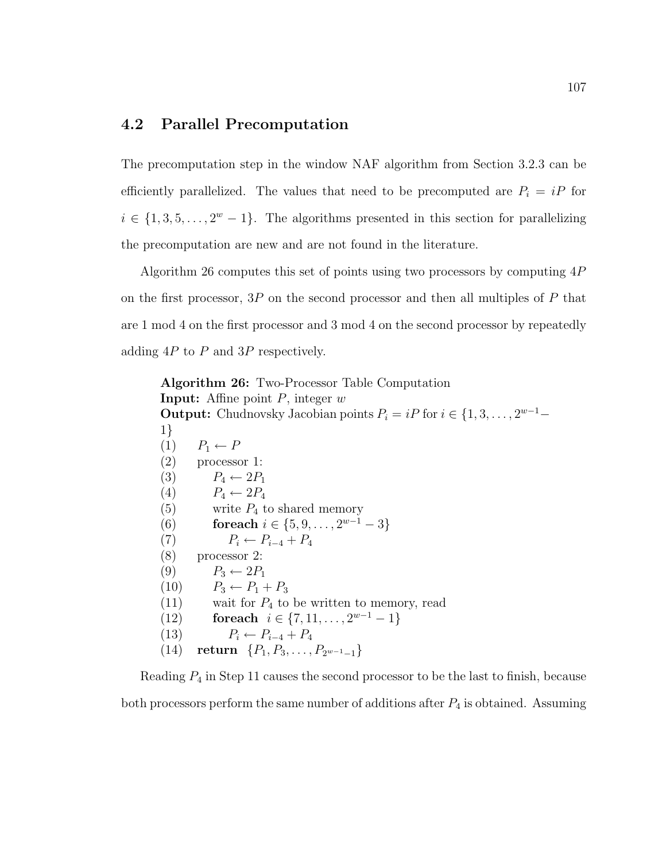# 4.2 Parallel Precomputation

The precomputation step in the window NAF algorithm from Section 3.2.3 can be efficiently parallelized. The values that need to be precomputed are  $P_i = iP$  for  $i \in \{1, 3, 5, \ldots, 2^w - 1\}$ . The algorithms presented in this section for parallelizing the precomputation are new and are not found in the literature.

Algorithm 26 computes this set of points using two processors by computing 4P on the first processor,  $3P$  on the second processor and then all multiples of P that are 1 mod 4 on the first processor and 3 mod 4 on the second processor by repeatedly adding  $4P$  to P and  $3P$  respectively.

Algorithm 26: Two-Processor Table Computation **Input:** Affine point  $P$ , integer  $w$ **Output:** Chudnovsky Jacobian points  $P_i = iP$  for  $i \in \{1, 3, ..., 2^{w-1} -$ 1}  $(1)$   $P_1 \leftarrow P$ (2) processor 1: (3)  $P_4 \leftarrow 2P_1$ (4)  $P_4 \leftarrow 2P_4$ (5) write  $P_4$  to shared memory (6) for each  $i \in \{5, 9, \ldots, 2^{w-1} - 3\}$ (7)  $P_i \leftarrow P_{i-4} + P_4$ (8) processor 2:  $(9)$   $P_3 \leftarrow 2P_1$ (10)  $P_3 \leftarrow P_1 + P_3$  $(11)$  wait for  $P_4$  to be written to memory, read (12) for each  $i \in \{7, 11, \ldots, 2^{w-1} - 1\}$ (13)  $P_i \leftarrow P_{i-4} + P_4$ (14) return  $\{P_1, P_3, \ldots, P_{2^{w-1}-1}\}\$ 

Reading  $P_4$  in Step 11 causes the second processor to be the last to finish, because both processors perform the same number of additions after  $P_4$  is obtained. Assuming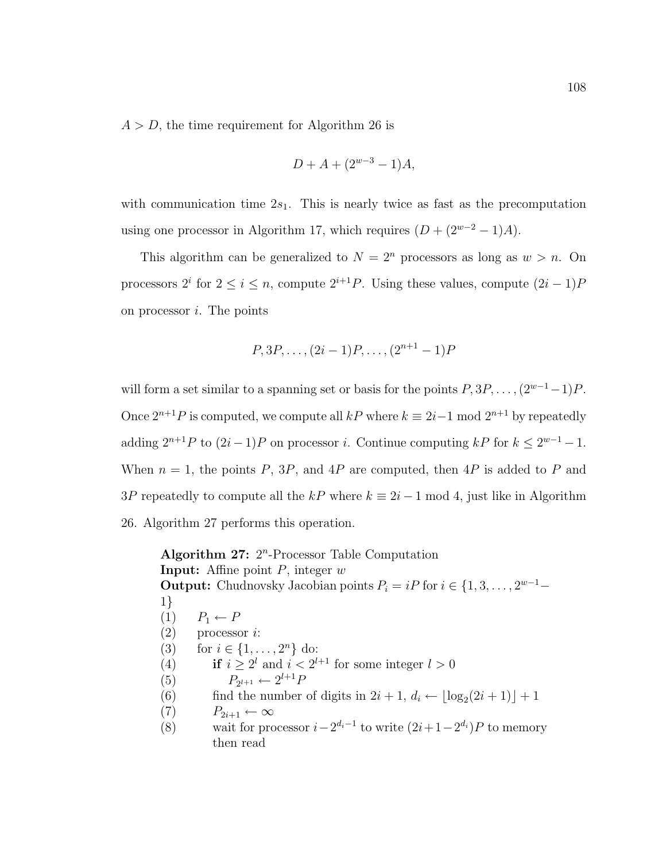$A > D$ , the time requirement for Algorithm 26 is

$$
D + A + (2^{w-3} - 1)A,
$$

with communication time  $2s_1$ . This is nearly twice as fast as the precomputation using one processor in Algorithm 17, which requires  $(D + (2^{w-2} – 1)A)$ .

This algorithm can be generalized to  $N = 2<sup>n</sup>$  processors as long as  $w > n$ . On processors  $2^i$  for  $2 \le i \le n$ , compute  $2^{i+1}P$ . Using these values, compute  $(2i-1)P$ on processor  $i$ . The points

$$
P, 3P, \ldots, (2i-1)P, \ldots, (2^{n+1}-1)P
$$

will form a set similar to a spanning set or basis for the points  $P, 3P, \ldots, (2^{w-1}-1)P$ . Once  $2^{n+1}P$  is computed, we compute all kP where  $k \equiv 2i-1 \mod 2^{n+1}$  by repeatedly adding  $2^{n+1}P$  to  $(2i-1)P$  on processor i. Continue computing kP for  $k \leq 2^{w-1}-1$ . When  $n = 1$ , the points P, 3P, and 4P are computed, then 4P is added to P and 3P repeatedly to compute all the kP where  $k \equiv 2i - 1 \mod 4$ , just like in Algorithm 26. Algorithm 27 performs this operation.

Algorithm 27:  $2^n$ -Processor Table Computation **Input:** Affine point  $P$ , integer  $w$ **Output:** Chudnovsky Jacobian points  $P_i = iP$  for  $i \in \{1, 3, ..., 2^{w-1} -$ 1}  $(1)$   $P_1 \leftarrow P$  $(2)$  processor *i*: (3) for  $i \in \{1, ..., 2^n\}$  do: (4) if  $i \geq 2^l$  and  $i < 2^{l+1}$  for some integer  $l > 0$  $(5)$  $l+1 \leftarrow 2^{l+1}F$ (6) find the number of digits in  $2i + 1$ ,  $d_i \leftarrow \lfloor \log_2(2i + 1) \rfloor + 1$  $(7)$   $P_{2i+1} \leftarrow \infty$ (8) wait for processor  $i - 2^{d_i - 1}$  to write  $(2i + 1 - 2^{d_i})P$  to memory then read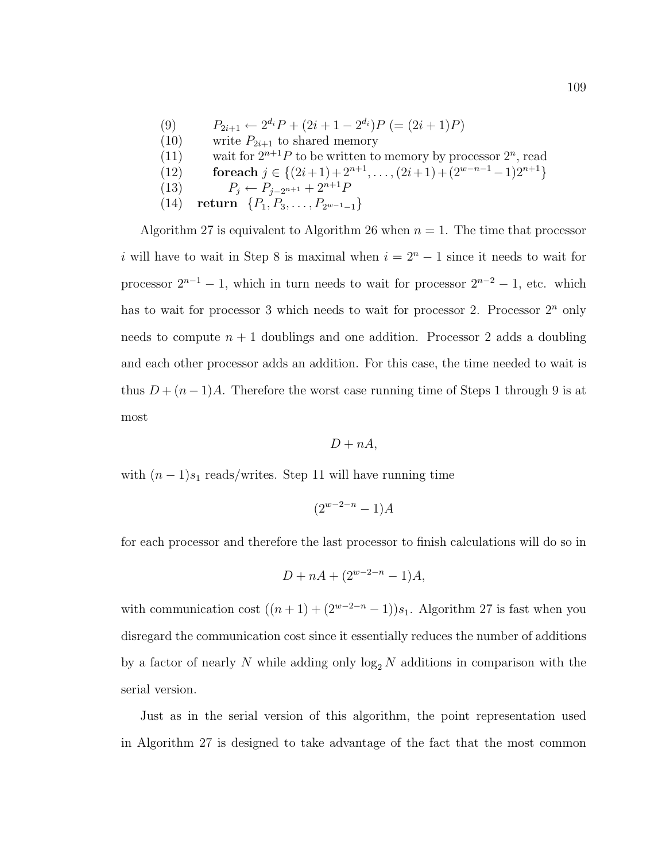- (9)  $P_{2i+1} \leftarrow 2^{d_i} P + (2i + 1 2^{d_i}) P = (2i + 1) P$
- (10) write  $P_{2i+1}$  to shared memory
- (11) wait for  $2^{n+1}P$  to be written to memory by processor  $2^n$ , read
- (12) for each  $j \in \{(2i+1)+2^{n+1}, \ldots, (2i+1)+(2^{w-n-1}-1)2^{n+1}\}\$
- (13)  $P_j \leftarrow P_{j-2^{n+1}} + 2^{n+1}F$
- (14) return  $\{P_1, P_3, \ldots, P_{2^{w-1}-1}\}\$

Algorithm 27 is equivalent to Algorithm 26 when  $n = 1$ . The time that processor i will have to wait in Step 8 is maximal when  $i = 2<sup>n</sup> - 1$  since it needs to wait for processor  $2^{n-1} - 1$ , which in turn needs to wait for processor  $2^{n-2} - 1$ , etc. which has to wait for processor 3 which needs to wait for processor 2. Processor  $2^n$  only needs to compute  $n + 1$  doublings and one addition. Processor 2 adds a doubling and each other processor adds an addition. For this case, the time needed to wait is thus  $D + (n-1)A$ . Therefore the worst case running time of Steps 1 through 9 is at most

$$
D + nA,
$$

with  $(n-1)s_1$  reads/writes. Step 11 will have running time

$$
(2^{w-2-n}-1)A
$$

for each processor and therefore the last processor to finish calculations will do so in

$$
D + nA + (2^{w-2-n} - 1)A,
$$

with communication cost  $((n + 1) + (2<sup>w-2-n</sup> - 1))s_1$ . Algorithm 27 is fast when you disregard the communication cost since it essentially reduces the number of additions by a factor of nearly N while adding only  $\log_2 N$  additions in comparison with the serial version.

Just as in the serial version of this algorithm, the point representation used in Algorithm 27 is designed to take advantage of the fact that the most common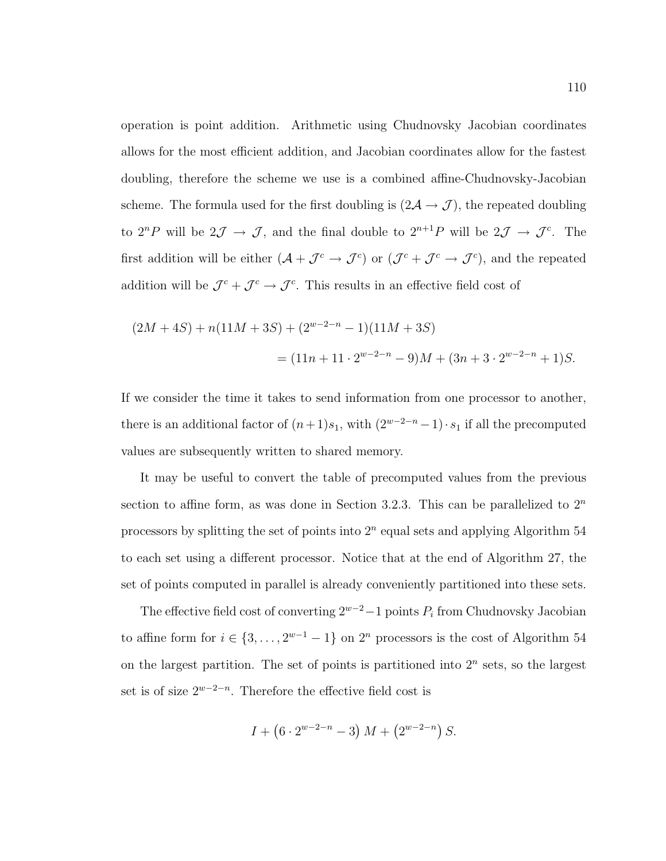operation is point addition. Arithmetic using Chudnovsky Jacobian coordinates allows for the most efficient addition, and Jacobian coordinates allow for the fastest doubling, therefore the scheme we use is a combined affine-Chudnovsky-Jacobian scheme. The formula used for the first doubling is  $(2\mathcal{A} \rightarrow \mathcal{J})$ , the repeated doubling to  $2^{n}P$  will be  $2\mathcal{J} \to \mathcal{J}$ , and the final double to  $2^{n+1}P$  will be  $2\mathcal{J} \to \mathcal{J}^{c}$ . The first addition will be either  $(A + \mathcal{J}^c \rightarrow \mathcal{J}^c)$  or  $(\mathcal{J}^c + \mathcal{J}^c \rightarrow \mathcal{J}^c)$ , and the repeated addition will be  $\mathcal{J}^c + \mathcal{J}^c \rightarrow \mathcal{J}^c$ . This results in an effective field cost of

$$
(2M+4S) + n(11M+3S) + (2^{w-2-n} - 1)(11M+3S)
$$
  
=  $(11n + 11 \cdot 2^{w-2-n} - 9)M + (3n + 3 \cdot 2^{w-2-n} + 1)S.$ 

If we consider the time it takes to send information from one processor to another, there is an additional factor of  $(n+1)s_1$ , with  $(2^{w-2-n}-1) \cdot s_1$  if all the precomputed values are subsequently written to shared memory.

It may be useful to convert the table of precomputed values from the previous section to affine form, as was done in Section 3.2.3. This can be parallelized to  $2<sup>n</sup>$ processors by splitting the set of points into  $2<sup>n</sup>$  equal sets and applying Algorithm 54 to each set using a different processor. Notice that at the end of Algorithm 27, the set of points computed in parallel is already conveniently partitioned into these sets.

The effective field cost of converting  $2^{w-2} - 1$  points  $P_i$  from Chudnovsky Jacobian to affine form for  $i \in \{3, \ldots, 2^{w-1} - 1\}$  on  $2^n$  processors is the cost of Algorithm 54 on the largest partition. The set of points is partitioned into  $2<sup>n</sup>$  sets, so the largest set is of size  $2^{w-2-n}$ . Therefore the effective field cost is

$$
I + (6 \cdot 2^{w-2-n} - 3) M + (2^{w-2-n}) S.
$$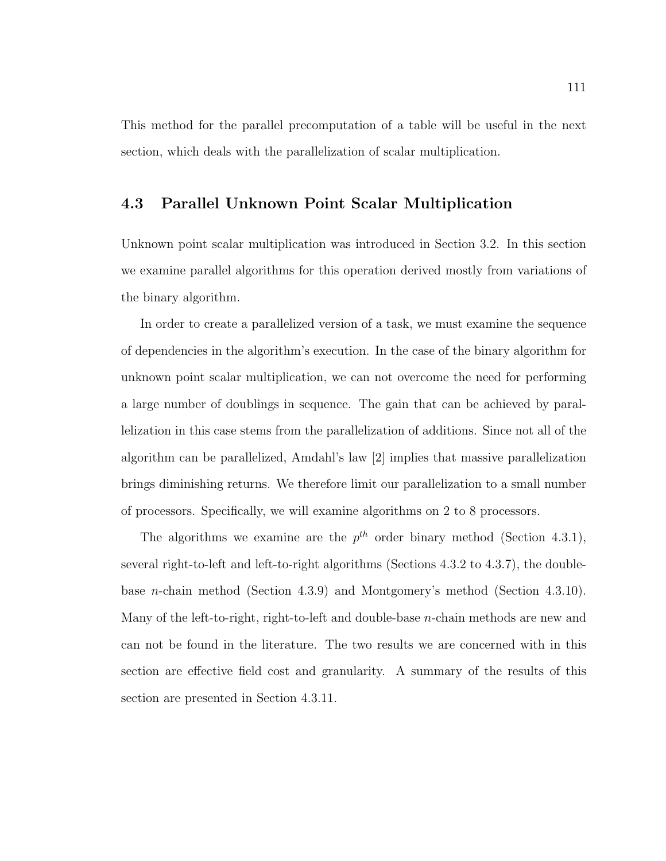This method for the parallel precomputation of a table will be useful in the next section, which deals with the parallelization of scalar multiplication.

# 4.3 Parallel Unknown Point Scalar Multiplication

Unknown point scalar multiplication was introduced in Section 3.2. In this section we examine parallel algorithms for this operation derived mostly from variations of the binary algorithm.

In order to create a parallelized version of a task, we must examine the sequence of dependencies in the algorithm's execution. In the case of the binary algorithm for unknown point scalar multiplication, we can not overcome the need for performing a large number of doublings in sequence. The gain that can be achieved by parallelization in this case stems from the parallelization of additions. Since not all of the algorithm can be parallelized, Amdahl's law [2] implies that massive parallelization brings diminishing returns. We therefore limit our parallelization to a small number of processors. Specifically, we will examine algorithms on 2 to 8 processors.

The algorithms we examine are the  $p^{th}$  order binary method (Section 4.3.1), several right-to-left and left-to-right algorithms (Sections 4.3.2 to 4.3.7), the doublebase n-chain method (Section 4.3.9) and Montgomery's method (Section 4.3.10). Many of the left-to-right, right-to-left and double-base n-chain methods are new and can not be found in the literature. The two results we are concerned with in this section are effective field cost and granularity. A summary of the results of this section are presented in Section 4.3.11.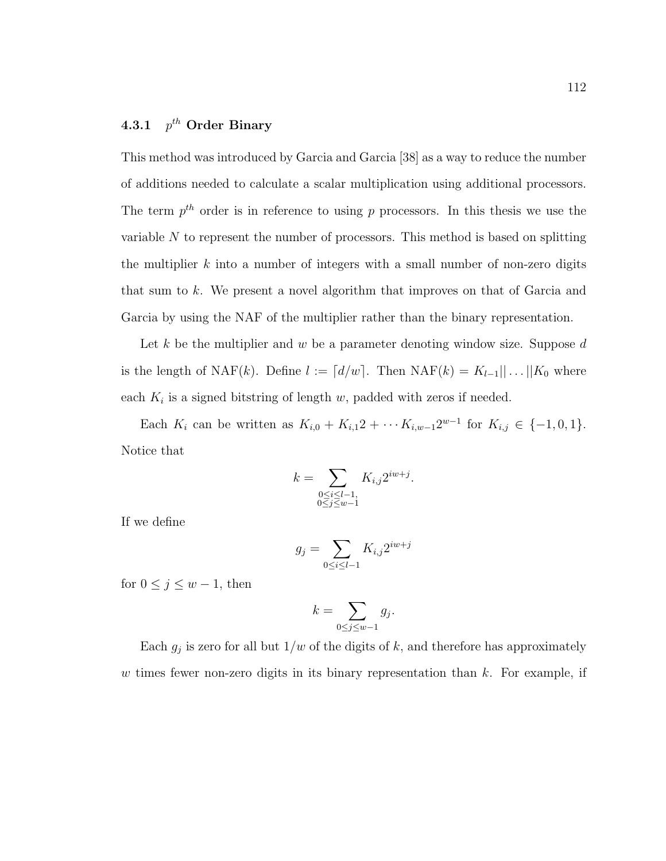#### 4.3.1 p  $p^{th}$  Order Binary

This method was introduced by Garcia and Garcia [38] as a way to reduce the number of additions needed to calculate a scalar multiplication using additional processors. The term  $p^{th}$  order is in reference to using p processors. In this thesis we use the variable  $N$  to represent the number of processors. This method is based on splitting the multiplier  $k$  into a number of integers with a small number of non-zero digits that sum to k. We present a novel algorithm that improves on that of Garcia and Garcia by using the NAF of the multiplier rather than the binary representation.

Let k be the multiplier and w be a parameter denoting window size. Suppose  $d$ is the length of NAF(k). Define  $l := [d/w]$ . Then NAF(k) =  $K_{l-1}|| \dots ||K_0$  where each  $K_i$  is a signed bitstring of length w, padded with zeros if needed.

Each  $K_i$  can be written as  $K_{i,0} + K_{i,1}2 + \cdots K_{i,w-1}2^{w-1}$  for  $K_{i,j} \in \{-1,0,1\}.$ Notice that

$$
k = \sum_{\substack{0 \le i \le l-1, \\ 0 \le j \le w-1}} K_{i,j} 2^{iw+j}.
$$

If we define

$$
g_j = \sum_{0 \le i \le l-1} K_{i,j} 2^{iw+j}
$$

for  $0 \le j \le w - 1$ , then

$$
k = \sum_{0 \le j \le w-1} g_j.
$$

Each  $g_j$  is zero for all but  $1/w$  of the digits of k, and therefore has approximately w times fewer non-zero digits in its binary representation than  $k$ . For example, if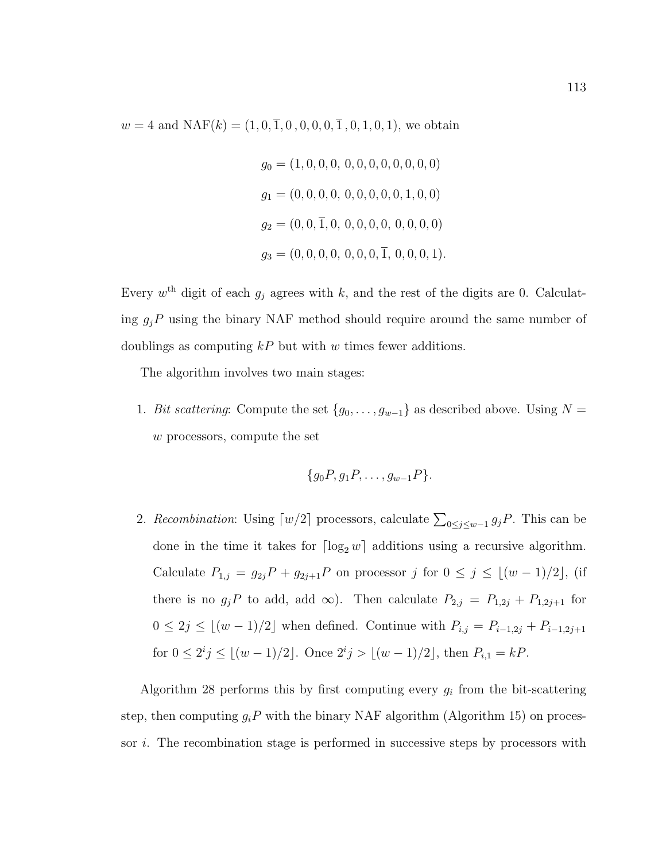$w = 4$  and  $NAF(k) = (1, 0, \overline{1}, 0, 0, 0, 0, \overline{1}, 0, 1, 0, 1)$ , we obtain

$$
g_0 = (1, 0, 0, 0, 0, 0, 0, 0, 0, 0, 0, 0)
$$
  
\n
$$
g_1 = (0, 0, 0, 0, 0, 0, 0, 0, 0, 1, 0, 0)
$$
  
\n
$$
g_2 = (0, 0, 1, 0, 0, 0, 0, 0, 0, 0, 0, 0, 0)
$$
  
\n
$$
g_3 = (0, 0, 0, 0, 0, 0, 0, 1, 0, 0, 0, 1).
$$

Every  $w^{\text{th}}$  digit of each  $g_j$  agrees with k, and the rest of the digits are 0. Calculating  $g_jP$  using the binary NAF method should require around the same number of doublings as computing  $kP$  but with w times fewer additions.

The algorithm involves two main stages:

1. Bit scattering: Compute the set  ${g_0, \ldots, g_{w-1}}$  as described above. Using  $N =$ w processors, compute the set

$$
\{g_0P, g_1P, \ldots, g_{w-1}P\}.
$$

2. Recombination: Using  $\lceil w/2 \rceil$  processors, calculate  $\sum_{0 \leq j \leq w-1} g_j P$ . This can be done in the time it takes for  $\lceil \log_2 w \rceil$  additions using a recursive algorithm. Calculate  $P_{1,j} = g_{2j}P + g_{2j+1}P$  on processor j for  $0 \le j \le \lfloor (w - 1)/2 \rfloor$ , (if there is no  $g_jP$  to add, add  $\infty$ ). Then calculate  $P_{2,j} = P_{1,2j} + P_{1,2j+1}$  for  $0 \le 2j \le \lfloor (w - 1)/2 \rfloor$  when defined. Continue with  $P_{i,j} = P_{i-1,2j} + P_{i-1,2j+1}$ for  $0 \le 2^i j \le \lfloor (w-1)/2 \rfloor$ . Once  $2^i j > \lfloor (w-1)/2 \rfloor$ , then  $P_{i,1} = kP$ .

Algorithm 28 performs this by first computing every  $g_i$  from the bit-scattering step, then computing  $g_iP$  with the binary NAF algorithm (Algorithm 15) on processor i. The recombination stage is performed in successive steps by processors with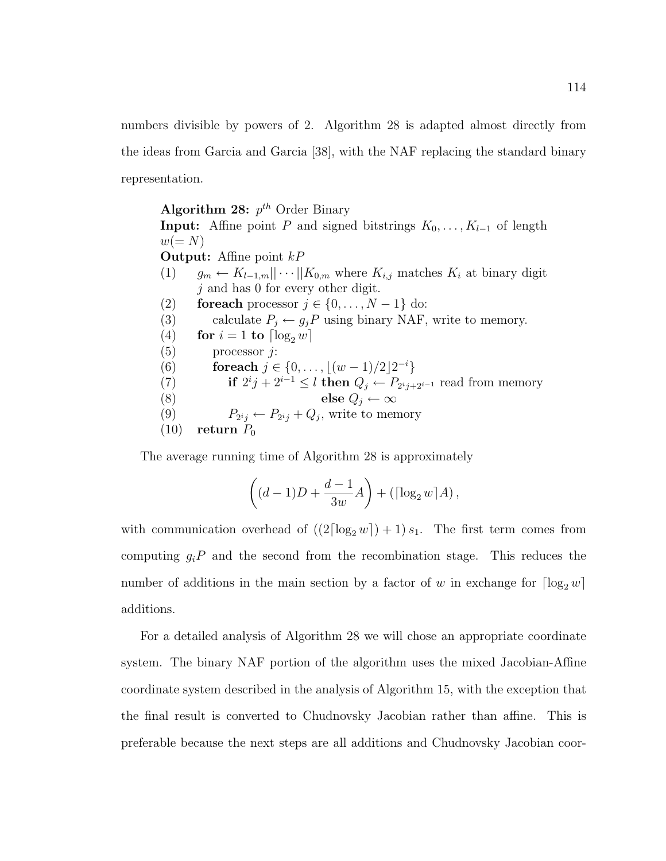numbers divisible by powers of 2. Algorithm 28 is adapted almost directly from the ideas from Garcia and Garcia [38], with the NAF replacing the standard binary representation.

Algorithm 28:  $p^{th}$  Order Binary **Input:** Affine point P and signed bitstrings  $K_0, \ldots, K_{l-1}$  of length  $w(= N)$ **Output:** Affine point  $kP$ (1)  $g_m \leftarrow K_{l-1,m}||\cdots||K_{0,m}$  where  $K_{i,j}$  matches  $K_i$  at binary digit  $j$  and has 0 for every other digit. (2) for each processor  $j \in \{0, \ldots, N-1\}$  do: (3) calculate  $P_j \leftarrow g_j P$  using binary NAF, write to memory. (4) for  $i = 1$  to  $\lceil \log_2 w \rceil$  $(5)$  processor *j*: (6) for each  $j \in \{0, \ldots, \lfloor (w-1)/2 \rfloor 2^{-i} \}$ (7) if  $2^i j + 2^{i-1} \leq l$  then  $Q_j \leftarrow P_{2^i j + 2^{i-1}}$  read from memory (8) else  $Q_j \leftarrow \infty$ (9)  $P_{2^i j} \leftarrow P_{2^i j} + Q_j$ , write to memory  $(10)$  return  $P_0$ 

The average running time of Algorithm 28 is approximately

$$
\left((d-1)D+\frac{d-1}{3w}A\right)+\left(\lceil\log_2 w\rceil A\right),
$$

with communication overhead of  $((2\lceil \log_2 w \rceil) + 1) s_1$ . The first term comes from computing  $g_iP$  and the second from the recombination stage. This reduces the number of additions in the main section by a factor of w in exchange for  $\lceil \log_2 w \rceil$ additions.

For a detailed analysis of Algorithm 28 we will chose an appropriate coordinate system. The binary NAF portion of the algorithm uses the mixed Jacobian-Affine coordinate system described in the analysis of Algorithm 15, with the exception that the final result is converted to Chudnovsky Jacobian rather than affine. This is preferable because the next steps are all additions and Chudnovsky Jacobian coor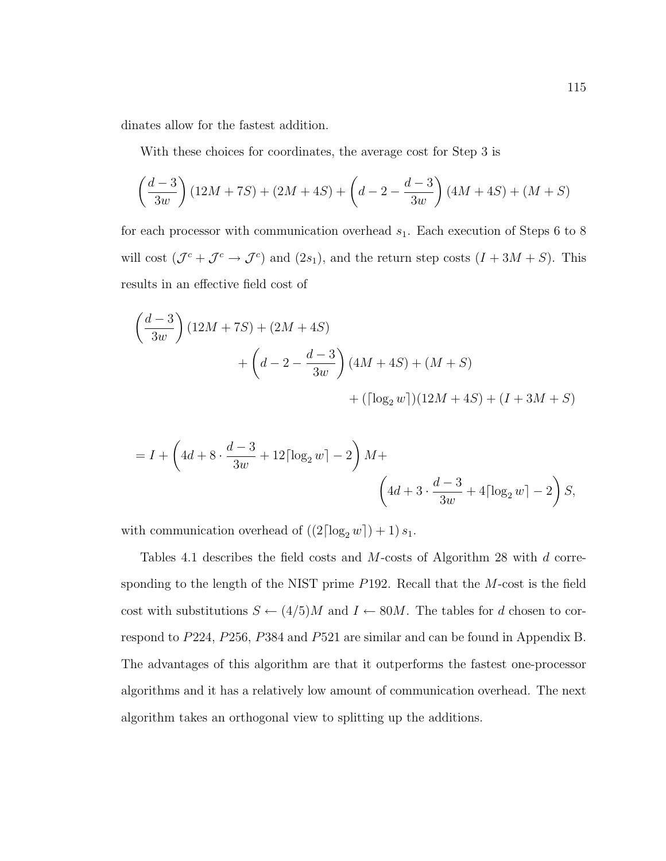dinates allow for the fastest addition.

With these choices for coordinates, the average cost for Step 3 is

$$
\left(\frac{d-3}{3w}\right)(12M+7S) + (2M+4S) + \left(d-2 - \frac{d-3}{3w}\right)(4M+4S) + (M+S)
$$

for each processor with communication overhead  $s_1$ . Each execution of Steps 6 to 8 will cost  $(\mathcal{J}^c + \mathcal{J}^c \to \mathcal{J}^c)$  and  $(2s_1)$ , and the return step costs  $(I + 3M + S)$ . This results in an effective field cost of

$$
\left(\frac{d-3}{3w}\right)(12M+7S) + (2M+4S) + \left(d-2-\frac{d-3}{3w}\right)(4M+4S) + (M+S) + ([\log_2 w])(12M+4S) + (I+3M+S)
$$

$$
= I + \left(4d + 8 \cdot \frac{d-3}{3w} + 12\left[\log_2 w\right] - 2\right)M + \left(4d + 3 \cdot \frac{d-3}{3w} + 4\left[\log_2 w\right] - 2\right)S,
$$

with communication overhead of  $((2\lceil \log_2 w \rceil) + 1) s_1$ .

Tables 4.1 describes the field costs and M-costs of Algorithm 28 with d corresponding to the length of the NIST prime P192. Recall that the M-cost is the field cost with substitutions  $S \leftarrow (4/5)M$  and  $I \leftarrow 80M$ . The tables for d chosen to correspond to P224, P256, P384 and P521 are similar and can be found in Appendix B. The advantages of this algorithm are that it outperforms the fastest one-processor algorithms and it has a relatively low amount of communication overhead. The next algorithm takes an orthogonal view to splitting up the additions.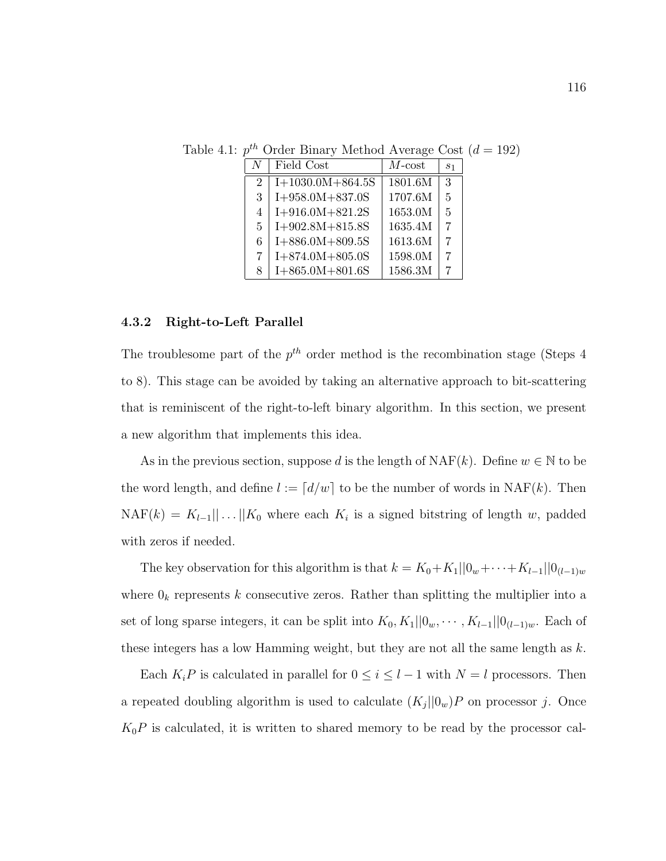| N                           | Field Cost         | $M$ -cost | s <sub>1</sub> |
|-----------------------------|--------------------|-----------|----------------|
| $\mathcal{D}_{\mathcal{L}}$ | $I+1030.0M+864.5S$ | 1801.6M   | $\mathbf{R}$   |
| 3                           | $I+958.0M+837.0S$  | 1707.6M   | $\overline{5}$ |
| 4                           | $I+916.0M+821.2S$  | 1653.0M   | $\overline{5}$ |
| 5                           | $I+902.8M+815.8S$  | 1635.4M   | 7              |
| 6                           | $I+886.0M+809.5S$  | 1613.6M   | 7              |
| 7                           | $I+874.0M+805.0S$  | 1598.0M   | 7              |
| 8                           | $I+865.0M+801.6S$  | 1586.3M   |                |

Table 4.1:  $p^{th}$  Order Binary Method Average Cost  $(d = 192)$ 

## 4.3.2 Right-to-Left Parallel

The troublesome part of the  $p^{th}$  order method is the recombination stage (Steps 4) to 8). This stage can be avoided by taking an alternative approach to bit-scattering that is reminiscent of the right-to-left binary algorithm. In this section, we present a new algorithm that implements this idea.

As in the previous section, suppose d is the length of  $NAF(k)$ . Define  $w \in \mathbb{N}$  to be the word length, and define  $l := [d/w]$  to be the number of words in NAF(k). Then  $NAF(k) = K_{l-1} \dots | K_0$  where each  $K_i$  is a signed bitstring of length w, padded with zeros if needed.

The key observation for this algorithm is that  $k = K_0 + K_1||0_w + \cdots + K_{l-1}||0_{(l-1)w}$ where  $0_k$  represents k consecutive zeros. Rather than splitting the multiplier into a set of long sparse integers, it can be split into  $K_0, K_1||0_w, \cdots, K_{l-1}||0_{(l-1)w}$ . Each of these integers has a low Hamming weight, but they are not all the same length as  $k$ .

Each  $K_iP$  is calculated in parallel for  $0 \le i \le l-1$  with  $N = l$  processors. Then a repeated doubling algorithm is used to calculate  $(K_j||0_w)P$  on processor j. Once  $K_0P$  is calculated, it is written to shared memory to be read by the processor cal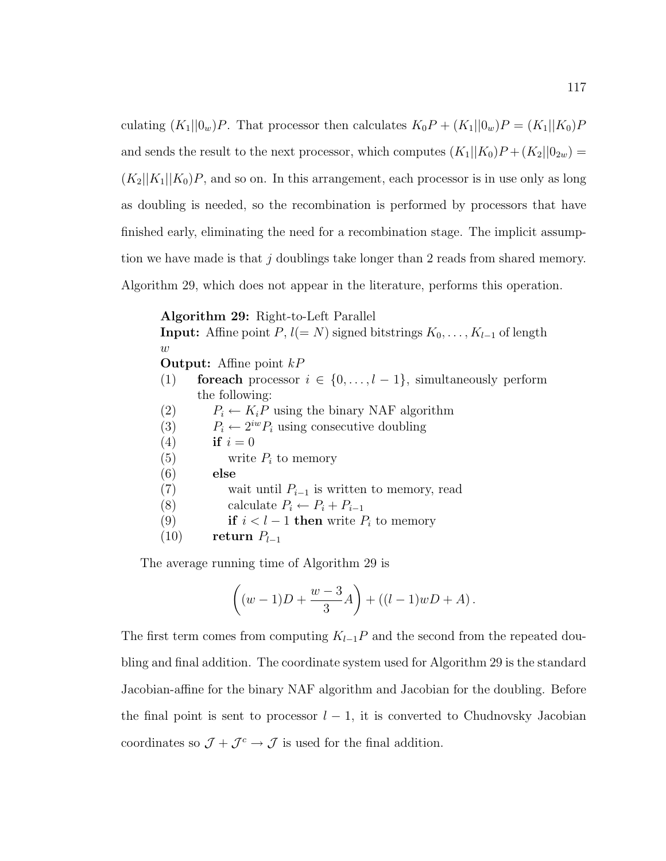culating  $(K_1||0_w)P$ . That processor then calculates  $K_0P + (K_1||0_w)P = (K_1||K_0)P$ and sends the result to the next processor, which computes  $(K_1||K_0)P + (K_2||0_{2w}) =$  $(K_2||K_1||K_0)P$ , and so on. In this arrangement, each processor is in use only as long as doubling is needed, so the recombination is performed by processors that have finished early, eliminating the need for a recombination stage. The implicit assumption we have made is that j doublings take longer than 2 reads from shared memory. Algorithm 29, which does not appear in the literature, performs this operation.

Algorithm 29: Right-to-Left Parallel **Input:** Affine point  $P$ ,  $l(= N)$  signed bitstrings  $K_0, \ldots, K_{l-1}$  of length  $\boldsymbol{w}$ **Output:** Affine point  $kP$ (1) for each processor  $i \in \{0, \ldots, l-1\}$ , simultaneously perform the following: (2)  $P_i \leftarrow K_i P$  using the binary NAF algorithm (3)  $P_i \leftarrow 2^{iw} P_i$  using consecutive doubling (4) if  $i = 0$ (5) write  $P_i$  to memory (6) else (7) wait until  $P_{i-1}$  is written to memory, read (8) calculate  $P_i \leftarrow P_i + P_{i-1}$ (9) if  $i < l-1$  then write  $P_i$  to memory (10) return  $P_{l-1}$ 

The average running time of Algorithm 29 is

$$
\left( (w-1)D + \frac{w-3}{3}A \right) + ((l-1)wD + A).
$$

The first term comes from computing  $K_{l-1}P$  and the second from the repeated doubling and final addition. The coordinate system used for Algorithm 29 is the standard Jacobian-affine for the binary NAF algorithm and Jacobian for the doubling. Before the final point is sent to processor  $l-1$ , it is converted to Chudnovsky Jacobian coordinates so  $\mathcal{J} + \mathcal{J}^c \rightarrow \mathcal{J}$  is used for the final addition.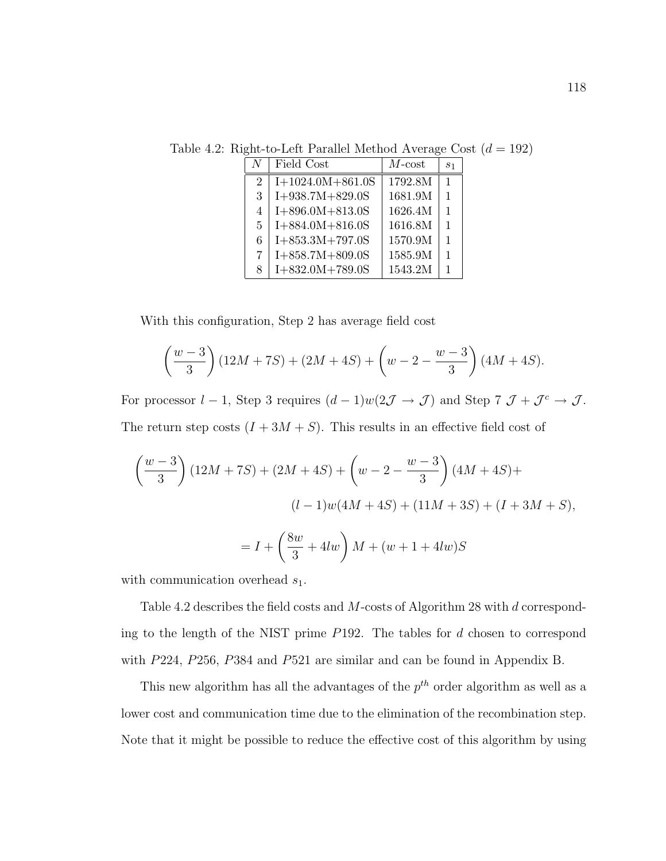| N              | Field Cost         | $M$ -cost | S <sub>1</sub> |
|----------------|--------------------|-----------|----------------|
| $\overline{2}$ | $I+1024.0M+861.0S$ | 1792.8M   | $\mathbf{1}$   |
| 3              | $I+938.7M+829.0S$  | 1681.9M   | $\mathbf{1}$   |
| $\overline{4}$ | $I+896.0M+813.0S$  | 1626.4M   | $\mathbf{1}$   |
| 5              | $I+884.0M+816.0S$  | 1616.8M   | $\mathbf{1}$   |
| 6              | $I+853.3M+797.0S$  | 1570.9M   | $\mathbf{1}$   |
| 7              | $I+858.7M+809.0S$  | 1585.9M   | 1              |
| 8              | $I+832.0M+789.0S$  | 1543.2M   | 1              |

Table 4.2: Right-to-Left Parallel Method Average Cost  $(d = 192)$ 

With this configuration, Step 2 has average field cost

$$
\left(\frac{w-3}{3}\right)(12M+7S) + (2M+4S) + \left(w-2-\frac{w-3}{3}\right)(4M+4S).
$$

For processor  $l-1$ , Step 3 requires  $(d-1)w(2\mathcal{J} \to \mathcal{J})$  and Step  $7 \mathcal{J} + \mathcal{J}^c \to \mathcal{J}$ . The return step costs  $(I + 3M + S)$ . This results in an effective field cost of

$$
\left(\frac{w-3}{3}\right)(12M+7S) + (2M+4S) + \left(w-2-\frac{w-3}{3}\right)(4M+4S) +
$$
  

$$
(l-1)w(4M+4S) + (11M+3S) + (I+3M+S),
$$
  

$$
= I + \left(\frac{8w}{3} + 4lw\right)M + (w+1+4lw)S
$$

with communication overhead  $s_1$ .

Table 4.2 describes the field costs and M-costs of Algorithm 28 with d corresponding to the length of the NIST prime P192. The tables for d chosen to correspond with P224, P256, P384 and P521 are similar and can be found in Appendix B.

This new algorithm has all the advantages of the  $p^{th}$  order algorithm as well as a lower cost and communication time due to the elimination of the recombination step. Note that it might be possible to reduce the effective cost of this algorithm by using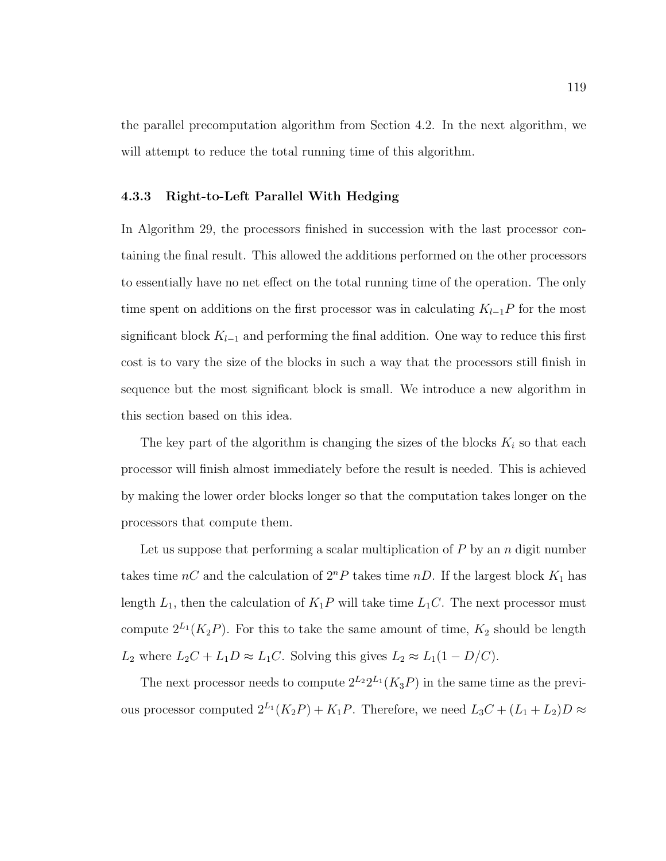the parallel precomputation algorithm from Section 4.2. In the next algorithm, we will attempt to reduce the total running time of this algorithm.

# 4.3.3 Right-to-Left Parallel With Hedging

In Algorithm 29, the processors finished in succession with the last processor containing the final result. This allowed the additions performed on the other processors to essentially have no net effect on the total running time of the operation. The only time spent on additions on the first processor was in calculating  $K_{l-1}P$  for the most significant block  $K_{l-1}$  and performing the final addition. One way to reduce this first cost is to vary the size of the blocks in such a way that the processors still finish in sequence but the most significant block is small. We introduce a new algorithm in this section based on this idea.

The key part of the algorithm is changing the sizes of the blocks  $K_i$  so that each processor will finish almost immediately before the result is needed. This is achieved by making the lower order blocks longer so that the computation takes longer on the processors that compute them.

Let us suppose that performing a scalar multiplication of  $P$  by an  $n$  digit number takes time  $nC$  and the calculation of  $2^{n}P$  takes time  $nD$ . If the largest block  $K_1$  has length  $L_1$ , then the calculation of  $K_1P$  will take time  $L_1C$ . The next processor must compute  $2^{L_1}(K_2P)$ . For this to take the same amount of time,  $K_2$  should be length  $L_2$  where  $L_2C + L_1D \approx L_1C$ . Solving this gives  $L_2 \approx L_1(1 - D/C)$ .

The next processor needs to compute  $2^{L_2}2^{L_1}(K_3P)$  in the same time as the previous processor computed  $2^{L_1}(K_2P) + K_1P$ . Therefore, we need  $L_3C + (L_1 + L_2)D \approx$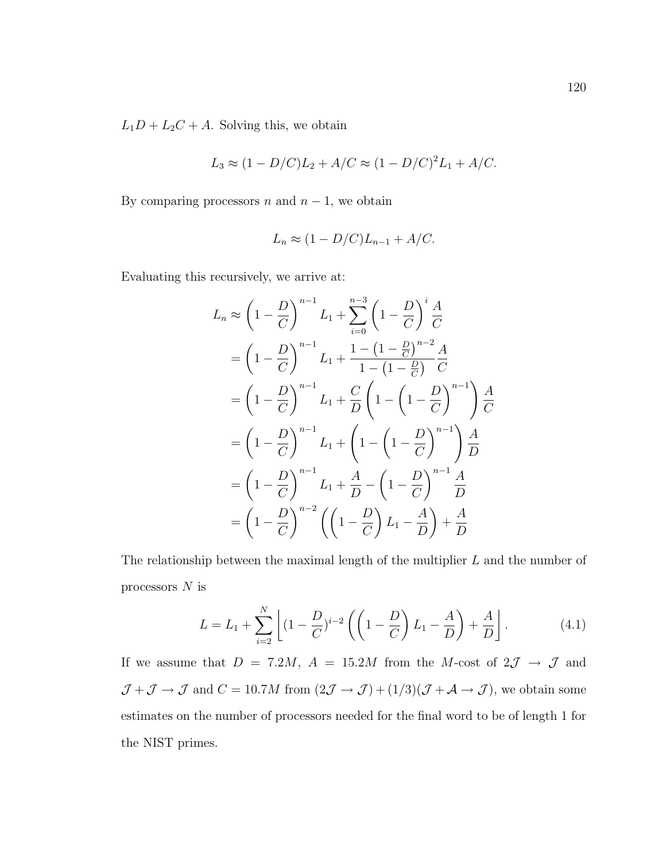$L_1D + L_2C + A$ . Solving this, we obtain

$$
L_3 \approx (1 - D/C)L_2 + A/C \approx (1 - D/C)^2 L_1 + A/C.
$$

By comparing processors  $n$  and  $n - 1$ , we obtain

$$
L_n \approx (1 - D/C)L_{n-1} + A/C.
$$

Evaluating this recursively, we arrive at:

$$
L_n \approx \left(1 - \frac{D}{C}\right)^{n-1} L_1 + \sum_{i=0}^{n-3} \left(1 - \frac{D}{C}\right)^i \frac{A}{C}
$$
  
=  $\left(1 - \frac{D}{C}\right)^{n-1} L_1 + \frac{1 - \left(1 - \frac{D}{C}\right)^{n-2} A}{1 - \left(1 - \frac{D}{C}\right)^{n-1} C}$   
=  $\left(1 - \frac{D}{C}\right)^{n-1} L_1 + \frac{C}{D} \left(1 - \left(1 - \frac{D}{C}\right)^{n-1}\right) \frac{A}{C}$   
=  $\left(1 - \frac{D}{C}\right)^{n-1} L_1 + \left(1 - \left(1 - \frac{D}{C}\right)^{n-1}\right) \frac{A}{D}$   
=  $\left(1 - \frac{D}{C}\right)^{n-1} L_1 + \frac{A}{D} - \left(1 - \frac{D}{C}\right)^{n-1} \frac{A}{D}$   
=  $\left(1 - \frac{D}{C}\right)^{n-2} \left(\left(1 - \frac{D}{C}\right) L_1 - \frac{A}{D}\right) + \frac{A}{D}$ 

The relationship between the maximal length of the multiplier L and the number of processors  $N$  is

$$
L = L_1 + \sum_{i=2}^{N} \left[ (1 - \frac{D}{C})^{i-2} \left( \left( 1 - \frac{D}{C} \right) L_1 - \frac{A}{D} \right) + \frac{A}{D} \right].
$$
 (4.1)

If we assume that  $D = 7.2M$ ,  $A = 15.2M$  from the M-cost of  $2\mathcal{J} \rightarrow \mathcal{J}$  and  $\mathcal{J} + \mathcal{J} \to \mathcal{J}$  and  $C = 10.7M$  from  $(2\mathcal{J} \to \mathcal{J}) + (1/3)(\mathcal{J} + \mathcal{A} \to \mathcal{J})$ , we obtain some estimates on the number of processors needed for the final word to be of length 1 for the NIST primes.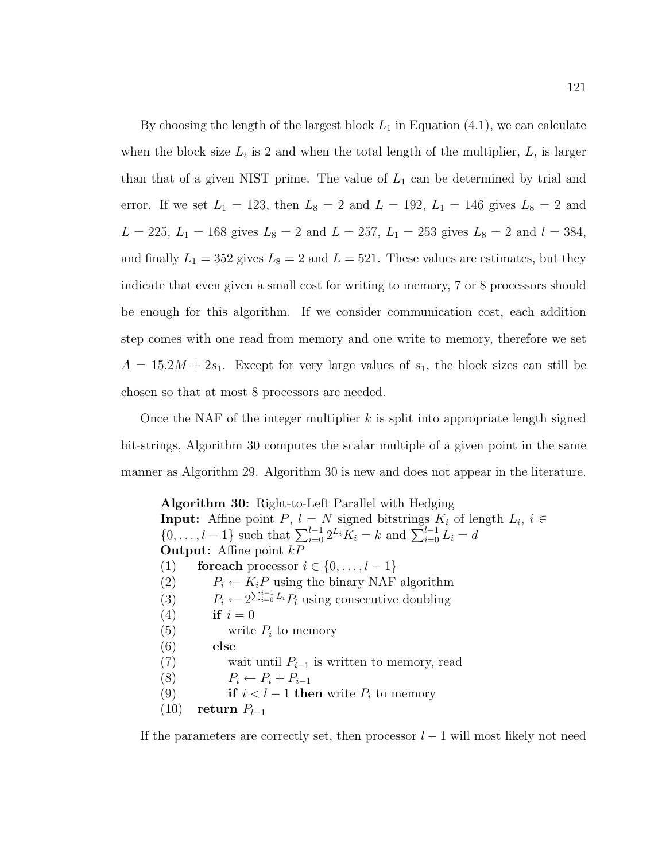By choosing the length of the largest block  $L_1$  in Equation (4.1), we can calculate when the block size  $L_i$  is 2 and when the total length of the multiplier,  $L$ , is larger than that of a given NIST prime. The value of  $L_1$  can be determined by trial and error. If we set  $L_1 = 123$ , then  $L_8 = 2$  and  $L = 192$ ,  $L_1 = 146$  gives  $L_8 = 2$  and  $L = 225, L_1 = 168$  gives  $L_8 = 2$  and  $L = 257, L_1 = 253$  gives  $L_8 = 2$  and  $l = 384$ , and finally  $L_1 = 352$  gives  $L_8 = 2$  and  $L = 521$ . These values are estimates, but they indicate that even given a small cost for writing to memory, 7 or 8 processors should be enough for this algorithm. If we consider communication cost, each addition step comes with one read from memory and one write to memory, therefore we set  $A = 15.2M + 2s<sub>1</sub>$ . Except for very large values of  $s<sub>1</sub>$ , the block sizes can still be chosen so that at most 8 processors are needed.

Once the NAF of the integer multiplier  $k$  is split into appropriate length signed bit-strings, Algorithm 30 computes the scalar multiple of a given point in the same manner as Algorithm 29. Algorithm 30 is new and does not appear in the literature.

Algorithm 30: Right-to-Left Parallel with Hedging **Input:** Affine point  $P, l = N$  signed bitstrings  $K_i$  of length  $L_i, i \in$  $\{0, \ldots, l-1\}$  such that  $\sum_{i=0}^{l-1} 2^{L_i} K_i = k$  and  $\sum_{i=0}^{l-1} L_i = d$ **Output:** Affine point  $kP$ (1) for each processor  $i \in \{0, \ldots, l-1\}$ (2)  $P_i \leftarrow K_i P$  using the binary NAF algorithm (3)  $P_i \leftarrow 2^{\sum_{i=0}^{i-1} L_i} P_i$  using consecutive doubling (4) if  $i = 0$ (5) write  $P_i$  to memory (6) else (7) wait until  $P_{i-1}$  is written to memory, read (8)  $P_i \leftarrow P_i + P_{i-1}$ (9) if  $i < l - 1$  then write  $P_i$  to memory (10) return  $P_{l-1}$ 

If the parameters are correctly set, then processor  $l-1$  will most likely not need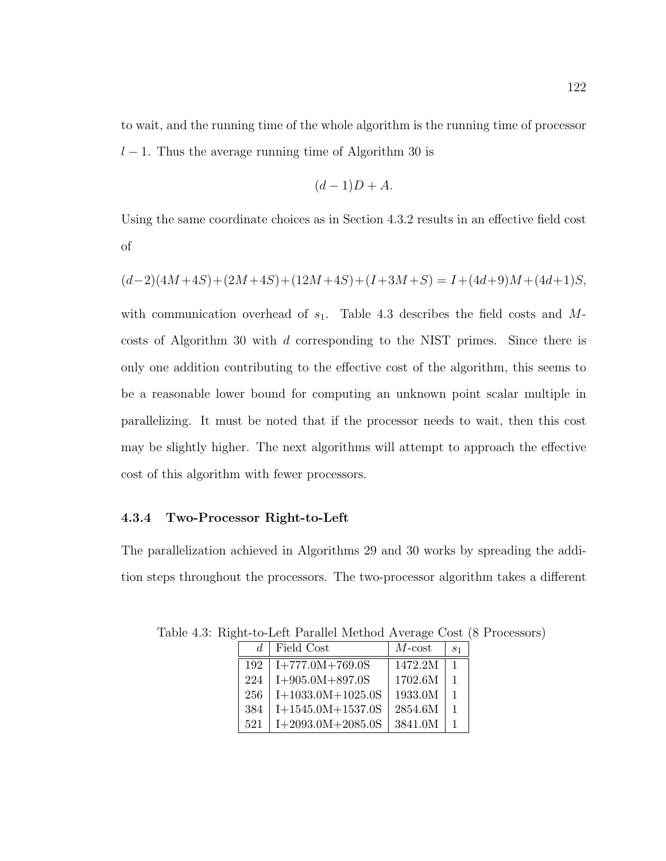to wait, and the running time of the whole algorithm is the running time of processor  $l-1$ . Thus the average running time of Algorithm 30 is

$$
(d-1)D+A.
$$

Using the same coordinate choices as in Section 4.3.2 results in an effective field cost of

$$
(d-2)(4M+4S)+(2M+4S)+(12M+4S)+(I+3M+S)=I+(4d+9)M+(4d+1)S,
$$

with communication overhead of  $s_1$ . Table 4.3 describes the field costs and Mcosts of Algorithm 30 with d corresponding to the NIST primes. Since there is only one addition contributing to the effective cost of the algorithm, this seems to be a reasonable lower bound for computing an unknown point scalar multiple in parallelizing. It must be noted that if the processor needs to wait, then this cost may be slightly higher. The next algorithms will attempt to approach the effective cost of this algorithm with fewer processors.

### 4.3.4 Two-Processor Right-to-Left

The parallelization achieved in Algorithms 29 and 30 works by spreading the addition steps throughout the processors. The two-processor algorithm takes a different

|     | Field Cost          | $M$ -cost | S <sub>1</sub> |
|-----|---------------------|-----------|----------------|
| 192 | $I+777.0M+769.0S$   | 1472.2M   |                |
| 224 | $I+905.0M+897.0S$   | 1702.6M   | 1              |
| 256 | $I+1033.0M+1025.0S$ | 1933.0M   |                |
| 384 | $I+1545.0M+1537.0S$ | 2854.6M   | $\mathbf{1}$   |
| 521 | $I+2093.0M+2085.0S$ | 3841.0M   |                |

Table 4.3: Right-to-Left Parallel Method Average Cost (8 Processors)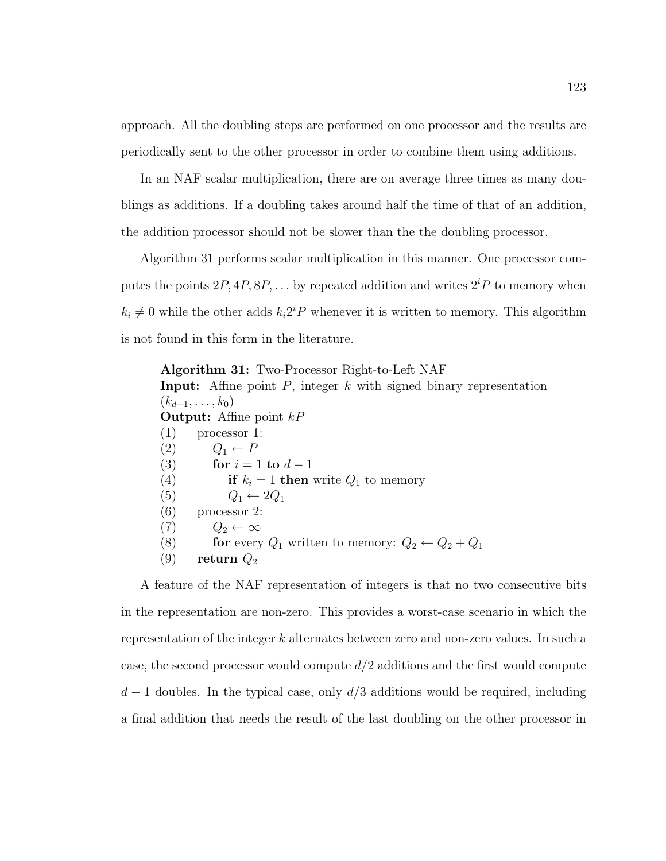approach. All the doubling steps are performed on one processor and the results are periodically sent to the other processor in order to combine them using additions.

In an NAF scalar multiplication, there are on average three times as many doublings as additions. If a doubling takes around half the time of that of an addition, the addition processor should not be slower than the the doubling processor.

Algorithm 31 performs scalar multiplication in this manner. One processor computes the points  $2P, 4P, 8P, \ldots$  by repeated addition and writes  $2^{i}P$  to memory when  $k_i \neq 0$  while the other adds  $k_i 2^i P$  whenever it is written to memory. This algorithm is not found in this form in the literature.

Algorithm 31: Two-Processor Right-to-Left NAF **Input:** Affine point  $P$ , integer  $k$  with signed binary representation  $(k_{d-1}, \ldots, k_0)$ **Output:** Affine point  $kP$ (1) processor 1:  $(2)$   $Q_1 \leftarrow P$ (3) for  $i = 1$  to  $d - 1$ (4) if  $k_i = 1$  then write  $Q_1$  to memory (5)  $Q_1 \leftarrow 2Q_1$ (6) processor 2:  $(7)$   $Q_2 \leftarrow \infty$ (8) for every  $Q_1$  written to memory:  $Q_2 \leftarrow Q_2 + Q_1$ (9) return  $Q_2$ 

A feature of the NAF representation of integers is that no two consecutive bits in the representation are non-zero. This provides a worst-case scenario in which the representation of the integer k alternates between zero and non-zero values. In such a case, the second processor would compute  $d/2$  additions and the first would compute  $d-1$  doubles. In the typical case, only  $d/3$  additions would be required, including a final addition that needs the result of the last doubling on the other processor in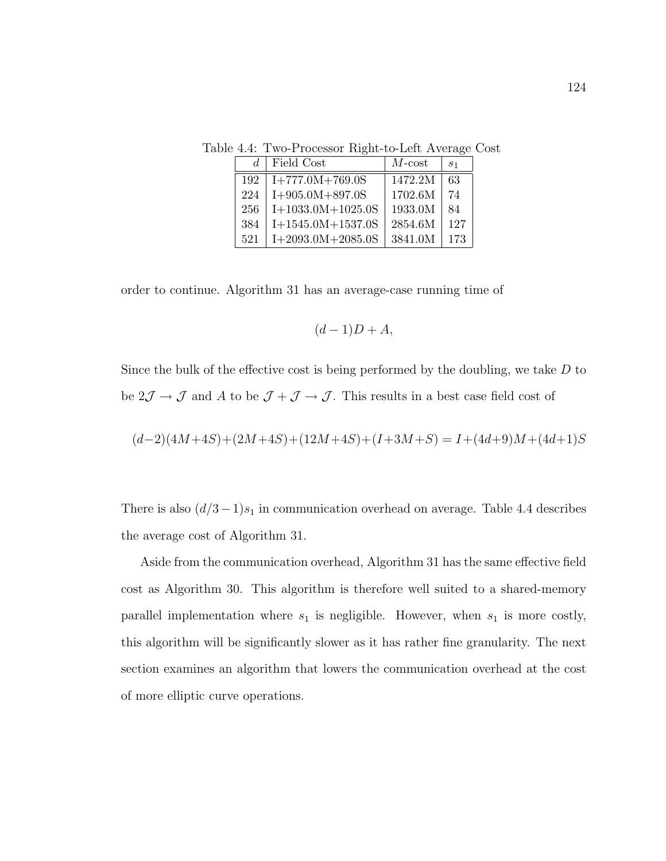Table 4.4: Two-Processor Right-to-Left Average Cost

|     | Field Cost          | $M$ -cost | S <sub>1</sub> |
|-----|---------------------|-----------|----------------|
| 192 | $I+777.0M+769.0S$   | 1472.2M   | 63             |
| 224 | $I+905.0M+897.0S$   | 1702.6M   | 74             |
| 256 | $I+1033.0M+1025.0S$ | 1933.0M   | 84             |
| 384 | $I+1545.0M+1537.0S$ | 2854.6M   | 127            |
| 521 | $I+2093.0M+2085.0S$ | 3841.0M   | 173            |

order to continue. Algorithm 31 has an average-case running time of

$$
(d-1)D+A,
$$

Since the bulk of the effective cost is being performed by the doubling, we take  $D$  to be  $2\mathcal{J} \to \mathcal{J}$  and A to be  $\mathcal{J} + \mathcal{J} \to \mathcal{J}$ . This results in a best case field cost of

$$
(d-2)(4M+4S)+(2M+4S)+(12M+4S)+(I+3M+S)=I+(4d+9)M+(4d+1)S
$$

There is also  $(d/3-1)s_1$  in communication overhead on average. Table 4.4 describes the average cost of Algorithm 31.

Aside from the communication overhead, Algorithm 31 has the same effective field cost as Algorithm 30. This algorithm is therefore well suited to a shared-memory parallel implementation where  $s_1$  is negligible. However, when  $s_1$  is more costly, this algorithm will be significantly slower as it has rather fine granularity. The next section examines an algorithm that lowers the communication overhead at the cost of more elliptic curve operations.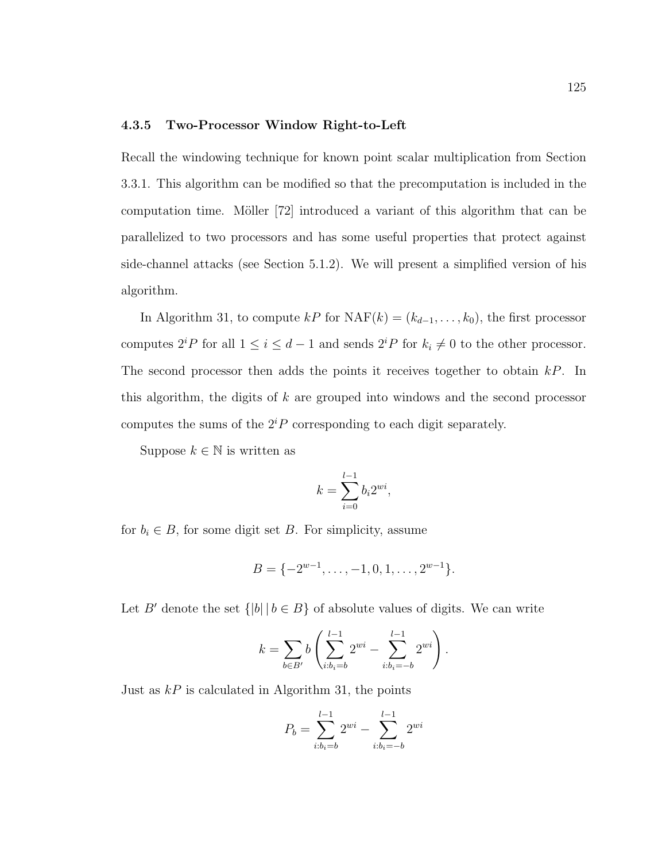## 4.3.5 Two-Processor Window Right-to-Left

Recall the windowing technique for known point scalar multiplication from Section 3.3.1. This algorithm can be modified so that the precomputation is included in the computation time. Möller  $[72]$  introduced a variant of this algorithm that can be parallelized to two processors and has some useful properties that protect against side-channel attacks (see Section 5.1.2). We will present a simplified version of his algorithm.

In Algorithm 31, to compute  $kP$  for  $\text{NAF}(k) = (k_{d-1}, \ldots, k_0)$ , the first processor computes  $2^{i}P$  for all  $1 \leq i \leq d-1$  and sends  $2^{i}P$  for  $k_i \neq 0$  to the other processor. The second processor then adds the points it receives together to obtain  $kP$ . In this algorithm, the digits of k are grouped into windows and the second processor computes the sums of the  $2^{i}P$  corresponding to each digit separately.

Suppose  $k \in \mathbb{N}$  is written as

$$
k = \sum_{i=0}^{l-1} b_i 2^{wi},
$$

for  $b_i \in B$ , for some digit set B. For simplicity, assume

$$
B = \{-2^{w-1}, \ldots, -1, 0, 1, \ldots, 2^{w-1}\}.
$$

Let B' denote the set  $\{|b| \mid b \in B\}$  of absolute values of digits. We can write

$$
k = \sum_{b \in B'} b\left(\sum_{i:b_i=b}^{l-1} 2^{wi} - \sum_{i:b_i=-b}^{l-1} 2^{wi}\right).
$$

Just as  $kP$  is calculated in Algorithm 31, the points

$$
P_b = \sum_{i:b_i=b}^{l-1} 2^{wi} - \sum_{i:b_i=-b}^{l-1} 2^{wi}
$$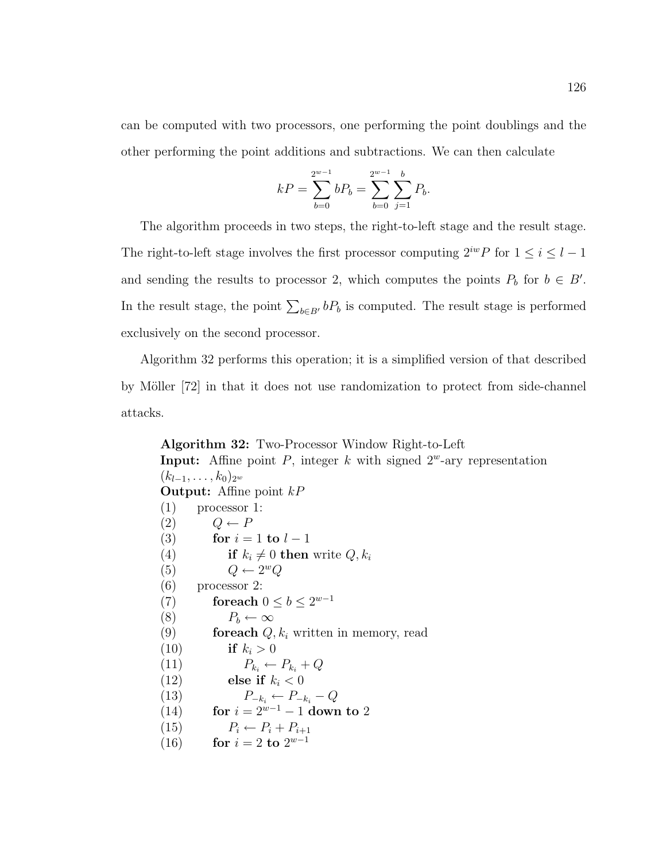can be computed with two processors, one performing the point doublings and the other performing the point additions and subtractions. We can then calculate

$$
kP = \sum_{b=0}^{2^{w-1}} bP_b = \sum_{b=0}^{2^{w-1}} \sum_{j=1}^{b} P_b.
$$

The algorithm proceeds in two steps, the right-to-left stage and the result stage. The right-to-left stage involves the first processor computing  $2^{iw}P$  for  $1 \leq i \leq l-1$ and sending the results to processor 2, which computes the points  $P_b$  for  $b \in B'$ . In the result stage, the point  $\sum_{b \in B'} bP_b$  is computed. The result stage is performed exclusively on the second processor.

Algorithm 32 performs this operation; it is a simplified version of that described by Möller [72] in that it does not use randomization to protect from side-channel attacks.

Algorithm 32: Two-Processor Window Right-to-Left **Input:** Affine point P, integer k with signed  $2^w$ -ary representation  $(k_{l-1}, \ldots, k_0)_{2^w}$ **Output:** Affine point  $kP$ (1) processor 1:  $(2)$   $Q \leftarrow P$ (3) for  $i = 1$  to  $l - 1$ (4) if  $k_i \neq 0$  then write  $Q, k_i$ (5)  $Q \leftarrow 2^w Q$ (6) processor 2: (7) for each  $0 \leq b \leq 2^{w-1}$ (8)  $P_b \leftarrow \infty$ (9) **for each**  $Q, k_i$  written in memory, read (10) if  $k_i > 0$ (11)  $P_{k_i} \leftarrow P_{k_i} + Q$ (12) else if  $k_i < 0$ (13)  $P_{-k_i} \leftarrow P_{-k_i} - Q$ (14) for  $i = 2^{w-1} - 1$  down to 2 (15)  $P_i \leftarrow P_i + P_{i+1}$ (16) for  $i = 2$  to  $2^{w-1}$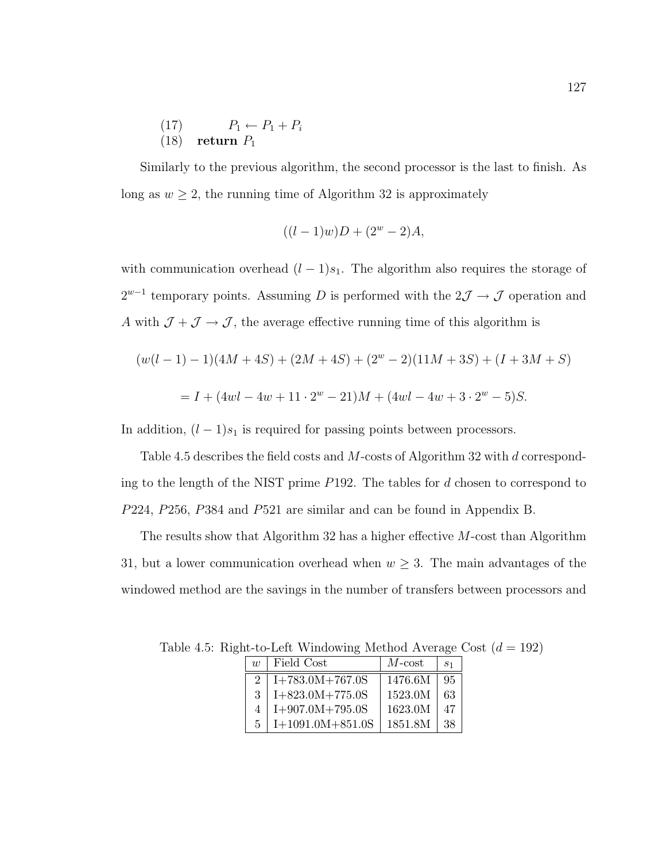(17) 
$$
P_1 \leftarrow P_1 + P_i
$$
  
(18) return  $P_1$ 

Similarly to the previous algorithm, the second processor is the last to finish. As long as  $w \ge 2$ , the running time of Algorithm 32 is approximately

$$
((l-1)w)D + (2^w - 2)A,
$$

with communication overhead  $(l-1)s_1$ . The algorithm also requires the storage of  $2^{w-1}$  temporary points. Assuming D is performed with the  $2\mathcal{J} \rightarrow \mathcal{J}$  operation and A with  $\mathcal{J} + \mathcal{J} \rightarrow \mathcal{J}$ , the average effective running time of this algorithm is

$$
(w(l-1)-1)(4M+4S) + (2M+4S) + (2^w - 2)(11M+3S) + (I+3M+S)
$$
  
= I + (4wl – 4w + 11 · 2<sup>w</sup> – 21)M + (4wl – 4w + 3 · 2<sup>w</sup> – 5)S.

In addition,  $(l-1)s_1$  is required for passing points between processors.

Table 4.5 describes the field costs and M-costs of Algorithm 32 with d corresponding to the length of the NIST prime P192. The tables for d chosen to correspond to P224, P256, P384 and P521 are similar and can be found in Appendix B.

The results show that Algorithm 32 has a higher effective M-cost than Algorithm 31, but a lower communication overhead when  $w \geq 3$ . The main advantages of the windowed method are the savings in the number of transfers between processors and

| $\eta$                      | Field Cost         | $M$ -cost | $\mathcal{S}$ 1 |
|-----------------------------|--------------------|-----------|-----------------|
| $\mathcal{D}_{\mathcal{L}}$ | $I+783.0M+767.0S$  | 1476.6M   | 95              |
| 3                           | $I+823.0M+775.0S$  | 1523.0M   | 63              |
| 4                           | $I+907.0M+795.0S$  | 1623.0M   | 47              |
| 5                           | $I+1091.0M+851.0S$ | 1851.8M   | 38              |

Table 4.5: Right-to-Left Windowing Method Average Cost  $(d = 192)$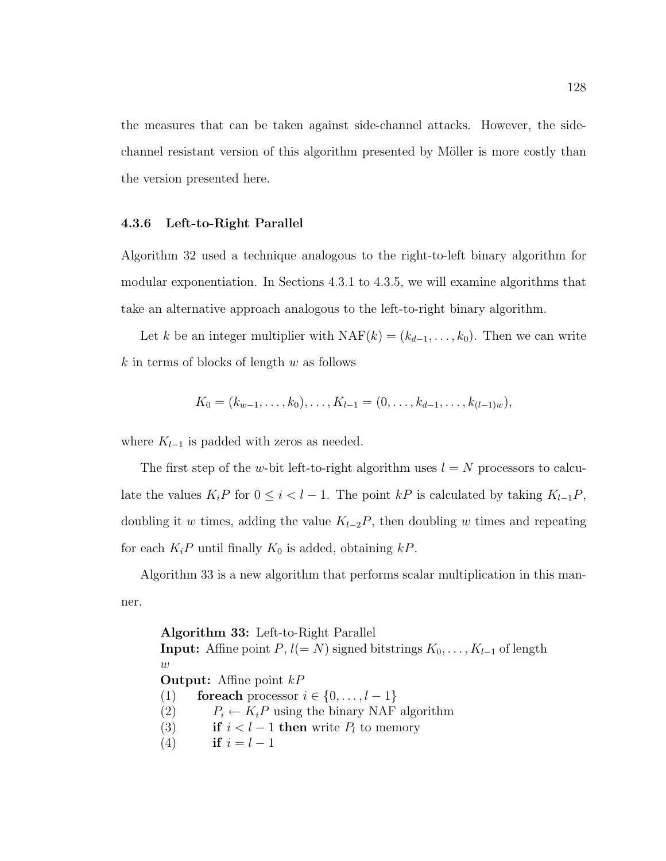the measures that can be taken against side-channel attacks. However, the sidechannel resistant version of this algorithm presented by Möller is more costly than the version presented here.

### 4.3.6 Left-to-Right Parallel

Algorithm 32 used a technique analogous to the right-to-left binary algorithm for modular exponentiation. In Sections 4.3.1 to 4.3.5, we will examine algorithms that take an alternative approach analogous to the left-to-right binary algorithm.

Let k be an integer multiplier with  $NAF(k) = (k_{d-1}, \ldots, k_0)$ . Then we can write  $k$  in terms of blocks of length  $w$  as follows

$$
K_0 = (k_{w-1}, \ldots, k_0), \ldots, K_{l-1} = (0, \ldots, k_{d-1}, \ldots, k_{(l-1)w}),
$$

where  $K_{l-1}$  is padded with zeros as needed.

The first step of the w-bit left-to-right algorithm uses  $l = N$  processors to calculate the values  $K_iP$  for  $0 \leq i < l-1$ . The point kP is calculated by taking  $K_{l-1}P$ , doubling it w times, adding the value  $K_{l-2}P$ , then doubling w times and repeating for each  $K_iP$  until finally  $K_0$  is added, obtaining  $kP$ .

Algorithm 33 is a new algorithm that performs scalar multiplication in this manner.

Algorithm 33: Left-to-Right Parallel **Input:** Affine point  $P$ ,  $l(= N)$  signed bitstrings  $K_0, \ldots, K_{l-1}$  of length  $\boldsymbol{w}$ **Output:** Affine point  $kP$ (1) for each processor  $i \in \{0, \ldots, l-1\}$ (2)  $P_i \leftarrow K_i P$  using the binary NAF algorithm (3) if  $i < l - 1$  then write  $P_l$  to memory (4) if  $i = l - 1$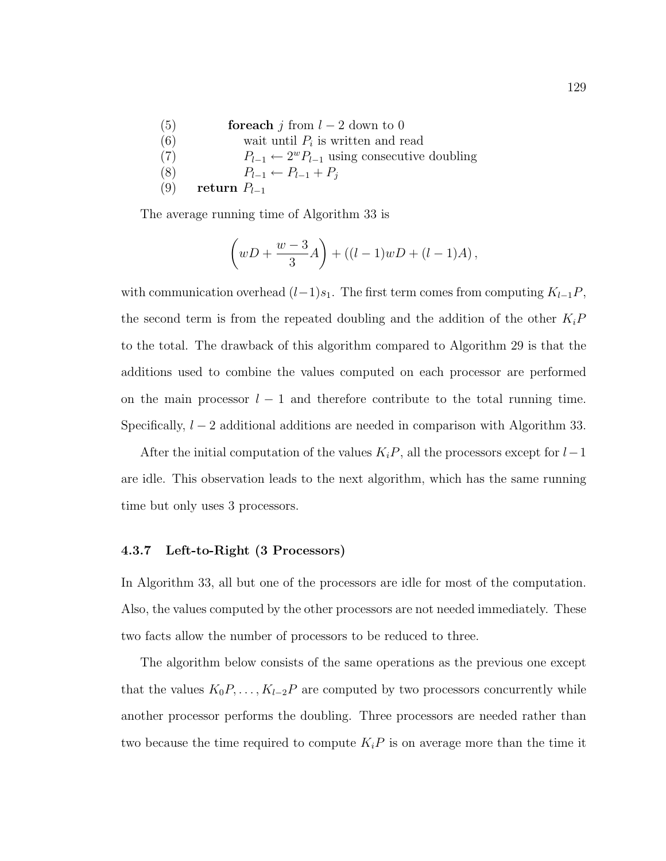| (5) | <b>for each</b> i from $l-2$ down to 0                      |
|-----|-------------------------------------------------------------|
| (6) | wait until $P_i$ is written and read                        |
| (7) | $P_{l-1} \leftarrow 2^w P_{l-1}$ using consecutive doubling |
| (8) | $P_{l-1} \leftarrow P_{l-1} + P_i$                          |
| (9) | return $P_{l-1}$                                            |

The average running time of Algorithm 33 is

$$
\left(wD + \frac{w-3}{3}A\right) + ((l-1)wD + (l-1)A),
$$

with communication overhead  $(l-1)s_1$ . The first term comes from computing  $K_{l-1}P$ , the second term is from the repeated doubling and the addition of the other  $K_iP$ to the total. The drawback of this algorithm compared to Algorithm 29 is that the additions used to combine the values computed on each processor are performed on the main processor  $l-1$  and therefore contribute to the total running time. Specifically,  $l - 2$  additional additions are needed in comparison with Algorithm 33.

After the initial computation of the values  $K_iP$ , all the processors except for  $l-1$ are idle. This observation leads to the next algorithm, which has the same running time but only uses 3 processors.

### 4.3.7 Left-to-Right (3 Processors)

In Algorithm 33, all but one of the processors are idle for most of the computation. Also, the values computed by the other processors are not needed immediately. These two facts allow the number of processors to be reduced to three.

The algorithm below consists of the same operations as the previous one except that the values  $K_0P, \ldots, K_{l-2}P$  are computed by two processors concurrently while another processor performs the doubling. Three processors are needed rather than two because the time required to compute  $K_iP$  is on average more than the time it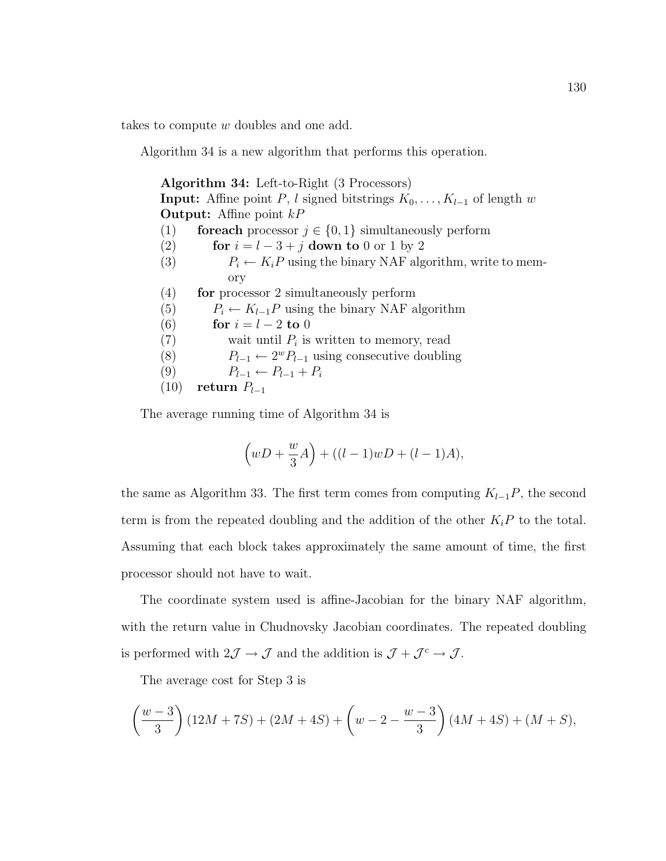takes to compute w doubles and one add.

Algorithm 34 is a new algorithm that performs this operation.

| Algorithm 34: Left-to-Right (3 Processors)                                           |  |  |  |  |
|--------------------------------------------------------------------------------------|--|--|--|--|
| <b>Input:</b> Affine point P, l signed bitstrings $K_0, \ldots, K_{l-1}$ of length w |  |  |  |  |
| <b>Output:</b> Affine point $kP$                                                     |  |  |  |  |
| <b>for each</b> processor $j \in \{0, 1\}$ simultaneously perform<br>(1)             |  |  |  |  |
| (2)<br>for $i = l - 3 + j$ down to 0 or 1 by 2                                       |  |  |  |  |
| (3)<br>$P_i \leftarrow K_i P$ using the binary NAF algorithm, write to mem-          |  |  |  |  |
| ory                                                                                  |  |  |  |  |
| (4)<br>for processor 2 simultaneously perform                                        |  |  |  |  |
| (5)<br>$P_i \leftarrow K_{i-1}P$ using the binary NAF algorithm                      |  |  |  |  |
| (6)<br>for $i=l-2$ to 0                                                              |  |  |  |  |
| (7)<br>wait until $P_i$ is written to memory, read                                   |  |  |  |  |
| (8)<br>$P_{l-1} \leftarrow 2^w P_{l-1}$ using consecutive doubling                   |  |  |  |  |
| (9)<br>$P_{l-1} \leftarrow P_{l-1} + P_i$                                            |  |  |  |  |
| (10)<br>return $P_{l-1}$                                                             |  |  |  |  |

The average running time of Algorithm 34 is

$$
\left(wD+\frac{w}{3}A\right)+((l-1)wD+(l-1)A),
$$

the same as Algorithm 33. The first term comes from computing  $K_{l-1}P$ , the second term is from the repeated doubling and the addition of the other  $K_iP$  to the total. Assuming that each block takes approximately the same amount of time, the first processor should not have to wait.

The coordinate system used is affine-Jacobian for the binary NAF algorithm, with the return value in Chudnovsky Jacobian coordinates. The repeated doubling is performed with  $2\mathcal{J} \to \mathcal{J}$  and the addition is  $\mathcal{J} + \mathcal{J}^c \to \mathcal{J}$ .

The average cost for Step 3 is

$$
\left(\frac{w-3}{3}\right)(12M+7S) + (2M+4S) + \left(w-2-\frac{w-3}{3}\right)(4M+4S) + (M+S),
$$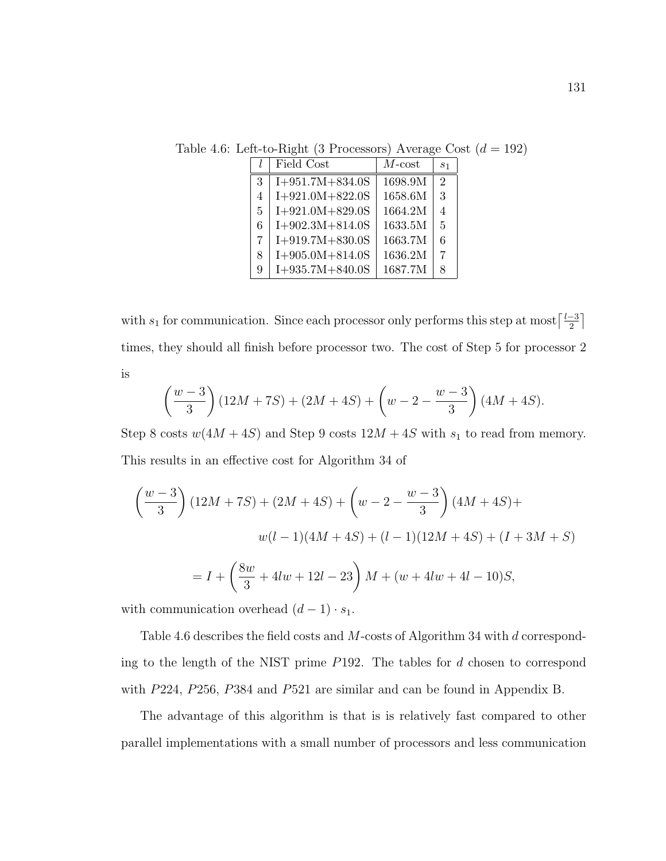Table 4.6: Left-to-Right (3 Processors) Average Cost  $(d = 192)$ 

|   | Field Cost        | $M$ -cost | S <sub>1</sub>              |
|---|-------------------|-----------|-----------------------------|
| 3 | $I+951.7M+834.0S$ | 1698.9M   | $\mathcal{D}_{\mathcal{L}}$ |
| 4 | $I+921.0M+822.0S$ | 1658.6M   | 3                           |
| 5 | $I+921.0M+829.0S$ | 1664.2M   | $\overline{A}$              |
| 6 | $I+902.3M+814.0S$ | 1633.5M   | $\overline{5}$              |
| 7 | $I+919.7M+830.0S$ | 1663.7M   | 6                           |
| 8 | $I+905.0M+814.0S$ | 1636.2M   | 7                           |
| 9 | $I+935.7M+840.0S$ | 1687.7M   | 8                           |

with  $s_1$  for communication. Since each processor only performs this step at most  $\lceil \frac{l-3}{2} \rceil$  $\frac{-3}{2}$ ] times, they should all finish before processor two. The cost of Step 5 for processor 2 is

$$
\left(\frac{w-3}{3}\right)(12M+7S) + (2M+4S) + \left(w-2-\frac{w-3}{3}\right)(4M+4S).
$$

Step 8 costs  $w(4M + 4S)$  and Step 9 costs  $12M + 4S$  with  $s_1$  to read from memory. This results in an effective cost for Algorithm 34 of

$$
\left(\frac{w-3}{3}\right)(12M+7S) + (2M+4S) + \left(w-2-\frac{w-3}{3}\right)(4M+4S) +
$$
  

$$
w(l-1)(4M+4S) + (l-1)(12M+4S) + (I+3M+S)
$$
  

$$
= I + \left(\frac{8w}{3} + 4lw + 12l - 23\right)M + (w + 4lw + 4l - 10)S,
$$

with communication overhead  $(d-1) \cdot s_1$ .

Table 4.6 describes the field costs and M-costs of Algorithm 34 with d corresponding to the length of the NIST prime P192. The tables for d chosen to correspond with P224, P256, P384 and P521 are similar and can be found in Appendix B.

The advantage of this algorithm is that is is relatively fast compared to other parallel implementations with a small number of processors and less communication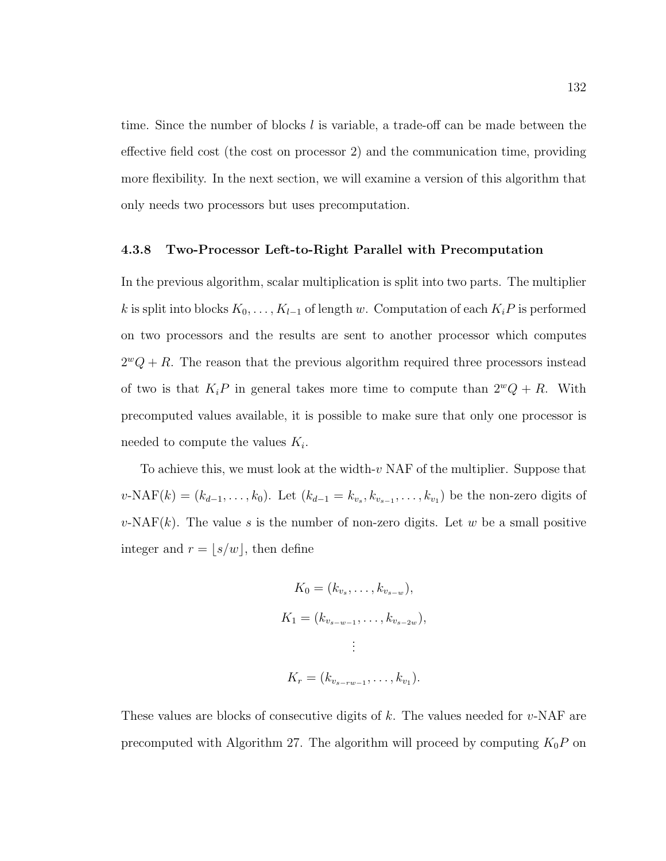time. Since the number of blocks  $l$  is variable, a trade-off can be made between the effective field cost (the cost on processor 2) and the communication time, providing more flexibility. In the next section, we will examine a version of this algorithm that only needs two processors but uses precomputation.

## 4.3.8 Two-Processor Left-to-Right Parallel with Precomputation

In the previous algorithm, scalar multiplication is split into two parts. The multiplier k is split into blocks  $K_0, \ldots, K_{l-1}$  of length w. Computation of each  $K_iP$  is performed on two processors and the results are sent to another processor which computes  $2^wQ + R$ . The reason that the previous algorithm required three processors instead of two is that  $K_iP$  in general takes more time to compute than  $2^wQ + R$ . With precomputed values available, it is possible to make sure that only one processor is needed to compute the values  $K_i$ .

To achieve this, we must look at the width-v NAF of the multiplier. Suppose that  $v\text{-NAF}(k) = (k_{d-1}, \ldots, k_0)$ . Let  $(k_{d-1} = k_{v_s}, k_{v_{s-1}}, \ldots, k_{v_1})$  be the non-zero digits of  $v\text{-NAF}(k)$ . The value s is the number of non-zero digits. Let w be a small positive integer and  $r = \lfloor s/w \rfloor$ , then define

$$
K_0 = (k_{v_s}, \dots, k_{v_{s-w}}),
$$
  
\n
$$
K_1 = (k_{v_{s-w-1}}, \dots, k_{v_{s-2w}}),
$$
  
\n
$$
\vdots
$$
  
\n
$$
K_r = (k_{v_{s-rw-1}}, \dots, k_{v_1}).
$$

These values are blocks of consecutive digits of  $k$ . The values needed for  $v$ -NAF are precomputed with Algorithm 27. The algorithm will proceed by computing  $K_0P$  on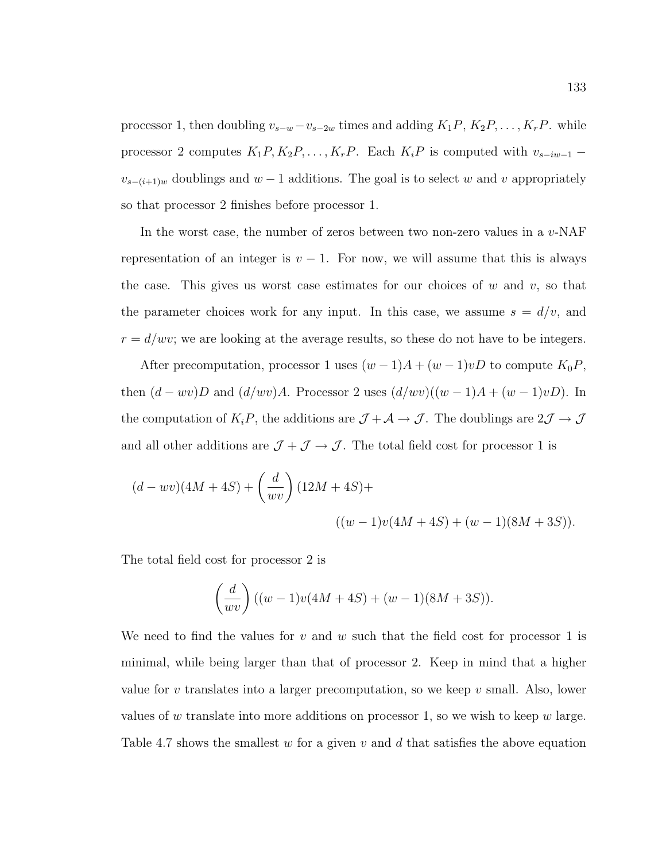processor 1, then doubling  $v_{s-w}-v_{s-2w}$  times and adding  $K_1P, K_2P, \ldots, K_rP$ . while processor 2 computes  $K_1P, K_2P, \ldots, K_rP$ . Each  $K_iP$  is computed with  $v_{s-iw-1}$  –  $v_{s-(i+1)w}$  doublings and  $w-1$  additions. The goal is to select w and v appropriately so that processor 2 finishes before processor 1.

In the worst case, the number of zeros between two non-zero values in a  $v$ -NAF representation of an integer is  $v - 1$ . For now, we will assume that this is always the case. This gives us worst case estimates for our choices of  $w$  and  $v$ , so that the parameter choices work for any input. In this case, we assume  $s = d/v$ , and  $r = d/wv$ ; we are looking at the average results, so these do not have to be integers.

After precomputation, processor 1 uses  $(w-1)A + (w-1)vD$  to compute  $K_0P$ , then  $(d - wv)D$  and  $(d/ wv)A$ . Processor 2 uses  $(d/ wv)((w - 1)A + (w - 1)vD)$ . In the computation of  $K_iP$ , the additions are  $\mathcal{J} + \mathcal{A} \to \mathcal{J}$ . The doublings are  $2\mathcal{J} \to \mathcal{J}$ and all other additions are  $\mathcal{J} + \mathcal{J} \rightarrow \mathcal{J}.$  The total field cost for processor 1 is

$$
(d - wv)(4M + 4S) + {d \choose wv} (12M + 4S) +
$$
  

$$
((w - 1)v(4M + 4S) + (w - 1)(8M + 3S)).
$$

The total field cost for processor 2 is

$$
\left(\frac{d}{wv}\right)((w-1)v(4M+4S) + (w-1)(8M+3S)).
$$

We need to find the values for v and w such that the field cost for processor 1 is minimal, while being larger than that of processor 2. Keep in mind that a higher value for v translates into a larger precomputation, so we keep v small. Also, lower values of w translate into more additions on processor 1, so we wish to keep  $w$  large. Table 4.7 shows the smallest  $w$  for a given  $v$  and  $d$  that satisfies the above equation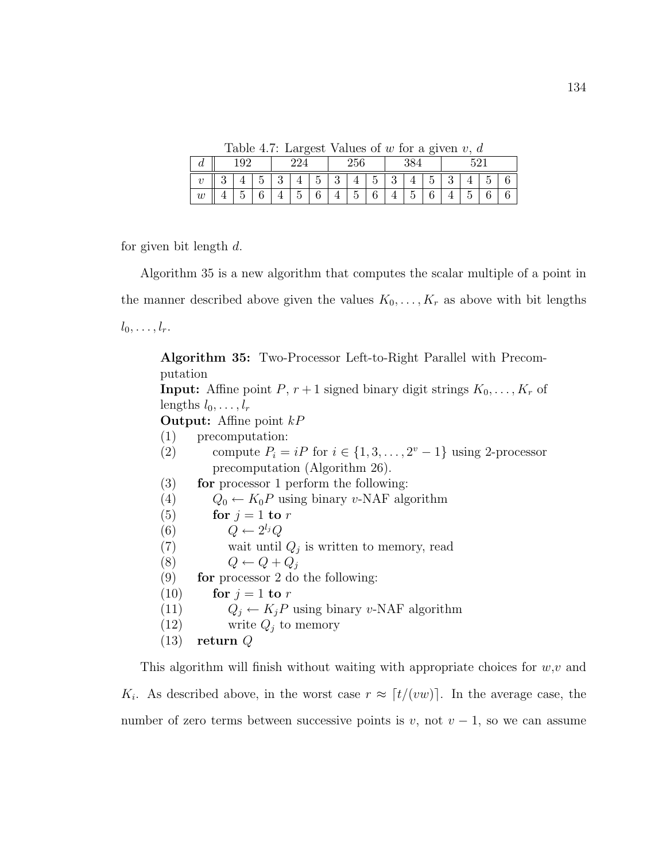Table 4.7: Largest Values of  $w$  for a given  $v, d$ 

| а                          |        |                      |                      |               |   |              |               | ہ ۔<br>ັ                           |             |               |             |                       |        | ٢c                              |                 |                 |
|----------------------------|--------|----------------------|----------------------|---------------|---|--------------|---------------|------------------------------------|-------------|---------------|-------------|-----------------------|--------|---------------------------------|-----------------|-----------------|
| $\theta$                   | ິ<br>ບ | ı                    | $\tilde{}$<br>∽<br>ω | $\Omega$<br>ಀ | ᅩ | -<br>ь<br>IJ | $\Omega$<br>⊍ | -<br>ı                             | ۔<br>ь<br>◡ | $\Omega$<br>◡ | л.          | $\check{ }$<br>∽<br>ບ | ິ<br>ບ | л.                              | ۰<br>h<br>∪     | ⌒<br>v          |
| $\overline{a}$<br>$\omega$ | ᅩ      | $\tilde{}$<br>n<br>◡ | $\sqrt{2}$<br>v      |               | ◡ | ⌒<br>U       | ᅩ             | $\overline{\phantom{0}}$<br>∽<br>U | ⌒<br>0      | ı             | ۔<br>h<br>◡ | v                     | ᅩ      | $\tilde{\phantom{a}}$<br>∽<br>U | $\sqrt{2}$<br>ັ | $\sqrt{2}$<br>v |

for given bit length d.

Algorithm 35 is a new algorithm that computes the scalar multiple of a point in the manner described above given the values  $K_0, \ldots, K_r$  as above with bit lengths  $l_0, \ldots, l_r$ .

Algorithm 35: Two-Processor Left-to-Right Parallel with Precomputation **Input:** Affine point P,  $r + 1$  signed binary digit strings  $K_0, \ldots, K_r$  of lengths  $l_0, \ldots, l_r$ **Output:** Affine point  $kP$ (1) precomputation: (2) compute  $P_i = iP$  for  $i \in \{1, 3, ..., 2^v - 1\}$  using 2-processor precomputation (Algorithm 26). (3) for processor 1 perform the following: (4)  $Q_0 \leftarrow K_0 P$  using binary v-NAF algorithm (5) for  $j = 1$  to r (6)  $Q \leftarrow 2^{l_j}Q$ (7) wait until  $Q_j$  is written to memory, read (8)  $Q \leftarrow Q + Q_j$  $(9)$  for processor 2 do the following: (10) for  $j = 1$  to r (11)  $Q_j \leftarrow K_j P$  using binary v-NAF algorithm (12) write  $Q_i$  to memory  $(13)$  return Q

This algorithm will finish without waiting with appropriate choices for  $w, v$  and  $K_i$ . As described above, in the worst case  $r \approx \lceil t/(vw) \rceil$ . In the average case, the number of zero terms between successive points is v, not  $v - 1$ , so we can assume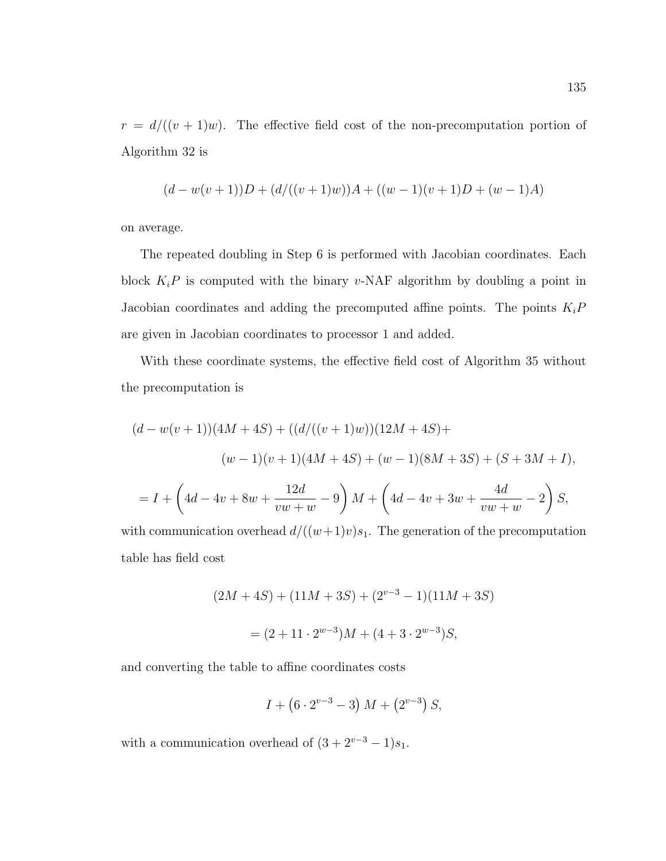$r = d/((v + 1)w)$ . The effective field cost of the non-precomputation portion of Algorithm 32 is

$$
(d-w(v+1))D + (d/((v+1)w))A + ((w-1)(v+1)D + (w-1)A)
$$

on average.

The repeated doubling in Step 6 is performed with Jacobian coordinates. Each block  $K_iP$  is computed with the binary v-NAF algorithm by doubling a point in Jacobian coordinates and adding the precomputed affine points. The points  $K_iP$ are given in Jacobian coordinates to processor 1 and added.

With these coordinate systems, the effective field cost of Algorithm 35 without the precomputation is

$$
(d - w(v + 1))(4M + 4S) + ((d/((v + 1)w))(12M + 4S) +
$$
  
\n
$$
(w - 1)(v + 1)(4M + 4S) + (w - 1)(8M + 3S) + (S + 3M + I),
$$
  
\n
$$
= I + \left(4d - 4v + 8w + \frac{12d}{vw + w} - 9\right)M + \left(4d - 4v + 3w + \frac{4d}{vw + w} - 2\right)S,
$$

with communication overhead  $d/((w+1)v)s_1$ . The generation of the precomputation table has field cost

$$
(2M + 4S) + (11M + 3S) + (2^{v-3} - 1)(11M + 3S)
$$

$$
= (2 + 11 \cdot 2^{w-3})M + (4 + 3 \cdot 2^{w-3})S,
$$

and converting the table to affine coordinates costs

$$
I + (6 \cdot 2^{v-3} - 3) M + (2^{v-3}) S,
$$

with a communication overhead of  $(3 + 2<sup>v-3</sup> - 1)s_1$ .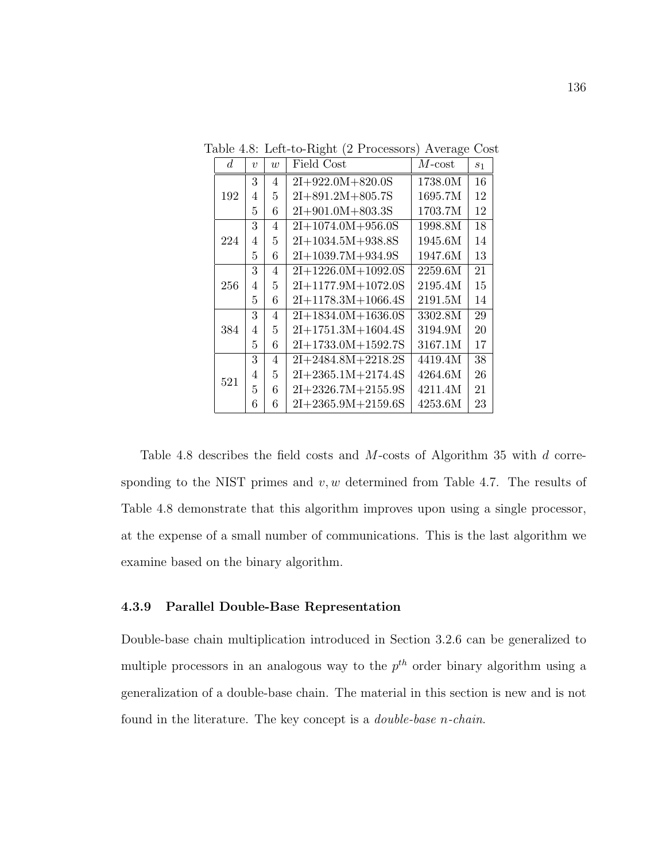| d.  | $\boldsymbol{v}$ | w | Field Cost             | $M\text{-}\mathrm{cost}$ | $s_1$ |
|-----|------------------|---|------------------------|--------------------------|-------|
|     | 3                | 4 | $2I+922.0M+820.0S$     | 1738.0M                  | 16    |
| 192 | 4                | 5 | $2I + 891.2M + 805.7S$ | 1695.7M                  | 12    |
|     | 5                | 6 | $2I + 901.0M + 803.3S$ | 1703.7M                  | 12    |
|     | 3                | 4 | $2I+1074.0M+956.0S$    | 1998.8M                  | 18    |
| 224 | 4                | 5 | $2I+1034.5M+938.8S$    | 1945.6M                  | 14    |
|     | 5                | 6 | $2I+1039.7M+934.9S$    | 1947.6M                  | 13    |
|     | 3                | 4 | $2I+1226.0M+1092.0S$   | 2259.6M                  | 21    |
| 256 | 4                | 5 | $2I+1177.9M+1072.0S$   | 2195.4M                  | 15    |
|     | 5                | 6 | $2I+1178.3M+1066.4S$   | 2191.5M                  | 14    |
|     | 3                | 4 | $2I+1834.0M+1636.0S$   | 3302.8M                  | 29    |
| 384 | 4                | 5 | $2I+1751.3M+1604.4S$   | 3194.9M                  | 20    |
|     | 5                | 6 | 2I+1733.0M+1592.7S     | 3167.1M                  | 17    |
|     | 3                | 4 | $2I+2484.8M+2218.2S$   | 4419.4M                  | 38    |
| 521 | 4                | 5 | $2I+2365.1M+2174.4S$   | 4264.6M                  | 26    |
|     | 5                | 6 | $2I+2326.7M+2155.9S$   | 4211.4M                  | 21    |
|     | 6                | 6 | $2I+2365.9M+2159.6S$   | 4253.6M                  | 23    |

Table 4.8: Left-to-Right (2 Processors) Average Cost

Table 4.8 describes the field costs and M-costs of Algorithm 35 with d corresponding to the NIST primes and  $v, w$  determined from Table 4.7. The results of Table 4.8 demonstrate that this algorithm improves upon using a single processor, at the expense of a small number of communications. This is the last algorithm we examine based on the binary algorithm.

## 4.3.9 Parallel Double-Base Representation

Double-base chain multiplication introduced in Section 3.2.6 can be generalized to multiple processors in an analogous way to the  $p^{th}$  order binary algorithm using a generalization of a double-base chain. The material in this section is new and is not found in the literature. The key concept is a double-base n-chain.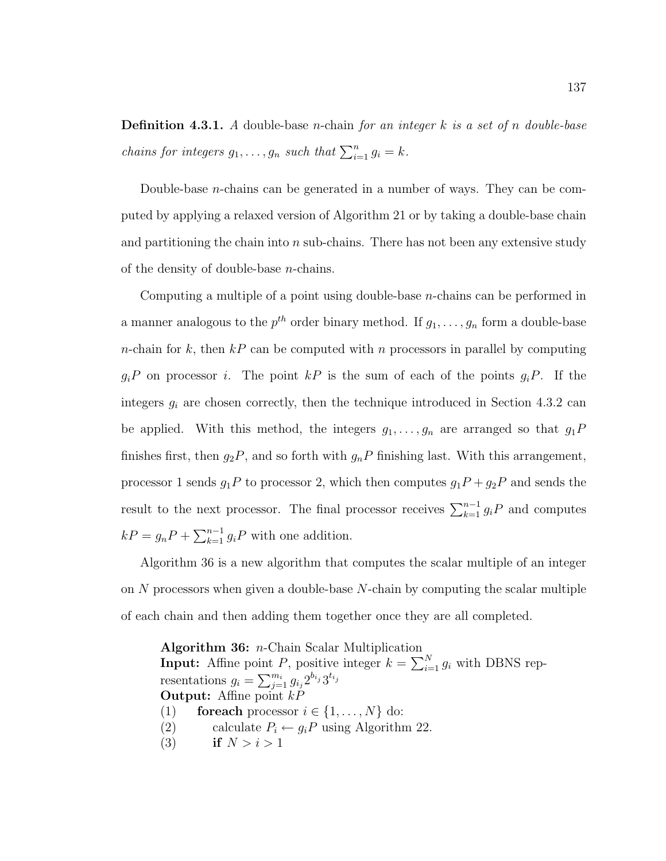**Definition 4.3.1.** A double-base *n*-chain for an integer  $k$  is a set of n double-base *chains for integers*  $g_1, \ldots, g_n$  *such that*  $\sum_{i=1}^n g_i = k$ .

Double-base n-chains can be generated in a number of ways. They can be computed by applying a relaxed version of Algorithm 21 or by taking a double-base chain and partitioning the chain into  $n$  sub-chains. There has not been any extensive study of the density of double-base n-chains.

Computing a multiple of a point using double-base n-chains can be performed in a manner analogous to the  $p^{th}$  order binary method. If  $g_1, \ldots, g_n$  form a double-base *n*-chain for k, then  $k \in \mathbb{R}$  can be computed with n processors in parallel by computing  $g_iP$  on processor i. The point kP is the sum of each of the points  $g_iP$ . If the integers  $g_i$  are chosen correctly, then the technique introduced in Section 4.3.2 can be applied. With this method, the integers  $g_1, \ldots, g_n$  are arranged so that  $g_1P$ finishes first, then  $g_2P$ , and so forth with  $g_nP$  finishing last. With this arrangement, processor 1 sends  $g_1P$  to processor 2, which then computes  $g_1P + g_2P$  and sends the result to the next processor. The final processor receives  $\sum_{k=1}^{n-1} g_i P$  and computes  $kP = g_n P + \sum_{k=1}^{n-1} g_i P$  with one addition.

Algorithm 36 is a new algorithm that computes the scalar multiple of an integer on  $N$  processors when given a double-base  $N$ -chain by computing the scalar multiple of each chain and then adding them together once they are all completed.

Algorithm 36: n-Chain Scalar Multiplication **Input:** Affine point P, positive integer  $k = \sum_{i=1}^{N} g_i$  with DBNS representations  $g_i = \sum_{j=1}^{m_i} g_{i_j} 2^{b_{i_j}} 3^{t_{i_j}}$ **Output:** Affine point  $kP$ (1) for each processor  $i \in \{1, \ldots, N\}$  do: (2) calculate  $P_i \leftarrow g_i P$  using Algorithm 22. (3) if  $N > i > 1$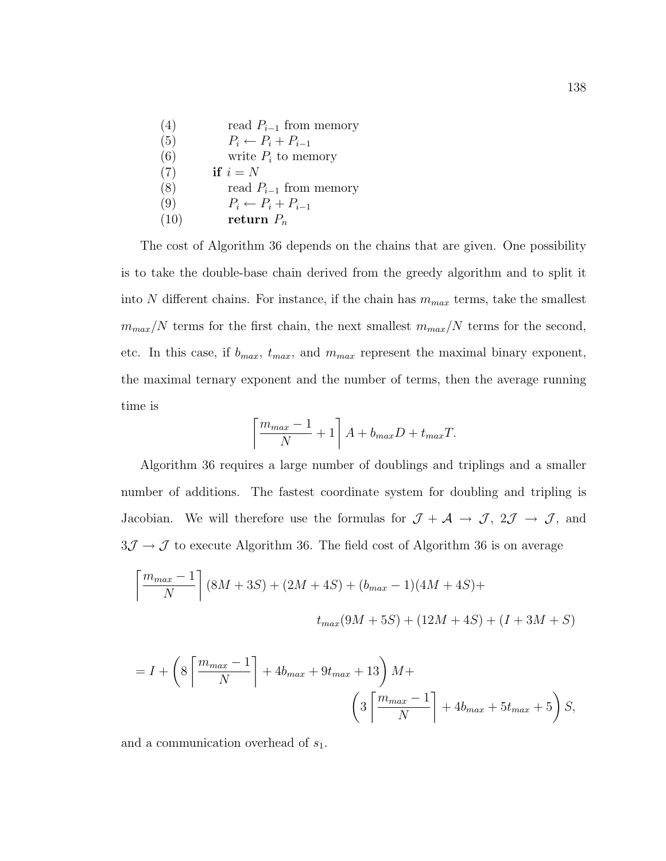| (4)  | read $P_{i-1}$ from memory     |
|------|--------------------------------|
| (5)  | $P_i \leftarrow P_i + P_{i-1}$ |
| (6)  | write $P_i$ to memory          |
| (7)  | if $i = N$                     |
| (8)  | read $P_{i-1}$ from memory     |
| (9)  | $P_i \leftarrow P_i + P_{i-1}$ |
| (10) | return $P_n$                   |

The cost of Algorithm 36 depends on the chains that are given. One possibility is to take the double-base chain derived from the greedy algorithm and to split it into N different chains. For instance, if the chain has  $m_{max}$  terms, take the smallest  $m_{max}/N$  terms for the first chain, the next smallest  $m_{max}/N$  terms for the second, etc. In this case, if  $b_{max}$ ,  $t_{max}$ , and  $m_{max}$  represent the maximal binary exponent, the maximal ternary exponent and the number of terms, then the average running time is

$$
\left\lceil \frac{m_{max} - 1}{N} + 1 \right\rceil A + b_{max} D + t_{max} T.
$$

Algorithm 36 requires a large number of doublings and triplings and a smaller number of additions. The fastest coordinate system for doubling and tripling is Jacobian. We will therefore use the formulas for  $\mathcal{J} + \mathcal{A} \rightarrow \mathcal{J}$ ,  $2\mathcal{J} \rightarrow \mathcal{J}$ , and  $3\mathcal{J}\rightarrow\mathcal{J}$  to execute Algorithm 36. The field cost of Algorithm 36 is on average

$$
\left\lceil \frac{m_{max} - 1}{N} \right\rceil (8M + 3S) + (2M + 4S) + (b_{max} - 1)(4M + 4S) +
$$
  

$$
t_{max}(9M + 5S) + (12M + 4S) + (I + 3M + S)
$$

$$
= I + \left(8\left\lceil \frac{m_{max} - 1}{N} \right\rceil + 4b_{max} + 9t_{max} + 13\right)M + \left(3\left\lceil \frac{m_{max} - 1}{N} \right\rceil + 4b_{max} + 5t_{max} + 5\right)S,
$$

and a communication overhead of  $s_1$ .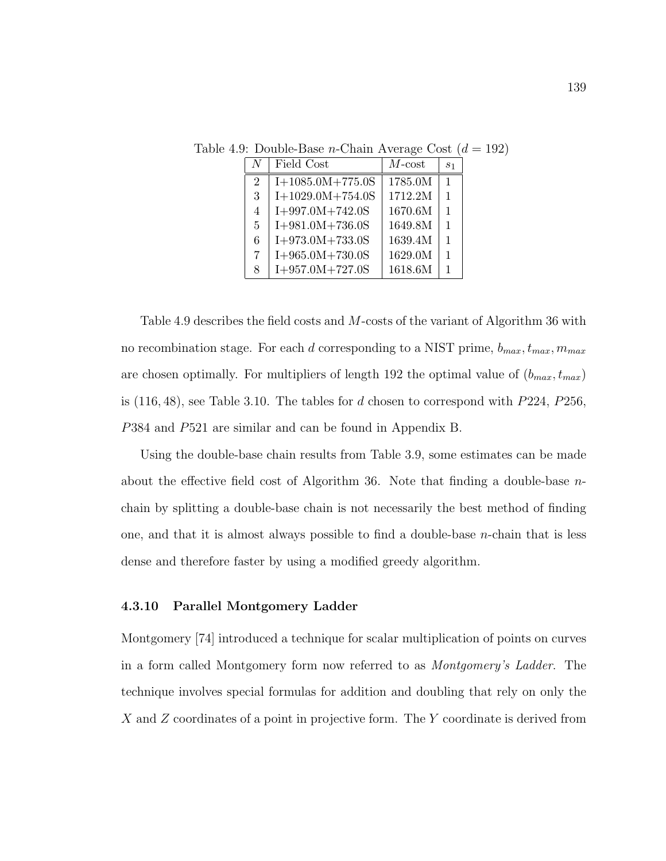|                | Field Cost         | $M$ -cost | s <sub>1</sub> |
|----------------|--------------------|-----------|----------------|
| $\overline{2}$ | $I+1085.0M+775.0S$ | 1785.0M   | 1              |
| 3              | $I+1029.0M+754.0S$ | 1712.2M   | 1              |
| $\overline{4}$ | $I+997.0M+742.0S$  | 1670.6M   | 1              |
| $\mathbf{5}$   | $I+981.0M+736.0S$  | 1649.8M   | 1              |
| 6              | $I+973.0M+733.0S$  | 1639.4M   | 1              |
| 7              | $I+965.0M+730.0S$  | 1629.0M   | 1              |
| 8              | $I+957.0M+727.0S$  | 1618.6M   | 1              |

Table 4.9: Double-Base *n*-Chain Average Cost  $(d = 192)$ 

Table 4.9 describes the field costs and M-costs of the variant of Algorithm 36 with no recombination stage. For each d corresponding to a NIST prime,  $b_{max}$ ,  $t_{max}$ ,  $m_{max}$ are chosen optimally. For multipliers of length 192 the optimal value of  $(b_{max}, t_{max})$ is  $(116, 48)$ , see Table 3.10. The tables for d chosen to correspond with  $P224$ ,  $P256$ , P384 and P521 are similar and can be found in Appendix B.

Using the double-base chain results from Table 3.9, some estimates can be made about the effective field cost of Algorithm 36. Note that finding a double-base  $n$ chain by splitting a double-base chain is not necessarily the best method of finding one, and that it is almost always possible to find a double-base n-chain that is less dense and therefore faster by using a modified greedy algorithm.

## 4.3.10 Parallel Montgomery Ladder

Montgomery [74] introduced a technique for scalar multiplication of points on curves in a form called Montgomery form now referred to as Montgomery's Ladder. The technique involves special formulas for addition and doubling that rely on only the X and Z coordinates of a point in projective form. The Y coordinate is derived from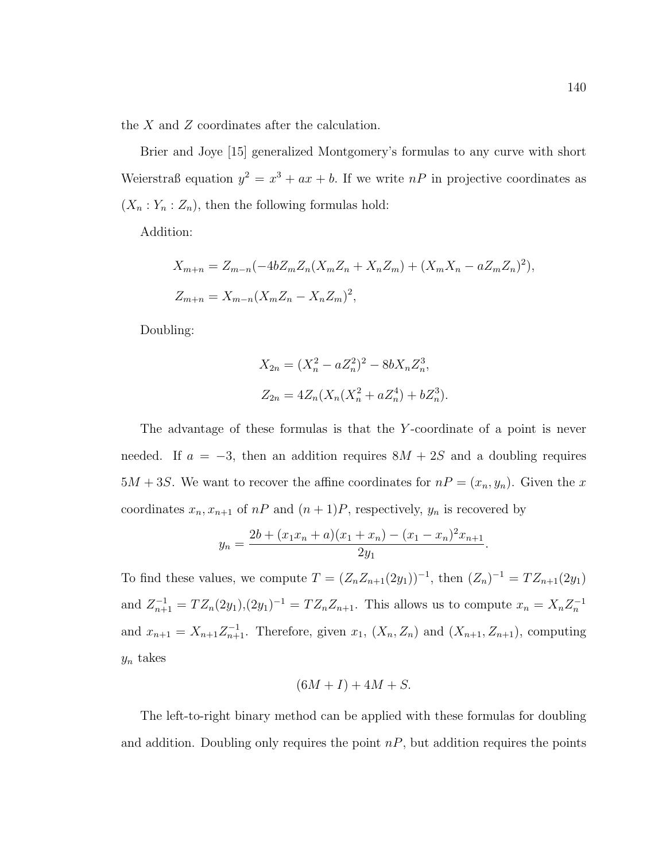the X and Z coordinates after the calculation.

Brier and Joye [15] generalized Montgomery's formulas to any curve with short Weierstraß equation  $y^2 = x^3 + ax + b$ . If we write  $nP$  in projective coordinates as  $(X_n : Y_n : Z_n)$ , then the following formulas hold:

Addition:

$$
X_{m+n} = Z_{m-n}(-4bZ_mZ_n(X_mZ_n + X_nZ_m) + (X_mX_n - aZ_mZ_n)^2),
$$
  

$$
Z_{m+n} = X_{m-n}(X_mZ_n - X_nZ_m)^2,
$$

Doubling:

$$
X_{2n} = (X_n^2 - aZ_n^2)^2 - 8bX_nZ_n^3,
$$
  

$$
Z_{2n} = 4Z_n(X_n(X_n^2 + aZ_n^4) + bZ_n^3).
$$

The advantage of these formulas is that the Y-coordinate of a point is never needed. If  $a = -3$ , then an addition requires  $8M + 2S$  and a doubling requires  $5M + 3S$ . We want to recover the affine coordinates for  $nP = (x_n, y_n)$ . Given the x coordinates  $x_n, x_{n+1}$  of  $nP$  and  $(n+1)P$ , respectively,  $y_n$  is recovered by

$$
y_n = \frac{2b + (x_1x_n + a)(x_1 + x_n) - (x_1 - x_n)^2 x_{n+1}}{2y_1}.
$$

To find these values, we compute  $T = (Z_n Z_{n+1}(2y_1))^{-1}$ , then  $(Z_n)^{-1} = T Z_{n+1}(2y_1)$ and  $Z_{n+1}^{-1} = TZ_n(2y_1),(2y_1)^{-1} = TZ_nZ_{n+1}$ . This allows us to compute  $x_n = X_nZ_n^{-1}$ and  $x_{n+1} = X_{n+1} Z_{n+1}^{-1}$ . Therefore, given  $x_1$ ,  $(X_n, Z_n)$  and  $(X_{n+1}, Z_{n+1})$ , computing  $y_n$  takes

$$
(6M+I) + 4M + S.
$$

The left-to-right binary method can be applied with these formulas for doubling and addition. Doubling only requires the point  $nP$ , but addition requires the points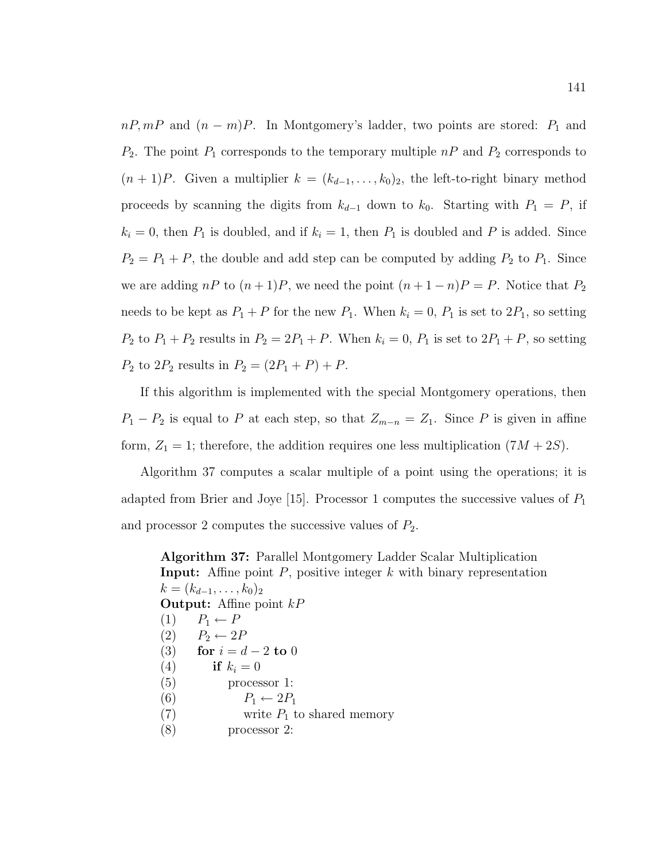$nP, mP$  and  $(n - m)P$ . In Montgomery's ladder, two points are stored:  $P_1$  and  $P_2$ . The point  $P_1$  corresponds to the temporary multiple  $nP$  and  $P_2$  corresponds to  $(n+1)P$ . Given a multiplier  $k = (k_{d-1}, \ldots, k_0)_2$ , the left-to-right binary method proceeds by scanning the digits from  $k_{d-1}$  down to  $k_0$ . Starting with  $P_1 = P$ , if  $k_i = 0$ , then  $P_1$  is doubled, and if  $k_i = 1$ , then  $P_1$  is doubled and P is added. Since  $P_2 = P_1 + P$ , the double and add step can be computed by adding  $P_2$  to  $P_1$ . Since we are adding  $nP$  to  $(n+1)P$ , we need the point  $(n+1-n)P = P$ . Notice that  $P_2$ needs to be kept as  $P_1 + P$  for the new  $P_1$ . When  $k_i = 0$ ,  $P_1$  is set to  $2P_1$ , so setting  $P_2$  to  $P_1 + P_2$  results in  $P_2 = 2P_1 + P$ . When  $k_i = 0$ ,  $P_1$  is set to  $2P_1 + P$ , so setting  $P_2$  to  $2P_2$  results in  $P_2 = (2P_1 + P) + P$ .

If this algorithm is implemented with the special Montgomery operations, then  $P_1 - P_2$  is equal to P at each step, so that  $Z_{m-n} = Z_1$ . Since P is given in affine form,  $Z_1 = 1$ ; therefore, the addition requires one less multiplication  $(7M + 2S)$ .

Algorithm 37 computes a scalar multiple of a point using the operations; it is adapted from Brier and Joye [15]. Processor 1 computes the successive values of  $P_1$ and processor 2 computes the successive values of  $P_2$ .

Algorithm 37: Parallel Montgomery Ladder Scalar Multiplication **Input:** Affine point  $P$ , positive integer  $k$  with binary representation  $k = (k_{d-1}, \ldots, k_0)_2$ **Output:** Affine point  $kP$  $(1)$   $P_1 \leftarrow P$  $(2)$   $P_2 \leftarrow 2P$ (3) for  $i = d - 2$  to 0 (4) if  $k_i = 0$ (5) processor 1: (6)  $P_1 \leftarrow 2P_1$ (7) write  $P_1$  to shared memory (8) processor 2: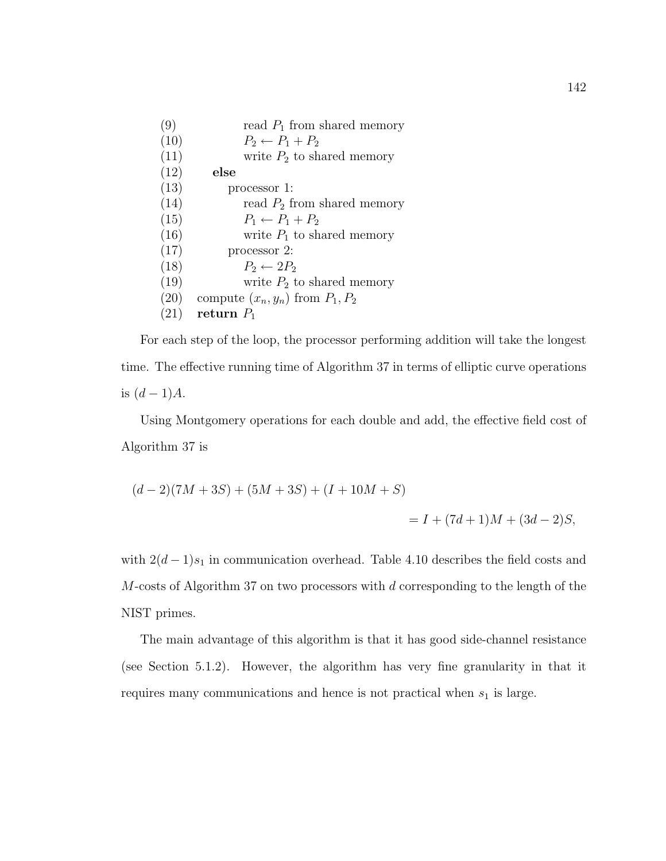| (9)  | read $P_1$ from shared memory        |
|------|--------------------------------------|
| (10) | $P_2 \leftarrow P_1 + P_2$           |
| (11) | write $P_2$ to shared memory         |
| (12) | else                                 |
| (13) | processor 1:                         |
| (14) | read $P_2$ from shared memory        |
| (15) | $P_1 \leftarrow P_1 + P_2$           |
| (16) | write $P_1$ to shared memory         |
| (17) | processor 2:                         |
| (18) | $P_2 \leftarrow 2P_2$                |
| (19) | write $P_2$ to shared memory         |
| (20) | compute $(x_n, y_n)$ from $P_1, P_2$ |
| (21) | return $P_1$                         |

For each step of the loop, the processor performing addition will take the longest time. The effective running time of Algorithm 37 in terms of elliptic curve operations is  $(d-1)A$ .

Using Montgomery operations for each double and add, the effective field cost of Algorithm 37 is

$$
(d-2)(7M+3S) + (5M+3S) + (I+10M+S)
$$
  
= I + (7d+1)M + (3d-2)S,

with  $2(d-1)s_1$  in communication overhead. Table 4.10 describes the field costs and  $M$ -costs of Algorithm 37 on two processors with  $d$  corresponding to the length of the NIST primes.

The main advantage of this algorithm is that it has good side-channel resistance (see Section 5.1.2). However, the algorithm has very fine granularity in that it requires many communications and hence is not practical when  $s_1$  is large.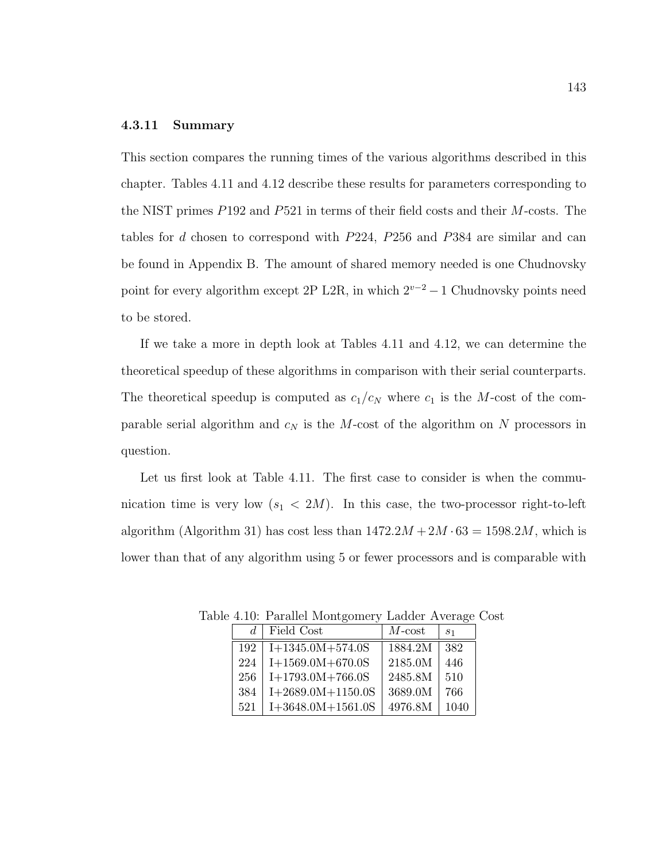### 4.3.11 Summary

This section compares the running times of the various algorithms described in this chapter. Tables 4.11 and 4.12 describe these results for parameters corresponding to the NIST primes P192 and P521 in terms of their field costs and their M-costs. The tables for d chosen to correspond with P224, P256 and P384 are similar and can be found in Appendix B. The amount of shared memory needed is one Chudnovsky point for every algorithm except 2P L2R, in which  $2^{v-2} - 1$  Chudnovsky points need to be stored.

If we take a more in depth look at Tables 4.11 and 4.12, we can determine the theoretical speedup of these algorithms in comparison with their serial counterparts. The theoretical speedup is computed as  $c_1/c_N$  where  $c_1$  is the M-cost of the comparable serial algorithm and  $c_N$  is the M-cost of the algorithm on N processors in question.

Let us first look at Table 4.11. The first case to consider is when the communication time is very low  $(s_1 < 2M)$ . In this case, the two-processor right-to-left algorithm (Algorithm 31) has cost less than  $1472.2M + 2M \cdot 63 = 1598.2M$ , which is lower than that of any algorithm using 5 or fewer processors and is comparable with

| $d_{\cdot}$ | Field Cost          | $M$ - $cost$ | S <sub>1</sub> |
|-------------|---------------------|--------------|----------------|
| 192         | $I+1345.0M+574.0S$  | 1884.2M      | 382            |
| 224         | $I+1569.0M+670.0S$  | 2185.0M      | 446            |
| 256         | $I+1793.0M+766.0S$  | 2485.8M      | 510            |
| 384         | $I+2689.0M+1150.0S$ | 3689.0M      | 766            |
| 521         | $I+3648.0M+1561.0S$ | 4976.8M      | 1040           |

Table 4.10: Parallel Montgomery Ladder Average Cost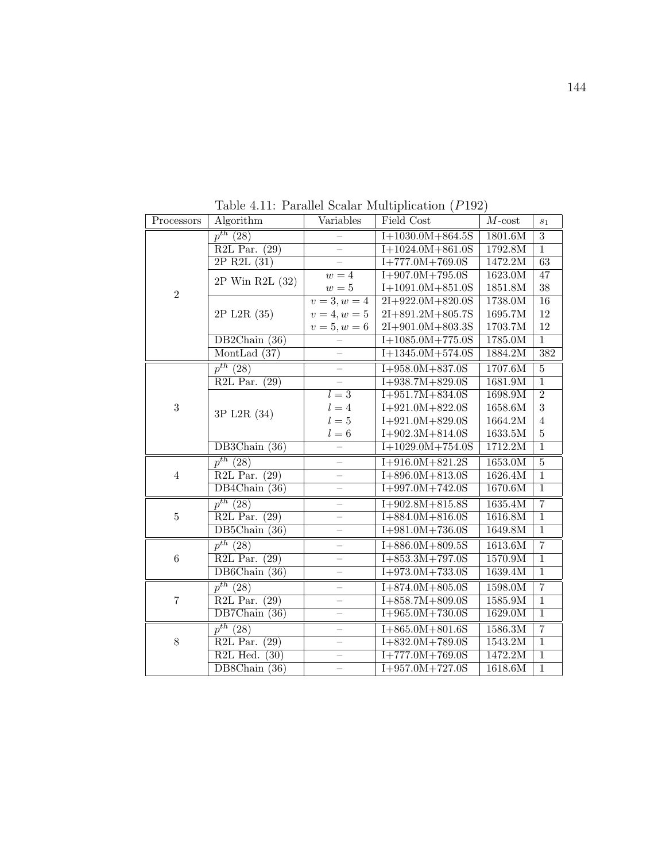| Processors     | Algorithm                                  | Variables                | Field Cost             | $M$ -cost | $s_1$          |
|----------------|--------------------------------------------|--------------------------|------------------------|-----------|----------------|
|                | $p^{th}$ (28)                              |                          | $I+1030.0M+864.5S$     | 1801.6M   | 3              |
|                | R2L Par. $(29)$                            | $\overline{\phantom{0}}$ | $I+1024.0M+861.0S$     | 1792.8M   | $\overline{1}$ |
|                | $2P$ R2L $(31)$                            | $\equiv$                 | $I+777.0M+769.0S$      | 1472.2M   | 63             |
|                | 2P Win R2L (32)                            | $w=4$                    | $I+907.0M+795.0S$      | 1623.0M   | 47             |
| $\overline{2}$ |                                            | $w=5$                    | $I+1091.0M+851.0S$     | 1851.8M   | 38             |
|                |                                            | $\overline{v=3,w=4}$     | $2I + 922.0M + 820.0S$ | 1738.0M   | 16             |
|                | 2P L2R (35)                                | $v = 4, w = 5$           | $2I + 891.2M + 805.7S$ | 1695.7M   | 12             |
|                |                                            | $v = 5, w = 6$           | 2I+901.0M+803.3S       | 1703.7M   | 12             |
|                | DB2Chain (36)                              |                          | $I+1085.0M+775.0S$     | 1785.0M   | $\overline{1}$ |
|                | MontLad $(37)$                             |                          | $I+1345.0M+574.0S$     | 1884.2M   | 382            |
|                | $\overline{p^{th}(28)}$                    |                          | $I+958.0M+837.0S$      | 1707.6M   | $\overline{5}$ |
|                | $R2L$ Par. $(29)$                          |                          | $I+938.7M+829.0S$      | 1681.9M   | $\overline{1}$ |
|                |                                            | $l=3$                    | $I+951.7M+834.0S$      | 1698.9M   | $\overline{2}$ |
| 3              | 3P L2R (34)                                | $l = 4$                  | $I+921.0M+822.0S$      | 1658.6M   | 3              |
|                |                                            | $l=5$                    | $I+921.0M+829.0S$      | 1664.2M   | $\overline{4}$ |
|                |                                            | $l=6$                    | $I+902.3M+814.0S$      | $1633.5M$ | $\bf 5$        |
|                | DB3Chain $(36)$                            |                          | $I+1029.0M+754.0S$     | 1712.2M   | $\overline{1}$ |
|                | $p^{th}$ (28)                              |                          | $I+916.0M+821.2S$      | 1653.0M   | $\overline{5}$ |
| $\overline{4}$ | R <sub>2L</sub> Par.<br>(29)               |                          | $1+896.0M+813.0S$      | 1626.4M   | $\overline{1}$ |
|                | $DB4Chain$ (36)                            | $\equiv$                 | $I+997.0M+742.0S$      | 1670.6M   | $\overline{1}$ |
|                | $\overline{p^{th}(28)}$                    |                          | $I+902.8M+815.8S$      | 1635.4M   | $\overline{7}$ |
| $\overline{5}$ | $R2L$ Par. (29)                            |                          | $1+884.0M+816.0S$      | 1616.8M   | $\mathbf{1}$   |
|                | $DB5Chain$ (36)                            |                          | $I+981.0M+736.0S$      | 1649.8M   | $\overline{1}$ |
|                | $\overline{p^{th}(28)}$                    |                          | $1+886.0M+809.5S$      | 1613.6M   | $\overline{7}$ |
| $\,6\,$        | R <sub>2</sub> L Par.<br>$\overline{(29)}$ | $\overline{\phantom{0}}$ | $I+853.3M+797.0S$      | 1570.9M   | $\overline{1}$ |
|                | DB6Chain (36)                              | $\qquad \qquad -$        | $I+973.0M+733.0S$      | 1639.4M   | $\overline{1}$ |
|                | $p^{th}$ (28)                              |                          | $I+874.0M+805.0S$      | 1598.0M   | $\overline{7}$ |
| $\overline{7}$ | R <sub>2L</sub> Par.<br>(29)               |                          | $I+858.7M+809.0S$      | 1585.9M   | $\overline{1}$ |
|                | DB7Chain $(36)$                            |                          | $I+965.0M+730.0S$      | 1629.0M   | $\overline{1}$ |
|                | $p^{th}$ (28)                              |                          | $I+865.0M+801.6S$      | 1586.3M   | $\overline{7}$ |
| $8\,$          | R <sub>2L</sub> Par.<br>(29)               |                          | $I + 832.0M + 789.0S$  | 1543.2M   | $\overline{1}$ |
|                | R <sub>2</sub> L Hed.<br>(30)              |                          | $I+777.0M+769.0S$      | 1472.2M   | $\overline{1}$ |
|                | $\overline{\text{DB8Chain}(36)}$           |                          | $I+957.0M+727.0S$      | 1618.6M   | $\overline{1}$ |

Table 4.11: Parallel Scalar Multiplication (P192)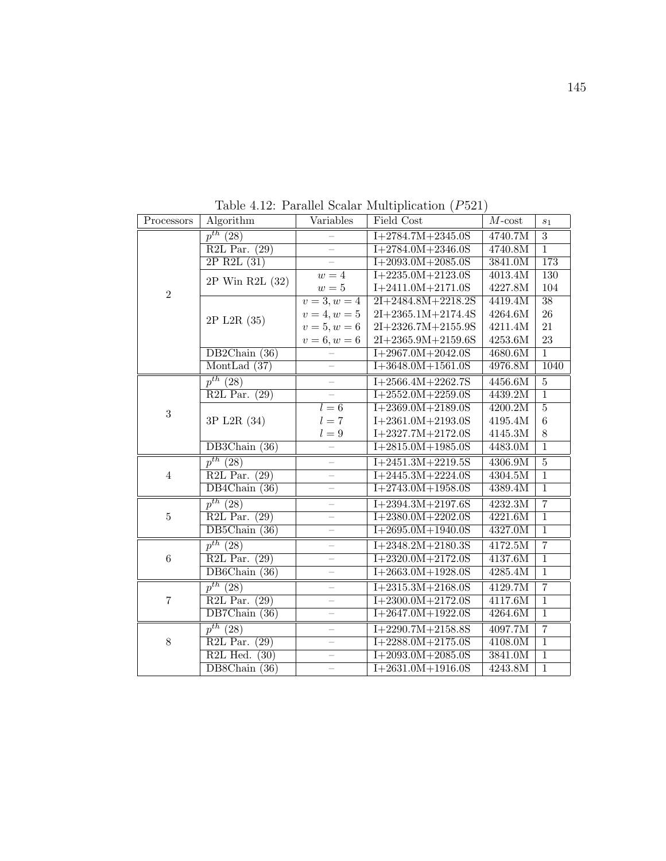| Processors     | Algorithm                                 | Variables                | Field Cost           | $M$ -cost | $s_1$           |
|----------------|-------------------------------------------|--------------------------|----------------------|-----------|-----------------|
|                | $p^{th}$ (28)                             |                          | $I+2784.7M+2345.0S$  | 4740.7M   | $\overline{3}$  |
|                | R2L Par. $(29)$                           | $\equiv$                 | $I+2784.0M+2346.0S$  | 4740.8M   | $\overline{1}$  |
|                | $2P$ R2L $(31)$                           |                          | $I+2093.0M+2085.0S$  | 3841.0M   | 173             |
| $\overline{2}$ | 2P Win R2L (32)                           | $w=4$                    | $I+2235.0M+2123.0S$  | 4013.4M   | 130             |
|                |                                           | $w=5$                    | $I+2411.0M+2171.0S$  | 4227.8M   | 104             |
|                |                                           | $v=3, w=4$               | $2I+2484.8M+2218.2S$ | 4419.4M   | $\overline{38}$ |
|                | 2P L2R (35)                               | $v = 4, w = 5$           | $2I+2365.1M+2174.4S$ | 4264.6M   | 26              |
|                |                                           | $v = 5, w = 6$           | $2I+2326.7M+2155.9S$ | 4211.4M   | 21              |
|                |                                           | $v = 6, w = 6$           | $2I+2365.9M+2159.6S$ | 4253.6M   | 23              |
|                | DB2Chain (36)                             |                          | $I+2967.0M+2042.0S$  | 4680.6M   | $\overline{1}$  |
|                | MontLad $(37)$                            | $\overline{\phantom{0}}$ | $I+3648.0M+1561.0S$  | 4976.8M   | 1040            |
|                | $p^{th}$ (28)                             | $\overline{\phantom{0}}$ | $I+2566.4M+2262.7S$  | 4456.6M   | $\overline{5}$  |
|                | $R2L$ Par. $(29)$                         |                          | $I+2552.0M+2259.0S$  | 4439.2M   | $\overline{1}$  |
| $\sqrt{3}$     |                                           | $l=6$                    | $I+2369.0M+2189.0S$  | 4200.2M   | $\overline{5}$  |
|                | 3P L2R (34)                               | $l=7$                    | $I+2361.0M+2193.0S$  | 4195.4M   | $\,6$           |
|                |                                           | $l=9$                    | $I+2327.7M+2172.0S$  | 4145.3M   | $8\,$           |
|                | DB3Chain $(36)$                           |                          | $I+2815.0M+1985.0S$  | 4483.0M   | $\overline{1}$  |
|                | $p^{th}$ (28)                             | $\qquad \qquad -$        | $I+2451.3M+2219.5S$  | 4306.9M   | $\overline{5}$  |
| $\overline{4}$ | $R2L$ Par.<br>(29)                        | $\overline{\phantom{0}}$ | $I+2445.3M+2224.0S$  | 4304.5M   | $\overline{1}$  |
|                | DB4Chain (36)                             | $\equiv$                 | $I+2743.0M+1958.0S$  | 4389.4M   | $\overline{1}$  |
|                | $p^{th}$ (28)                             | $\overline{\phantom{0}}$ | $I+2394.3M+2197.6S$  | 4232.3M   | $\overline{7}$  |
| $\bf 5$        | $R2L$ Par. $(29)$                         | $\overline{\phantom{0}}$ | $I+2380.0M+2202.0S$  | 4221.6M   | $\overline{1}$  |
|                | DB5Chain (36)                             | $\equiv$                 | $I+2695.0M+1940.0S$  | 4327.0M   | $\overline{1}$  |
|                | $p^{th}$ (28)                             |                          | $I+2348.2M+2180.3S$  | 4172.5M   | $\overline{7}$  |
| $\,6\,$        | R2L Par.<br>(29)                          |                          | $I+2320.0M+2172.0S$  | 4137.6M   | $\overline{1}$  |
|                | DB6Chain (36)                             | $\overline{\phantom{0}}$ | $1+2663.0M+1928.0S$  | 4285.4M   | $\overline{1}$  |
|                | $p^{th}$ (28)                             |                          | $I+2315.3M+2168.0S$  | 4129.7M   | $\overline{7}$  |
| $\overline{7}$ | (29)<br>$R2L$ Par.                        |                          | $I+2300.0M+2172.0S$  | 4117.6M   | $\overline{1}$  |
|                | DB7Chain $(36)$                           |                          | $I+2647.0M+1922.0S$  | 4264.6M   | $\overline{1}$  |
|                | $p^{th}$ (28)                             |                          | $I+2290.7M+2158.8S$  | 4097.7M   | $\overline{7}$  |
| $8\,$          | R <sub>2L</sub> Par.<br>$\overline{(29)}$ |                          | $I+2288.0M+2175.0S$  | 4108.0M   | $\overline{1}$  |
|                | R <sub>2</sub> L Hed.<br>(30)             |                          | $I+2093.0M+2085.0S$  | 3841.0M   | $\overline{1}$  |
|                | DB8Chain<br>(36)                          |                          | $I+2631.0M+1916.0S$  | 4243.8M   | $\overline{1}$  |

Table 4.12: Parallel Scalar Multiplication (P521)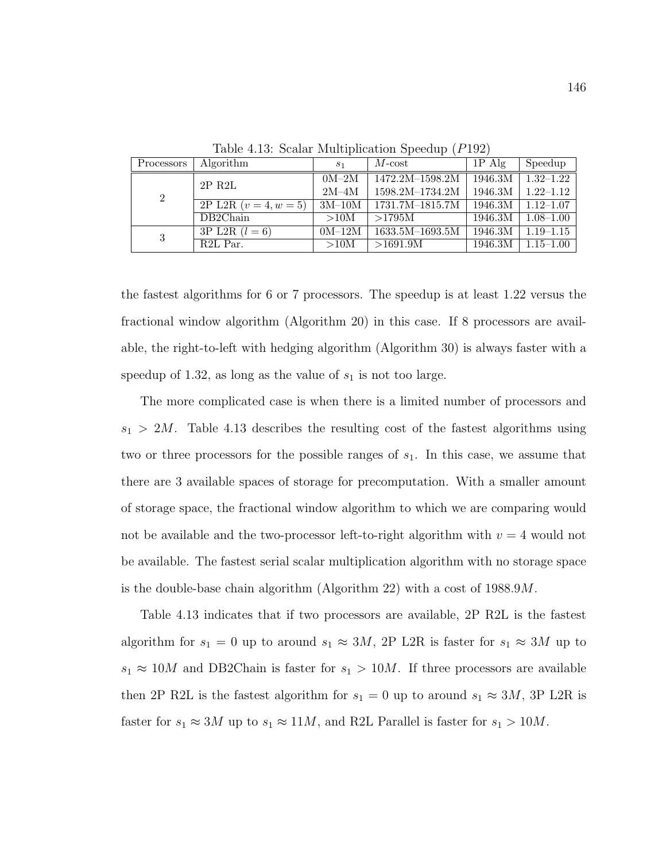| Processors     | Algorithm               | S <sub>1</sub> | $M\text{-}\mathrm{cost}$ | $1P$ Alg | Speedup       |
|----------------|-------------------------|----------------|--------------------------|----------|---------------|
|                | $2P$ R $2L$             | $0M-2M$        | 1472.2M-1598.2M          | 1946.3M  | $1.32 - 1.22$ |
| $\overline{2}$ |                         | $2M-4M$        | 1598.2M-1734.2M          | 1946.3M  | $1.22 - 1.12$ |
|                | 2P L2R $(v = 4, w = 5)$ | $3M-10M$       | 1731.7M-1815.7M          | 1946.3M  | $1.12 - 1.07$ |
|                | DB2Chain                | >10M           | >1795M                   | 1946.3M  | $1.08 - 1.00$ |
| 3              | $3P$ L2R $(l = 6)$      | $0M-12M$       | 1633.5M-1693.5M          | 1946.3M  | $1.19 - 1.15$ |
|                | R <sub>2</sub> L Par.   | >10M           | >1691.9M                 | 1946.3M  | $1.15 - 1.00$ |

Table 4.13: Scalar Multiplication Speedup (P192)

the fastest algorithms for 6 or 7 processors. The speedup is at least 1.22 versus the fractional window algorithm (Algorithm 20) in this case. If 8 processors are available, the right-to-left with hedging algorithm (Algorithm 30) is always faster with a speedup of 1.32, as long as the value of  $s_1$  is not too large.

The more complicated case is when there is a limited number of processors and  $s_1 > 2M$ . Table 4.13 describes the resulting cost of the fastest algorithms using two or three processors for the possible ranges of  $s<sub>1</sub>$ . In this case, we assume that there are 3 available spaces of storage for precomputation. With a smaller amount of storage space, the fractional window algorithm to which we are comparing would not be available and the two-processor left-to-right algorithm with  $v = 4$  would not be available. The fastest serial scalar multiplication algorithm with no storage space is the double-base chain algorithm (Algorithm 22) with a cost of 1988.9M.

Table 4.13 indicates that if two processors are available, 2P R2L is the fastest algorithm for  $s_1 = 0$  up to around  $s_1 \approx 3M$ , 2P L2R is faster for  $s_1 \approx 3M$  up to  $s_1 \approx 10M$  and DB2Chain is faster for  $s_1 > 10M$ . If three processors are available then 2P R2L is the fastest algorithm for  $s_1 = 0$  up to around  $s_1 \approx 3M$ , 3P L2R is faster for  $s_1 \approx 3M$  up to  $s_1 \approx 11M$ , and R2L Parallel is faster for  $s_1 > 10M$ .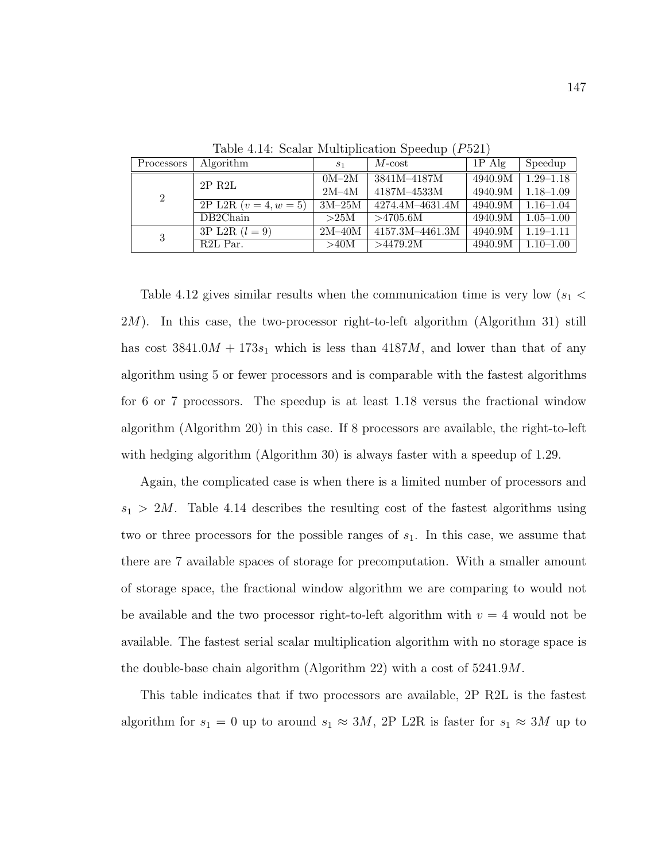| Processors     | Algorithm                      | S <sub>1</sub> | $M\text{-}\mathrm{cost}$ | $1P$ Alg | Speedup       |
|----------------|--------------------------------|----------------|--------------------------|----------|---------------|
|                | $2P$ R2L                       | $0M-2M$        | 3841M-4187M              | 4940.9M  | $1.29 - 1.18$ |
| $\overline{2}$ |                                | $2M-4M$        | 4187M-4533M              | 4940.9M  | $1.18 - 1.09$ |
|                | $\overline{2P L2R (v=4, w=5)}$ | $3M-25M$       | 4274.4M-4631.4M          | 4940.9M  | $1.16 - 1.04$ |
|                | DB2Chain                       | >25M           | >4705.6M                 | 4940.9M  | $1.05 - 1.00$ |
| 3              | $\overline{3P L2R}$ $(l = 9)$  | $2M-40M$       | 4157.3M-4461.3M          | 4940.9M  | $1.19 - 1.11$ |
|                | R <sub>2</sub> L Par.          | >40M           | >4479.2M                 | 4940.9M  | $1.10 - 1.00$ |

Table 4.14: Scalar Multiplication Speedup (P521)

Table 4.12 gives similar results when the communication time is very low ( $s_1$  < 2M). In this case, the two-processor right-to-left algorithm (Algorithm 31) still has cost  $3841.0M + 173s_1$  which is less than  $4187M$ , and lower than that of any algorithm using 5 or fewer processors and is comparable with the fastest algorithms for 6 or 7 processors. The speedup is at least 1.18 versus the fractional window algorithm (Algorithm 20) in this case. If 8 processors are available, the right-to-left with hedging algorithm (Algorithm 30) is always faster with a speedup of 1.29.

Again, the complicated case is when there is a limited number of processors and  $s_1 > 2M$ . Table 4.14 describes the resulting cost of the fastest algorithms using two or three processors for the possible ranges of  $s<sub>1</sub>$ . In this case, we assume that there are 7 available spaces of storage for precomputation. With a smaller amount of storage space, the fractional window algorithm we are comparing to would not be available and the two processor right-to-left algorithm with  $v = 4$  would not be available. The fastest serial scalar multiplication algorithm with no storage space is the double-base chain algorithm (Algorithm 22) with a cost of 5241.9M.

This table indicates that if two processors are available, 2P R2L is the fastest algorithm for  $s_1 = 0$  up to around  $s_1 \approx 3M$ , 2P L2R is faster for  $s_1 \approx 3M$  up to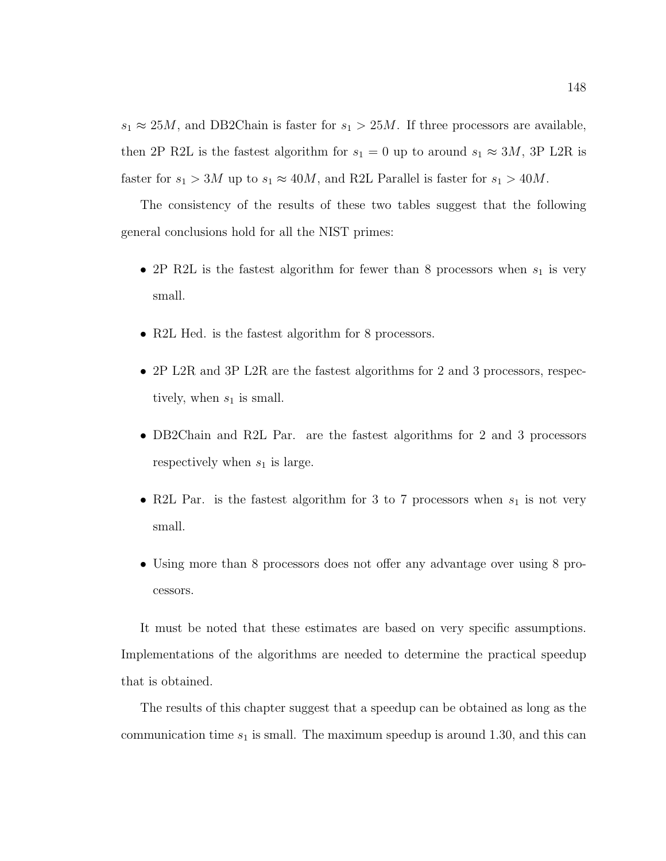$s_1 \approx 25M$ , and DB2Chain is faster for  $s_1 > 25M$ . If three processors are available, then 2P R2L is the fastest algorithm for  $s_1 = 0$  up to around  $s_1 \approx 3M$ , 3P L2R is faster for  $s_1 > 3M$  up to  $s_1 \approx 40M$ , and R2L Parallel is faster for  $s_1 > 40M$ .

The consistency of the results of these two tables suggest that the following general conclusions hold for all the NIST primes:

- 2P R2L is the fastest algorithm for fewer than 8 processors when  $s_1$  is very small.
- R2L Hed. is the fastest algorithm for 8 processors.
- 2P L2R and 3P L2R are the fastest algorithms for 2 and 3 processors, respectively, when  $s_1$  is small.
- DB2Chain and R2L Par. are the fastest algorithms for 2 and 3 processors respectively when  $s_1$  is large.
- R2L Par. is the fastest algorithm for 3 to 7 processors when  $s_1$  is not very small.
- Using more than 8 processors does not offer any advantage over using 8 processors.

It must be noted that these estimates are based on very specific assumptions. Implementations of the algorithms are needed to determine the practical speedup that is obtained.

The results of this chapter suggest that a speedup can be obtained as long as the communication time  $s_1$  is small. The maximum speedup is around 1.30, and this can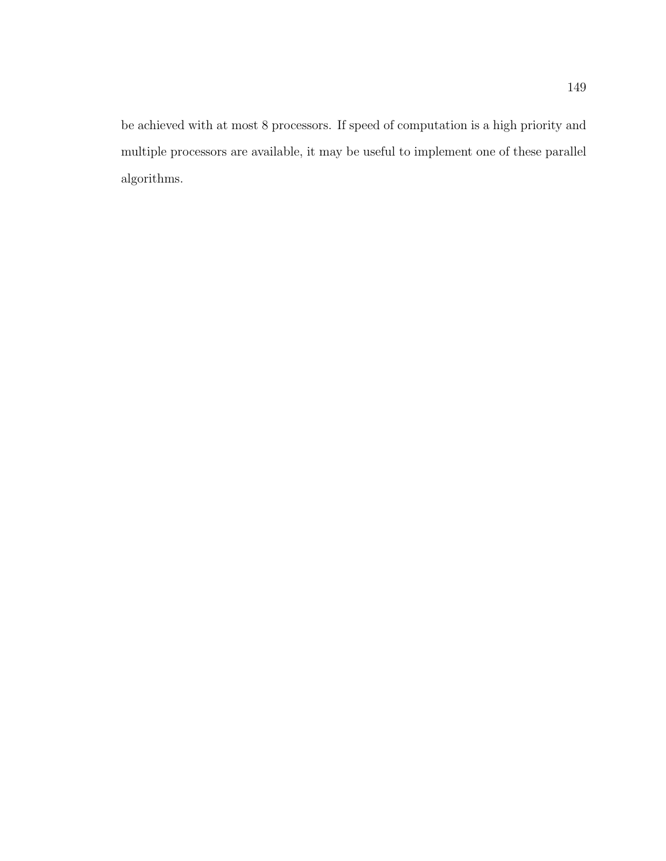be achieved with at most 8 processors. If speed of computation is a high priority and multiple processors are available, it may be useful to implement one of these parallel algorithms.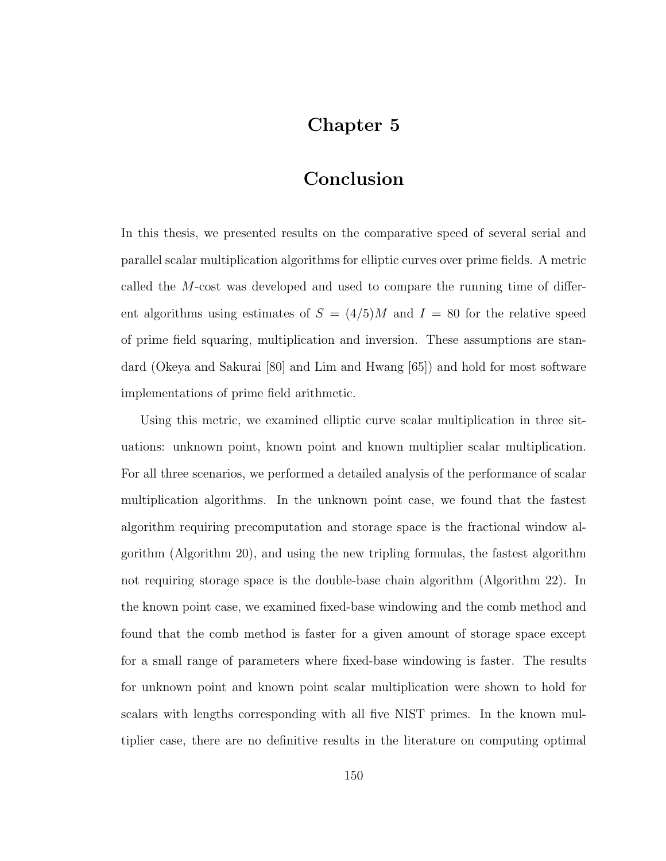# Chapter 5

# Conclusion

In this thesis, we presented results on the comparative speed of several serial and parallel scalar multiplication algorithms for elliptic curves over prime fields. A metric called the M-cost was developed and used to compare the running time of different algorithms using estimates of  $S = (4/5)M$  and  $I = 80$  for the relative speed of prime field squaring, multiplication and inversion. These assumptions are standard (Okeya and Sakurai [80] and Lim and Hwang [65]) and hold for most software implementations of prime field arithmetic.

Using this metric, we examined elliptic curve scalar multiplication in three situations: unknown point, known point and known multiplier scalar multiplication. For all three scenarios, we performed a detailed analysis of the performance of scalar multiplication algorithms. In the unknown point case, we found that the fastest algorithm requiring precomputation and storage space is the fractional window algorithm (Algorithm 20), and using the new tripling formulas, the fastest algorithm not requiring storage space is the double-base chain algorithm (Algorithm 22). In the known point case, we examined fixed-base windowing and the comb method and found that the comb method is faster for a given amount of storage space except for a small range of parameters where fixed-base windowing is faster. The results for unknown point and known point scalar multiplication were shown to hold for scalars with lengths corresponding with all five NIST primes. In the known multiplier case, there are no definitive results in the literature on computing optimal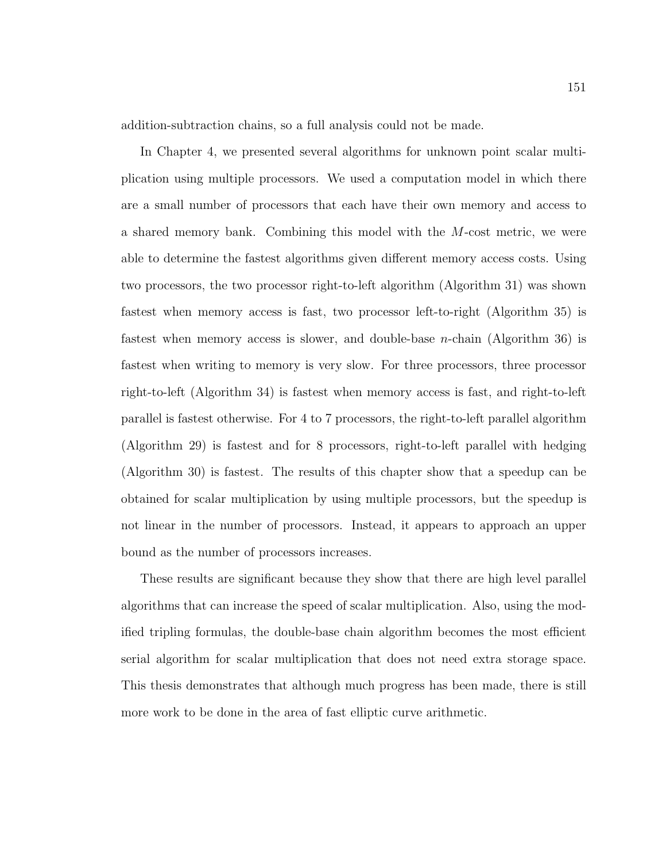addition-subtraction chains, so a full analysis could not be made.

In Chapter 4, we presented several algorithms for unknown point scalar multiplication using multiple processors. We used a computation model in which there are a small number of processors that each have their own memory and access to a shared memory bank. Combining this model with the M-cost metric, we were able to determine the fastest algorithms given different memory access costs. Using two processors, the two processor right-to-left algorithm (Algorithm 31) was shown fastest when memory access is fast, two processor left-to-right (Algorithm 35) is fastest when memory access is slower, and double-base *n*-chain (Algorithm 36) is fastest when writing to memory is very slow. For three processors, three processor right-to-left (Algorithm 34) is fastest when memory access is fast, and right-to-left parallel is fastest otherwise. For 4 to 7 processors, the right-to-left parallel algorithm (Algorithm 29) is fastest and for 8 processors, right-to-left parallel with hedging (Algorithm 30) is fastest. The results of this chapter show that a speedup can be obtained for scalar multiplication by using multiple processors, but the speedup is not linear in the number of processors. Instead, it appears to approach an upper bound as the number of processors increases.

These results are significant because they show that there are high level parallel algorithms that can increase the speed of scalar multiplication. Also, using the modified tripling formulas, the double-base chain algorithm becomes the most efficient serial algorithm for scalar multiplication that does not need extra storage space. This thesis demonstrates that although much progress has been made, there is still more work to be done in the area of fast elliptic curve arithmetic.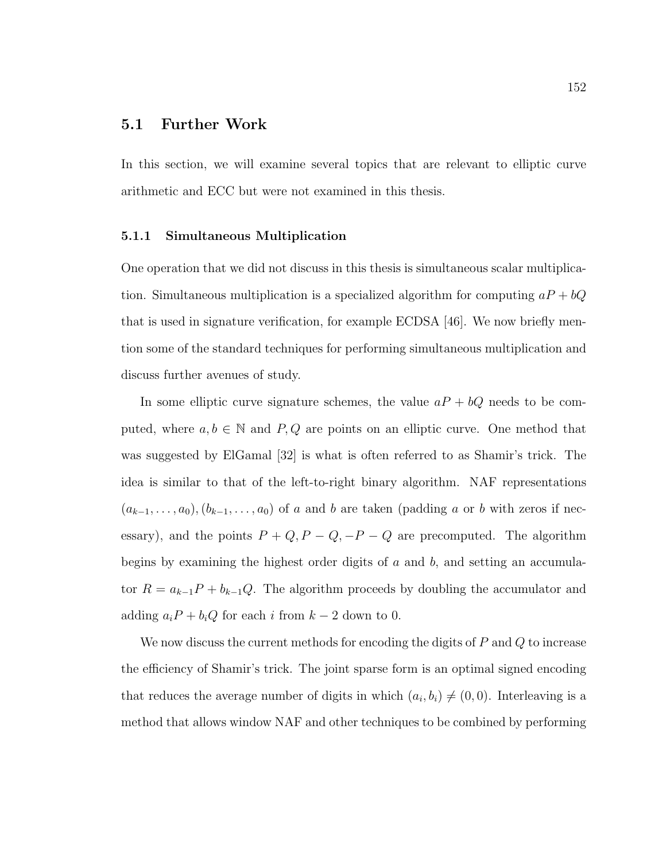# 5.1 Further Work

In this section, we will examine several topics that are relevant to elliptic curve arithmetic and ECC but were not examined in this thesis.

## 5.1.1 Simultaneous Multiplication

One operation that we did not discuss in this thesis is simultaneous scalar multiplication. Simultaneous multiplication is a specialized algorithm for computing  $aP + bQ$ that is used in signature verification, for example ECDSA [46]. We now briefly mention some of the standard techniques for performing simultaneous multiplication and discuss further avenues of study.

In some elliptic curve signature schemes, the value  $aP + bQ$  needs to be computed, where  $a, b \in \mathbb{N}$  and  $P, Q$  are points on an elliptic curve. One method that was suggested by ElGamal [32] is what is often referred to as Shamir's trick. The idea is similar to that of the left-to-right binary algorithm. NAF representations  $(a_{k-1}, \ldots, a_0), (b_{k-1}, \ldots, a_0)$  of a and b are taken (padding a or b with zeros if necessary), and the points  $P + Q$ ,  $P - Q$ ,  $-P - Q$  are precomputed. The algorithm begins by examining the highest order digits of  $a$  and  $b$ , and setting an accumulator  $R = a_{k-1}P + b_{k-1}Q$ . The algorithm proceeds by doubling the accumulator and adding  $a_iP + b_iQ$  for each i from  $k - 2$  down to 0.

We now discuss the current methods for encoding the digits of  $P$  and  $Q$  to increase the efficiency of Shamir's trick. The joint sparse form is an optimal signed encoding that reduces the average number of digits in which  $(a_i, b_i) \neq (0, 0)$ . Interleaving is a method that allows window NAF and other techniques to be combined by performing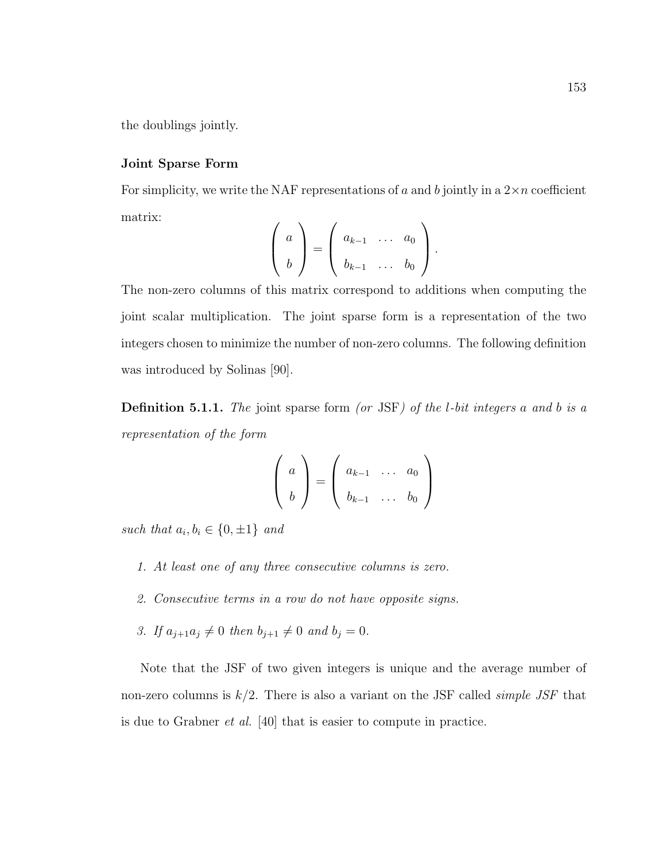the doublings jointly.

## Joint Sparse Form

For simplicity, we write the NAF representations of a and b jointly in a  $2 \times n$  coefficient matrix:

$$
\left(\begin{array}{c}a\\b\end{array}\right)=\left(\begin{array}{cccc}a_{k-1}&\ldots&a_0\\b_{k-1}&\ldots&b_0\end{array}\right).
$$

The non-zero columns of this matrix correspond to additions when computing the joint scalar multiplication. The joint sparse form is a representation of the two integers chosen to minimize the number of non-zero columns. The following definition was introduced by Solinas [90].

**Definition 5.1.1.** The joint sparse form (or JSF) of the *l*-bit integers a and b is a representation of the form

$$
\left(\begin{array}{c}a\\b\end{array}\right)=\left(\begin{array}{cccc}a_{k-1}&\ldots&a_0\\b_{k-1}&\ldots&b_0\end{array}\right)
$$

such that  $a_i, b_i \in \{0, \pm 1\}$  and

- 1. At least one of any three consecutive columns is zero.
- 2. Consecutive terms in a row do not have opposite signs.
- 3. If  $a_{j+1}a_j \neq 0$  then  $b_{j+1} \neq 0$  and  $b_j = 0$ .

Note that the JSF of two given integers is unique and the average number of non-zero columns is  $k/2$ . There is also a variant on the JSF called *simple JSF* that is due to Grabner et al. [40] that is easier to compute in practice.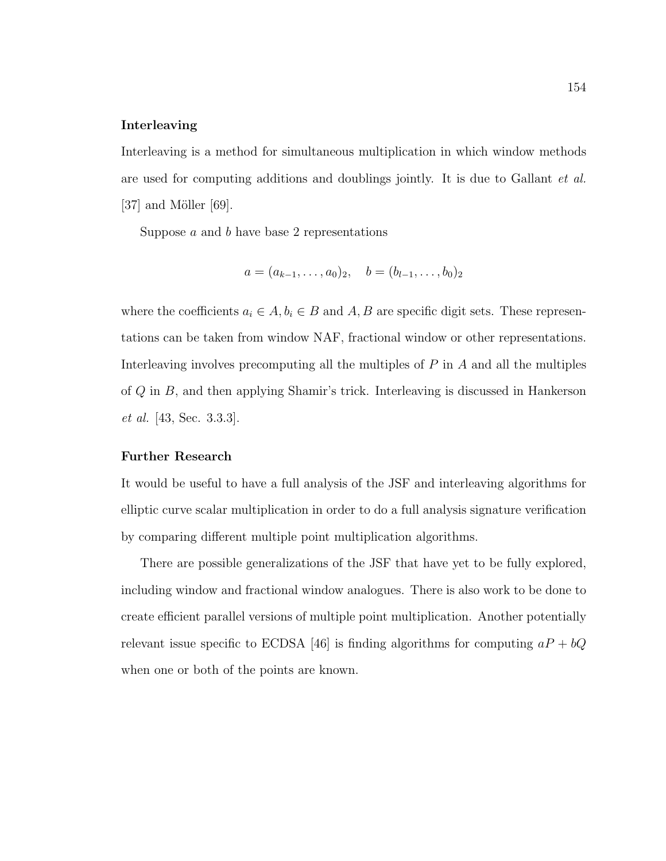## Interleaving

Interleaving is a method for simultaneous multiplication in which window methods are used for computing additions and doublings jointly. It is due to Gallant et al.  $[37]$  and Möller  $[69]$ .

Suppose  $a$  and  $b$  have base 2 representations

$$
a = (a_{k-1}, \ldots, a_0)_2, \quad b = (b_{l-1}, \ldots, b_0)_2
$$

where the coefficients  $a_i \in A$ ,  $b_i \in B$  and  $A$ ,  $B$  are specific digit sets. These representations can be taken from window NAF, fractional window or other representations. Interleaving involves precomputing all the multiples of  $P$  in  $A$  and all the multiples of Q in B, and then applying Shamir's trick. Interleaving is discussed in Hankerson et al. [43, Sec. 3.3.3].

#### Further Research

It would be useful to have a full analysis of the JSF and interleaving algorithms for elliptic curve scalar multiplication in order to do a full analysis signature verification by comparing different multiple point multiplication algorithms.

There are possible generalizations of the JSF that have yet to be fully explored, including window and fractional window analogues. There is also work to be done to create efficient parallel versions of multiple point multiplication. Another potentially relevant issue specific to ECDSA [46] is finding algorithms for computing  $aP + bQ$ when one or both of the points are known.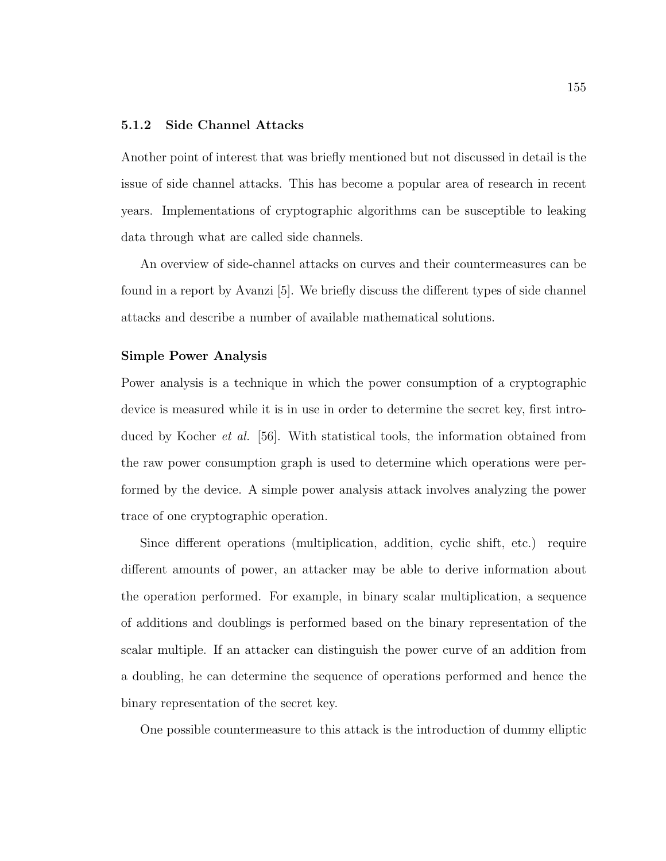## 5.1.2 Side Channel Attacks

Another point of interest that was briefly mentioned but not discussed in detail is the issue of side channel attacks. This has become a popular area of research in recent years. Implementations of cryptographic algorithms can be susceptible to leaking data through what are called side channels.

An overview of side-channel attacks on curves and their countermeasures can be found in a report by Avanzi [5]. We briefly discuss the different types of side channel attacks and describe a number of available mathematical solutions.

### Simple Power Analysis

Power analysis is a technique in which the power consumption of a cryptographic device is measured while it is in use in order to determine the secret key, first introduced by Kocher et al. [56]. With statistical tools, the information obtained from the raw power consumption graph is used to determine which operations were performed by the device. A simple power analysis attack involves analyzing the power trace of one cryptographic operation.

Since different operations (multiplication, addition, cyclic shift, etc.) require different amounts of power, an attacker may be able to derive information about the operation performed. For example, in binary scalar multiplication, a sequence of additions and doublings is performed based on the binary representation of the scalar multiple. If an attacker can distinguish the power curve of an addition from a doubling, he can determine the sequence of operations performed and hence the binary representation of the secret key.

One possible countermeasure to this attack is the introduction of dummy elliptic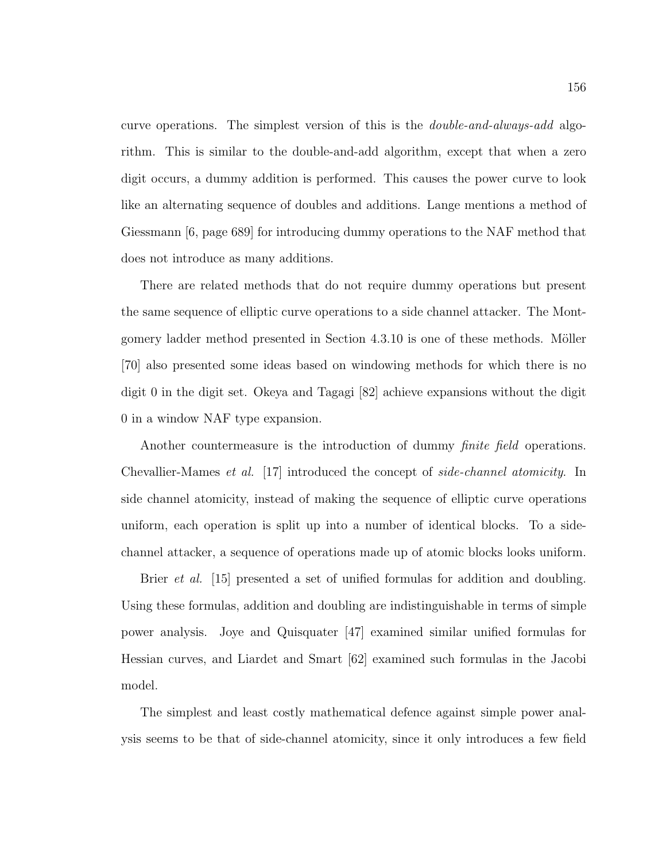curve operations. The simplest version of this is the double-and-always-add algorithm. This is similar to the double-and-add algorithm, except that when a zero digit occurs, a dummy addition is performed. This causes the power curve to look like an alternating sequence of doubles and additions. Lange mentions a method of Giessmann [6, page 689] for introducing dummy operations to the NAF method that does not introduce as many additions.

There are related methods that do not require dummy operations but present the same sequence of elliptic curve operations to a side channel attacker. The Montgomery ladder method presented in Section 4.3.10 is one of these methods. Möller [70] also presented some ideas based on windowing methods for which there is no digit 0 in the digit set. Okeya and Tagagi [82] achieve expansions without the digit 0 in a window NAF type expansion.

Another countermeasure is the introduction of dummy *finite field* operations. Chevallier-Mames et al. [17] introduced the concept of side-channel atomicity. In side channel atomicity, instead of making the sequence of elliptic curve operations uniform, each operation is split up into a number of identical blocks. To a sidechannel attacker, a sequence of operations made up of atomic blocks looks uniform.

Brier *et al.* [15] presented a set of unified formulas for addition and doubling. Using these formulas, addition and doubling are indistinguishable in terms of simple power analysis. Joye and Quisquater [47] examined similar unified formulas for Hessian curves, and Liardet and Smart [62] examined such formulas in the Jacobi model.

The simplest and least costly mathematical defence against simple power analysis seems to be that of side-channel atomicity, since it only introduces a few field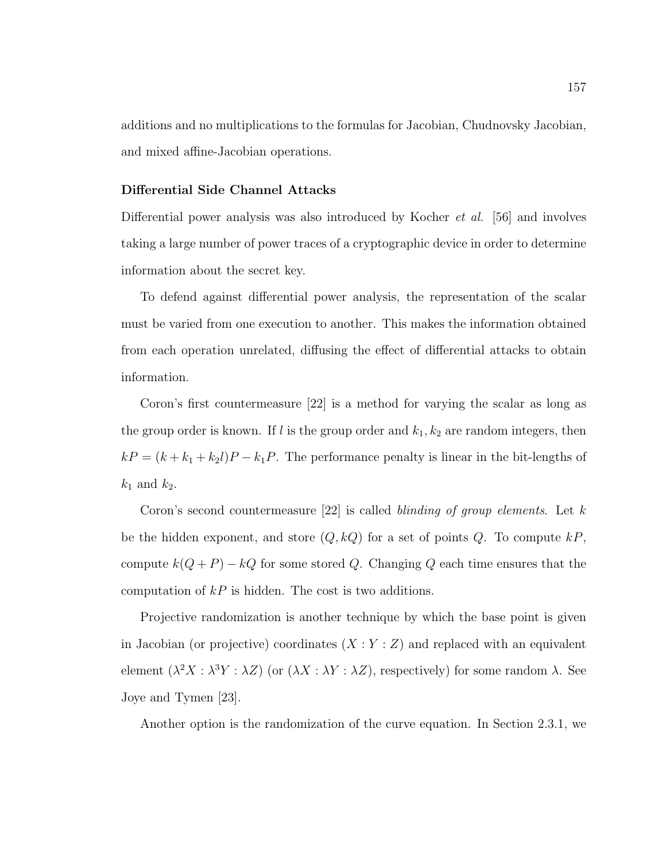additions and no multiplications to the formulas for Jacobian, Chudnovsky Jacobian, and mixed affine-Jacobian operations.

## Differential Side Channel Attacks

Differential power analysis was also introduced by Kocher et al. [56] and involves taking a large number of power traces of a cryptographic device in order to determine information about the secret key.

To defend against differential power analysis, the representation of the scalar must be varied from one execution to another. This makes the information obtained from each operation unrelated, diffusing the effect of differential attacks to obtain information.

Coron's first countermeasure [22] is a method for varying the scalar as long as the group order is known. If l is the group order and  $k_1, k_2$  are random integers, then  $kP = (k + k_1 + k_2l)P - k_1P$ . The performance penalty is linear in the bit-lengths of  $k_1$  and  $k_2$ .

Coron's second countermeasure  $[22]$  is called blinding of group elements. Let k be the hidden exponent, and store  $(Q, kQ)$  for a set of points Q. To compute  $kP$ , compute  $k(Q + P) - kQ$  for some stored Q. Changing Q each time ensures that the computation of  $kP$  is hidden. The cost is two additions.

Projective randomization is another technique by which the base point is given in Jacobian (or projective) coordinates  $(X:Y:Z)$  and replaced with an equivalent element  $(\lambda^2 X : \lambda^3 Y : \lambda Z)$  (or  $(\lambda X : \lambda Y : \lambda Z)$ , respectively) for some random  $\lambda$ . See Joye and Tymen [23].

Another option is the randomization of the curve equation. In Section 2.3.1, we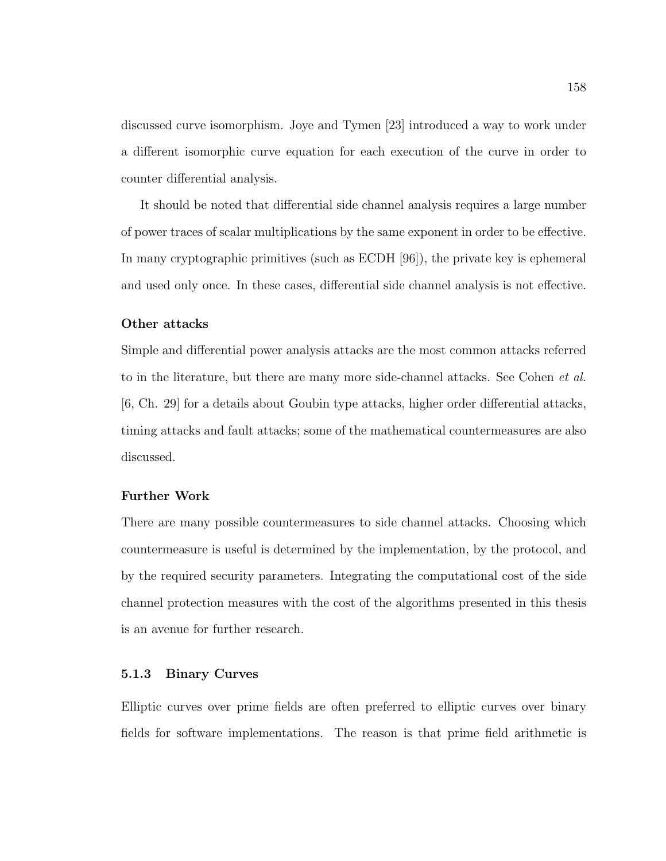discussed curve isomorphism. Joye and Tymen [23] introduced a way to work under a different isomorphic curve equation for each execution of the curve in order to counter differential analysis.

It should be noted that differential side channel analysis requires a large number of power traces of scalar multiplications by the same exponent in order to be effective. In many cryptographic primitives (such as ECDH [96]), the private key is ephemeral and used only once. In these cases, differential side channel analysis is not effective.

#### Other attacks

Simple and differential power analysis attacks are the most common attacks referred to in the literature, but there are many more side-channel attacks. See Cohen et al. [6, Ch. 29] for a details about Goubin type attacks, higher order differential attacks, timing attacks and fault attacks; some of the mathematical countermeasures are also discussed.

## Further Work

There are many possible countermeasures to side channel attacks. Choosing which countermeasure is useful is determined by the implementation, by the protocol, and by the required security parameters. Integrating the computational cost of the side channel protection measures with the cost of the algorithms presented in this thesis is an avenue for further research.

## 5.1.3 Binary Curves

Elliptic curves over prime fields are often preferred to elliptic curves over binary fields for software implementations. The reason is that prime field arithmetic is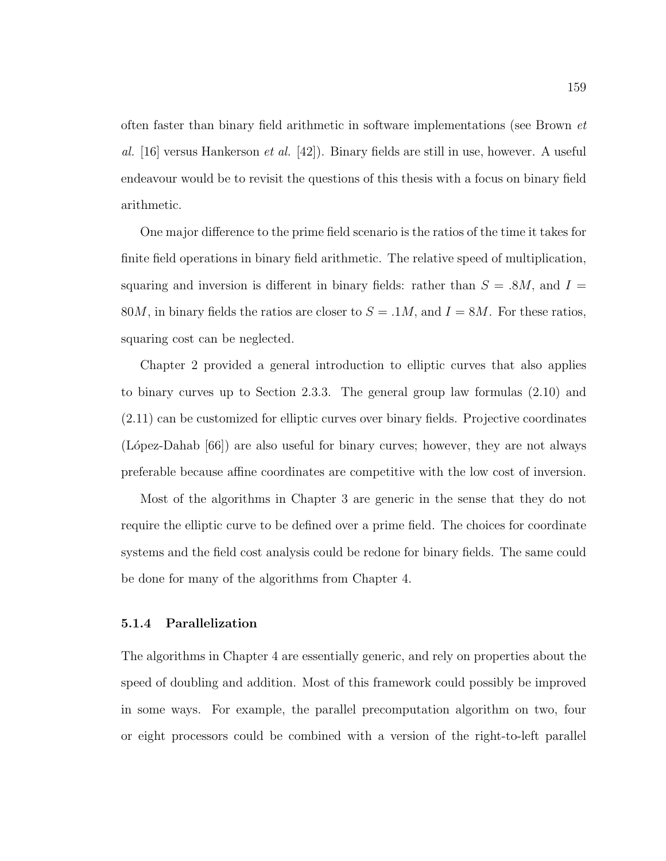often faster than binary field arithmetic in software implementations (see Brown et al. [16] versus Hankerson *et al.* [42]). Binary fields are still in use, however. A useful endeavour would be to revisit the questions of this thesis with a focus on binary field arithmetic.

One major difference to the prime field scenario is the ratios of the time it takes for finite field operations in binary field arithmetic. The relative speed of multiplication, squaring and inversion is different in binary fields: rather than  $S = 0.8M$ , and  $I =$ 80*M*, in binary fields the ratios are closer to  $S = 0.1M$ , and  $I = 8M$ . For these ratios, squaring cost can be neglected.

Chapter 2 provided a general introduction to elliptic curves that also applies to binary curves up to Section 2.3.3. The general group law formulas (2.10) and (2.11) can be customized for elliptic curves over binary fields. Projective coordinates (López-Dahab [66]) are also useful for binary curves; however, they are not always preferable because affine coordinates are competitive with the low cost of inversion.

Most of the algorithms in Chapter 3 are generic in the sense that they do not require the elliptic curve to be defined over a prime field. The choices for coordinate systems and the field cost analysis could be redone for binary fields. The same could be done for many of the algorithms from Chapter 4.

#### 5.1.4 Parallelization

The algorithms in Chapter 4 are essentially generic, and rely on properties about the speed of doubling and addition. Most of this framework could possibly be improved in some ways. For example, the parallel precomputation algorithm on two, four or eight processors could be combined with a version of the right-to-left parallel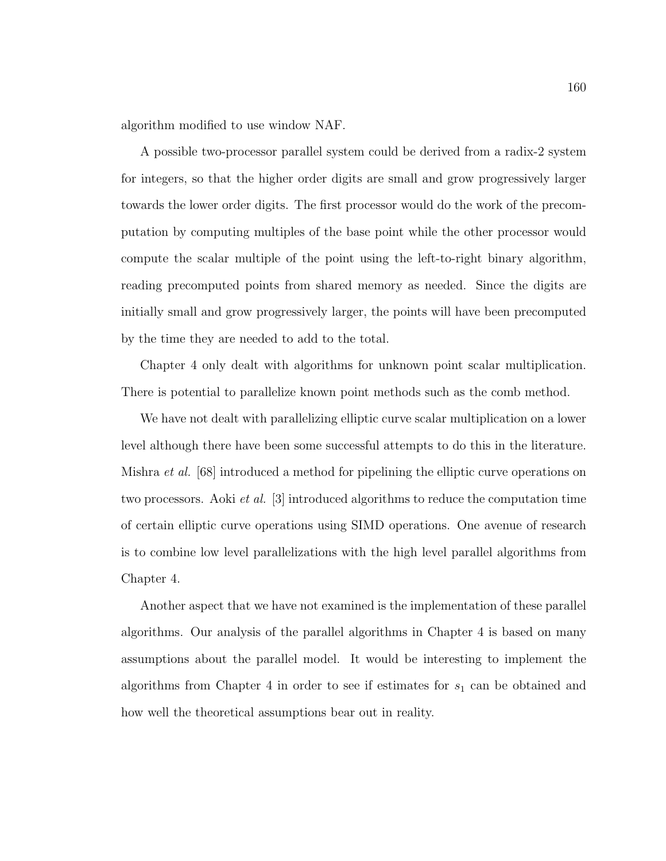algorithm modified to use window NAF.

A possible two-processor parallel system could be derived from a radix-2 system for integers, so that the higher order digits are small and grow progressively larger towards the lower order digits. The first processor would do the work of the precomputation by computing multiples of the base point while the other processor would compute the scalar multiple of the point using the left-to-right binary algorithm, reading precomputed points from shared memory as needed. Since the digits are initially small and grow progressively larger, the points will have been precomputed by the time they are needed to add to the total.

Chapter 4 only dealt with algorithms for unknown point scalar multiplication. There is potential to parallelize known point methods such as the comb method.

We have not dealt with parallelizing elliptic curve scalar multiplication on a lower level although there have been some successful attempts to do this in the literature. Mishra et al. [68] introduced a method for pipelining the elliptic curve operations on two processors. Aoki et al. [3] introduced algorithms to reduce the computation time of certain elliptic curve operations using SIMD operations. One avenue of research is to combine low level parallelizations with the high level parallel algorithms from Chapter 4.

Another aspect that we have not examined is the implementation of these parallel algorithms. Our analysis of the parallel algorithms in Chapter 4 is based on many assumptions about the parallel model. It would be interesting to implement the algorithms from Chapter 4 in order to see if estimates for  $s_1$  can be obtained and how well the theoretical assumptions bear out in reality.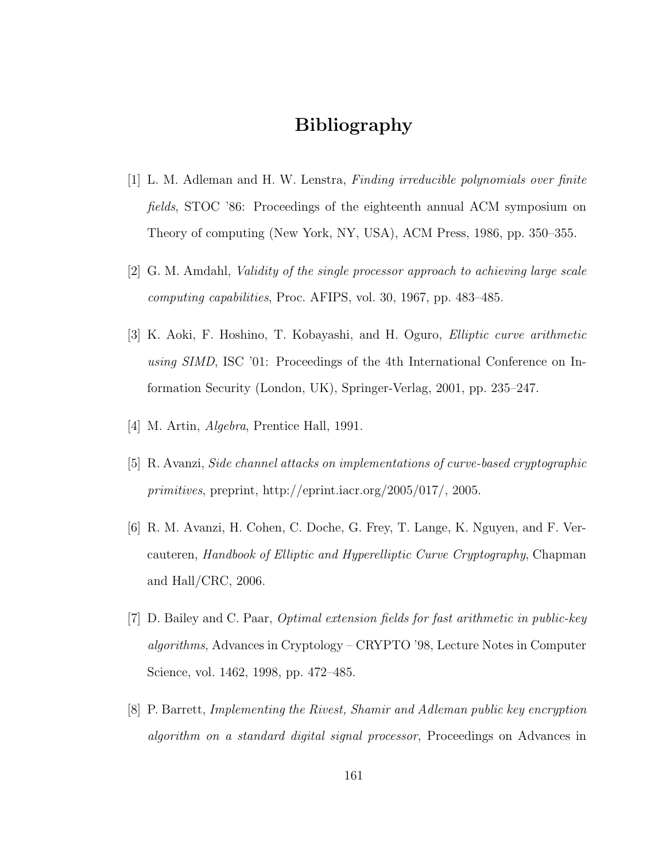# Bibliography

- [1] L. M. Adleman and H. W. Lenstra, Finding irreducible polynomials over finite fields, STOC '86: Proceedings of the eighteenth annual ACM symposium on Theory of computing (New York, NY, USA), ACM Press, 1986, pp. 350–355.
- [2] G. M. Amdahl, Validity of the single processor approach to achieving large scale computing capabilities, Proc. AFIPS, vol. 30, 1967, pp. 483–485.
- [3] K. Aoki, F. Hoshino, T. Kobayashi, and H. Oguro, Elliptic curve arithmetic using SIMD, ISC '01: Proceedings of the 4th International Conference on Information Security (London, UK), Springer-Verlag, 2001, pp. 235–247.
- [4] M. Artin, Algebra, Prentice Hall, 1991.
- [5] R. Avanzi, Side channel attacks on implementations of curve-based cryptographic primitives, preprint, http://eprint.iacr.org/2005/017/, 2005.
- [6] R. M. Avanzi, H. Cohen, C. Doche, G. Frey, T. Lange, K. Nguyen, and F. Vercauteren, Handbook of Elliptic and Hyperelliptic Curve Cryptography, Chapman and Hall/CRC, 2006.
- [7] D. Bailey and C. Paar, Optimal extension fields for fast arithmetic in public-key algorithms, Advances in Cryptology – CRYPTO '98, Lecture Notes in Computer Science, vol. 1462, 1998, pp. 472–485.
- [8] P. Barrett, Implementing the Rivest, Shamir and Adleman public key encryption algorithm on a standard digital signal processor, Proceedings on Advances in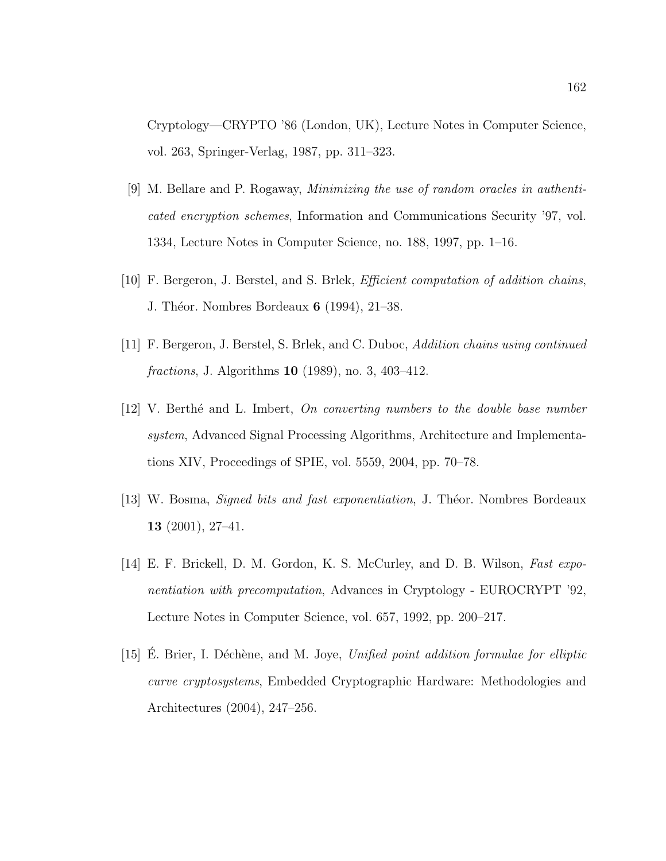Cryptology—CRYPTO '86 (London, UK), Lecture Notes in Computer Science, vol. 263, Springer-Verlag, 1987, pp. 311–323.

- [9] M. Bellare and P. Rogaway, Minimizing the use of random oracles in authenticated encryption schemes, Information and Communications Security '97, vol. 1334, Lecture Notes in Computer Science, no. 188, 1997, pp. 1–16.
- [10] F. Bergeron, J. Berstel, and S. Brlek, *Efficient computation of addition chains*, J. Théor. Nombres Bordeaux **6** (1994), 21–38.
- [11] F. Bergeron, J. Berstel, S. Brlek, and C. Duboc, Addition chains using continued fractions, J. Algorithms 10 (1989), no. 3, 403–412.
- $[12]$  V. Berthé and L. Imbert, On converting numbers to the double base number system, Advanced Signal Processing Algorithms, Architecture and Implementations XIV, Proceedings of SPIE, vol. 5559, 2004, pp. 70–78.
- [13] W. Bosma, *Signed bits and fast exponentiation*, J. Théor. Nombres Bordeaux 13 (2001), 27–41.
- [14] E. F. Brickell, D. M. Gordon, K. S. McCurley, and D. B. Wilson, Fast exponentiation with precomputation, Advances in Cryptology - EUROCRYPT '92, Lecture Notes in Computer Science, vol. 657, 1992, pp. 200–217.
- [15] E. Brier, I. Déchène, and M. Joye, Unified point addition formulae for elliptic curve cryptosystems, Embedded Cryptographic Hardware: Methodologies and Architectures (2004), 247–256.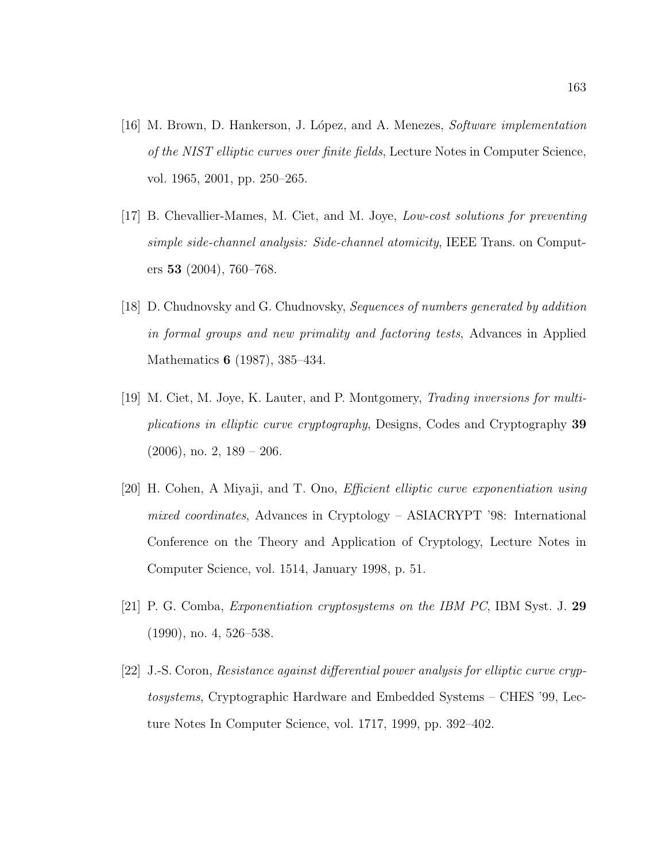- [16] M. Brown, D. Hankerson, J. L´opez, and A. Menezes, Software implementation of the NIST elliptic curves over finite fields, Lecture Notes in Computer Science, vol. 1965, 2001, pp. 250–265.
- [17] B. Chevallier-Mames, M. Ciet, and M. Joye, Low-cost solutions for preventing simple side-channel analysis: Side-channel atomicity, IEEE Trans. on Computers 53 (2004), 760–768.
- [18] D. Chudnovsky and G. Chudnovsky, Sequences of numbers generated by addition in formal groups and new primality and factoring tests, Advances in Applied Mathematics 6 (1987), 385–434.
- [19] M. Ciet, M. Joye, K. Lauter, and P. Montgomery, Trading inversions for multiplications in elliptic curve cryptography, Designs, Codes and Cryptography 39  $(2006)$ , no. 2,  $189 - 206$ .
- [20] H. Cohen, A Miyaji, and T. Ono, Efficient elliptic curve exponentiation using mixed coordinates, Advances in Cryptology – ASIACRYPT '98: International Conference on the Theory and Application of Cryptology, Lecture Notes in Computer Science, vol. 1514, January 1998, p. 51.
- [21] P. G. Comba, Exponentiation cryptosystems on the IBM PC, IBM Syst. J. 29 (1990), no. 4, 526–538.
- [22] J.-S. Coron, Resistance against differential power analysis for elliptic curve cryptosystems, Cryptographic Hardware and Embedded Systems – CHES '99, Lecture Notes In Computer Science, vol. 1717, 1999, pp. 392–402.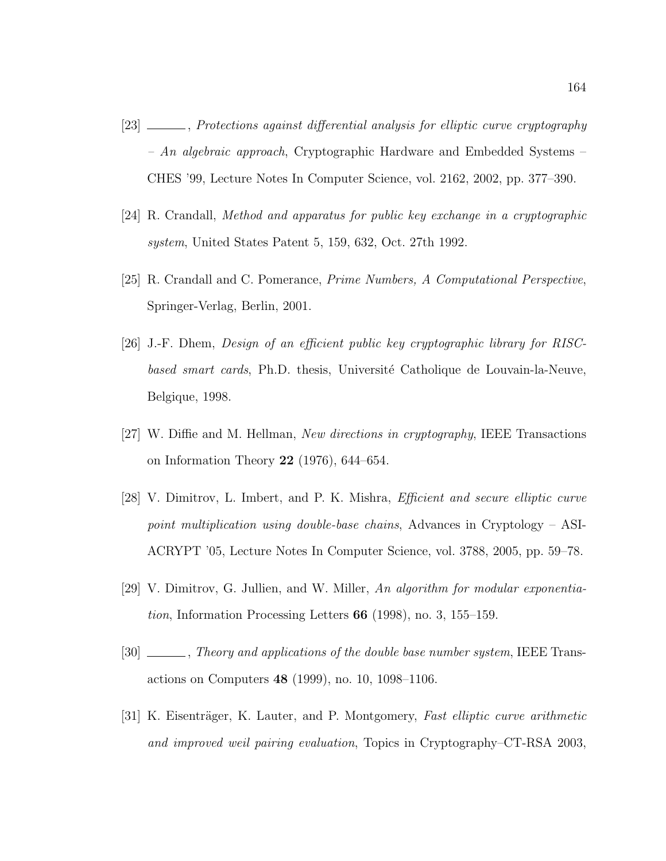- [23]  $\_\_\_\_\_\$ gainst differential analysis for elliptic curve cryptography  $- An algebraic approach, Cryptographic Hardware and Embedded Systems –\n$ CHES '99, Lecture Notes In Computer Science, vol. 2162, 2002, pp. 377–390.
- [24] R. Crandall, Method and apparatus for public key exchange in a cryptographic system, United States Patent 5, 159, 632, Oct. 27th 1992.
- [25] R. Crandall and C. Pomerance, Prime Numbers, A Computational Perspective, Springer-Verlag, Berlin, 2001.
- [26] J.-F. Dhem, Design of an efficient public key cryptographic library for RISCbased smart cards, Ph.D. thesis, Université Catholique de Louvain-la-Neuve, Belgique, 1998.
- [27] W. Diffie and M. Hellman, New directions in cryptography, IEEE Transactions on Information Theory 22 (1976), 644–654.
- [28] V. Dimitrov, L. Imbert, and P. K. Mishra, Efficient and secure elliptic curve point multiplication using double-base chains, Advances in Cryptology – ASI-ACRYPT '05, Lecture Notes In Computer Science, vol. 3788, 2005, pp. 59–78.
- [29] V. Dimitrov, G. Jullien, and W. Miller, An algorithm for modular exponentia*tion*, Information Processing Letters  $66$  (1998), no. 3, 155–159.
- [30]  $\_\_\_\_\_\$ neory and applications of the double base number system, IEEE Transactions on Computers 48 (1999), no. 10, 1098–1106.
- [31] K. Eisenträger, K. Lauter, and P. Montgomery, Fast elliptic curve arithmetic and improved weil pairing evaluation, Topics in Cryptography–CT-RSA 2003,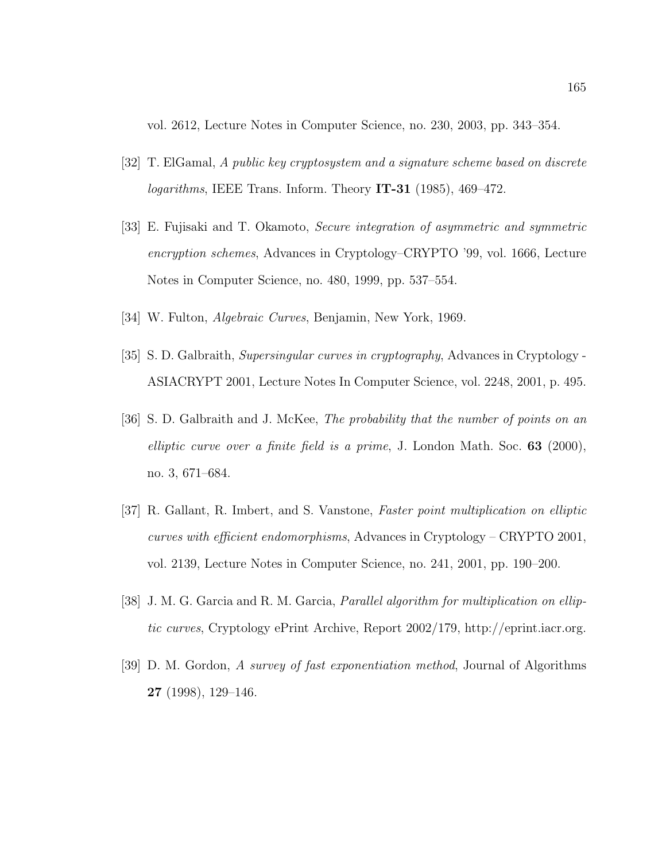vol. 2612, Lecture Notes in Computer Science, no. 230, 2003, pp. 343–354.

- [32] T. ElGamal, A public key cryptosystem and a signature scheme based on discrete  $logarithms$ , IEEE Trans. Inform. Theory IT-31 (1985), 469–472.
- [33] E. Fujisaki and T. Okamoto, Secure integration of asymmetric and symmetric encryption schemes, Advances in Cryptology–CRYPTO '99, vol. 1666, Lecture Notes in Computer Science, no. 480, 1999, pp. 537–554.
- [34] W. Fulton, Algebraic Curves, Benjamin, New York, 1969.
- [35] S. D. Galbraith, Supersingular curves in cryptography, Advances in Cryptology ASIACRYPT 2001, Lecture Notes In Computer Science, vol. 2248, 2001, p. 495.
- [36] S. D. Galbraith and J. McKee, The probability that the number of points on an elliptic curve over a finite field is a prime, J. London Math. Soc.  $63$  (2000), no. 3, 671–684.
- [37] R. Gallant, R. Imbert, and S. Vanstone, Faster point multiplication on elliptic curves with efficient endomorphisms, Advances in Cryptology – CRYPTO 2001, vol. 2139, Lecture Notes in Computer Science, no. 241, 2001, pp. 190–200.
- [38] J. M. G. Garcia and R. M. Garcia, *Parallel algorithm for multiplication on ellip*tic curves, Cryptology ePrint Archive, Report 2002/179, http://eprint.iacr.org.
- [39] D. M. Gordon, A survey of fast exponentiation method, Journal of Algorithms 27 (1998), 129–146.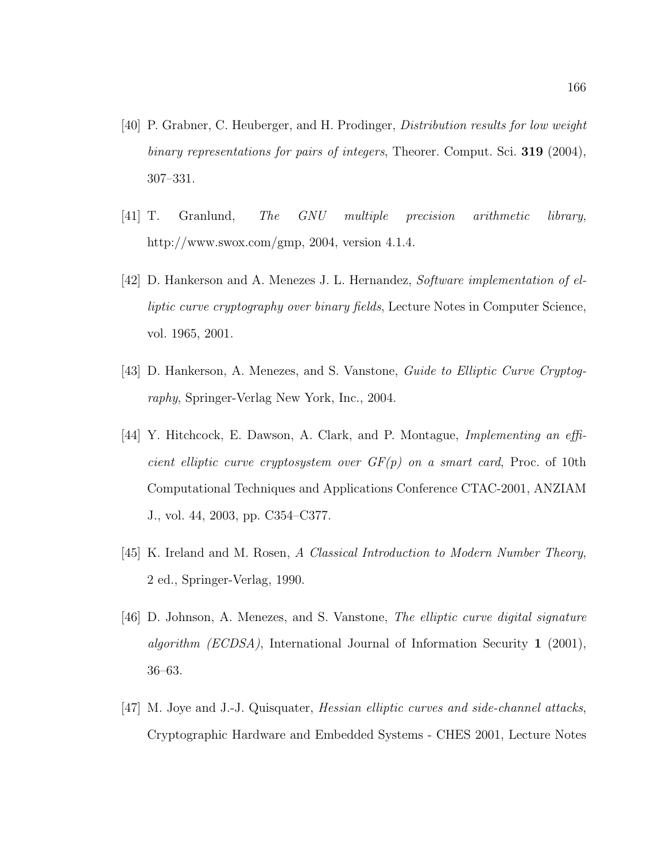- [40] P. Grabner, C. Heuberger, and H. Prodinger, Distribution results for low weight binary representations for pairs of integers, Theorer. Comput. Sci. 319 (2004), 307–331.
- [41] T. Granlund, The GNU multiple precision arithmetic library, http://www.swox.com/gmp, 2004, version 4.1.4.
- [42] D. Hankerson and A. Menezes J. L. Hernandez, Software implementation of elliptic curve cryptography over binary fields, Lecture Notes in Computer Science, vol. 1965, 2001.
- [43] D. Hankerson, A. Menezes, and S. Vanstone, Guide to Elliptic Curve Cryptography, Springer-Verlag New York, Inc., 2004.
- [44] Y. Hitchcock, E. Dawson, A. Clark, and P. Montague, Implementing an efficient elliptic curve cryptosystem over  $GF(p)$  on a smart card, Proc. of 10th Computational Techniques and Applications Conference CTAC-2001, ANZIAM J., vol. 44, 2003, pp. C354–C377.
- [45] K. Ireland and M. Rosen, A Classical Introduction to Modern Number Theory, 2 ed., Springer-Verlag, 1990.
- [46] D. Johnson, A. Menezes, and S. Vanstone, The elliptic curve digital signature algorithm (ECDSA), International Journal of Information Security 1 (2001), 36–63.
- [47] M. Joye and J.-J. Quisquater, Hessian elliptic curves and side-channel attacks, Cryptographic Hardware and Embedded Systems - CHES 2001, Lecture Notes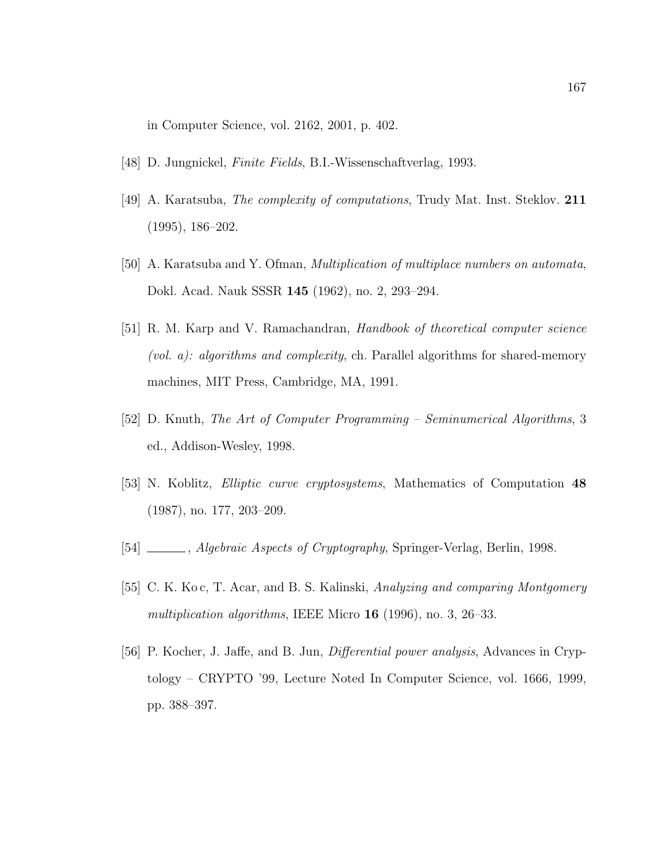in Computer Science, vol. 2162, 2001, p. 402.

- [48] D. Jungnickel, Finite Fields, B.I.-Wissenschaftverlag, 1993.
- [49] A. Karatsuba, The complexity of computations, Trudy Mat. Inst. Steklov. 211 (1995), 186–202.
- [50] A. Karatsuba and Y. Ofman, Multiplication of multiplace numbers on automata, Dokl. Acad. Nauk SSSR 145 (1962), no. 2, 293–294.
- [51] R. M. Karp and V. Ramachandran, Handbook of theoretical computer science (vol. a): algorithms and complexity, ch. Parallel algorithms for shared-memory machines, MIT Press, Cambridge, MA, 1991.
- [52] D. Knuth, The Art of Computer Programming Seminumerical Algorithms, 3 ed., Addison-Wesley, 1998.
- [53] N. Koblitz, Elliptic curve cryptosystems, Mathematics of Computation 48 (1987), no. 177, 203–209.
- [54]  $\_\_\_\_\$ , Algebraic Aspects of Cryptography, Springer-Verlag, Berlin, 1998.
- [55] C. K. Ko c, T. Acar, and B. S. Kalinski, Analyzing and comparing Montgomery multiplication algorithms, IEEE Micro 16 (1996), no. 3, 26–33.
- [56] P. Kocher, J. Jaffe, and B. Jun, Differential power analysis, Advances in Cryptology – CRYPTO '99, Lecture Noted In Computer Science, vol. 1666, 1999, pp. 388–397.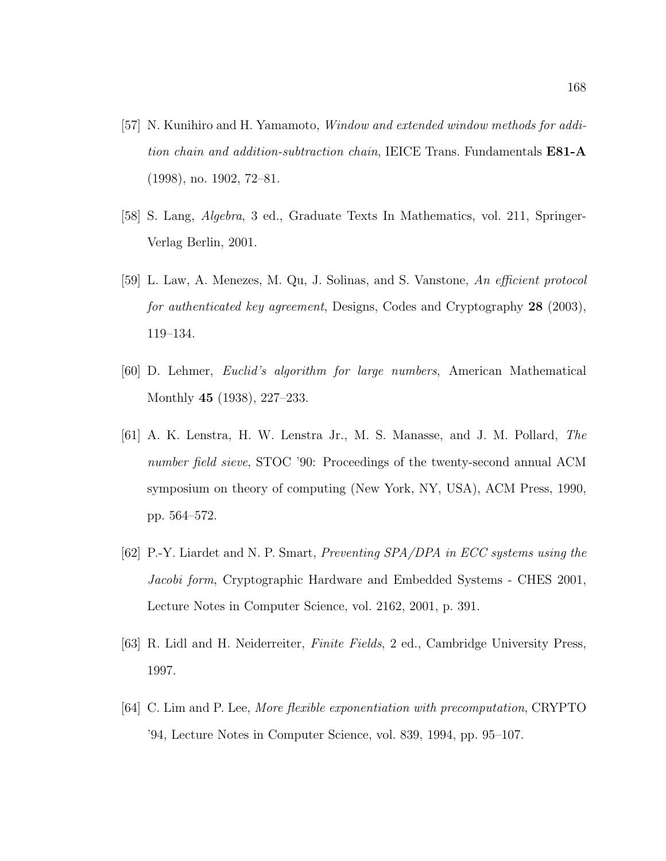- [57] N. Kunihiro and H. Yamamoto, Window and extended window methods for addition chain and addition-subtraction chain, IEICE Trans. Fundamentals **E81-A** (1998), no. 1902, 72–81.
- [58] S. Lang, Algebra, 3 ed., Graduate Texts In Mathematics, vol. 211, Springer-Verlag Berlin, 2001.
- [59] L. Law, A. Menezes, M. Qu, J. Solinas, and S. Vanstone, An efficient protocol for authenticated key agreement, Designs, Codes and Cryptography 28 (2003), 119–134.
- [60] D. Lehmer, Euclid's algorithm for large numbers, American Mathematical Monthly 45 (1938), 227–233.
- [61] A. K. Lenstra, H. W. Lenstra Jr., M. S. Manasse, and J. M. Pollard, The number field sieve, STOC '90: Proceedings of the twenty-second annual ACM symposium on theory of computing (New York, NY, USA), ACM Press, 1990, pp. 564–572.
- [62] P.-Y. Liardet and N. P. Smart, Preventing SPA/DPA in ECC systems using the Jacobi form, Cryptographic Hardware and Embedded Systems - CHES 2001, Lecture Notes in Computer Science, vol. 2162, 2001, p. 391.
- [63] R. Lidl and H. Neiderreiter, Finite Fields, 2 ed., Cambridge University Press, 1997.
- [64] C. Lim and P. Lee, More flexible exponentiation with precomputation, CRYPTO '94, Lecture Notes in Computer Science, vol. 839, 1994, pp. 95–107.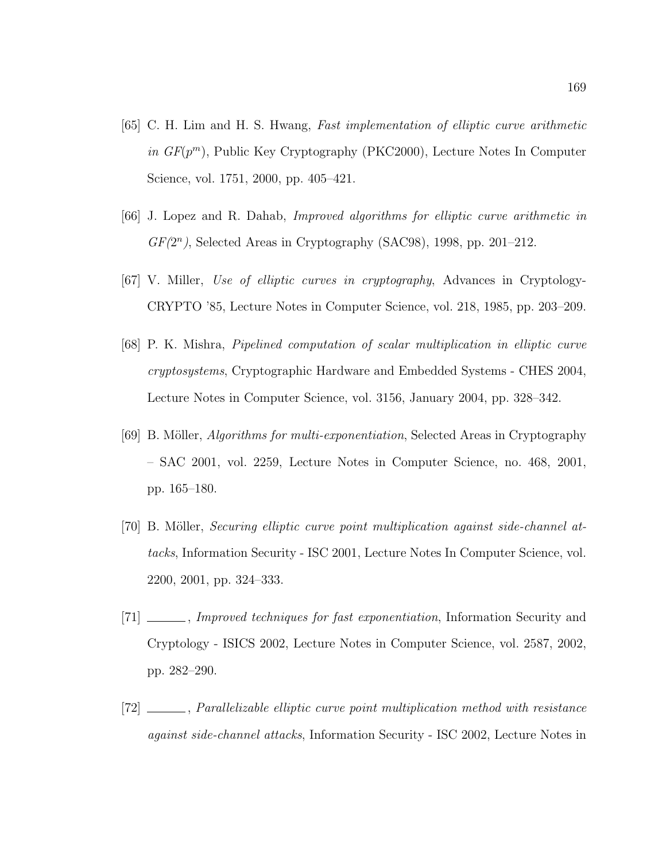- [65] C. H. Lim and H. S. Hwang, Fast implementation of elliptic curve arithmetic in  $GF(p^m)$ , Public Key Cryptography (PKC2000), Lecture Notes In Computer Science, vol. 1751, 2000, pp. 405–421.
- [66] J. Lopez and R. Dahab, Improved algorithms for elliptic curve arithmetic in  $GF(2<sup>n</sup>)$ , Selected Areas in Cryptography (SAC98), 1998, pp. 201-212.
- [67] V. Miller, Use of elliptic curves in cryptography, Advances in Cryptology-CRYPTO '85, Lecture Notes in Computer Science, vol. 218, 1985, pp. 203–209.
- [68] P. K. Mishra, Pipelined computation of scalar multiplication in elliptic curve cryptosystems, Cryptographic Hardware and Embedded Systems - CHES 2004, Lecture Notes in Computer Science, vol. 3156, January 2004, pp. 328–342.
- [69] B. Möller, *Algorithms for multi-exponentiation*, Selected Areas in Cryptography – SAC 2001, vol. 2259, Lecture Notes in Computer Science, no. 468, 2001, pp. 165–180.
- [70] B. Möller, *Securing elliptic curve point multiplication against side-channel at*tacks, Information Security - ISC 2001, Lecture Notes In Computer Science, vol. 2200, 2001, pp. 324–333.
- [71] \_\_\_\_\_, *Improved techniques for fast exponentiation*, Information Security and Cryptology - ISICS 2002, Lecture Notes in Computer Science, vol. 2587, 2002, pp. 282–290.
- [72] , Parallelizable elliptic curve point multiplication method with resistance against side-channel attacks, Information Security - ISC 2002, Lecture Notes in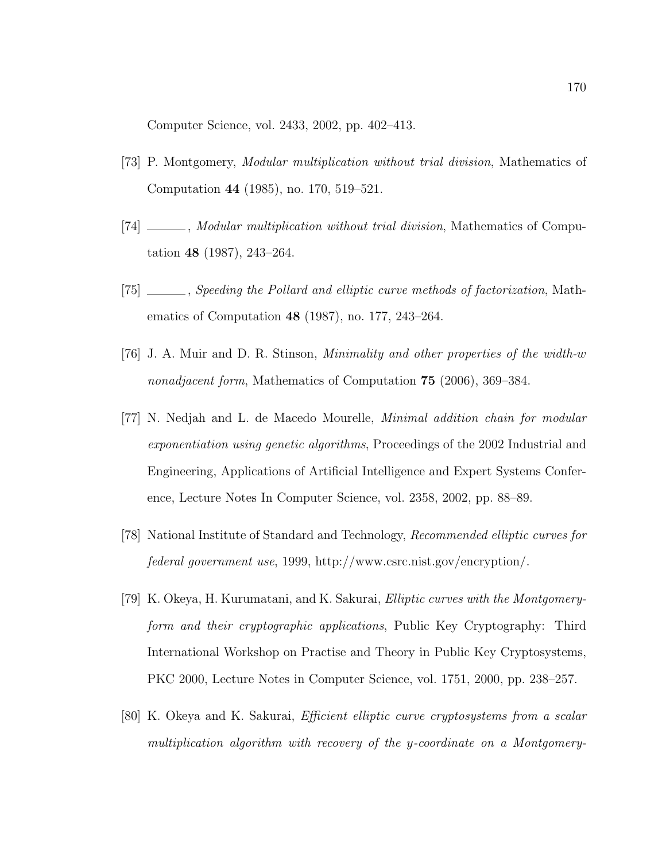Computer Science, vol. 2433, 2002, pp. 402–413.

- [73] P. Montgomery, Modular multiplication without trial division, Mathematics of Computation 44 (1985), no. 170, 519–521.
- [74] \_\_\_\_\_, Modular multiplication without trial division, Mathematics of Computation 48 (1987), 243–264.
- [75] \_\_\_\_, Speeding the Pollard and elliptic curve methods of factorization, Mathematics of Computation 48 (1987), no. 177, 243–264.
- [76] J. A. Muir and D. R. Stinson, Minimality and other properties of the width-w nonadjacent form, Mathematics of Computation 75 (2006), 369–384.
- [77] N. Nedjah and L. de Macedo Mourelle, Minimal addition chain for modular exponentiation using genetic algorithms, Proceedings of the 2002 Industrial and Engineering, Applications of Artificial Intelligence and Expert Systems Conference, Lecture Notes In Computer Science, vol. 2358, 2002, pp. 88–89.
- [78] National Institute of Standard and Technology, Recommended elliptic curves for federal government use, 1999, http://www.csrc.nist.gov/encryption/.
- [79] K. Okeya, H. Kurumatani, and K. Sakurai, Elliptic curves with the Montgomeryform and their cryptographic applications, Public Key Cryptography: Third International Workshop on Practise and Theory in Public Key Cryptosystems, PKC 2000, Lecture Notes in Computer Science, vol. 1751, 2000, pp. 238–257.
- [80] K. Okeya and K. Sakurai, Efficient elliptic curve cryptosystems from a scalar multiplication algorithm with recovery of the y-coordinate on a Montgomery-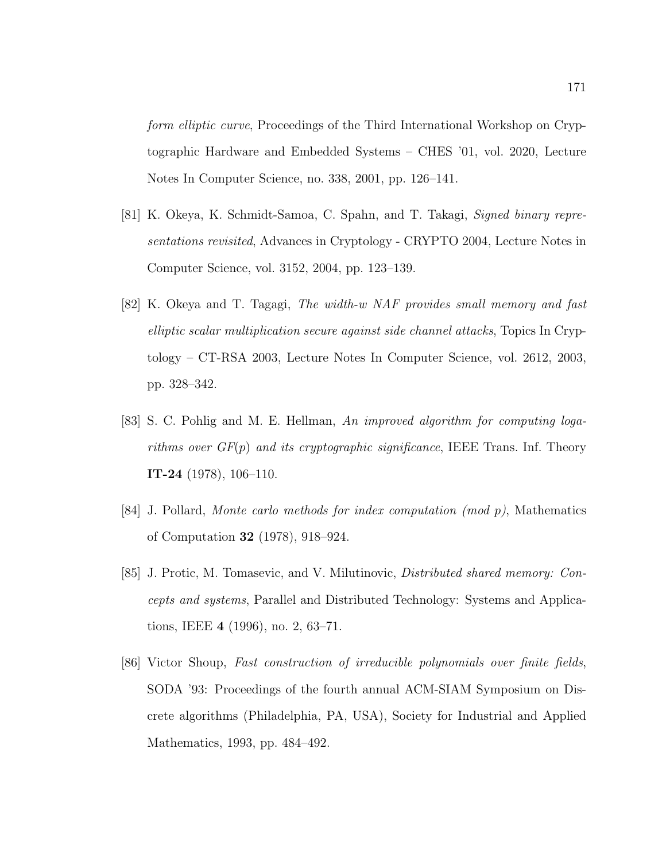form elliptic curve, Proceedings of the Third International Workshop on Cryptographic Hardware and Embedded Systems – CHES '01, vol. 2020, Lecture Notes In Computer Science, no. 338, 2001, pp. 126–141.

- [81] K. Okeya, K. Schmidt-Samoa, C. Spahn, and T. Takagi, Signed binary representations revisited, Advances in Cryptology - CRYPTO 2004, Lecture Notes in Computer Science, vol. 3152, 2004, pp. 123–139.
- [82] K. Okeya and T. Tagagi, The width-w NAF provides small memory and fast elliptic scalar multiplication secure against side channel attacks, Topics In Cryptology – CT-RSA 2003, Lecture Notes In Computer Science, vol. 2612, 2003, pp. 328–342.
- [83] S. C. Pohlig and M. E. Hellman, An improved algorithm for computing logarithms over  $GF(p)$  and its cryptographic significance, IEEE Trans. Inf. Theory IT-24 (1978), 106–110.
- $[84]$  J. Pollard, Monte carlo methods for index computation (mod p), Mathematics of Computation 32 (1978), 918–924.
- [85] J. Protic, M. Tomasevic, and V. Milutinovic, Distributed shared memory: Concepts and systems, Parallel and Distributed Technology: Systems and Applications, IEEE 4 (1996), no. 2, 63–71.
- [86] Victor Shoup, Fast construction of irreducible polynomials over finite fields, SODA '93: Proceedings of the fourth annual ACM-SIAM Symposium on Discrete algorithms (Philadelphia, PA, USA), Society for Industrial and Applied Mathematics, 1993, pp. 484–492.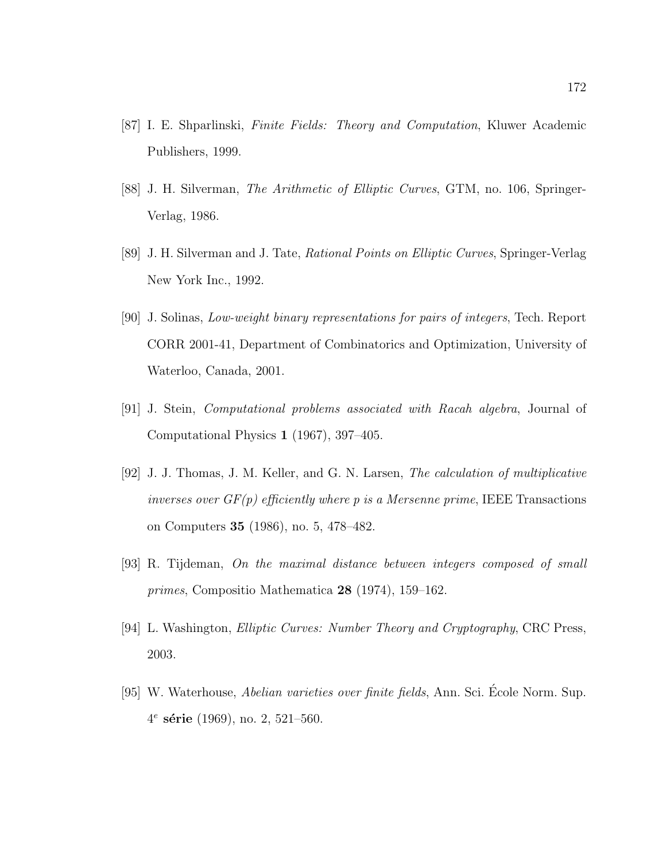- [87] I. E. Shparlinski, Finite Fields: Theory and Computation, Kluwer Academic Publishers, 1999.
- [88] J. H. Silverman, The Arithmetic of Elliptic Curves, GTM, no. 106, Springer-Verlag, 1986.
- [89] J. H. Silverman and J. Tate, Rational Points on Elliptic Curves, Springer-Verlag New York Inc., 1992.
- [90] J. Solinas, Low-weight binary representations for pairs of integers, Tech. Report CORR 2001-41, Department of Combinatorics and Optimization, University of Waterloo, Canada, 2001.
- [91] J. Stein, Computational problems associated with Racah algebra, Journal of Computational Physics 1 (1967), 397–405.
- [92] J. J. Thomas, J. M. Keller, and G. N. Larsen, The calculation of multiplicative inverses over  $GF(p)$  efficiently where p is a Mersenne prime, IEEE Transactions on Computers 35 (1986), no. 5, 478–482.
- [93] R. Tijdeman, On the maximal distance between integers composed of small primes, Compositio Mathematica 28 (1974), 159–162.
- [94] L. Washington, Elliptic Curves: Number Theory and Cryptography, CRC Press, 2003.
- [95] W. Waterhouse, Abelian varieties over finite fields, Ann. Sci. Ecole Norm. Sup. ´  $4^e$  série (1969), no. 2, 521–560.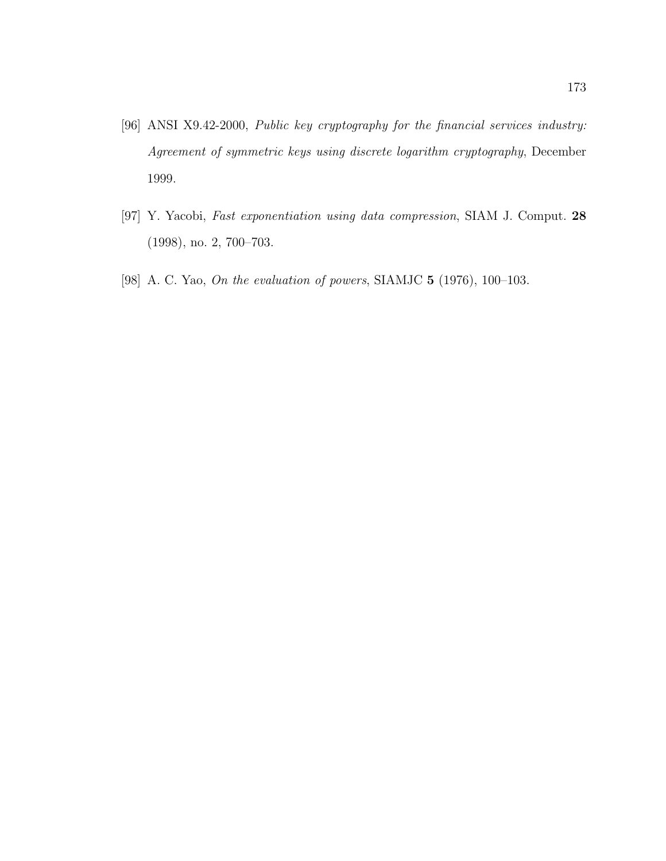- [96] ANSI X9.42-2000, Public key cryptography for the financial services industry: Agreement of symmetric keys using discrete logarithm cryptography, December 1999.
- [97] Y. Yacobi, Fast exponentiation using data compression, SIAM J. Comput. 28 (1998), no. 2, 700–703.
- [98] A. C. Yao, *On the evaluation of powers*, SIAMJC **5** (1976), 100–103.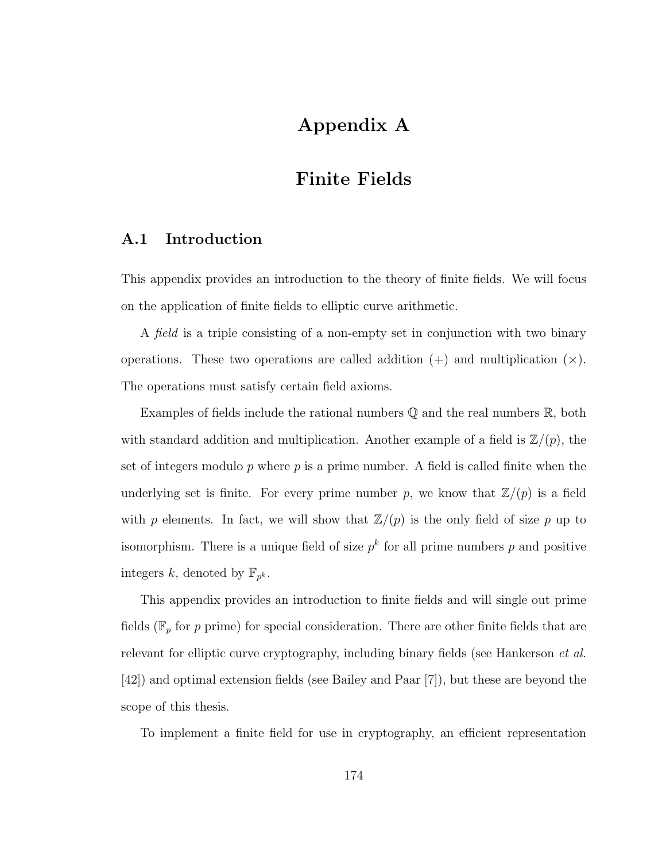# Appendix A

## Finite Fields

## A.1 Introduction

This appendix provides an introduction to the theory of finite fields. We will focus on the application of finite fields to elliptic curve arithmetic.

A field is a triple consisting of a non-empty set in conjunction with two binary operations. These two operations are called addition  $(+)$  and multiplication  $(\times)$ . The operations must satisfy certain field axioms.

Examples of fields include the rational numbers  $\mathbb Q$  and the real numbers  $\mathbb R$ , both with standard addition and multiplication. Another example of a field is  $\mathbb{Z}/(p)$ , the set of integers modulo  $p$  where  $p$  is a prime number. A field is called finite when the underlying set is finite. For every prime number p, we know that  $\mathbb{Z}/(p)$  is a field with p elements. In fact, we will show that  $\mathbb{Z}/(p)$  is the only field of size p up to isomorphism. There is a unique field of size  $p^k$  for all prime numbers p and positive integers k, denoted by  $\mathbb{F}_{p^k}$ .

This appendix provides an introduction to finite fields and will single out prime fields ( $\mathbb{F}_p$  for p prime) for special consideration. There are other finite fields that are relevant for elliptic curve cryptography, including binary fields (see Hankerson *et al.*) [42]) and optimal extension fields (see Bailey and Paar [7]), but these are beyond the scope of this thesis.

To implement a finite field for use in cryptography, an efficient representation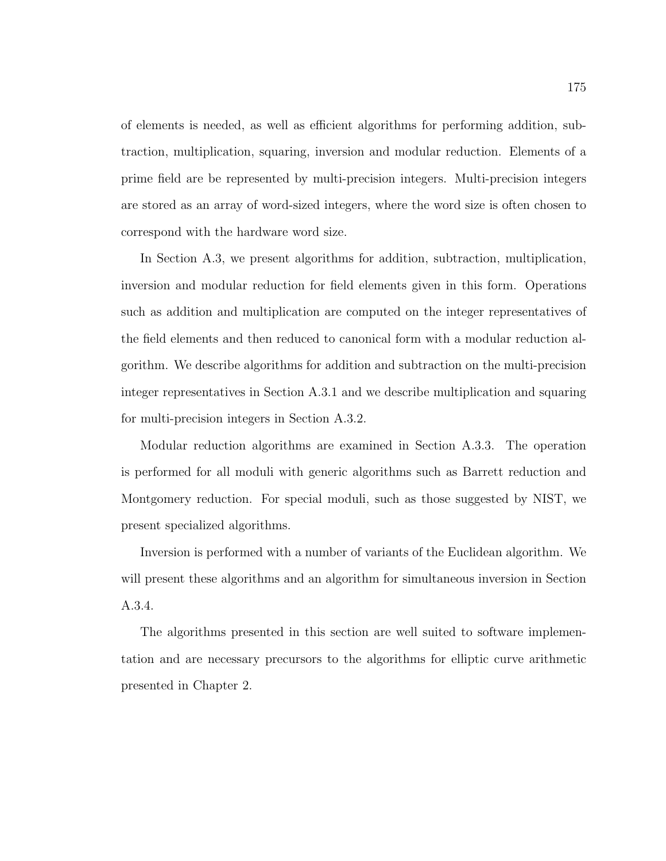of elements is needed, as well as efficient algorithms for performing addition, subtraction, multiplication, squaring, inversion and modular reduction. Elements of a prime field are be represented by multi-precision integers. Multi-precision integers are stored as an array of word-sized integers, where the word size is often chosen to correspond with the hardware word size.

In Section A.3, we present algorithms for addition, subtraction, multiplication, inversion and modular reduction for field elements given in this form. Operations such as addition and multiplication are computed on the integer representatives of the field elements and then reduced to canonical form with a modular reduction algorithm. We describe algorithms for addition and subtraction on the multi-precision integer representatives in Section A.3.1 and we describe multiplication and squaring for multi-precision integers in Section A.3.2.

Modular reduction algorithms are examined in Section A.3.3. The operation is performed for all moduli with generic algorithms such as Barrett reduction and Montgomery reduction. For special moduli, such as those suggested by NIST, we present specialized algorithms.

Inversion is performed with a number of variants of the Euclidean algorithm. We will present these algorithms and an algorithm for simultaneous inversion in Section A.3.4.

The algorithms presented in this section are well suited to software implementation and are necessary precursors to the algorithms for elliptic curve arithmetic presented in Chapter 2.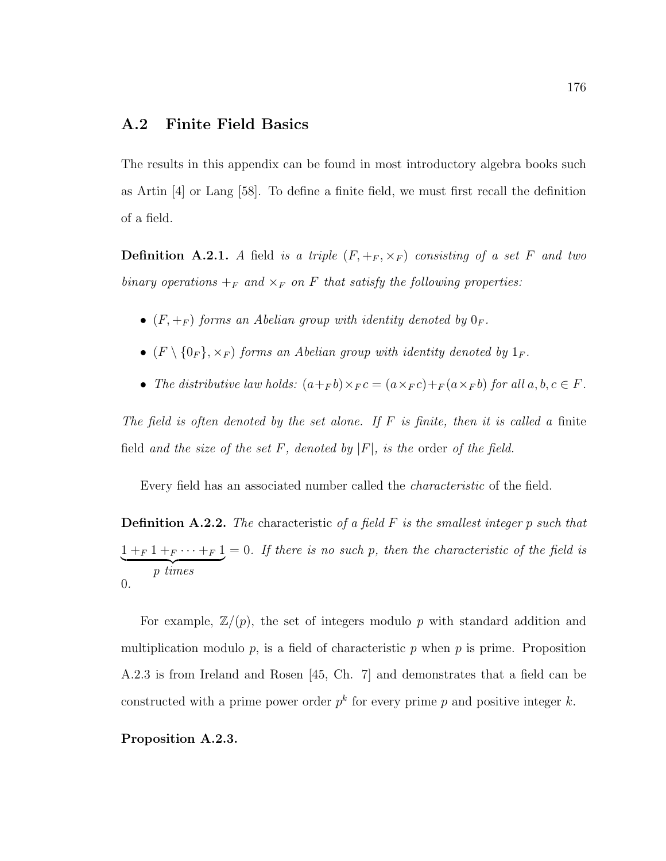## A.2 Finite Field Basics

The results in this appendix can be found in most introductory algebra books such as Artin [4] or Lang [58]. To define a finite field, we must first recall the definition of a field.

**Definition A.2.1.** A field is a triple  $(F, +_F, \times_F)$  consisting of a set F and two binary operations  $+_F$  and  $\times_F$  on F that satisfy the following properties:

- $(F, +_F)$  forms an Abelian group with identity denoted by  $0_F$ .
- $(F \setminus \{0_F\}, \times_F)$  forms an Abelian group with identity denoted by  $1_F$ .
- The distributive law holds:  $(a+_{F} b) \times_{F} c = (a \times_{F} c) +_{F} (a \times_{F} b)$  for all  $a, b, c \in F$ .

The field is often denoted by the set alone. If  $F$  is finite, then it is called a finite field and the size of the set F, denoted by  $|F|$ , is the order of the field.

Every field has an associated number called the characteristic of the field.

**Definition A.2.2.** The characteristic of a field  $F$  is the smallest integer p such that  $1 + F 1 + F \cdots + F 1$  $\overrightarrow{p \ times}$  $= 0$ . If there is no such p, then the characteristic of the field is 0.

For example,  $\mathbb{Z}/(p)$ , the set of integers modulo p with standard addition and multiplication modulo  $p$ , is a field of characteristic  $p$  when  $p$  is prime. Proposition A.2.3 is from Ireland and Rosen [45, Ch. 7] and demonstrates that a field can be constructed with a prime power order  $p^k$  for every prime p and positive integer k.

#### Proposition A.2.3.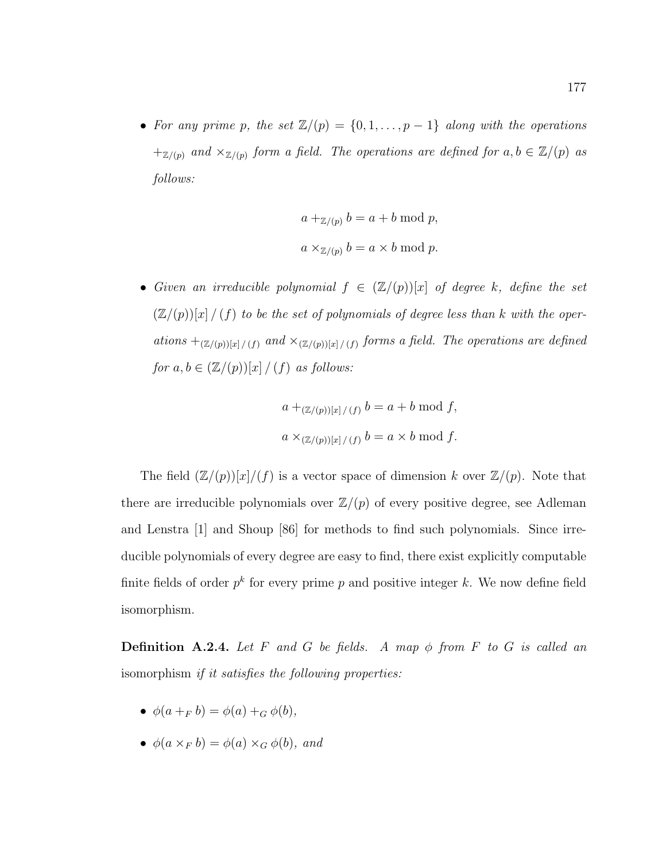• For any prime p, the set  $\mathbb{Z}/(p) = \{0, 1, \ldots, p-1\}$  along with the operations  $+_{\mathbb{Z}/(p)}$  and  $\times_{\mathbb{Z}/(p)}$  form a field. The operations are defined for  $a, b \in \mathbb{Z}/(p)$  as follows:

$$
a +_{\mathbb{Z}/(p)} b = a + b \mod p,
$$
  

$$
a \times_{\mathbb{Z}/(p)} b = a \times b \mod p.
$$

• Given an irreducible polynomial  $f \in (\mathbb{Z}/(p))[x]$  of degree k, define the set  $(\mathbb{Z}/(p))[x]/(f)$  to be the set of polynomials of degree less than k with the operations  $+(\mathbb{Z}/(p))\times |\mathcal{L}(f)|$  and  $\times (\mathbb{Z}/(p))\times |\mathcal{L}(f)|$  forms a field. The operations are defined for  $a, b \in (\mathbb{Z}/(p))[x]/(f)$  as follows:

$$
a +_{(\mathbb{Z}/(p))[x]/(f)} b = a + b \mod f,
$$
  

$$
a \times_{(\mathbb{Z}/(p))[x]/(f)} b = a \times b \mod f.
$$

The field  $(\mathbb{Z}/(p))[x]/(f)$  is a vector space of dimension k over  $\mathbb{Z}/(p)$ . Note that there are irreducible polynomials over  $\mathbb{Z}/(p)$  of every positive degree, see Adleman and Lenstra [1] and Shoup [86] for methods to find such polynomials. Since irreducible polynomials of every degree are easy to find, there exist explicitly computable finite fields of order  $p^k$  for every prime p and positive integer k. We now define field isomorphism.

**Definition A.2.4.** Let F and G be fields. A map  $\phi$  from F to G is called an isomorphism if it satisfies the following properties:

- $\phi(a +_F b) = \phi(a) +_G \phi(b)$ ,
- $\phi(a \times_F b) = \phi(a) \times_G \phi(b)$ , and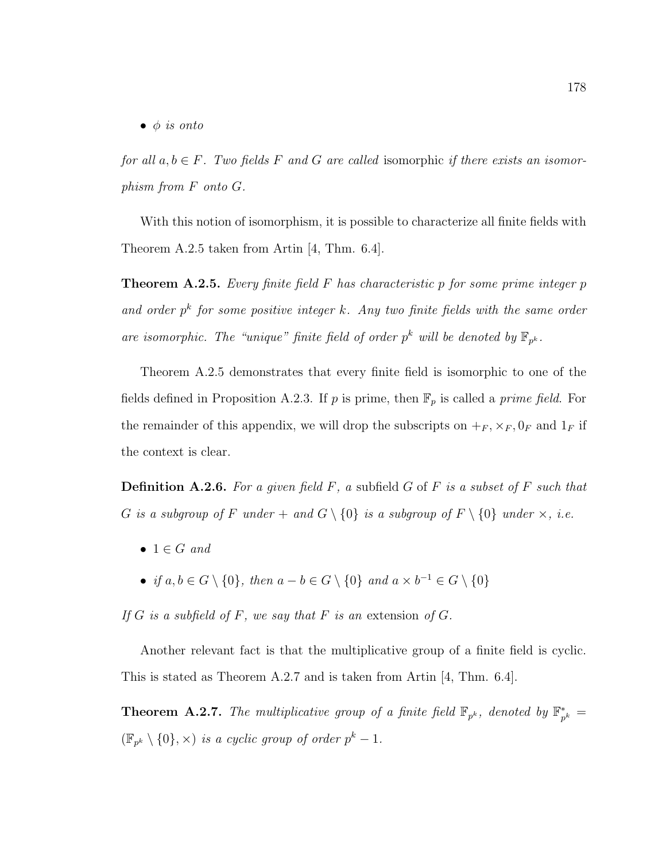$\bullet$   $\phi$  is onto

for all  $a, b \in F$ . Two fields F and G are called isomorphic if there exists an isomorphism from F onto G.

With this notion of isomorphism, it is possible to characterize all finite fields with Theorem A.2.5 taken from Artin [4, Thm. 6.4].

**Theorem A.2.5.** Every finite field F has characteristic p for some prime integer p and order  $p^k$  for some positive integer k. Any two finite fields with the same order are isomorphic. The "unique" finite field of order  $p^k$  will be denoted by  $\mathbb{F}_{p^k}$ .

Theorem A.2.5 demonstrates that every finite field is isomorphic to one of the fields defined in Proposition A.2.3. If p is prime, then  $\mathbb{F}_p$  is called a prime field. For the remainder of this appendix, we will drop the subscripts on  $+_F$ ,  $\times_F$ ,  $0_F$  and  $1_F$  if the context is clear.

**Definition A.2.6.** For a given field  $F$ , a subfield  $G$  of  $F$  is a subset of  $F$  such that G is a subgroup of F under + and  $G \setminus \{0\}$  is a subgroup of  $F \setminus \{0\}$  under  $\times$ , i.e.

- $1 \in G$  and
- if  $a, b \in G \setminus \{0\}$ , then  $a b \in G \setminus \{0\}$  and  $a \times b^{-1} \in G \setminus \{0\}$

If  $G$  is a subfield of  $F$ , we say that  $F$  is an extension of  $G$ .

Another relevant fact is that the multiplicative group of a finite field is cyclic. This is stated as Theorem A.2.7 and is taken from Artin [4, Thm. 6.4].

**Theorem A.2.7.** The multiplicative group of a finite field  $\mathbb{F}_{p^k}$ , denoted by  $\mathbb{F}_p^*$  $_{p^{k}}^* =$  $(\mathbb{F}_{p^k} \setminus \{0\}, \times)$  is a cyclic group of order  $p^k - 1$ .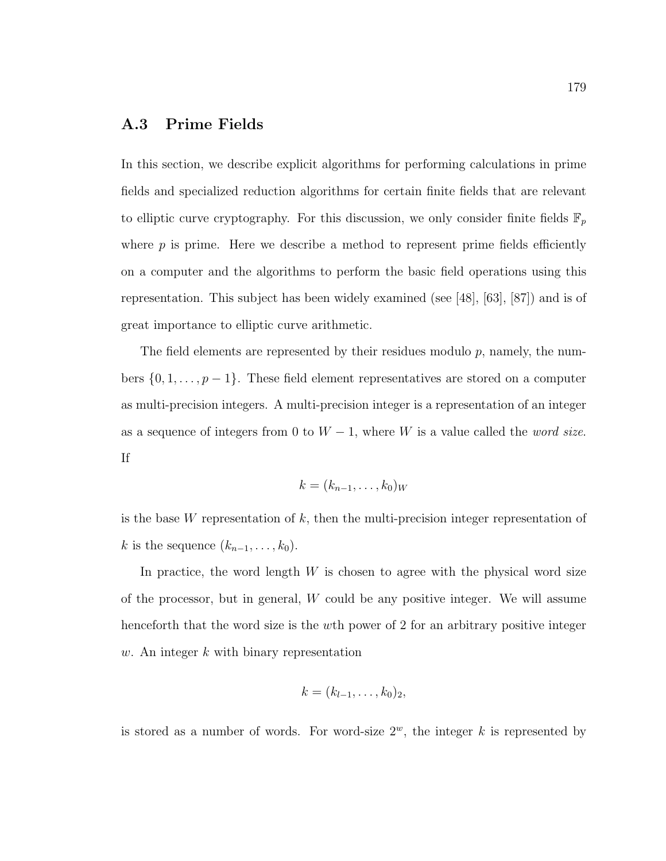## A.3 Prime Fields

In this section, we describe explicit algorithms for performing calculations in prime fields and specialized reduction algorithms for certain finite fields that are relevant to elliptic curve cryptography. For this discussion, we only consider finite fields  $\mathbb{F}_p$ where  $p$  is prime. Here we describe a method to represent prime fields efficiently on a computer and the algorithms to perform the basic field operations using this representation. This subject has been widely examined (see [48], [63], [87]) and is of great importance to elliptic curve arithmetic.

The field elements are represented by their residues modulo  $p$ , namely, the numbers  $\{0, 1, \ldots, p-1\}$ . These field element representatives are stored on a computer as multi-precision integers. A multi-precision integer is a representation of an integer as a sequence of integers from 0 to  $W - 1$ , where W is a value called the *word size*. If

$$
k=(k_{n-1},\ldots,k_0)_W
$$

is the base  $W$  representation of  $k$ , then the multi-precision integer representation of k is the sequence  $(k_{n-1}, \ldots, k_0)$ .

In practice, the word length  $W$  is chosen to agree with the physical word size of the processor, but in general, W could be any positive integer. We will assume henceforth that the word size is the wth power of 2 for an arbitrary positive integer w. An integer  $k$  with binary representation

$$
k=(k_{l-1},\ldots,k_0)_2,
$$

is stored as a number of words. For word-size  $2^w$ , the integer k is represented by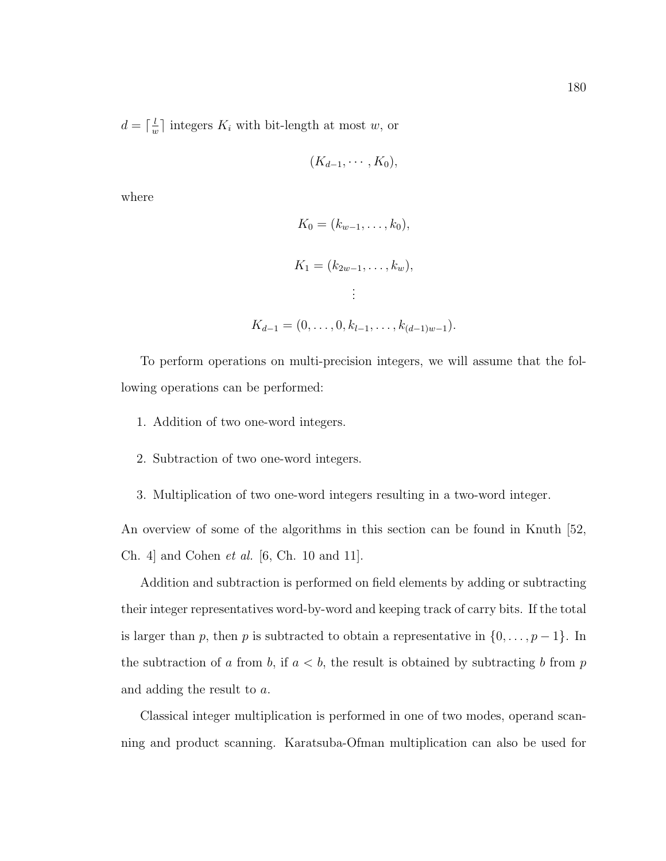$d = \lceil \frac{l}{u} \rceil$  $\frac{l}{w}$  integers  $K_i$  with bit-length at most w, or

$$
(K_{d-1},\cdots,K_0),
$$

where

$$
K_0 = (k_{w-1}, \dots, k_0),
$$
  
\n
$$
K_1 = (k_{2w-1}, \dots, k_w),
$$
  
\n
$$
\vdots
$$
  
\n
$$
K_{d-1} = (0, \dots, 0, k_{l-1}, \dots, k_{(d-1)w-1}).
$$

To perform operations on multi-precision integers, we will assume that the following operations can be performed:

- 1. Addition of two one-word integers.
- 2. Subtraction of two one-word integers.
- 3. Multiplication of two one-word integers resulting in a two-word integer.

An overview of some of the algorithms in this section can be found in Knuth [52, Ch. 4] and Cohen et al. [6, Ch. 10 and 11].

Addition and subtraction is performed on field elements by adding or subtracting their integer representatives word-by-word and keeping track of carry bits. If the total is larger than p, then p is subtracted to obtain a representative in  $\{0, \ldots, p-1\}$ . In the subtraction of a from b, if  $a < b$ , the result is obtained by subtracting b from p and adding the result to a.

Classical integer multiplication is performed in one of two modes, operand scanning and product scanning. Karatsuba-Ofman multiplication can also be used for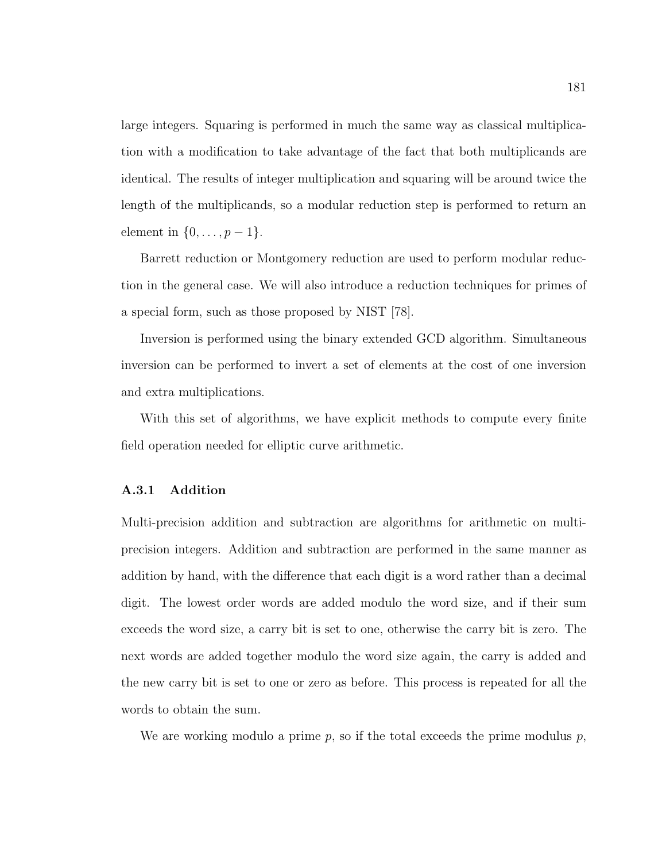large integers. Squaring is performed in much the same way as classical multiplication with a modification to take advantage of the fact that both multiplicands are identical. The results of integer multiplication and squaring will be around twice the length of the multiplicands, so a modular reduction step is performed to return an element in  $\{0, \ldots, p-1\}$ .

Barrett reduction or Montgomery reduction are used to perform modular reduction in the general case. We will also introduce a reduction techniques for primes of a special form, such as those proposed by NIST [78].

Inversion is performed using the binary extended GCD algorithm. Simultaneous inversion can be performed to invert a set of elements at the cost of one inversion and extra multiplications.

With this set of algorithms, we have explicit methods to compute every finite field operation needed for elliptic curve arithmetic.

#### A.3.1 Addition

Multi-precision addition and subtraction are algorithms for arithmetic on multiprecision integers. Addition and subtraction are performed in the same manner as addition by hand, with the difference that each digit is a word rather than a decimal digit. The lowest order words are added modulo the word size, and if their sum exceeds the word size, a carry bit is set to one, otherwise the carry bit is zero. The next words are added together modulo the word size again, the carry is added and the new carry bit is set to one or zero as before. This process is repeated for all the words to obtain the sum.

We are working modulo a prime  $p$ , so if the total exceeds the prime modulus  $p$ ,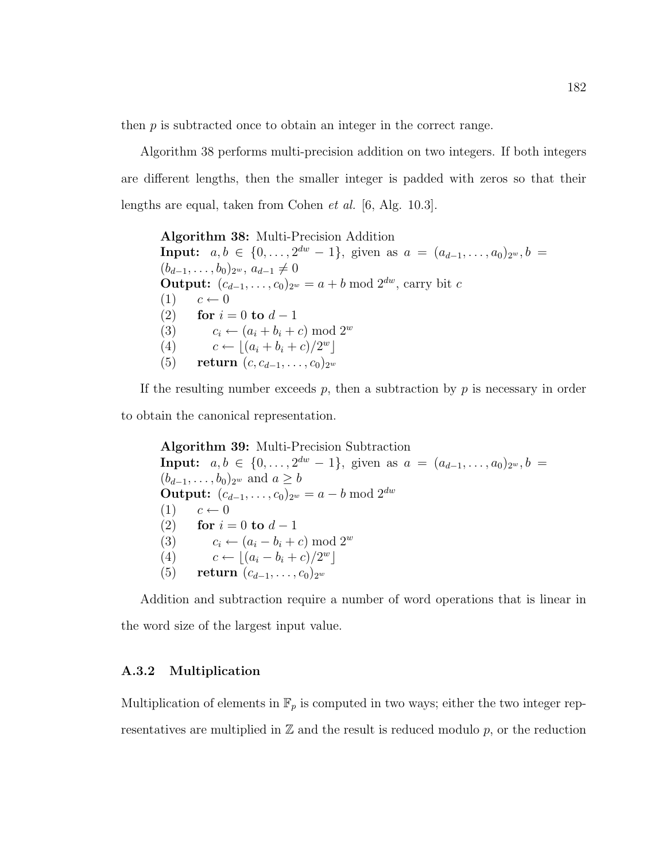then  $p$  is subtracted once to obtain an integer in the correct range.

Algorithm 38 performs multi-precision addition on two integers. If both integers are different lengths, then the smaller integer is padded with zeros so that their lengths are equal, taken from Cohen et al. [6, Alg. 10.3].

Algorithm 38: Multi-Precision Addition **Input:**  $a, b \in \{0, ..., 2^{dw} - 1\}$ , given as  $a = (a_{d-1}, ..., a_0)_{2^w}, b =$  $(b_{d-1}, \ldots, b_0)_{2^w}, a_{d-1} \neq 0$ **Output:**  $(c_{d-1}, \ldots, c_0)_{2^w} = a + b \bmod 2^{dw}$ , carry bit c  $(1)$   $c \leftarrow 0$ (2) for  $i = 0$  to  $d - 1$ (3)  $c_i \leftarrow (a_i + b_i + c) \mod 2^w$ (4)  $c \leftarrow \lfloor (a_i + b_i + c)/2^w \rfloor$ (5) return  $(c, c_{d-1}, \ldots, c_0)_{2^w}$ 

If the resulting number exceeds  $p$ , then a subtraction by  $p$  is necessary in order to obtain the canonical representation.

Algorithm 39: Multi-Precision Subtraction **Input:**  $a, b \in \{0, ..., 2^{dw} - 1\}$ , given as  $a = (a_{d-1}, ..., a_0)_{2^w}, b =$  $(b_{d-1}, \ldots, b_0)_{2^w}$  and  $a \ge b$ **Output:**  $(c_{d-1}, \ldots, c_0)_{2^w} = a - b \bmod 2^{dw}$  $(1)$   $c \leftarrow 0$ (2) for  $i = 0$  to  $d - 1$ (3)  $c_i \leftarrow (a_i - b_i + c) \mod 2^w$ (4)  $c \leftarrow \lfloor (a_i - b_i + c)/2^w \rfloor$ (5) return  $(c_{d-1}, \ldots, c_0)_{2^w}$ 

Addition and subtraction require a number of word operations that is linear in the word size of the largest input value.

#### A.3.2 Multiplication

Multiplication of elements in  $\mathbb{F}_p$  is computed in two ways; either the two integer representatives are multiplied in  $\mathbb Z$  and the result is reduced modulo p, or the reduction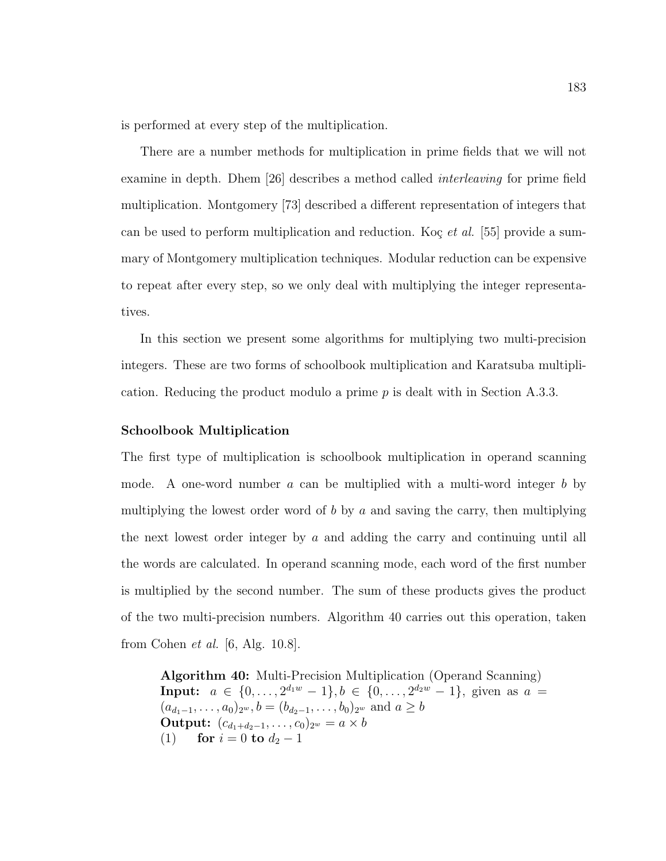is performed at every step of the multiplication.

There are a number methods for multiplication in prime fields that we will not examine in depth. Dhem [26] describes a method called interleaving for prime field multiplication. Montgomery [73] described a different representation of integers that can be used to perform multiplication and reduction. Koç et al. [55] provide a summary of Montgomery multiplication techniques. Modular reduction can be expensive to repeat after every step, so we only deal with multiplying the integer representatives.

In this section we present some algorithms for multiplying two multi-precision integers. These are two forms of schoolbook multiplication and Karatsuba multiplication. Reducing the product modulo a prime  $p$  is dealt with in Section A.3.3.

#### Schoolbook Multiplication

The first type of multiplication is schoolbook multiplication in operand scanning mode. A one-word number  $a$  can be multiplied with a multi-word integer  $b$  by multiplying the lowest order word of b by a and saving the carry, then multiplying the next lowest order integer by  $a$  and adding the carry and continuing until all the words are calculated. In operand scanning mode, each word of the first number is multiplied by the second number. The sum of these products gives the product of the two multi-precision numbers. Algorithm 40 carries out this operation, taken from Cohen  $et \ al.$  [6, Alg. 10.8].

Algorithm 40: Multi-Precision Multiplication (Operand Scanning) Input:  $a \in \{0, \ldots, 2^{d_1w} - 1\}, b \in \{0, \ldots, 2^{d_2w} - 1\},$  given as  $a =$  $(a_{d_1-1}, \ldots, a_0)_{2^w}, b = (b_{d_2-1}, \ldots, b_0)_{2^w}$  and  $a \ge b$ Output:  $(c_{d_1+d_2-1},...,c_0)_{2^w} = a \times b$ (1) for  $i = 0$  to  $d_2 - 1$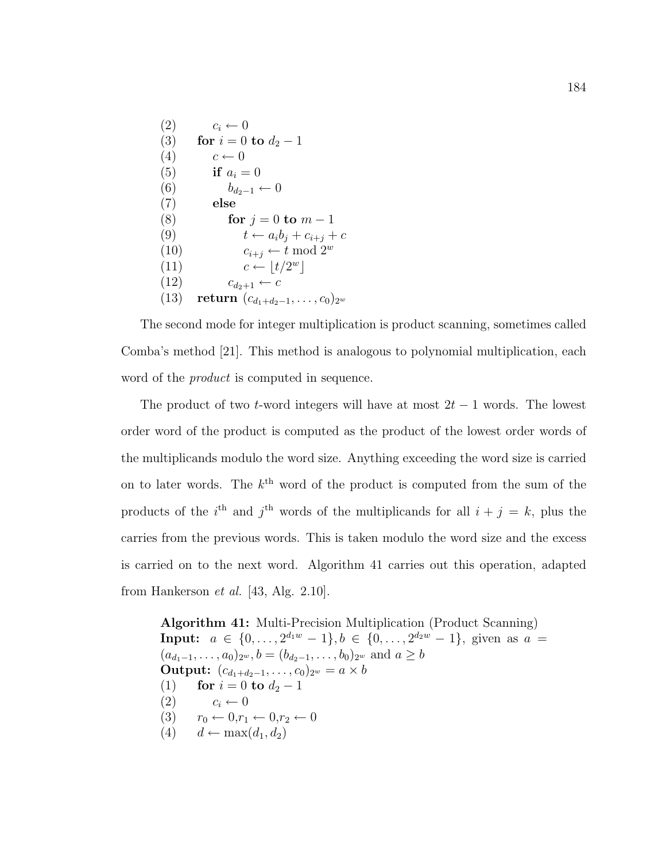$(2)$   $c_i \leftarrow 0$ (3) for  $i = 0$  to  $d_2 - 1$  $(4)$   $c \leftarrow 0$ (5) if  $a_i = 0$ (6)  $b_{d_2-1} \leftarrow 0$ (7) else (8) **for**  $j = 0$  to  $m - 1$ (9)  $t \leftarrow a_i b_j + c_{i+j} + c$ (10)  $c_{i+j} \leftarrow t \mod 2^w$ (11)  $c \leftarrow |t/2^w|$  $(12)$   $c_{d_2+1} \leftarrow c$ (13) return  $(c_{d_1+d_2-1}, \ldots, c_0)_{2^w}$ 

The second mode for integer multiplication is product scanning, sometimes called Comba's method [21]. This method is analogous to polynomial multiplication, each word of the *product* is computed in sequence.

The product of two t-word integers will have at most  $2t-1$  words. The lowest order word of the product is computed as the product of the lowest order words of the multiplicands modulo the word size. Anything exceeding the word size is carried on to later words. The  $k^{\text{th}}$  word of the product is computed from the sum of the products of the i<sup>th</sup> and j<sup>th</sup> words of the multiplicands for all  $i + j = k$ , plus the carries from the previous words. This is taken modulo the word size and the excess is carried on to the next word. Algorithm 41 carries out this operation, adapted from Hankerson  $et \ al.$  [43, Alg. 2.10].

Algorithm 41: Multi-Precision Multiplication (Product Scanning) Input:  $a \in \{0, \ldots, 2^{d_1w} - 1\}, b \in \{0, \ldots, 2^{d_2w} - 1\},$  given as  $a =$  $(a_{d_1-1}, \ldots, a_0)_{2^w}, b = (b_{d_2-1}, \ldots, b_0)_{2^w}$  and  $a \ge b$ Output:  $(c_{d_1+d_2-1},...,c_0)_{2^w} = a \times b$ (1) for  $i = 0$  to  $d_2 - 1$  $(2)$   $c_i \leftarrow 0$ (3)  $r_0 \leftarrow 0, r_1 \leftarrow 0, r_2 \leftarrow 0$ (4)  $d \leftarrow \max(d_1, d_2)$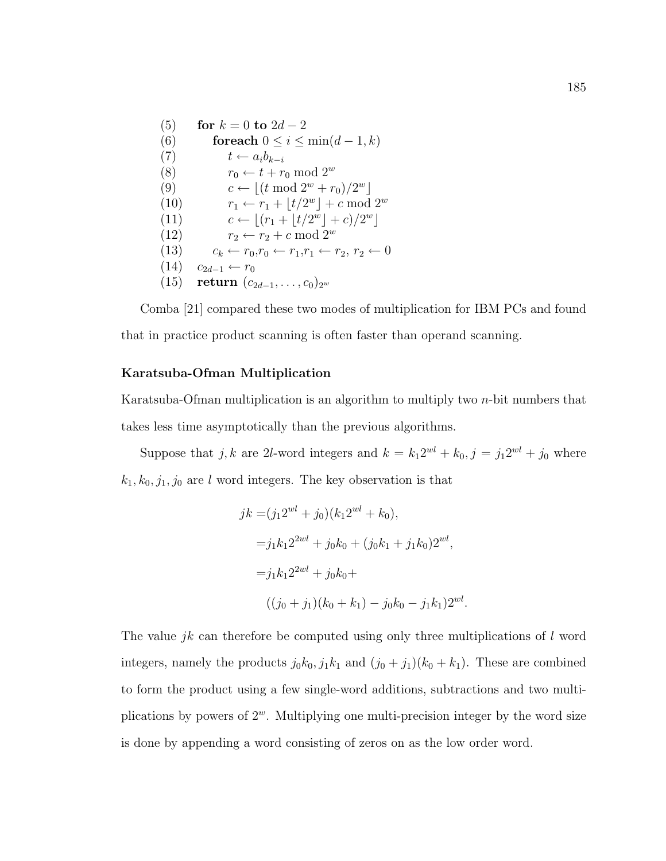(5) **for** 
$$
k = 0
$$
 **to**  $2d - 2$   
\n(6) **for each**  $0 \le i \le \min(d - 1, k)$   
\n(7)  $t \leftarrow a_i b_{k-i}$   
\n(8)  $r_0 \leftarrow t + r_0 \mod 2^w$   
\n(9)  $c \leftarrow \lfloor (t \mod 2^w + r_0)/2^w \rfloor$   
\n(10)  $r_1 \leftarrow r_1 + \lfloor t/2^w \rfloor + c \mod 2^w$   
\n(11)  $c \leftarrow \lfloor (r_1 + \lfloor t/2^w \rfloor + c)/2^w \rfloor$   
\n(12)  $r_2 \leftarrow r_2 + c \mod 2^w$   
\n(13)  $c_k \leftarrow r_0, r_0 \leftarrow r_1, r_1 \leftarrow r_2, r_2 \leftarrow 0$   
\n(14)  $c_{2d-1} \leftarrow r_0$   
\n(15) **return**  $(c_{2d-1}, \ldots, c_0)_{2^w}$ 

Comba [21] compared these two modes of multiplication for IBM PCs and found that in practice product scanning is often faster than operand scanning.

#### Karatsuba-Ofman Multiplication

Karatsuba-Ofman multiplication is an algorithm to multiply two n-bit numbers that takes less time asymptotically than the previous algorithms.

Suppose that j, k are 2l-word integers and  $k = k_1 2^{wl} + k_0$ ,  $j = j_1 2^{wl} + j_0$  where  $k_1, k_0, j_1, j_0$  are l word integers. The key observation is that

$$
jk = (j_1 2^{wl} + j_0)(k_1 2^{wl} + k_0),
$$
  
=  $j_1 k_1 2^{2wl} + j_0 k_0 + (j_0 k_1 + j_1 k_0) 2^{wl},$   
=  $j_1 k_1 2^{2wl} + j_0 k_0 +$   
 $((j_0 + j_1)(k_0 + k_1) - j_0 k_0 - j_1 k_1) 2^{wl}.$ 

The value *jk* can therefore be computed using only three multiplications of  $l$  word integers, namely the products  $j_0k_0$ ,  $j_1k_1$  and  $(j_0 + j_1)(k_0 + k_1)$ . These are combined to form the product using a few single-word additions, subtractions and two multiplications by powers of  $2^w$ . Multiplying one multi-precision integer by the word size is done by appending a word consisting of zeros on as the low order word.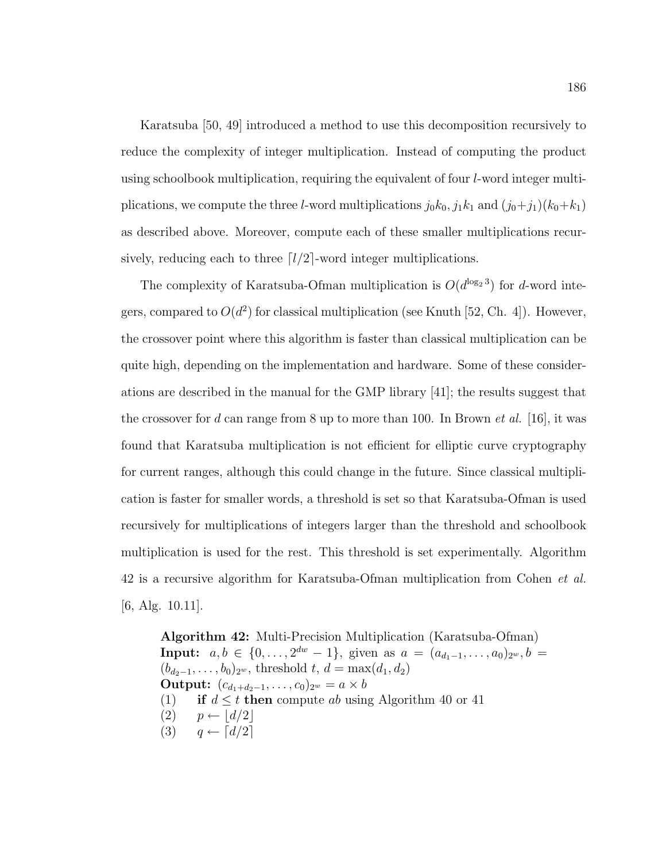Karatsuba [50, 49] introduced a method to use this decomposition recursively to reduce the complexity of integer multiplication. Instead of computing the product using schoolbook multiplication, requiring the equivalent of four l-word integer multiplications, we compute the three *l*-word multiplications  $j_0k_0$ ,  $j_1k_1$  and  $(j_0+j_1)(k_0+k_1)$ as described above. Moreover, compute each of these smaller multiplications recursively, reducing each to three  $\lceil l/2 \rceil$ -word integer multiplications.

The complexity of Karatsuba-Ofman multiplication is  $O(d^{\log_2 3})$  for d-word integers, compared to  $O(d^2)$  for classical multiplication (see Knuth [52, Ch. 4]). However, the crossover point where this algorithm is faster than classical multiplication can be quite high, depending on the implementation and hardware. Some of these considerations are described in the manual for the GMP library [41]; the results suggest that the crossover for d can range from 8 up to more than 100. In Brown *et al.* [16], it was found that Karatsuba multiplication is not efficient for elliptic curve cryptography for current ranges, although this could change in the future. Since classical multiplication is faster for smaller words, a threshold is set so that Karatsuba-Ofman is used recursively for multiplications of integers larger than the threshold and schoolbook multiplication is used for the rest. This threshold is set experimentally. Algorithm 42 is a recursive algorithm for Karatsuba-Ofman multiplication from Cohen et al. [6, Alg. 10.11].

Algorithm 42: Multi-Precision Multiplication (Karatsuba-Ofman) **Input:**  $a, b \in \{0, ..., 2^{dw} - 1\}$ , given as  $a = (a_{d_1-1}, ..., a_0)_{2^w}, b =$  $(b_{d_2-1}, \ldots, b_0)_{2^w}$ , threshold  $t, d = \max(d_1, d_2)$ **Output:**  $(c_{d_1+d_2-1},...,c_0)_{2^w} = a \times b$ (1) if  $d \leq t$  then compute ab using Algorithm 40 or 41  $(2)$   $p \leftarrow |d/2|$  $(3)$   $q \leftarrow \lceil d/2 \rceil$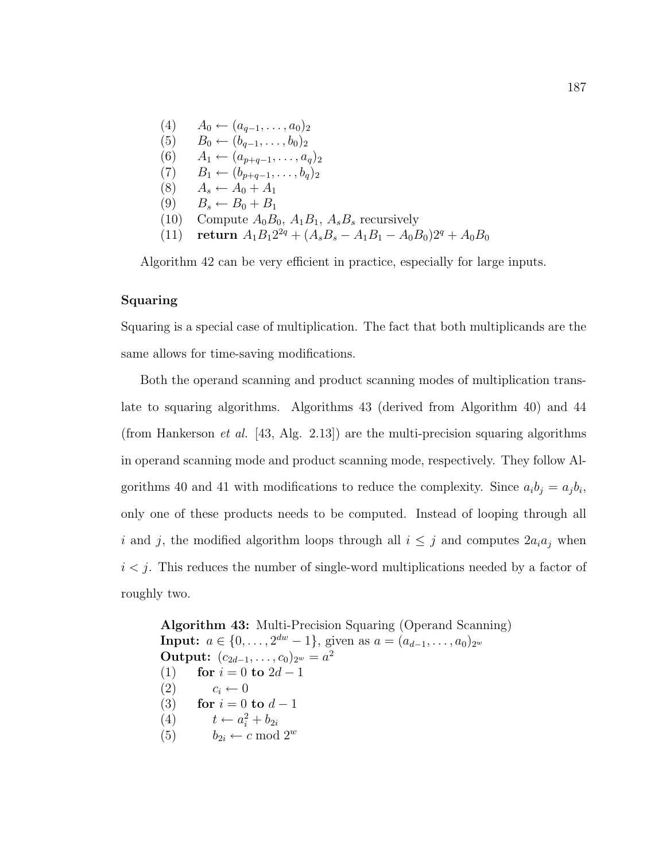$(4)$  A<sub>0</sub> ←  $(a_{q-1},...,a_0)_2$  $(5)$  B<sub>0</sub> ←  $(b_{q-1}, \ldots, b_0)_2$ (6)  $A_1 \leftarrow (a_{p+q-1}, \ldots, a_q)_2$  $(7)$  B<sub>1</sub> ←  $(b_{p+q-1},...,b_q)_2$ (8)  $A_s \leftarrow A_0 + A_1$  $(9)$   $B_s \leftarrow B_0 + B_1$ (10) Compute  $A_0B_0$ ,  $A_1B_1$ ,  $A_sB_s$  recursively (11) return  $A_1B_12^{2q} + (A_sB_s - A_1B_1 - A_0B_0)2^q + A_0B_0$ 

Algorithm 42 can be very efficient in practice, especially for large inputs.

#### Squaring

Squaring is a special case of multiplication. The fact that both multiplicands are the same allows for time-saving modifications.

Both the operand scanning and product scanning modes of multiplication translate to squaring algorithms. Algorithms 43 (derived from Algorithm 40) and 44 (from Hankerson *et al.* [43, Alg. 2.13]) are the multi-precision squaring algorithms in operand scanning mode and product scanning mode, respectively. They follow Algorithms 40 and 41 with modifications to reduce the complexity. Since  $a_i b_j = a_j b_i$ , only one of these products needs to be computed. Instead of looping through all i and j, the modified algorithm loops through all  $i \leq j$  and computes  $2a_i a_j$  when  $i < j$ . This reduces the number of single-word multiplications needed by a factor of roughly two.

Algorithm 43: Multi-Precision Squaring (Operand Scanning) **Input:**  $a \in \{0, \ldots, 2^{dw} - 1\}$ , given as  $a = (a_{d-1}, \ldots, a_0)_{2^w}$ Output:  $(c_{2d-1}, \ldots, c_0)_{2^w} = a^2$ (1) for  $i = 0$  to  $2d - 1$  $(2)$   $c_i \leftarrow 0$ (3) for  $i = 0$  to  $d - 1$ (4)  $t \leftarrow a_i^2 + b_{2i}$ (5)  $b_{2i} \leftarrow c \mod 2^w$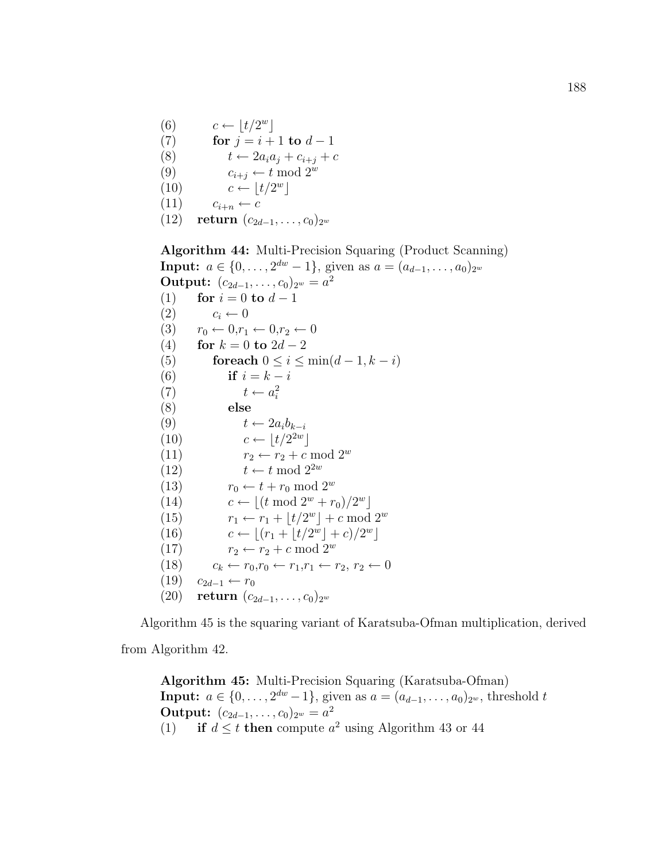(6) 
$$
c \leftarrow \lfloor t/2^w \rfloor
$$
  
\n(7) **for**  $j = i + 1$  **to**  $d - 1$   
\n(8) 
$$
t \leftarrow 2a_i a_j + c_{i+j} + c
$$
  
\n(9) 
$$
c_{i+j} \leftarrow t \mod 2^w
$$
  
\n(10) 
$$
c \leftarrow \lfloor t/2^w \rfloor
$$

$$
(11) \qquad c_{i+n} \leftarrow c
$$

(12) return  $(c_{2d-1}, \ldots, c_0)_{2^w}$ 

Algorithm 44: Multi-Precision Squaring (Product Scanning) **Input:**  $a \in \{0, \ldots, 2^{dw} - 1\}$ , given as  $a = (a_{d-1}, \ldots, a_0)_{2^w}$ Output:  $(c_{2d-1}, \ldots, c_0)_{2^w} = a^2$ (1) for  $i = 0$  to  $d - 1$  $(2)$   $c_i \leftarrow 0$ (3)  $r_0 \leftarrow 0, r_1 \leftarrow 0, r_2 \leftarrow 0$ (4) for  $k = 0$  to  $2d - 2$ (5) for each  $0 \leq i \leq \min(d-1, k-i)$ (6) if  $i = k - i$ (7)  $t \leftarrow a_i^2$ (8) else (9)  $t \leftarrow 2a_ib_{k-i}$ (10)  $c \leftarrow \lfloor t/2^{2w} \rfloor$ (11)  $r_2 \leftarrow r_2 + c \mod 2^w$ (12)  $t \leftarrow t \mod 2^{2w}$ (13)  $r_0 \leftarrow t + r_0 \mod 2^w$ (14)  $c \leftarrow \lfloor (t \mod 2^w + r_0)/2^w \rfloor$ (15)  $r_1 \leftarrow r_1 + \lfloor t/2^w \rfloor + c \mod 2^w$ (16)  $c \leftarrow \lfloor (r_1 + \lfloor t/2^w \rfloor + c)/2^w \rfloor$ (17)  $r_2 \leftarrow r_2 + c \mod 2^w$ (18)  $c_k \leftarrow r_0, r_0 \leftarrow r_1, r_1 \leftarrow r_2, r_2 \leftarrow 0$  $(19)$   $c_{2d-1}$  ←  $r_0$ (20) return  $(c_{2d-1}, \ldots, c_0)_{2^w}$ 

Algorithm 45 is the squaring variant of Karatsuba-Ofman multiplication, derived from Algorithm 42.

Algorithm 45: Multi-Precision Squaring (Karatsuba-Ofman) **Input:**  $a \in \{0, ..., 2^{dw} - 1\}$ , given as  $a = (a_{d-1}, ..., a_0)_{2^w}$ , threshold t Output:  $(c_{2d-1}, \ldots, c_0)_{2^w} = a^2$ (1) if  $d \leq t$  then compute  $a^2$  using Algorithm 43 or 44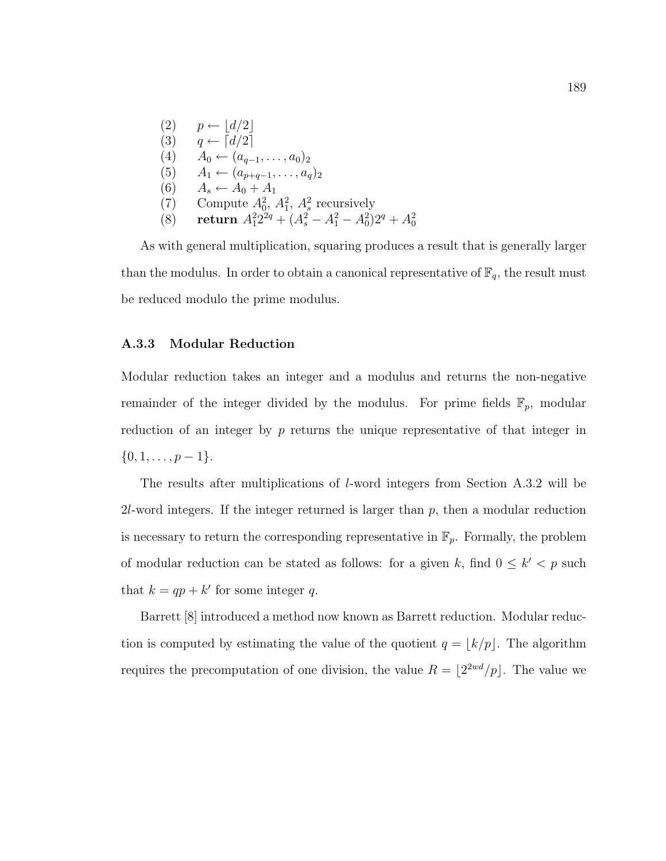(2) 
$$
p \leftarrow \lfloor d/2 \rfloor
$$
  
\n(3)  $q \leftarrow \lceil d/2 \rceil$   
\n(4)  $A_0 \leftarrow (a_{q-1}, \ldots, a_0)_2$   
\n(5)  $A_1 \leftarrow (a_{p+q-1}, \ldots, a_q)_2$   
\n(6)  $A_s \leftarrow A_0 + A_1$   
\n(7) Compute  $A_0^2$ ,  $A_1^2$ ,  $A_s^2$  recursively  
\n(8) return  $A_1^2 2^{2q} + (A_s^2 - A_1^2 - A_0^2) 2^q + A_0^2$ 

As with general multiplication, squaring produces a result that is generally larger than the modulus. In order to obtain a canonical representative of  $\mathbb{F}_q$ , the result must be reduced modulo the prime modulus.

#### A.3.3 Modular Reduction

Modular reduction takes an integer and a modulus and returns the non-negative remainder of the integer divided by the modulus. For prime fields  $\mathbb{F}_p$ , modular reduction of an integer by  $p$  returns the unique representative of that integer in  $\{0, 1, \ldots, p-1\}.$ 

The results after multiplications of l-word integers from Section A.3.2 will be 2*l*-word integers. If the integer returned is larger than  $p$ , then a modular reduction is necessary to return the corresponding representative in  $\mathbb{F}_p$ . Formally, the problem of modular reduction can be stated as follows: for a given k, find  $0 \leq k' < p$  such that  $k = qp + k'$  for some integer q.

Barrett [8] introduced a method now known as Barrett reduction. Modular reduction is computed by estimating the value of the quotient  $q = \lfloor k/p \rfloor$ . The algorithm requires the precomputation of one division, the value  $R = \lfloor 2^{2wd}/p \rfloor$ . The value we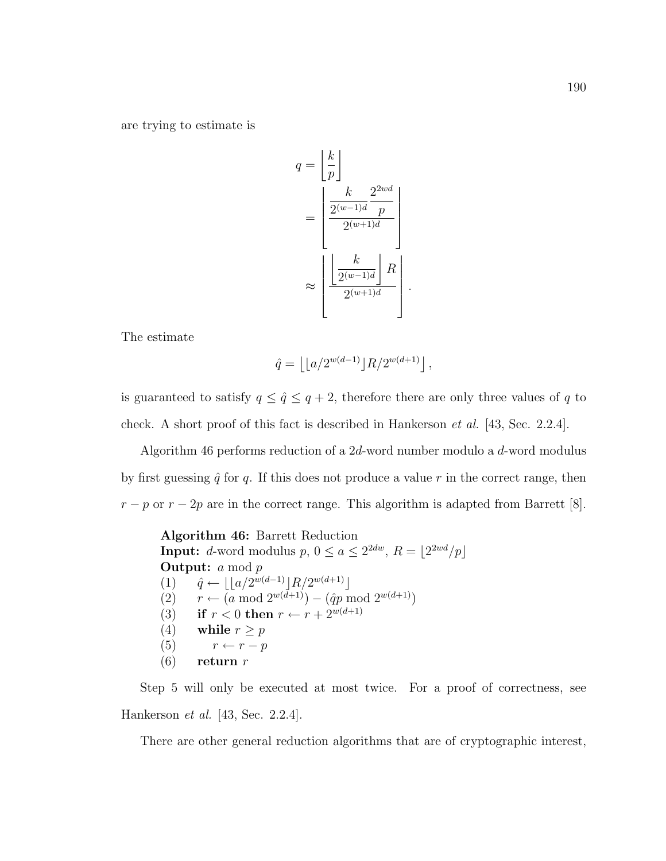are trying to estimate is

$$
q = \left\lfloor \frac{k}{p} \right\rfloor
$$

$$
= \left\lfloor \frac{k}{2^{(w-1)d}} \frac{2^{2wd}}{p} \right\rfloor
$$

$$
\approx \left\lfloor \frac{k}{2^{(w-1)d}} \right\rfloor R
$$

$$
\approx \left\lfloor \frac{k}{2^{(w-1)d}} \right\rfloor R
$$

.

The estimate

$$
\hat{q} = \left\lfloor \lfloor a/2^{w(d-1)} \rfloor R / 2^{w(d+1)} \right\rfloor,
$$

is guaranteed to satisfy  $q \leq \hat{q} \leq q+2$ , therefore there are only three values of q to check. A short proof of this fact is described in Hankerson et al. [43, Sec. 2.2.4].

Algorithm 46 performs reduction of a 2d-word number modulo a d-word modulus by first guessing  $\hat{q}$  for q. If this does not produce a value r in the correct range, then  $r - p$  or  $r - 2p$  are in the correct range. This algorithm is adapted from Barrett [8].

Algorithm 46: Barrett Reduction **Input:** d-word modulus  $p, 0 \le a \le 2^{2dw}, R = |2^{2wd}/p|$ **Output:** *a* mod *p* (1)  $\hat{q} \leftarrow ||a/2^{w(d-1)}||R/2^{w(d+1)}||$ (2)  $r \leftarrow (a \mod 2^{w(d+1)}) - (\hat{q}p \mod 2^{w(d+1)})$ (3) if  $r < 0$  then  $r \leftarrow r + 2^{w(d+1)}$ (4) while  $r \geq p$ (5)  $r \leftarrow r - p$  $(6)$  return r

Step 5 will only be executed at most twice. For a proof of correctness, see Hankerson et al. [43, Sec. 2.2.4].

There are other general reduction algorithms that are of cryptographic interest,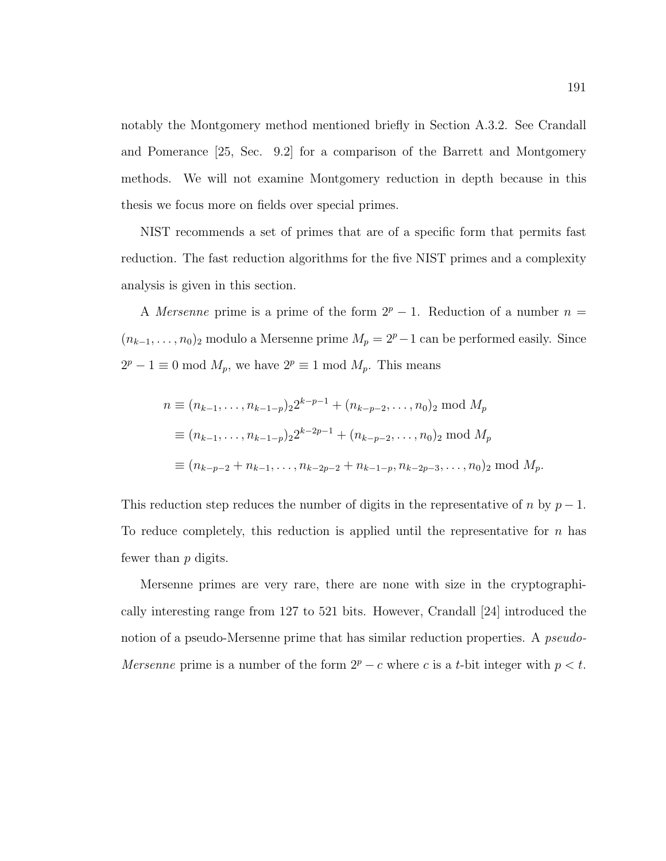notably the Montgomery method mentioned briefly in Section A.3.2. See Crandall and Pomerance [25, Sec. 9.2] for a comparison of the Barrett and Montgomery methods. We will not examine Montgomery reduction in depth because in this thesis we focus more on fields over special primes.

NIST recommends a set of primes that are of a specific form that permits fast reduction. The fast reduction algorithms for the five NIST primes and a complexity analysis is given in this section.

A Mersenne prime is a prime of the form  $2^p - 1$ . Reduction of a number  $n =$  $(n_{k-1}, \ldots, n_0)$ <sub>2</sub> modulo a Mersenne prime  $M_p = 2^p - 1$  can be performed easily. Since  $2^p - 1 \equiv 0 \mod M_p$ , we have  $2^p \equiv 1 \mod M_p$ . This means

$$
n \equiv (n_{k-1}, \dots, n_{k-1-p})_2 2^{k-p-1} + (n_{k-p-2}, \dots, n_0)_2 \mod M_p
$$
  
\n
$$
\equiv (n_{k-1}, \dots, n_{k-1-p})_2 2^{k-2p-1} + (n_{k-p-2}, \dots, n_0)_2 \mod M_p
$$
  
\n
$$
\equiv (n_{k-p-2} + n_{k-1}, \dots, n_{k-2p-2} + n_{k-1-p}, n_{k-2p-3}, \dots, n_0)_2 \mod M_p.
$$

This reduction step reduces the number of digits in the representative of n by  $p-1$ . To reduce completely, this reduction is applied until the representative for  $n$  has fewer than p digits.

Mersenne primes are very rare, there are none with size in the cryptographically interesting range from 127 to 521 bits. However, Crandall [24] introduced the notion of a pseudo-Mersenne prime that has similar reduction properties. A *pseudo-*Mersenne prime is a number of the form  $2^p - c$  where c is a t-bit integer with  $p < t$ .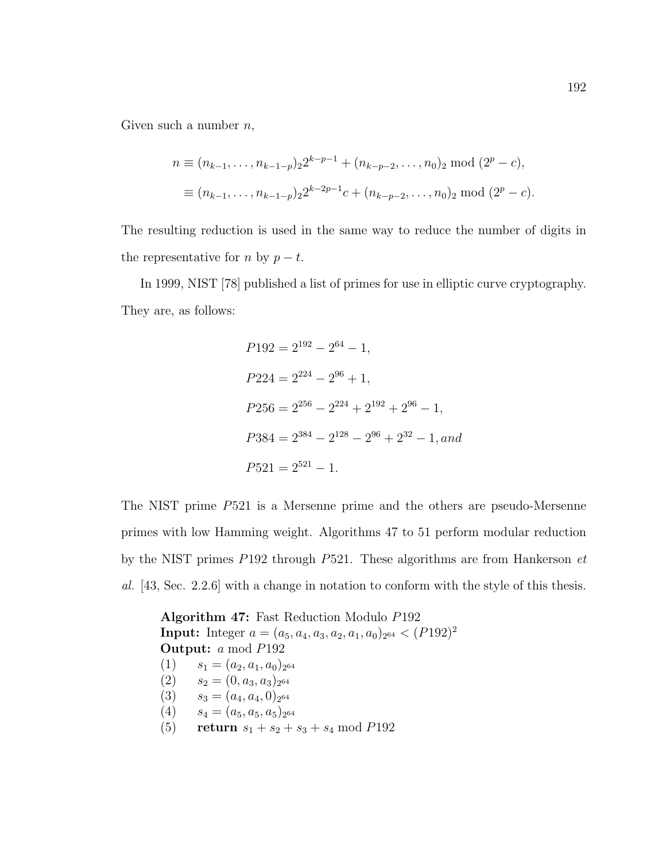Given such a number  $n$ ,

$$
n \equiv (n_{k-1}, \dots, n_{k-1-p})_2 2^{k-p-1} + (n_{k-p-2}, \dots, n_0)_2 \bmod (2^p - c),
$$
  

$$
\equiv (n_{k-1}, \dots, n_{k-1-p})_2 2^{k-2p-1} c + (n_{k-p-2}, \dots, n_0)_2 \bmod (2^p - c).
$$

The resulting reduction is used in the same way to reduce the number of digits in the representative for n by  $p - t$ .

In 1999, NIST [78] published a list of primes for use in elliptic curve cryptography. They are, as follows:

$$
P192 = 2^{192} - 2^{64} - 1,
$$
  
\n
$$
P224 = 2^{224} - 2^{96} + 1,
$$
  
\n
$$
P256 = 2^{256} - 2^{224} + 2^{192} + 2^{96} - 1,
$$
  
\n
$$
P384 = 2^{384} - 2^{128} - 2^{96} + 2^{32} - 1,
$$
  
\n
$$
P521 = 2^{521} - 1.
$$

The NIST prime P521 is a Mersenne prime and the others are pseudo-Mersenne primes with low Hamming weight. Algorithms 47 to 51 perform modular reduction by the NIST primes P192 through P521. These algorithms are from Hankerson et al. [43, Sec. 2.2.6] with a change in notation to conform with the style of this thesis.

Algorithm 47: Fast Reduction Modulo P192 **Input:** Integer  $a = (a_5, a_4, a_3, a_2, a_1, a_0)_{2^{64}} < (P192)^2$ Output: a mod P192  $(1)$   $s_1 = (a_2, a_1, a_0)_{2^{64}}$  $(2)$   $s_2 = (0, a_3, a_3)_{2^{64}}$ (3)  $s_3 = (a_4, a_4, 0)_{2^{64}}$  $(4)$   $s_4 = (a_5, a_5, a_5)_{2^{64}}$ (5) return  $s_1 + s_2 + s_3 + s_4 \mod P192$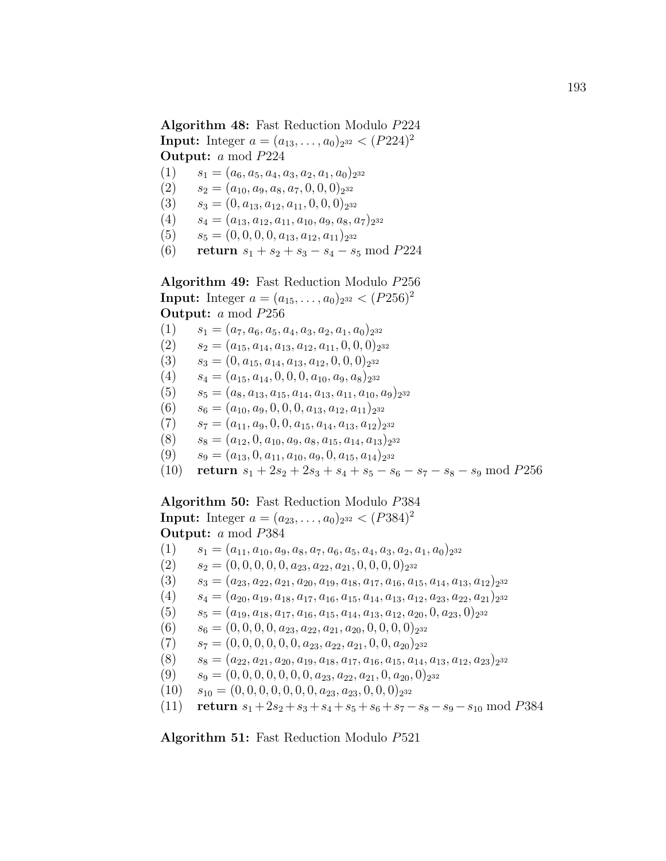### Algorithm 48: Fast Reduction Modulo P224

**Input:** Integer  $a = (a_{13}, \ldots, a_0)_{2^{32}} < (P224)^2$ Output: a mod P224

- $(1)$   $s_1 = (a_6, a_5, a_4, a_3, a_2, a_1, a_0)_{2^{32}}$
- $(2)$   $s_2 = (a_{10}, a_9, a_8, a_7, 0, 0, 0)_{2^{32}}$
- (3)  $s_3 = (0, a_{13}, a_{12}, a_{11}, 0, 0, 0)_{2^{32}}$
- $(4)$   $s_4 = (a_{13}, a_{12}, a_{11}, a_{10}, a_9, a_8, a_7)_{2^{32}}$
- (5)  $s_5 = (0, 0, 0, 0, a_{13}, a_{12}, a_{11})_{2^{32}}$
- (6) return  $s_1 + s_2 + s_3 s_4 s_5 \mod P224$

Algorithm 49: Fast Reduction Modulo P256 **Input:** Integer  $a = (a_{15}, \ldots, a_0)_{2^{32}} < (P256)^2$ Output: a mod P256

- $(1)$   $s_1 = (a_7, a_6, a_5, a_4, a_3, a_2, a_1, a_0)_{2^{32}}$
- $(2)$   $s_2 = (a_{15}, a_{14}, a_{13}, a_{12}, a_{11}, 0, 0, 0)_{2^{32}}$
- $(3)$   $s_3 = (0, a_{15}, a_{14}, a_{13}, a_{12}, 0, 0, 0)_{2^{32}}$
- $(4)$   $s_4 = (a_{15}, a_{14}, 0, 0, 0, a_{10}, a_9, a_8)_{2^{32}}$
- $(5)$   $s_5 = (a_8, a_{13}, a_{15}, a_{14}, a_{13}, a_{11}, a_{10}, a_9)_{2^{32}}$
- (6)  $s_6 = (a_{10}, a_9, 0, 0, 0, a_{13}, a_{12}, a_{11})_{2^{32}}$
- $(7)$   $s_7 = (a_{11}, a_9, 0, 0, a_{15}, a_{14}, a_{13}, a_{12})_{2^{32}}$
- (8)  $s_8 = (a_{12}, 0, a_{10}, a_9, a_8, a_{15}, a_{14}, a_{13})_{2^{32}}$
- (9)  $s_9 = (a_{13}, 0, a_{11}, a_{10}, a_9, 0, a_{15}, a_{14})_{2^{32}}$
- (10) return  $s_1 + 2s_2 + 2s_3 + s_4 + s_5 s_6 s_7 s_8 s_9 \mod P256$

Algorithm 50: Fast Reduction Modulo P384 **Input:** Integer  $a = (a_{23}, \ldots, a_0)_{2^{32}} < (P384)^2$ Output: a mod P384

- $(1)$   $s_1 = (a_{11}, a_{10}, a_9, a_8, a_7, a_6, a_5, a_4, a_3, a_2, a_1, a_0)_{2^{32}}$
- $(2)$   $s_2 = (0, 0, 0, 0, 0, a_{23}, a_{22}, a_{21}, 0, 0, 0, 0)_{2^{32}}$
- $(3)$   $s_3 = (a_{23}, a_{22}, a_{21}, a_{20}, a_{19}, a_{18}, a_{17}, a_{16}, a_{15}, a_{14}, a_{13}, a_{12})$ <sub>2</sub><sup>32</sup>
- $(4)$   $s_4 = (a_{20}, a_{19}, a_{18}, a_{17}, a_{16}, a_{15}, a_{14}, a_{13}, a_{12}, a_{23}, a_{22}, a_{21})_{2^{32}}$
- $(5)$   $s_5 = (a_{19}, a_{18}, a_{17}, a_{16}, a_{15}, a_{14}, a_{13}, a_{12}, a_{20}, 0, a_{23}, 0)$ <sub>232</sub>
- (6)  $s_6 = (0, 0, 0, 0, a_{23}, a_{22}, a_{21}, a_{20}, 0, 0, 0, 0)_{2^{32}}$
- $(7)$   $s_7 = (0, 0, 0, 0, 0, 0, a_{23}, a_{22}, a_{21}, 0, 0, a_{20})$ <sub>232</sub>
- $(8)$   $s_8 = (a_{22}, a_{21}, a_{20}, a_{19}, a_{18}, a_{17}, a_{16}, a_{15}, a_{14}, a_{13}, a_{12}, a_{23})$ <sub>2</sub><sup>32</sup>
- $(9)$   $s_9 = (0, 0, 0, 0, 0, 0, 0, a_{23}, a_{22}, a_{21}, 0, a_{20}, 0)_{2^{32}}$
- $(10)$   $s_{10} = (0, 0, 0, 0, 0, 0, 0, a_{23}, a_{23}, 0, 0, 0)_{2^{32}}$
- (11) return  $s_1 + 2s_2 + s_3 + s_4 + s_5 + s_6 + s_7 s_8 s_9 s_{10} \mod P_3$

Algorithm 51: Fast Reduction Modulo P521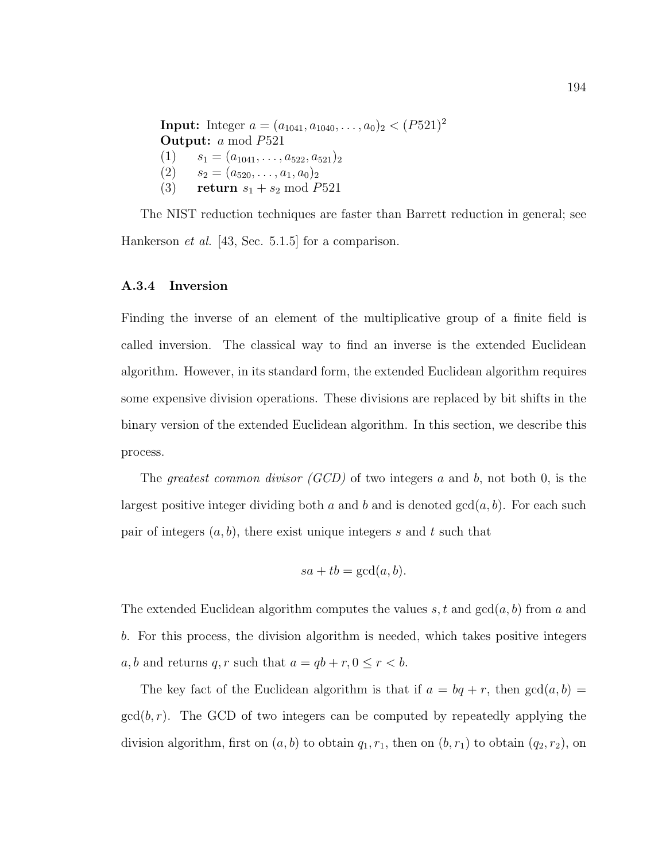**Input:** Integer  $a = (a_{1041}, a_{1040}, \ldots, a_0)_2 < (P521)^2$ Output: a mod P521  $(1)$   $s_1 = (a_{1041}, \ldots, a_{522}, a_{521})_2$  $(2)$   $s_2 = (a_{520}, \ldots, a_1, a_0)_2$ (3) return  $s_1 + s_2 \mod P521$ 

The NIST reduction techniques are faster than Barrett reduction in general; see Hankerson *et al.* [43, Sec. 5.1.5] for a comparison.

#### A.3.4 Inversion

Finding the inverse of an element of the multiplicative group of a finite field is called inversion. The classical way to find an inverse is the extended Euclidean algorithm. However, in its standard form, the extended Euclidean algorithm requires some expensive division operations. These divisions are replaced by bit shifts in the binary version of the extended Euclidean algorithm. In this section, we describe this process.

The greatest common divisor  $(GCD)$  of two integers a and b, not both 0, is the largest positive integer dividing both a and b and is denoted  $gcd(a, b)$ . For each such pair of integers  $(a, b)$ , there exist unique integers s and t such that

$$
sa + tb = \gcd(a, b).
$$

The extended Euclidean algorithm computes the values  $s, t$  and  $gcd(a, b)$  from a and b. For this process, the division algorithm is needed, which takes positive integers a, b and returns q, r such that  $a = qb + r, 0 \le r < b$ .

The key fact of the Euclidean algorithm is that if  $a = bq + r$ , then  $gcd(a, b)$  $gcd(b, r)$ . The GCD of two integers can be computed by repeatedly applying the division algorithm, first on  $(a, b)$  to obtain  $q_1, r_1$ , then on  $(b, r_1)$  to obtain  $(q_2, r_2)$ , on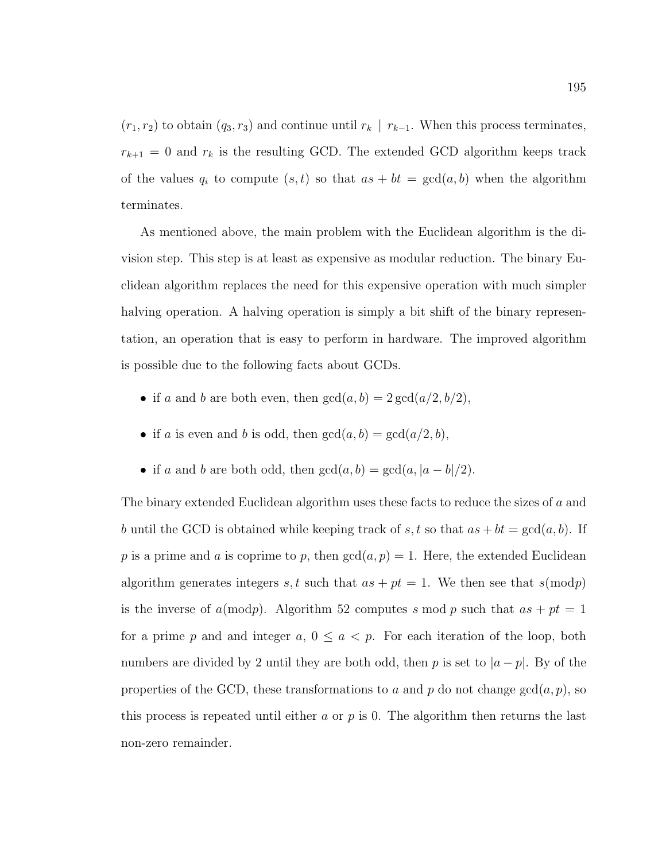$(r_1, r_2)$  to obtain  $(q_3, r_3)$  and continue until  $r_k | r_{k-1}$ . When this process terminates,  $r_{k+1} = 0$  and  $r_k$  is the resulting GCD. The extended GCD algorithm keeps track of the values  $q_i$  to compute  $(s, t)$  so that  $as + bt = \gcd(a, b)$  when the algorithm terminates.

As mentioned above, the main problem with the Euclidean algorithm is the division step. This step is at least as expensive as modular reduction. The binary Euclidean algorithm replaces the need for this expensive operation with much simpler halving operation. A halving operation is simply a bit shift of the binary representation, an operation that is easy to perform in hardware. The improved algorithm is possible due to the following facts about GCDs.

- if a and b are both even, then  $gcd(a, b) = 2 gcd(a/2, b/2)$ ,
- if a is even and b is odd, then  $gcd(a, b) = gcd(a/2, b)$ ,
- if a and b are both odd, then  $gcd(a, b) = gcd(a, |a b|/2)$ .

The binary extended Euclidean algorithm uses these facts to reduce the sizes of a and b until the GCD is obtained while keeping track of s, t so that  $as + bt = \gcd(a, b)$ . If p is a prime and a is coprime to p, then  $gcd(a, p) = 1$ . Here, the extended Euclidean algorithm generates integers s, t such that  $as + pt = 1$ . We then see that  $s(\text{mod}p)$ is the inverse of  $a(\text{mod}p)$ . Algorithm 52 computes s mod p such that  $as + pt = 1$ for a prime p and and integer a,  $0 \le a < p$ . For each iteration of the loop, both numbers are divided by 2 until they are both odd, then p is set to  $|a-p|$ . By of the properties of the GCD, these transformations to a and p do not change  $gcd(a, p)$ , so this process is repeated until either a or  $p$  is 0. The algorithm then returns the last non-zero remainder.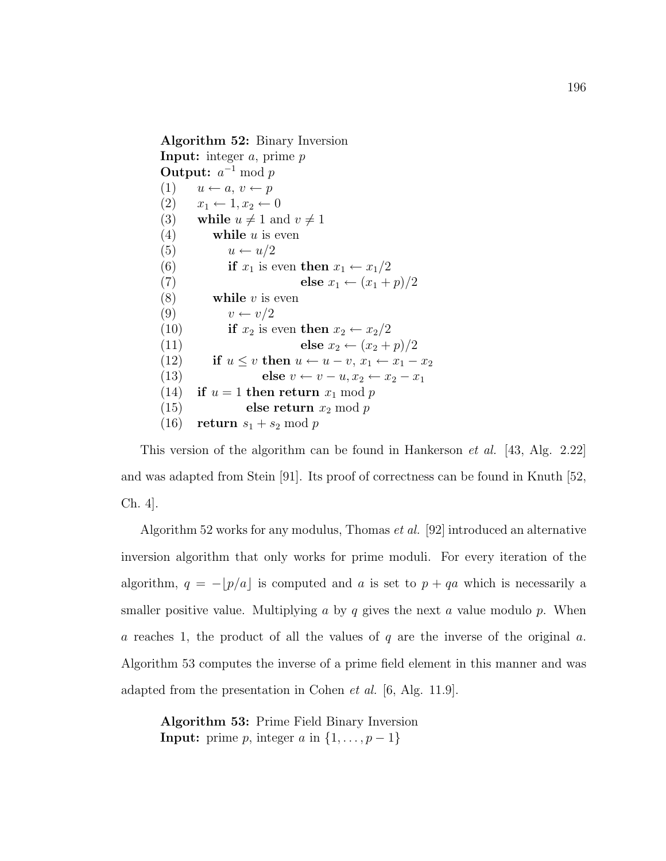Algorithm 52: Binary Inversion **Input:** integer  $a$ , prime  $p$ Output:  $a^{-1} \bmod p$  $(1)$   $u \leftarrow a, v \leftarrow p$  $(2)$   $x_1 \leftarrow 1, x_2 \leftarrow 0$ (3) while  $u \neq 1$  and  $v \neq 1$ (4) while  $u$  is even (5)  $u \leftarrow u/2$ (6) if  $x_1$  is even then  $x_1 \leftarrow x_1/2$ (7) else  $x_1 \leftarrow (x_1 + p)/2$ (8) while v is even (9)  $v \leftarrow v/2$ (10) if  $x_2$  is even then  $x_2 \leftarrow x_2/2$ (11) else  $x_2 \leftarrow (x_2 + p)/2$ (12) if  $u \leq v$  then  $u \leftarrow u - v, x_1 \leftarrow x_1 - x_2$ (13) else  $v \leftarrow v - u, x_2 \leftarrow x_2 - x_1$ (14) if  $u = 1$  then return  $x_1 \mod p$ (15) else return  $x_2 \mod p$ (16) return  $s_1 + s_2 \mod p$ 

This version of the algorithm can be found in Hankerson et al. [43, Alg. 2.22] and was adapted from Stein [91]. Its proof of correctness can be found in Knuth [52, Ch. 4].

Algorithm 52 works for any modulus, Thomas et al. [92] introduced an alternative inversion algorithm that only works for prime moduli. For every iteration of the algorithm,  $q = -\lfloor p/a \rfloor$  is computed and a is set to  $p + qa$  which is necessarily a smaller positive value. Multiplying a by q gives the next a value modulo  $p$ . When a reaches 1, the product of all the values of q are the inverse of the original  $a$ . Algorithm 53 computes the inverse of a prime field element in this manner and was adapted from the presentation in Cohen *et al.* [6, Alg. 11.9].

Algorithm 53: Prime Field Binary Inversion **Input:** prime p, integer a in  $\{1, \ldots, p-1\}$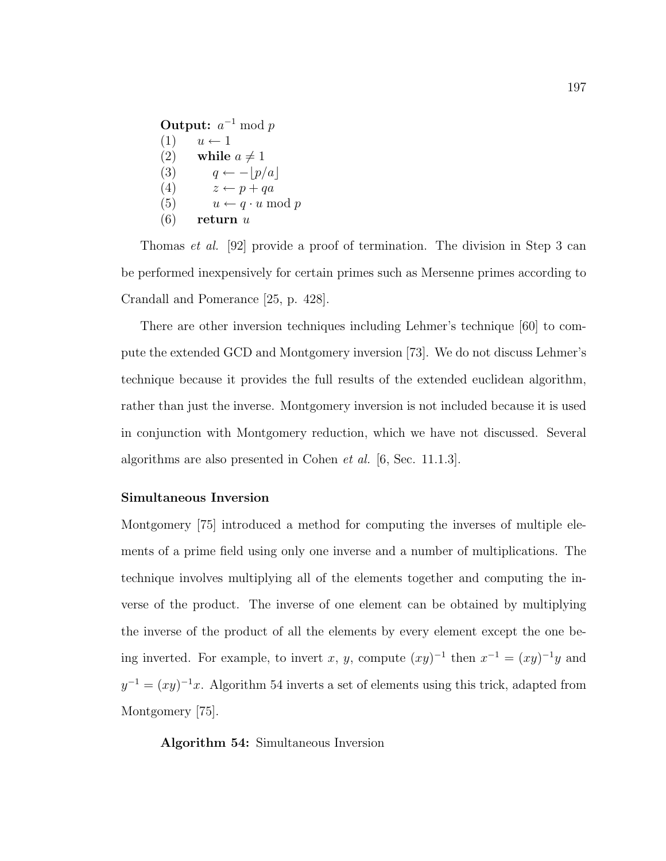|     | <b>Output:</b> $a^{-1}$ mod p   |
|-----|---------------------------------|
| (1) | $u \leftarrow 1$                |
| (2) | while $a \neq 1$                |
| (3) | $q \leftarrow - p/a $           |
| (4) | $z \leftarrow p + qa$           |
| (5) | $u \leftarrow q \cdot u \mod p$ |
| (6) | return $u$                      |

Thomas et al. [92] provide a proof of termination. The division in Step 3 can be performed inexpensively for certain primes such as Mersenne primes according to Crandall and Pomerance [25, p. 428].

There are other inversion techniques including Lehmer's technique [60] to compute the extended GCD and Montgomery inversion [73]. We do not discuss Lehmer's technique because it provides the full results of the extended euclidean algorithm, rather than just the inverse. Montgomery inversion is not included because it is used in conjunction with Montgomery reduction, which we have not discussed. Several algorithms are also presented in Cohen et al. [6, Sec. 11.1.3].

#### Simultaneous Inversion

Montgomery [75] introduced a method for computing the inverses of multiple elements of a prime field using only one inverse and a number of multiplications. The technique involves multiplying all of the elements together and computing the inverse of the product. The inverse of one element can be obtained by multiplying the inverse of the product of all the elements by every element except the one being inverted. For example, to invert x, y, compute  $(xy)^{-1}$  then  $x^{-1} = (xy)^{-1}y$  and  $y^{-1} = (xy)^{-1}x$ . Algorithm 54 inverts a set of elements using this trick, adapted from Montgomery [75].

Algorithm 54: Simultaneous Inversion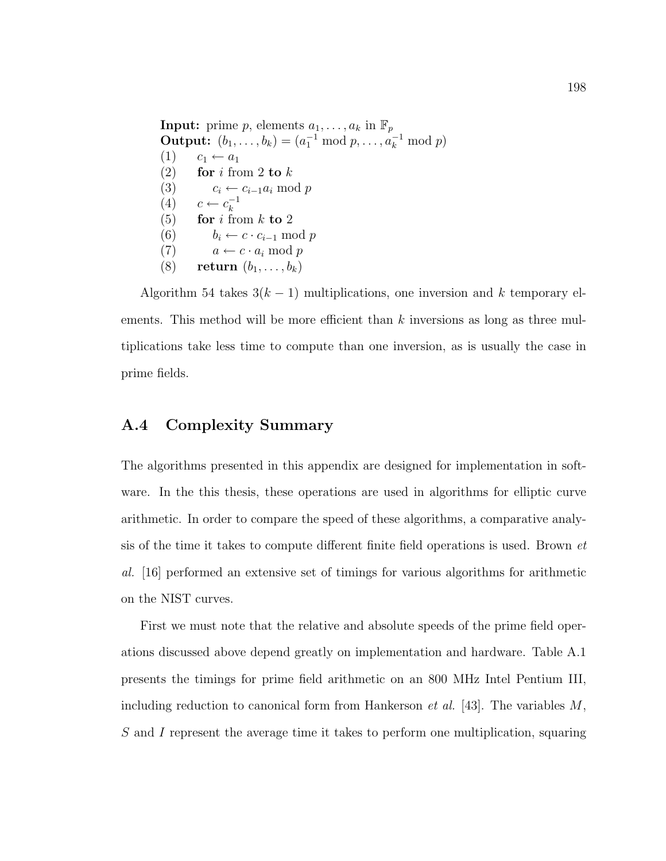**Input:** prime p, elements  $a_1, \ldots, a_k$  in  $\mathbb{F}_p$ **Output:**  $(b_1, ..., b_k) = (a_1^{-1} \bmod p, ..., a_k^{-1} \bmod p)$  $(1)$   $c_1 \leftarrow a_1$ (2) for i from 2 to  $k$ (3)  $c_i \leftarrow c_{i-1}a_i \mod p$  $(4)$   $c \leftarrow c_k^{-1}$ k (5) for i from k to 2 (6)  $b_i \leftarrow c \cdot c_{i-1} \mod p$ (7)  $a \leftarrow c \cdot a_i \mod p$ (8) return  $(b_1, \ldots, b_k)$ 

Algorithm 54 takes  $3(k-1)$  multiplications, one inversion and k temporary elements. This method will be more efficient than  $k$  inversions as long as three multiplications take less time to compute than one inversion, as is usually the case in prime fields.

## A.4 Complexity Summary

The algorithms presented in this appendix are designed for implementation in software. In the this thesis, these operations are used in algorithms for elliptic curve arithmetic. In order to compare the speed of these algorithms, a comparative analysis of the time it takes to compute different finite field operations is used. Brown et al. [16] performed an extensive set of timings for various algorithms for arithmetic on the NIST curves.

First we must note that the relative and absolute speeds of the prime field operations discussed above depend greatly on implementation and hardware. Table A.1 presents the timings for prime field arithmetic on an 800 MHz Intel Pentium III, including reduction to canonical form from Hankerson *et al.* [43]. The variables  $M$ , S and I represent the average time it takes to perform one multiplication, squaring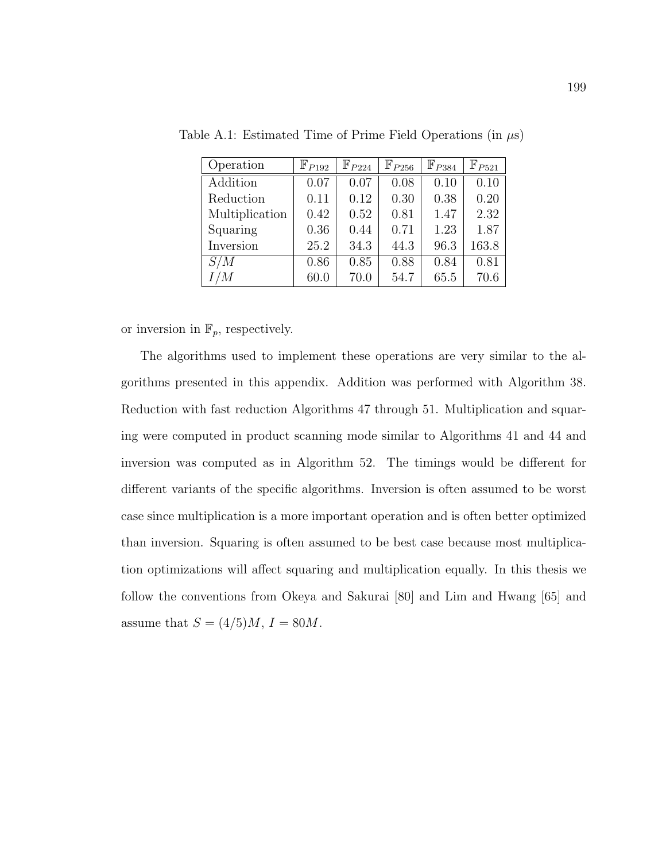| Operation      | $\mathbb{F}_{P192}$ | $\mathbb{F}_{P224}$ | $\mathbb{F}_{P256}$ | $\mathbb{F}_{P384}$ | $\mathbb{F}_{P521}$ |
|----------------|---------------------|---------------------|---------------------|---------------------|---------------------|
| Addition       | 0.07                | 0.07                | 0.08                | 0.10                | 0.10                |
| Reduction      | 0.11                | 0.12                | 0.30                | 0.38                | 0.20                |
| Multiplication | 0.42                | 0.52                | 0.81                | 1.47                | 2.32                |
| Squaring       | 0.36                | 0.44                | 0.71                | 1.23                | 1.87                |
| Inversion      | 25.2                | 34.3                | 44.3                | 96.3                | 163.8               |
| S/M            | 0.86                | 0.85                | 0.88                | 0.84                | 0.81                |
| I/M            | 60.0                | 70.0                | 54.7                | 65.5                | 70.6                |

Table A.1: Estimated Time of Prime Field Operations (in  $\mu$ s)

or inversion in  $\mathbb{F}_p$ , respectively.

The algorithms used to implement these operations are very similar to the algorithms presented in this appendix. Addition was performed with Algorithm 38. Reduction with fast reduction Algorithms 47 through 51. Multiplication and squaring were computed in product scanning mode similar to Algorithms 41 and 44 and inversion was computed as in Algorithm 52. The timings would be different for different variants of the specific algorithms. Inversion is often assumed to be worst case since multiplication is a more important operation and is often better optimized than inversion. Squaring is often assumed to be best case because most multiplication optimizations will affect squaring and multiplication equally. In this thesis we follow the conventions from Okeya and Sakurai [80] and Lim and Hwang [65] and assume that  $S = (4/5)M, I = 80M$ .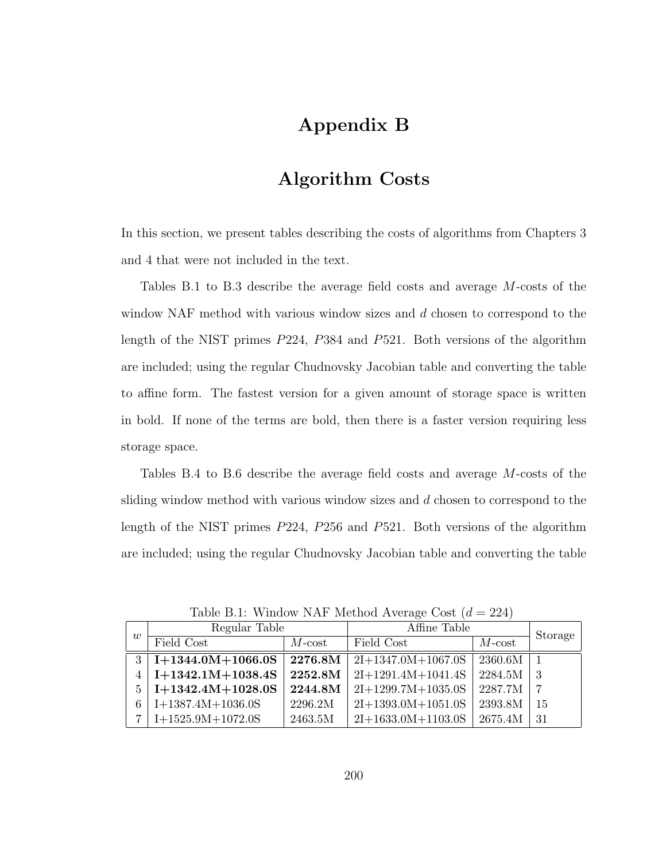# Appendix B

## Algorithm Costs

In this section, we present tables describing the costs of algorithms from Chapters 3 and 4 that were not included in the text.

Tables B.1 to B.3 describe the average field costs and average M-costs of the window NAF method with various window sizes and d chosen to correspond to the length of the NIST primes P224, P384 and P521. Both versions of the algorithm are included; using the regular Chudnovsky Jacobian table and converting the table to affine form. The fastest version for a given amount of storage space is written in bold. If none of the terms are bold, then there is a faster version requiring less storage space.

Tables B.4 to B.6 describe the average field costs and average M-costs of the sliding window method with various window sizes and d chosen to correspond to the length of the NIST primes P224, P256 and P521. Both versions of the algorithm are included; using the regular Chudnovsky Jacobian table and converting the table

| w | Regular Table       |           | Affine Table         | Storage   |    |
|---|---------------------|-----------|----------------------|-----------|----|
|   | Field Cost          | $M$ -cost | Field Cost           | $M$ -cost |    |
| 3 | $I+1344.0M+1066.0S$ | 2276.8M   | $2I+1347.0M+1067.0S$ | 2360.6M   |    |
|   | $I+1342.1M+1038.4S$ | 2252.8M   | $2I+1291.4M+1041.4S$ | 2284.5M   | 3  |
| 5 | $I+1342.4M+1028.0S$ | 2244.8M   | $2I+1299.7M+1035.0S$ | 2287.7M   | 7  |
| 6 | $I+1387.4M+1036.0S$ | 2296.2M   | $2I+1393.0M+1051.0S$ | 2393.8M   | 15 |
|   | $I+1525.9M+1072.0S$ | 2463.5M   | $2I+1633.0M+1103.0S$ | 2675.4M   | 31 |

Table B.1: Window NAF Method Average Cost  $(d = 224)$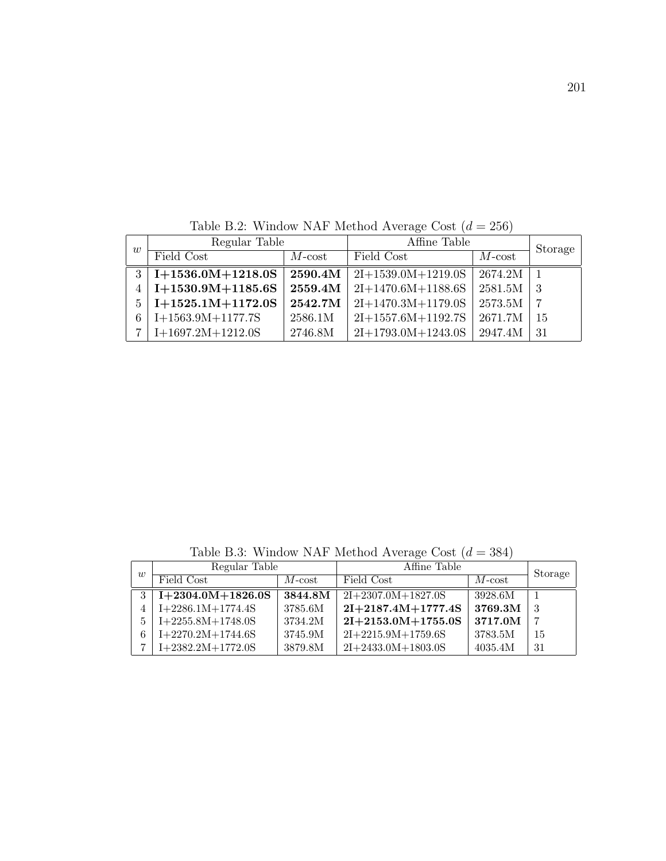| w | Regular Table       |                    | Affine Table         |           | Storage |
|---|---------------------|--------------------|----------------------|-----------|---------|
|   | Field Cost          | $M$ -cost          | Field Cost           | $M$ -cost |         |
| 3 | $I+1536.0M+1218.0S$ | $2590.4\mathrm{M}$ | $2I+1539.0M+1219.0S$ | 2674.2M   |         |
|   | $I+1530.9M+1185.6S$ | 2559.4M            | $2I+1470.6M+1188.6S$ | 2581.5M   | -3      |
| 5 | $I+1525.1M+1172.0S$ | 2542.7M            | $2I+1470.3M+1179.0S$ | 2573.5M   |         |
| 6 | $I+1563.9M+1177.7S$ | 2586.1M            | $2I+1557.6M+1192.7S$ | 2671.7M   | 15      |
|   | $I+1697.2M+1212.0S$ | 2746.8M            | $2I+1793.0M+1243.0S$ | 2947.4M   | -31     |

Table B.2: Window NAF Method Average Cost  $(d = 256)$ 

Table B.3: Window NAF Method Average Cost $\left( d = 384\right)$ 

| $\overline{w}$ | Regular Table       |           | Affine Table         | Storage   |    |
|----------------|---------------------|-----------|----------------------|-----------|----|
|                | Field Cost          | $M$ -cost | Field Cost           | $M$ -cost |    |
|                | $I+2304.0M+1826.0S$ | 3844.8M   | $2I+2307.0M+1827.0S$ | 3928.6M   |    |
|                | $I+2286.1M+1774.4S$ | 3785.6M   | $2I+2187.4M+1777.4S$ | 3769.3M   | -3 |
|                | $I+2255.8M+1748.0S$ | 3734.2M   | $2I+2153.0M+1755.0S$ | 3717.0M   | ,  |
| 6              | $I+2270.2M+1744.6S$ | 3745.9M   | $2I+2215.9M+1759.6S$ | 3783.5M   | 15 |
|                | $I+2382.2M+1772.0S$ | 3879.8M   | $2I+2433.0M+1803.0S$ | 4035.4M   | 31 |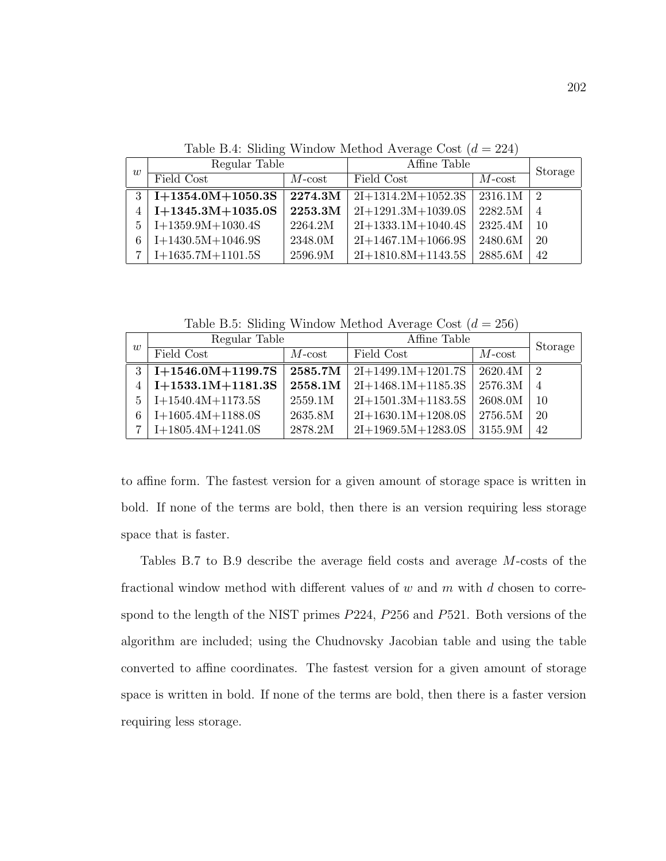Table B.4: Sliding Window Method Average Cost  $(d = 224)$ 

| $\overline{w}$ | Regular Table       |              | Affine Table         | Storage   |                |
|----------------|---------------------|--------------|----------------------|-----------|----------------|
|                | Field Cost          | $M$ - $cost$ | Field Cost           | $M$ -cost |                |
| 3              | $I+1354.0M+1050.3S$ | 2274.3M      | $2I+1314.2M+1052.3S$ | 2316.1M   | -2             |
|                | $I+1345.3M+1035.0S$ | 2253.3M      | $2I+1291.3M+1039.0S$ | 2282.5M   | $\overline{4}$ |
| 5              | $I+1359.9M+1030.4S$ | 2264.2M      | $2I+1333.1M+1040.4S$ | 2325.4M   | 10             |
| 6              | $I+1430.5M+1046.9S$ | 2348.0M      | $2I+1467.1M+1066.9S$ | 2480.6M   | 20             |
|                | $I+1635.7M+1101.5S$ | 2596.9M      | $2I+1810.8M+1143.5S$ | 2885.6M   | 42             |

Table B.5: Sliding Window Method Average Cost  $(d = 256)$ 

| $\overline{w}$ | Regular Table       |              | Affine Table         | Storage   |                |
|----------------|---------------------|--------------|----------------------|-----------|----------------|
|                | Field Cost          | $M$ - $cost$ | Field Cost           | $M$ -cost |                |
| $\mathcal{R}$  | $I+1546.0M+1199.7S$ | 2585.7M      | $2I+1499.1M+1201.7S$ | 2620.4M   | -2             |
|                | $I+1533.1M+1181.3S$ | 2558.1M      | $2I+1468.1M+1185.3S$ | 2576.3M   | $\overline{4}$ |
| 5              | $I+1540.4M+1173.5S$ | 2559.1M      | $2I+1501.3M+1183.5S$ | 2608.0M   | 10             |
|                | $I+1605.4M+1188.0S$ | 2635.8M      | $2I+1630.1M+1208.0S$ | 2756.5M   | 20             |
|                | $I+1805.4M+1241.0S$ | 2878.2M      | $2I+1969.5M+1283.0S$ | 3155.9M   | 42             |

to affine form. The fastest version for a given amount of storage space is written in bold. If none of the terms are bold, then there is an version requiring less storage space that is faster.

Tables B.7 to B.9 describe the average field costs and average M-costs of the fractional window method with different values of w and  $m$  with  $d$  chosen to correspond to the length of the NIST primes P224, P256 and P521. Both versions of the algorithm are included; using the Chudnovsky Jacobian table and using the table converted to affine coordinates. The fastest version for a given amount of storage space is written in bold. If none of the terms are bold, then there is a faster version requiring less storage.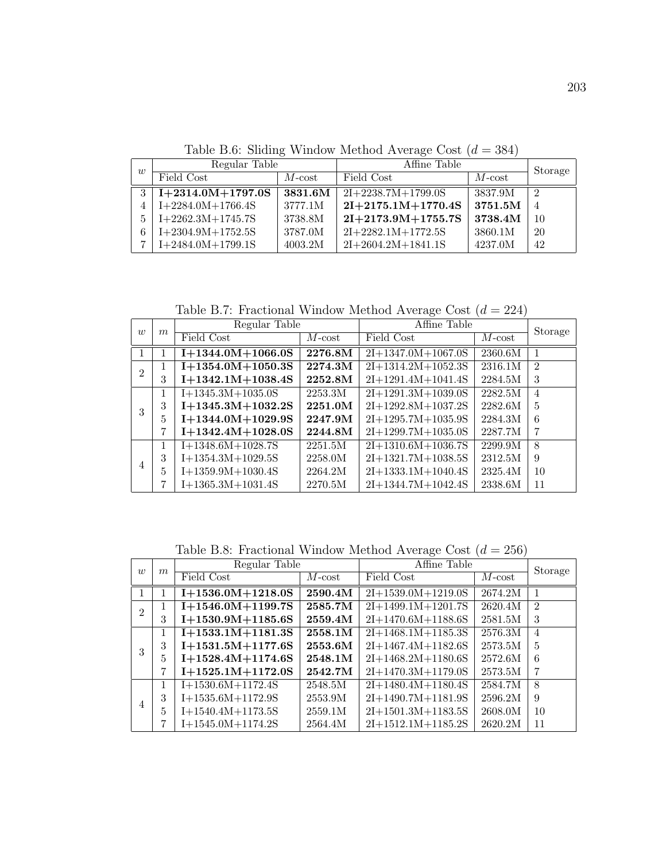Table B.6: Sliding Window Method Average Cost  $(d = 384)$ 

| w | Regular Table       |                | Affine Table         | Storage        |                |
|---|---------------------|----------------|----------------------|----------------|----------------|
|   | Field Cost          | $M$ - $\cos t$ | Field Cost           | $M$ - $\cos t$ |                |
| 3 | $I+2314.0M+1797.0S$ | 3831.6M        | $2I+2238.7M+1799.0S$ | 3837.9M        | $\mathcal{D}$  |
|   | $I+2284.0M+1766.4S$ | 3777.1M        | $2I+2175.1M+1770.4S$ | 3751.5M        | $\overline{4}$ |
| 5 | $I+2262.3M+1745.7S$ | 3738.8M        | $2I+2173.9M+1755.7S$ | 3738.4M        | 10             |
|   | $I+2304.9M+1752.5S$ | 3787.0M        | $2I+2282.1M+1772.5S$ | 3860.1M        | 20             |
| − | $I+2484.0M+1799.1S$ | 4003.2M        | $2I+2604.2M+1841.1S$ | 4237.0M        | 42             |

Table B.7: Fractional Window Method Average Cost  $(d = 224)$ 

| $\overline{w}$ | m | Regular Table       |           | Affine Table         |                      | Storage        |
|----------------|---|---------------------|-----------|----------------------|----------------------|----------------|
|                |   | Field Cost          | $M$ -cost | Field Cost           | $M$ -cost            |                |
|                |   | $I+1344.0M+1066.0S$ | 2276.8M   | $2I+1347.0M+1067.0S$ | $\overline{23}60.6M$ | 1              |
| $\overline{2}$ |   | $I+1354.0M+1050.3S$ | 2274.3M   | $2I+1314.2M+1052.3S$ | 2316.1M              | $\mathcal{D}$  |
|                | 3 | $I+1342.1M+1038.4S$ | 2252.8M   | $2I+1291.4M+1041.4S$ | 2284.5M              | 3              |
|                |   | $I+1345.3M+1035.0S$ | 2253.3M   | $2I+1291.3M+1039.0S$ | 2282.5M              | $\overline{4}$ |
| 3              | 3 | $I+1345.3M+1032.2S$ | 2251.0M   | $2I+1292.8M+1037.2S$ | 2282.6M              | $\overline{5}$ |
|                | 5 | $I+1344.0M+1029.9S$ | 2247.9M   | $2I+1295.7M+1035.9S$ | 2284.3M              | 6              |
|                | 7 | $I+1342.4M+1028.0S$ | 2244.8M   | $2I+1299.7M+1035.0S$ | 2287.7M              | 7              |
|                |   | $I+1348.6M+1028.7S$ | 2251.5M   | $2I+1310.6M+1036.7S$ | 2299.9M              | 8              |
| $\overline{4}$ | 3 | $I+1354.3M+1029.5S$ | 2258.0M   | $2I+1321.7M+1038.5S$ | 2312.5M              | 9              |
|                | 5 | $I+1359.9M+1030.4S$ | 2264.2M   | $2I+1333.1M+1040.4S$ | 2325.4M              | 10             |
|                |   | $I+1365.3M+1031.4S$ | 2270.5M   | $2I+1344.7M+1042.4S$ | 2338.6M              | 11             |

Table B.8: Fractional Window Method Average Cost  $(d = 256)$ 

| $\overline{w}$ | m | Regular Table       |           | Affine Table         |           | Storage        |
|----------------|---|---------------------|-----------|----------------------|-----------|----------------|
|                |   | Field Cost          | $M$ -cost | Field Cost           | $M$ -cost |                |
|                |   | $I+1536.0M+1218.0S$ | 2590.4M   | $2I+1539.0M+1219.0S$ | 2674.2M   |                |
| $\overline{2}$ |   | $I+1546.0M+1199.7S$ | 2585.7M   | $2I+1499.1M+1201.7S$ | 2620.4M   | $\mathfrak{D}$ |
|                | 3 | $I+1530.9M+1185.6S$ | 2559.4M   | $2I+1470.6M+1188.6S$ | 2581.5M   | 3              |
|                |   | $I+1533.1M+1181.3S$ | 2558.1M   | $2I+1468.1M+1185.3S$ | 2576.3M   | $\overline{4}$ |
| 3              | 3 | $I+1531.5M+1177.6S$ | 2553.6M   | $2I+1467.4M+1182.6S$ | 2573.5M   | 5              |
|                | 5 | $I+1528.4M+1174.6S$ | 2548.1M   | $2I+1468.2M+1180.6S$ | 2572.6M   | 6              |
|                | 7 | $I+1525.1M+1172.0S$ | 2542.7M   | $2I+1470.3M+1179.0S$ | 2573.5M   | 7              |
|                |   | $I+1530.6M+1172.4S$ | 2548.5M   | $2I+1480.4M+1180.4S$ | 2584.7M   | 8              |
| 4              | 3 | $I+1535.6M+1172.9S$ | 2553.9M   | $2I+1490.7M+1181.9S$ | 2596.2M   | 9              |
|                | 5 | $I+1540.4M+1173.5S$ | 2559.1M   | $2I+1501.3M+1183.5S$ | 2608.0M   | 10             |
|                | ד | $I+1545.0M+1174.2S$ | 2564.4M   | $2I+1512.1M+1185.2S$ | 2620.2M   | 11             |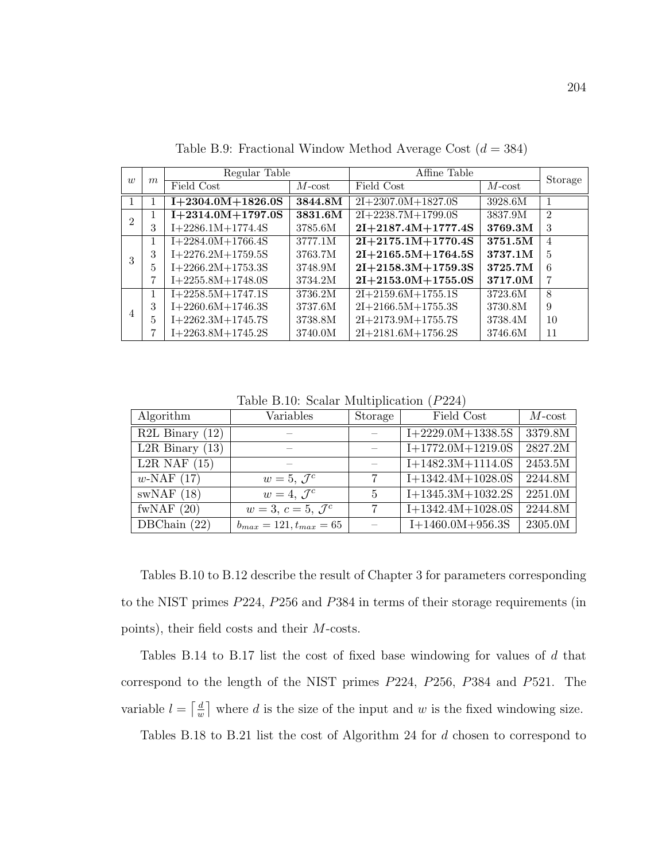| $\overline{w}$ |   | Regular Table       |           | Affine Table         |                | Storage        |
|----------------|---|---------------------|-----------|----------------------|----------------|----------------|
|                | m | Field Cost          | $M$ -cost | Field Cost           | $M$ - $\cos t$ |                |
|                |   | $I+2304.0M+1826.0S$ | 3844.8M   | $2I+2307.0M+1827.0S$ | 3928.6M        | $\overline{1}$ |
| $\mathfrak{D}$ | 1 | $I+2314.0M+1797.0S$ | 3831.6M   | $2I+2238.7M+1799.0S$ | 3837.9M        | $\mathfrak{D}$ |
|                | 3 | $I+2286.1M+1774.4S$ | 3785.6M   | $2I+2187.4M+1777.4S$ | 3769.3M        | 3              |
|                | 1 | $I+2284.0M+1766.4S$ | 3777.1M   | $2I+2175.1M+1770.4S$ | 3751.5M        | $\overline{4}$ |
| 3              | 3 | $I+2276.2M+1759.5S$ | 3763.7M   | $2I+2165.5M+1764.5S$ | 3737.1M        | $\overline{5}$ |
|                | 5 | $I+2266.2M+1753.3S$ | 3748.9M   | $2I+2158.3M+1759.3S$ | 3725.7M        | 6              |
|                | 7 | $I+2255.8M+1748.0S$ | 3734.2M   | $2I+2153.0M+1755.0S$ | 3717.0M        | 7              |
|                | 1 | $I+2258.5M+1747.1S$ | 3736.2M   | $2I+2159.6M+1755.1S$ | 3723.6M        | 8              |
|                | 3 | $I+2260.6M+1746.3S$ | 3737.6M   | $2I+2166.5M+1755.3S$ | 3730.8M        | 9              |
| 4              | 5 | $I+2262.3M+1745.7S$ | 3738.8M   | $2I+2173.9M+1755.7S$ | 3738.4M        | 10             |
|                | 7 | $I+2263.8M+1745.2S$ | 3740.0M   | $2I+2181.6M+1756.2S$ | 3746.6M        | 11             |

Table B.9: Fractional Window Method Average Cost  $(d = 384)$ 

Table B.10: Scalar Multiplication (P224)

| Algorithm                      | Variables                     | Storage        | Field Cost          | $M$ -cost |
|--------------------------------|-------------------------------|----------------|---------------------|-----------|
| $R2L$ Binary $(12)$            |                               |                | $I+2229.0M+1338.5S$ | 3379.8M   |
| L <sub>2</sub> R Binary $(13)$ |                               |                | $I+1772.0M+1219.0S$ | 2827.2M   |
| L <sub>2</sub> R NAF $(15)$    |                               |                | $I+1482.3M+1114.0S$ | 2453.5M   |
| $w\text{-NAF}$ (17)            | $w=5, \mathcal{J}^c$          |                | $I+1342.4M+1028.0S$ | 2244.8M   |
| swNAF(18)                      | $w=4, \mathcal{J}^c$          | $\overline{5}$ | $I+1345.3M+1032.2S$ | 2251.0M   |
| fwNAF $(20)$                   | $w=3, c=5, \mathcal{J}^c$     |                | $I+1342.4M+1028.0S$ | 2244.8M   |
| DBChain $(22)$                 | $b_{max} = 121, t_{max} = 65$ |                | $I+1460.0M+956.3S$  | 2305.0M   |

Tables B.10 to B.12 describe the result of Chapter 3 for parameters corresponding to the NIST primes P224, P256 and P384 in terms of their storage requirements (in points), their field costs and their M-costs.

Tables B.14 to B.17 list the cost of fixed base windowing for values of d that correspond to the length of the NIST primes P224, P256, P384 and P521. The variable  $l = \left\lceil \frac{d}{dt} \right\rceil$  $\frac{d}{w}$  where d is the size of the input and w is the fixed windowing size.

Tables B.18 to B.21 list the cost of Algorithm 24 for d chosen to correspond to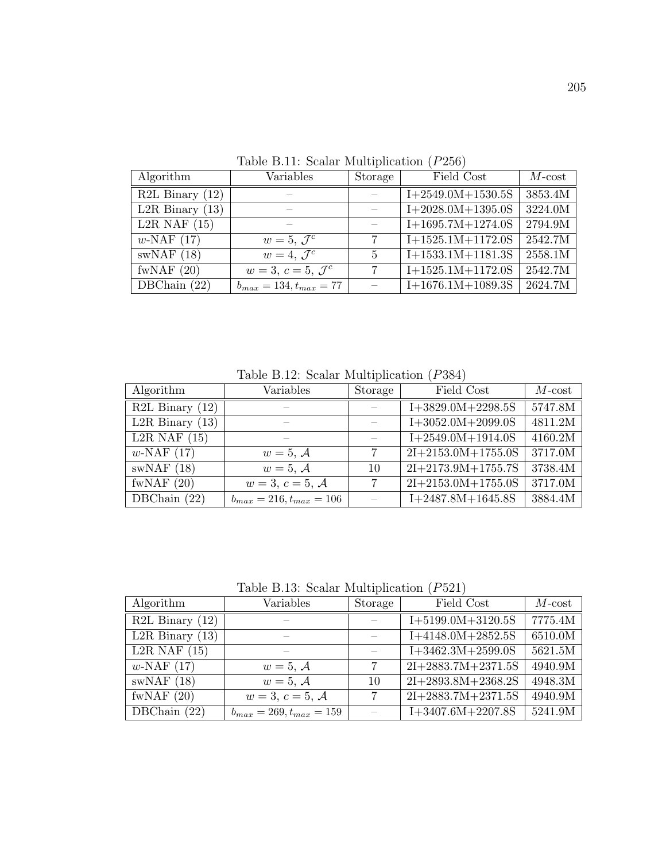| Algorithm                      | Variables                     | Storage        | Field Cost          | $M$ -cost |
|--------------------------------|-------------------------------|----------------|---------------------|-----------|
| $R2L$ Binary $(12)$            |                               |                | $I+2549.0M+1530.5S$ | 3853.4M   |
| L <sub>2</sub> R Binary $(13)$ |                               |                | $I+2028.0M+1395.0S$ | 3224.0M   |
| $L2R$ NAF $(15)$               |                               |                | $I+1695.7M+1274.0S$ | 2794.9M   |
| $w\text{-NAF}$ (17)            | $w=5, \mathcal{J}^c$          |                | $I+1525.1M+1172.0S$ | 2542.7M   |
| swNAF(18)                      | $w=4, \mathcal{J}^c$          | $\overline{5}$ | $I+1533.1M+1181.3S$ | 2558.1M   |
| fwNAF $(20)$                   | $w=3, c=5, \mathcal{J}^c$     |                | $I+1525.1M+1172.0S$ | 2542.7M   |
| DBChain $(22)$                 | $b_{max} = 134, t_{max} = 77$ |                | $I+1676.1M+1089.3S$ | 2624.7M   |

Table B.12: Scalar Multiplication (P384)

| Algorithm                           | Variables                      | Storage | Field Cost           | $M$ -cost |
|-------------------------------------|--------------------------------|---------|----------------------|-----------|
| $\overline{\text{R2L}}$ Binary (12) |                                |         | $I+3829.0M+2298.5S$  | 5747.8M   |
| L2R Binary $(13)$                   |                                |         | $I+3052.0M+2099.0S$  | 4811.2M   |
| L <sub>2</sub> R NAF $(15)$         |                                |         | $I+2549.0M+1914.0S$  | 4160.2M   |
| $w\text{-NAF}$ (17)                 | $w=5, \mathcal{A}$             | 7       | $2I+2153.0M+1755.0S$ | 3717.0M   |
| swNAF(18)                           | $w=5, \mathcal{A}$             | 10      | $2I+2173.9M+1755.7S$ | 3738.4M   |
| fwNAF $(20)$                        | $w = 3, c = 5, A$              | -7      | $2I+2153.0M+1755.0S$ | 3717.0M   |
| DBChain $(22)$                      | $b_{max} = 216, t_{max} = 106$ |         | $I+2487.8M+1645.8S$  | 3884.4M   |

Table B.13: Scalar Multiplication (P521)

| Algorithm                      | Variables                      | Storage | Field Cost           | $M$ -cost |
|--------------------------------|--------------------------------|---------|----------------------|-----------|
| $R2L$ Binary $(12)$            |                                |         | $I+5199.0M+3120.5S$  | 7775.4M   |
| L <sub>2</sub> R Binary $(13)$ |                                |         | $I+4148.0M+2852.5S$  | 6510.0M   |
| $L2R$ NAF $(15)$               |                                |         | $I+3462.3M+2599.0S$  | 5621.5M   |
| $w\text{-NAF}$ (17)            | $w=5, \mathcal{A}$             | 7       | $2I+2883.7M+2371.5S$ | 4940.9M   |
| swNAF(18)                      | $w=5, \mathcal{A}$             | 10      | $2I+2893.8M+2368.2S$ | 4948.3M   |
| fwNAF $(20)$                   | $w=3, c=5, \mathcal{A}$        | 7       | $2I+2883.7M+2371.5S$ | 4940.9M   |
| DBChain $(22)$                 | $b_{max} = 269, t_{max} = 159$ |         | $I+3407.6M+2207.8S$  | 5241.9M   |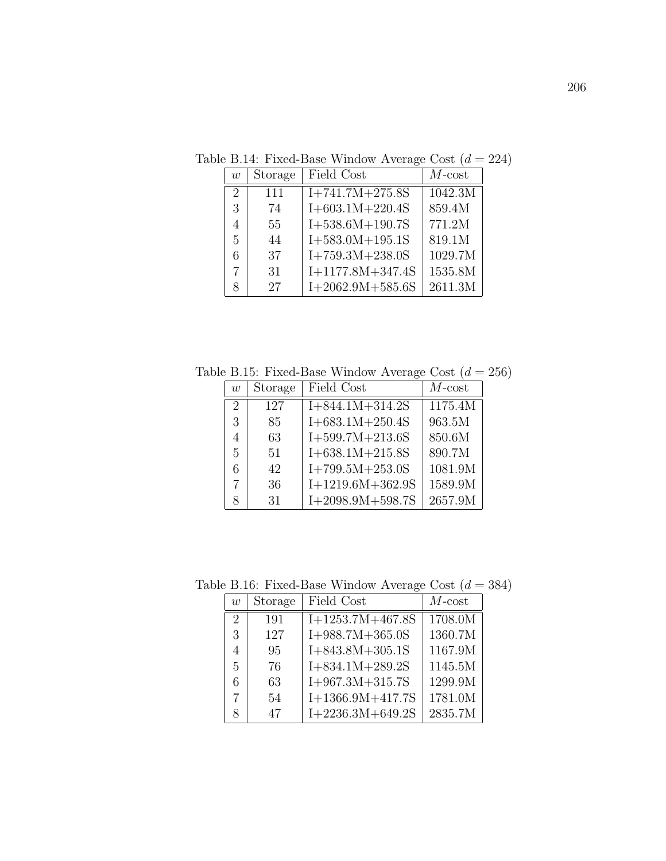Table B.14: Fixed-Base Window Average Cost  $(d = 224)$ 

| $\overline{w}$ | Storage | Field Cost         | $M$ -cost |
|----------------|---------|--------------------|-----------|
| $\overline{2}$ | 111     | $I+741.7M+275.8S$  | 1042.3M   |
| 3              | 74      | $I+603.1M+220.4S$  | 859.4M    |
| 4              | 55      | $I+538.6M+190.7S$  | 771.2M    |
| 5              | 44      | $I+583.0M+195.1S$  | 819.1M    |
| 6              | 37      | $I+759.3M+238.0S$  | 1029.7M   |
|                | 31      | $I+1177.8M+347.4S$ | 1535.8M   |
|                | 27      | $I+2062.9M+585.6S$ | 2611.3M   |

Table B.15: Fixed-Base Window Average Cost  $(d = 256)$ 

| w              | Storage | Field Cost         | $M$ -cost |
|----------------|---------|--------------------|-----------|
| $\overline{2}$ | 127     | $I+844.1M+314.2S$  | 1175.4M   |
| 3              | 85      | $I+683.1M+250.4S$  | 963.5M    |
| $\overline{4}$ | 63      | $I+599.7M+213.6S$  | 850.6M    |
| 5              | 51      | $I+638.1M+215.8S$  | 890.7M    |
| 6              | 42      | $I+799.5M+253.0S$  | 1081.9M   |
| 7              | 36      | $I+1219.6M+362.9S$ | 1589.9M   |
|                | 31      | $I+2098.9M+598.7S$ | 2657.9M   |

Table B.16: Fixed-Base Window Average Cost  $(d = 384)$ 

| $\overline{w}$ | Storage | Field Cost         | $M$ -cost |
|----------------|---------|--------------------|-----------|
| $\overline{2}$ | 191     | $I+1253.7M+467.8S$ | 1708.0M   |
| 3              | 127     | $I+988.7M+365.0S$  | 1360.7M   |
| 4              | 95      | $I+843.8M+305.1S$  | 1167.9M   |
| 5              | 76      | $I+834.1M+289.2S$  | 1145.5M   |
| 6              | 63      | $I+967.3M+315.7S$  | 1299.9M   |
|                | 54      | $I+1366.9M+417.7S$ | 1781.0M   |
| 8              | 47      | $I+2236.3M+649.2S$ | 2835.7M   |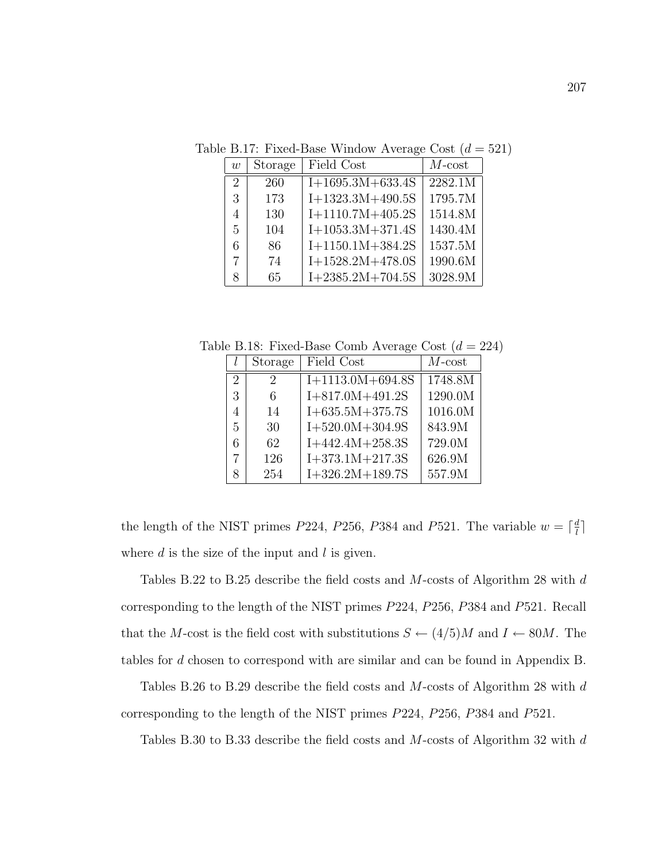Table B.17: Fixed-Base Window Average Cost  $(d = 521)$ 

| w                           | Storage | Field Cost         | $M$ -cost |
|-----------------------------|---------|--------------------|-----------|
| $\mathcal{D}_{\mathcal{L}}$ | 260     | $I+1695.3M+633.4S$ | 2282.1M   |
| 3                           | 173     | $I+1323.3M+490.5S$ | 1795.7M   |
| 4                           | 130     | $I+1110.7M+405.2S$ | 1514.8M   |
| 5                           | 104     | $I+1053.3M+371.4S$ | 1430.4M   |
| 6                           | 86      | $I+1150.1M+384.2S$ | 1537.5M   |
| 7                           | 74      | $I+1528.2M+478.0S$ | 1990.6M   |
| 8                           | 65      | $I+2385.2M+704.5S$ | 3028.9M   |

Table B.18: Fixed-Base Comb Average Cost  $(d = 224)$ 

|                             | Storage                     | Field Cost            | $M$ -cost |
|-----------------------------|-----------------------------|-----------------------|-----------|
| $\mathcal{D}_{\mathcal{L}}$ | $\mathcal{D}_{\mathcal{L}}$ | $I+1113.0M+694.8S$    | 1748.8M   |
| 3                           | 6                           | $I+817.0M+491.2S$     | 1290.0M   |
| 4                           | 14                          | $I + 635.5M + 375.7S$ | 1016.0M   |
| 5                           | 30                          | $I+520.0M+304.9S$     | 843.9M    |
| 6                           | 62                          | $I+442.4M+258.3S$     | 729.0M    |
|                             | 126                         | $I+373.1M+217.3S$     | 626.9M    |
|                             | 254                         | $I+326.2M+189.7S$     | 557.9M    |

the length of the NIST primes P224, P256, P384 and P521. The variable  $w = \lceil \frac{d}{l} \rceil$  $\frac{d}{l}$ ] where  $d$  is the size of the input and  $l$  is given.

Tables B.22 to B.25 describe the field costs and M-costs of Algorithm 28 with d corresponding to the length of the NIST primes P224, P256, P384 and P521. Recall that the M-cost is the field cost with substitutions  $S \leftarrow (4/5)M$  and  $I \leftarrow 80M$ . The tables for d chosen to correspond with are similar and can be found in Appendix B.

Tables B.26 to B.29 describe the field costs and M-costs of Algorithm 28 with d corresponding to the length of the NIST primes P224, P256, P384 and P521.

Tables B.30 to B.33 describe the field costs and M-costs of Algorithm 32 with d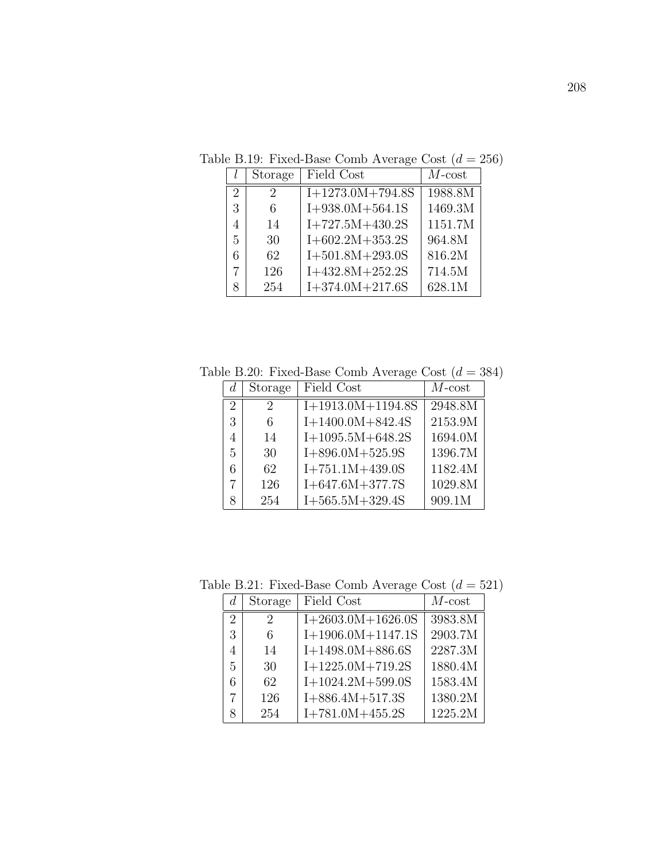Table B.19: Fixed-Base Comb Average Cost  $(d = 256)$ 

|                             | Storage | Field Cost         | $M$ -cost |
|-----------------------------|---------|--------------------|-----------|
| $\mathcal{D}_{\mathcal{L}}$ | 2       | $I+1273.0M+794.8S$ | 1988.8M   |
| 3                           | 6       | $I+938.0M+564.1S$  | 1469.3M   |
| 4                           | 14      | $I+727.5M+430.2S$  | 1151.7M   |
| 5                           | 30      | $I+602.2M+353.2S$  | 964.8M    |
| 6                           | 62      | $I+501.8M+293.0S$  | 816.2M    |
|                             | 126     | $I+432.8M+252.2S$  | 714.5M    |
|                             | 254     | $I+374.0M+217.6S$  | 628.1M    |

Table B.20: Fixed-Base Comb Average Cost  $(d = 384)$ 

| d.                          | Storage | Field Cost            | $M$ -cost |
|-----------------------------|---------|-----------------------|-----------|
| $\mathcal{D}_{\mathcal{L}}$ | 2       | $I+1913.0M+1194.8S$   | 2948.8M   |
| 3                           | 6       | $I+1400.0M+842.4S$    | 2153.9M   |
| 4                           | 14      | $I+1095.5M+648.2S$    | 1694.0M   |
| 5                           | 30      | $I+896.0M+525.9S$     | 1396.7M   |
| 6                           | 62      | $I+751.1M+439.0S$     | 1182.4M   |
|                             | 126     | $I + 647.6M + 377.7S$ | 1029.8M   |
| 8                           | 254     | $I+565.5M+329.4S$     | 909.1M    |

Table B.21: Fixed-Base Comb Average Cost  $(d = 521)$ 

|                             | Storage | Field Cost          | $M$ -cost |
|-----------------------------|---------|---------------------|-----------|
| $\mathcal{D}_{\mathcal{L}}$ | 2       | $I+2603.0M+1626.0S$ | 3983.8M   |
| 3                           | 6       | $I+1906.0M+1147.1S$ | 2903.7M   |
| 4                           | 14      | $I+1498.0M+886.6S$  | 2287.3M   |
| $\frac{5}{2}$               | 30      | $I+1225.0M+719.2S$  | 1880.4M   |
| 6                           | 62      | $I+1024.2M+599.0S$  | 1583.4M   |
| 7                           | 126     | $I+886.4M+517.3S$   | 1380.2M   |
| 8                           | 254     | $I+781.0M+455.2S$   | 1225.2M   |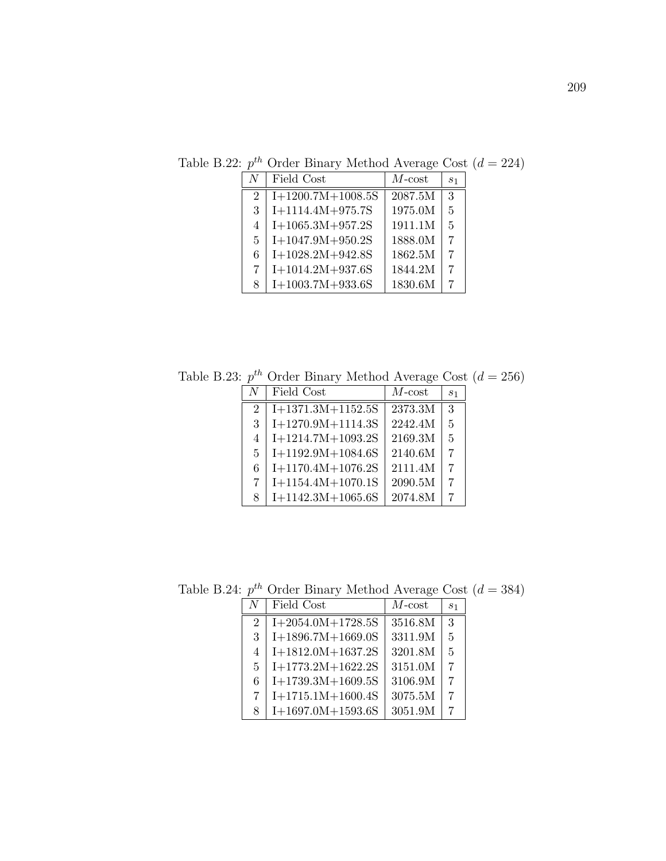| N                           | Field Cost          | $M$ -cost | S <sub>1</sub> |
|-----------------------------|---------------------|-----------|----------------|
| $\mathcal{D}_{\mathcal{L}}$ | $I+1200.7M+1008.5S$ | 2087.5M   | 3              |
| 3                           | $I+1114.4M+975.7S$  | 1975.0M   | $\overline{5}$ |
| 4                           | $I+1065.3M+957.2S$  | 1911.1M   | $\overline{5}$ |
| 5                           | $I+1047.9M+950.2S$  | 1888.0M   | $\overline{7}$ |
| 6                           | $I+1028.2M+942.8S$  | 1862.5M   | $\overline{7}$ |
| 7                           | $I+1014.2M+937.6S$  | 1844.2M   | $\overline{7}$ |
| 8                           | $I+1003.7M+933.6S$  | 1830.6M   | 7              |

Table B.22:  $p^{th}$  Order Binary Method Average Cost  $(d = 224)$ 

Table B.23:  $p^{th}$  Order Binary Method Average Cost  $(d = 256)$ 

| N  | Field Cost          | $M$ - $cost$ | S <sub>1</sub> |
|----|---------------------|--------------|----------------|
| 2  | $I+1371.3M+1152.5S$ | 2373.3M      | $\mathcal{R}$  |
| 3  | $I+1270.9M+1114.3S$ | 2242.4M      | $\overline{5}$ |
| 4  | $I+1214.7M+1093.2S$ | 2169.3M      | $\overline{5}$ |
| 5. | $I+1192.9M+1084.6S$ | 2140.6M      | 7              |
| 6  | $I+1170.4M+1076.2S$ | 2111.4M      | 7              |
| 7  | $I+1154.4M+1070.1S$ | 2090.5M      |                |
| 8  | $I+1142.3M+1065.6S$ | 2074.8M      |                |

Table B.24:  $p^{th}$  Order Binary Method Average Cost  $(d = 384)$ 

|              | $\sim$ $\sim$ $\sim$ $\sim$ $\sim$ $\sim$ $\sim$ $\sim$ | $2.20$ can $\alpha$ and $\alpha$ and $\alpha$ |                |
|--------------|---------------------------------------------------------|-----------------------------------------------|----------------|
| N            | Field Cost                                              | $M$ -cost                                     | S <sub>1</sub> |
| 2            | $I+2054.0M+1728.5S$                                     | 3516.8M                                       | 3              |
| 3            | $I+1896.7M+1669.0S$                                     | 3311.9M                                       | 5              |
| 4            | $I+1812.0M+1637.2S$                                     | 3201.8M                                       | 5              |
| $\mathbf{5}$ | $I+1773.2M+1622.2S$                                     | 3151.0M                                       | 7              |
| 6            | $I+1739.3M+1609.5S$                                     | 3106.9M                                       | 7              |
| 7            | $I+1715.1M+1600.4S$                                     | 3075.5M                                       | 7              |
| 8            | $I+1697.0M+1593.6S$                                     | 3051.9M                                       | 7              |
|              |                                                         |                                               |                |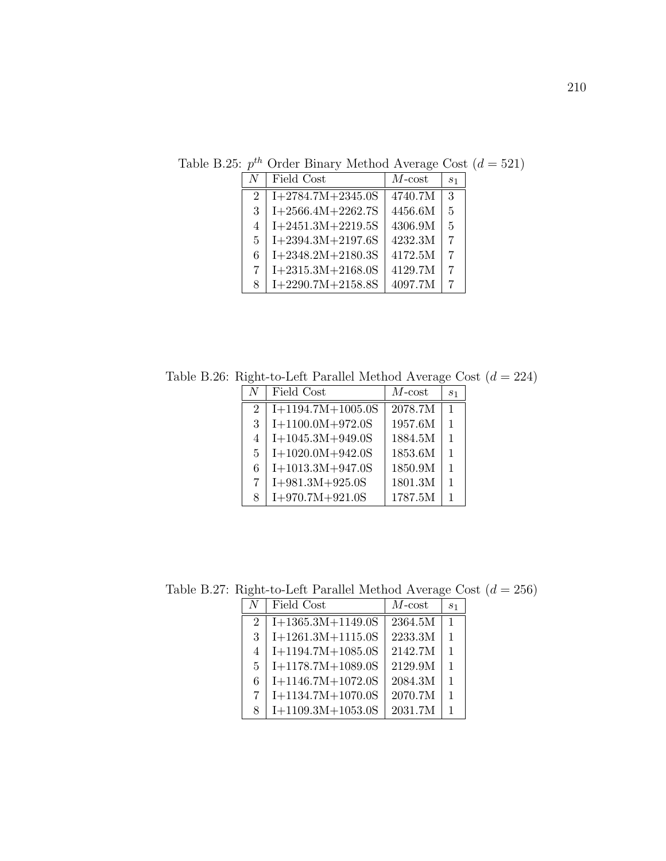| $N_{\rm}$                   | Field Cost          | $M$ - $cost$ | S <sub>1</sub> |
|-----------------------------|---------------------|--------------|----------------|
| $\mathcal{D}_{\mathcal{L}}$ | $I+2784.7M+2345.0S$ | 4740.7M      | 3              |
| 3                           | $I+2566.4M+2262.7S$ | 4456.6M      | $\overline{5}$ |
| 4                           | $I+2451.3M+2219.5S$ | 4306.9M      | $\overline{5}$ |
| $\mathbf{5}$                | $I+2394.3M+2197.6S$ | 4232.3M      | 7              |
| 6                           | $I+2348.2M+2180.3S$ | 4172.5M      | 7              |
| 7                           | $I+2315.3M+2168.0S$ | 4129.7M      | 7              |
| 8                           | $I+2290.7M+2158.8S$ | 4097.7M      | 7              |

Table B.25:  $p^{th}$  Order Binary Method Average Cost  $(d = 521)$ 

Table B.26: Right-to-Left Parallel Method Average Cost  $(d = 224)$ 

| N              | Field Cost          | $M$ -cost | S <sub>1</sub> |
|----------------|---------------------|-----------|----------------|
| $\overline{2}$ | $I+1194.7M+1005.0S$ | 2078.7M   | $\mathbf{1}$   |
| 3              | $I+1100.0M+972.0S$  | 1957.6M   | $\mathbf{1}$   |
| 4              | $I+1045.3M+949.0S$  | 1884.5M   | 1              |
| 5              | $I+1020.0M+942.0S$  | 1853.6M   | 1              |
| 6              | $I+1013.3M+947.0S$  | 1850.9M   | $\mathbf{1}$   |
| 7              | $I+981.3M+925.0S$   | 1801.3M   | 1              |
| 8              | $I+970.7M+921.0S$   | 1787.5M   |                |

Table B.27: Right-to-Left Parallel Method Average Cost  $\left(d=256\right)$ 

| N              | Field Cost          | $M$ -cost | S <sub>1</sub> |
|----------------|---------------------|-----------|----------------|
| $\overline{2}$ | $I+1365.3M+1149.0S$ | 2364.5M   | 1              |
| 3              | $I+1261.3M+1115.0S$ | 2233.3M   | 1              |
| $\overline{4}$ | $I+1194.7M+1085.0S$ | 2142.7M   | 1              |
| $\mathbf{5}$   | $I+1178.7M+1089.0S$ | 2129.9M   | 1              |
| 6              | $I+1146.7M+1072.0S$ | 2084.3M   | 1              |
| 7              | $I+1134.7M+1070.0S$ | 2070.7M   | 1              |
| 8              | $I+1109.3M+1053.0S$ | 2031.7M   | 1              |
|                |                     |           |                |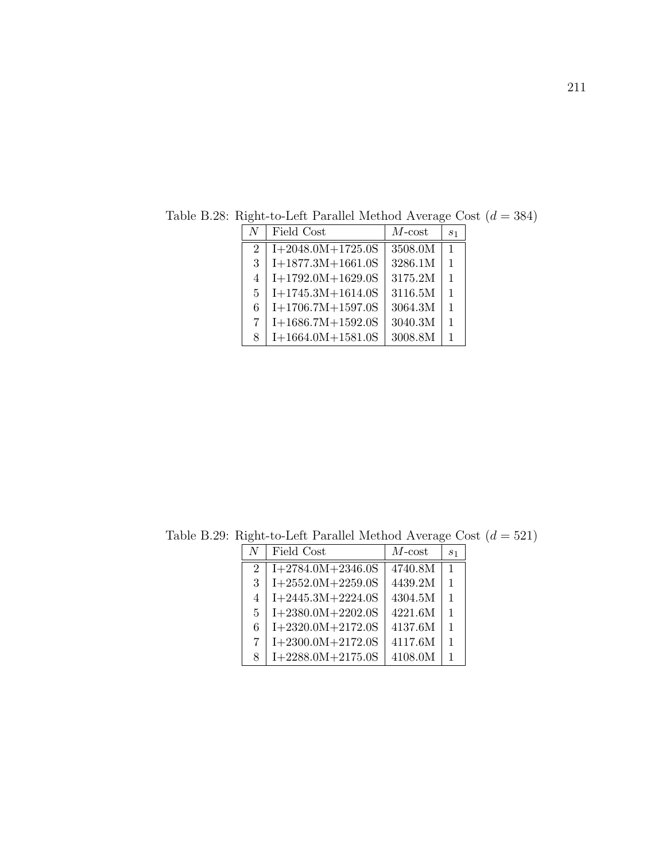| N              | Field Cost          | $M$ -cost | S <sub>1</sub> |
|----------------|---------------------|-----------|----------------|
| 2              | $I+2048.0M+1725.0S$ | 3508.0M   | $\mathbf{1}$   |
| 3              | $I+1877.3M+1661.0S$ | 3286.1M   | $\mathbf{1}$   |
| $\overline{4}$ | $I+1792.0M+1629.0S$ | 3175.2M   | $\mathbf{1}$   |
| 5              | $I+1745.3M+1614.0S$ | 3116.5M   | 1              |
| 6              | $I+1706.7M+1597.0S$ | 3064.3M   | $\mathbf{1}$   |
| 7              | $I+1686.7M+1592.0S$ | 3040.3M   | 1              |
| 8              | $I+1664.0M+1581.0S$ | 3008.8M   | 1              |

Table B.28: Right-to-Left Parallel Method Average Cost  $\left(d=384\right)$ 

Table B.29: Right-to-Left Parallel Method Average Cost $\left( d = 521\right)$ 

| $\overline{N}$ | Field Cost          | $M$ -cost | S <sub>1</sub> |
|----------------|---------------------|-----------|----------------|
| $\overline{2}$ | $I+2784.0M+2346.0S$ | 4740.8M   | $\mathbf{1}$   |
| 3              | $I+2552.0M+2259.0S$ | 4439.2M   | $\mathbf{1}$   |
| $\overline{4}$ | $I+2445.3M+2224.0S$ | 4304.5M   | 1              |
| 5              | $I+2380.0M+2202.0S$ | 4221.6M   | $\mathbf{1}$   |
| 6              | $I+2320.0M+2172.0S$ | 4137.6M   | $\mathbf{1}$   |
| 7              | $I+2300.0M+2172.0S$ | 4117.6M   | $\mathbf{1}$   |
| 8              | $I+2288.0M+2175.0S$ | 4108.0M   |                |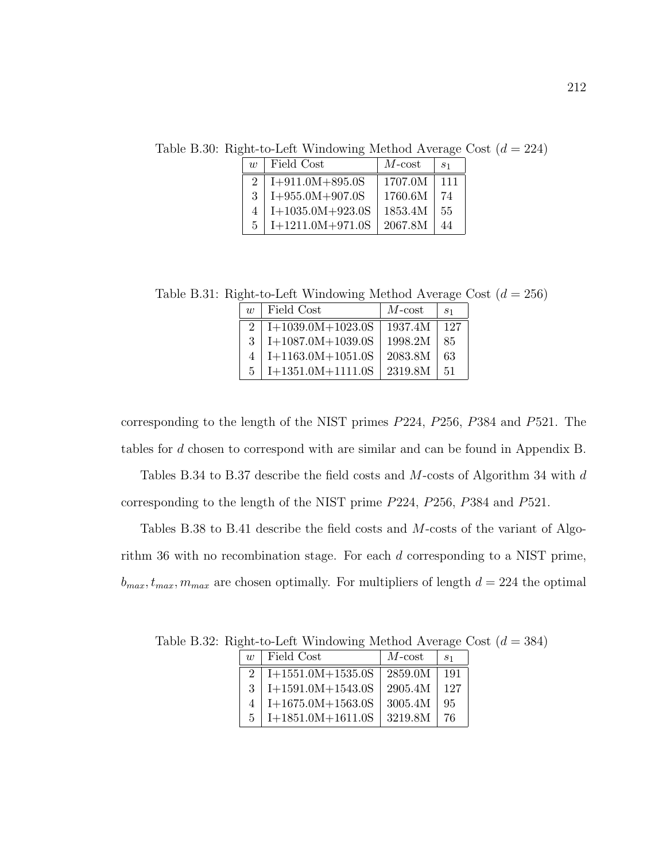Table B.30: Right-to-Left Windowing Method Average Cost  $(d = 224)$ 

| $\eta$         | Field Cost         | $M$ -cost | S <sub>1</sub> |
|----------------|--------------------|-----------|----------------|
| $\mathfrak{D}$ | $I+911.0M+895.0S$  | 1707.0M   | 111            |
| $\mathcal{R}$  | $I+955.0M+907.0S$  | 1760.6M   | 74             |
| 4              | $I+1035.0M+923.0S$ | 1853.4M   | 55             |
| 5              | $I+1211.0M+971.0S$ | 2067.8M   | 44             |

Table B.31: Right-to-Left Windowing Method Average Cost  $(d = 256)$ 

| $\eta$                      | Field Cost                 | $M$ -cost | S <sub>1</sub> |
|-----------------------------|----------------------------|-----------|----------------|
| $\mathcal{D}_{\mathcal{L}}$ | $I+1039.0M+1023.0S$        | 1937.4M   | 127            |
| $\mathcal{R}$               | $\mbox{I+1087.0M+1039.0S}$ | 1998.2M   | 85             |
| 4                           | $I+1163.0M+1051.0S$        | 2083.8M   | 63             |
| 5                           | $I+1351.0M+1111.0S$        | 2319.8M   | 51             |

corresponding to the length of the NIST primes P224, P256, P384 and P521. The tables for d chosen to correspond with are similar and can be found in Appendix B.

Tables B.34 to B.37 describe the field costs and M-costs of Algorithm 34 with  $d$ corresponding to the length of the NIST prime P224, P256, P384 and P521.

Tables B.38 to B.41 describe the field costs and M-costs of the variant of Algorithm 36 with no recombination stage. For each d corresponding to a NIST prime,  $b_{max}, t_{max}, m_{max}$  are chosen optimally. For multipliers of length  $d = 224$  the optimal

| $\eta$ |               | Field Cost          | $M$ -cost | S <sub>1</sub> |
|--------|---------------|---------------------|-----------|----------------|
|        | $\mathcal{D}$ | $I+1551.0M+1535.0S$ | 2859.0M   | 191            |
|        | 3             | $I+1591.0M+1543.0S$ | 2905.4M   | 127            |
|        | 4             | $I+1675.0M+1563.0S$ | 3005.4M   | 95             |
|        | 5             | $I+1851.0M+1611.0S$ | 3219.8M   | 76             |

Table B.32: Right-to-Left Windowing Method Average Cost  $(d = 384)$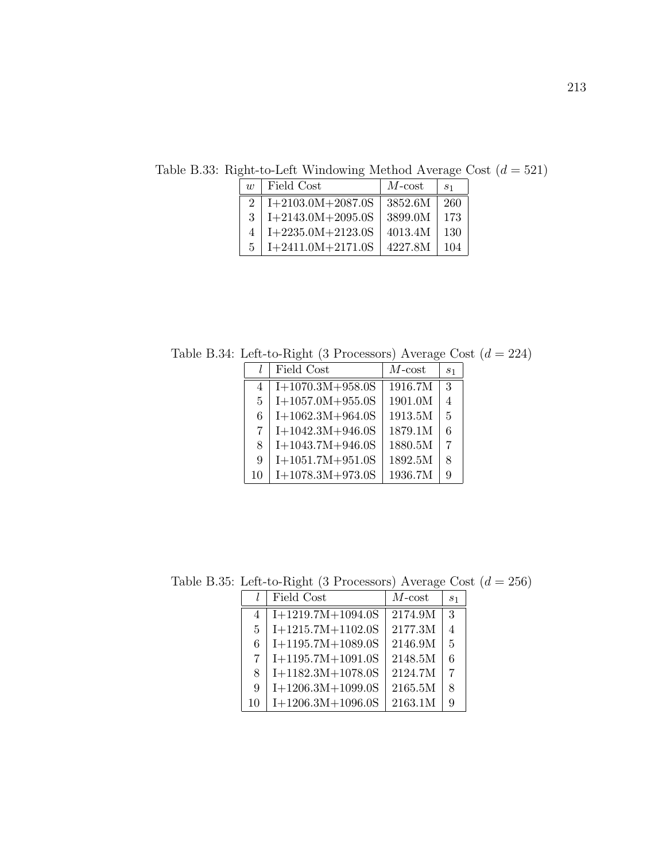Table B.33: Right-to-Left Windowing Method Average Cost  $(d = 521)$ 

| $\eta$        | Field Cost          | $M$ -cost | S <sub>1</sub> |
|---------------|---------------------|-----------|----------------|
| $2^{\circ}$   | $I+2103.0M+2087.0S$ | 3852.6M   | 260            |
| $\mathcal{R}$ | $I+2143.0M+2095.0S$ | 3899.0M   | 173            |
| 4             | $I+2235.0M+2123.0S$ | 4013.4M   | 130            |
| $\mathbf{5}$  | $I+2411.0M+2171.0S$ | 4227.8M   | 104            |

Table B.34: Left-to-Right (3 Processors) Average Cost  $\left( d = 224 \right)$ 

|              | Field Cost         | $M$ -cost | S <sub>1</sub> |
|--------------|--------------------|-----------|----------------|
| 4            | $I+1070.3M+958.0S$ | 1916.7M   | $\mathcal{R}$  |
| $\mathbf{5}$ | $I+1057.0M+955.0S$ | 1901.0M   | $\overline{4}$ |
| 6            | $I+1062.3M+964.0S$ | 1913.5M   | $\overline{5}$ |
| 7            | $I+1042.3M+946.0S$ | 1879.1M   | 6              |
| 8            | $I+1043.7M+946.0S$ | 1880.5M   | 7              |
| 9            | $I+1051.7M+951.0S$ | 1892.5M   | 8              |
| 10           | $I+1078.3M+973.0S$ | 1936.7M   | 9              |

Table B.35: Left-to-Right (3 Processors) Average Cost  $\left( d = 256 \right)$ 

|              | Field Cost          | $M$ -cost | S <sub>1</sub> |
|--------------|---------------------|-----------|----------------|
| 4            | $I+1219.7M+1094.0S$ | 2174.9M   | 3              |
| $\mathbf{5}$ | $I+1215.7M+1102.0S$ | 2177.3M   | 4              |
| 6            | $I+1195.7M+1089.0S$ | 2146.9M   | $\overline{5}$ |
| 7            | $I+1195.7M+1091.0S$ | 2148.5M   | 6              |
| 8            | $I+1182.3M+1078.0S$ | 2124.7M   | 7              |
| 9            | $I+1206.3M+1099.0S$ | 2165.5M   | 8              |
| 10           | $I+1206.3M+1096.0S$ | 2163.1M   | 9              |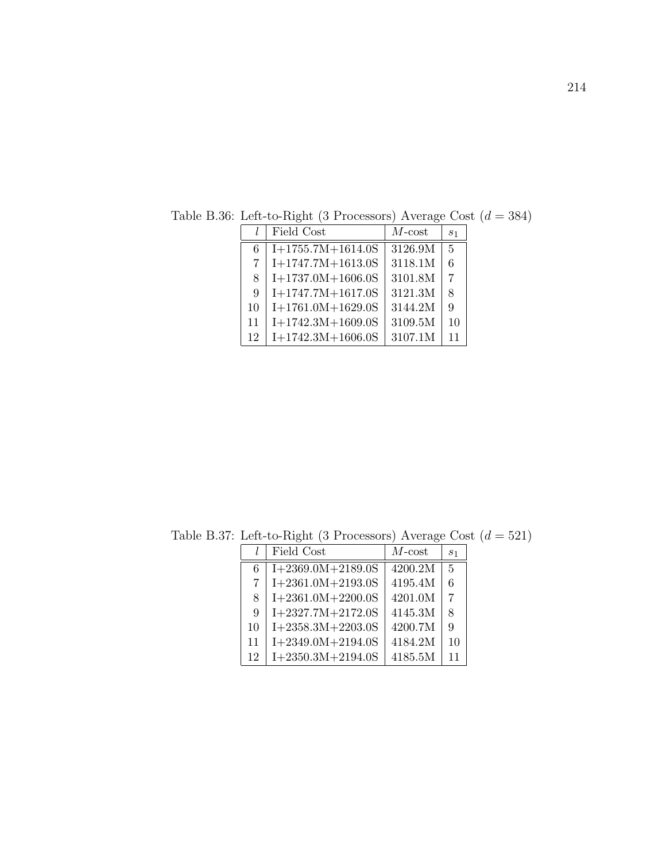|                | Field Cost          | $M$ -cost | $s_1$          |
|----------------|---------------------|-----------|----------------|
| 6              | $I+1755.7M+1614.0S$ | 3126.9M   | $\overline{5}$ |
| $\overline{7}$ | $I+1747.7M+1613.0S$ | 3118.1M   | 6              |
| 8              | $I+1737.0M+1606.0S$ | 3101.8M   | 7              |
| 9              | $I+1747.7M+1617.0S$ | 3121.3M   | 8              |
| 10             | $I+1761.0M+1629.0S$ | 3144.2M   | 9              |
| 11             | $I+1742.3M+1609.0S$ | 3109.5M   | 10             |
| 12             | $I+1742.3M+1606.0S$ | 3107.1M   | 11             |

Table B.36: Left-to-Right (3 Processors) Average Cost  $\left( d = 384 \right)$ 

Table B.37: Left-to-Right (3 Processors) Average Cost  $(d = 521)$ 

|    | Field Cost          | $M$ - $cost$ | S <sub>1</sub> |
|----|---------------------|--------------|----------------|
| 6  | $I+2369.0M+2189.0S$ | 4200.2M      | $\overline{5}$ |
| 7  | $I+2361.0M+2193.0S$ | 4195.4M      | 6              |
| 8  | $I+2361.0M+2200.0S$ | 4201.0M      | $\overline{7}$ |
| 9  | $I+2327.7M+2172.0S$ | 4145.3M      | 8              |
| 10 | $I+2358.3M+2203.0S$ | 4200.7M      | 9              |
| 11 | $I+2349.0M+2194.0S$ | 4184.2M      | 10             |
| 12 | $I+2350.3M+2194.0S$ | 4185.5M      | 11             |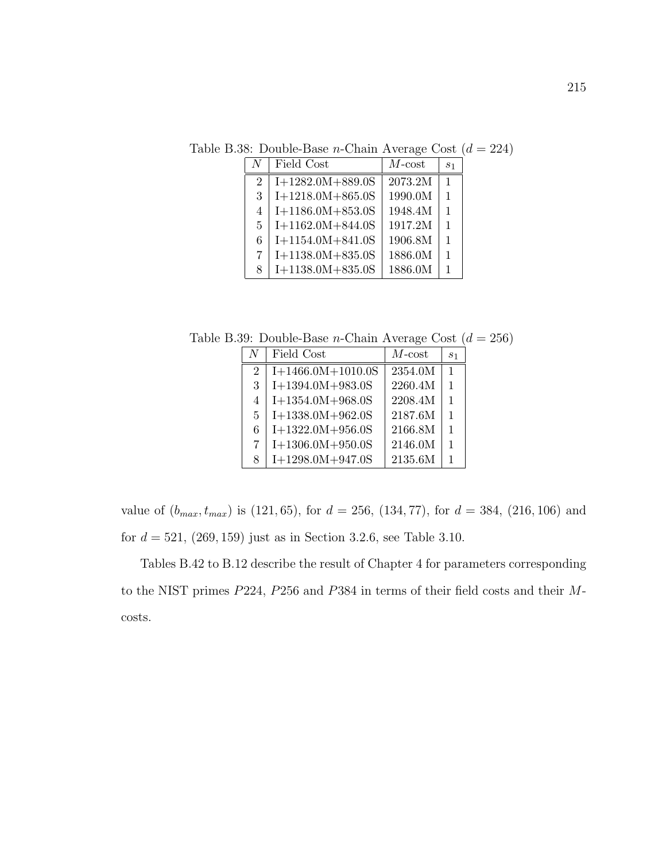Table B.38: Double-Base *n*-Chain Average Cost  $(d = 224)$ 

| N              | Field Cost         | $M$ - $\cos t$ | $s_1$        |
|----------------|--------------------|----------------|--------------|
| $\overline{2}$ | $I+1282.0M+889.0S$ | 2073.2M        | $\mathbf{1}$ |
| 3              | $I+1218.0M+865.0S$ | 1990.0M        | 1            |
| 4              | $I+1186.0M+853.0S$ | 1948.4M        | 1            |
| 5              | $I+1162.0M+844.0S$ | 1917.2M        | 1            |
| 6              | $I+1154.0M+841.0S$ | 1906.8M        | 1            |
| $\overline{7}$ | $I+1138.0M+835.0S$ | 1886.0M        | 1            |
| 8              | $I+1138.0M+835.0S$ | 1886.0M        | 1            |

Table B.39: Double-Base *n*-Chain Average Cost  $(d = 256)$ 

| N              | Field Cost          | $M$ -cost | S <sub>1</sub> |
|----------------|---------------------|-----------|----------------|
| $\overline{2}$ | $I+1466.0M+1010.0S$ | 2354.0M   | $\mathbf{1}$   |
| 3              | $I+1394.0M+983.0S$  | 2260.4M   | $\mathbf{1}$   |
| 4              | $I+1354.0M+968.0S$  | 2208.4M   | $\mathbf{1}$   |
| $\mathbf{5}$   | $I+1338.0M+962.0S$  | 2187.6M   | $\mathbf{1}$   |
| 6              | $I+1322.0M+956.0S$  | 2166.8M   | $\mathbf{1}$   |
| 7              | $I+1306.0M+950.0S$  | 2146.0M   | $\mathbf{1}$   |
| 8              | $I+1298.0M+947.0S$  | 2135.6M   | 1              |

value of  $(b_{max}, t_{max})$  is (121, 65), for  $d = 256$ , (134, 77), for  $d = 384$ , (216, 106) and for  $d = 521, (269, 159)$  just as in Section 3.2.6, see Table 3.10.

Tables B.42 to B.12 describe the result of Chapter 4 for parameters corresponding to the NIST primes P224, P256 and P384 in terms of their field costs and their Mcosts.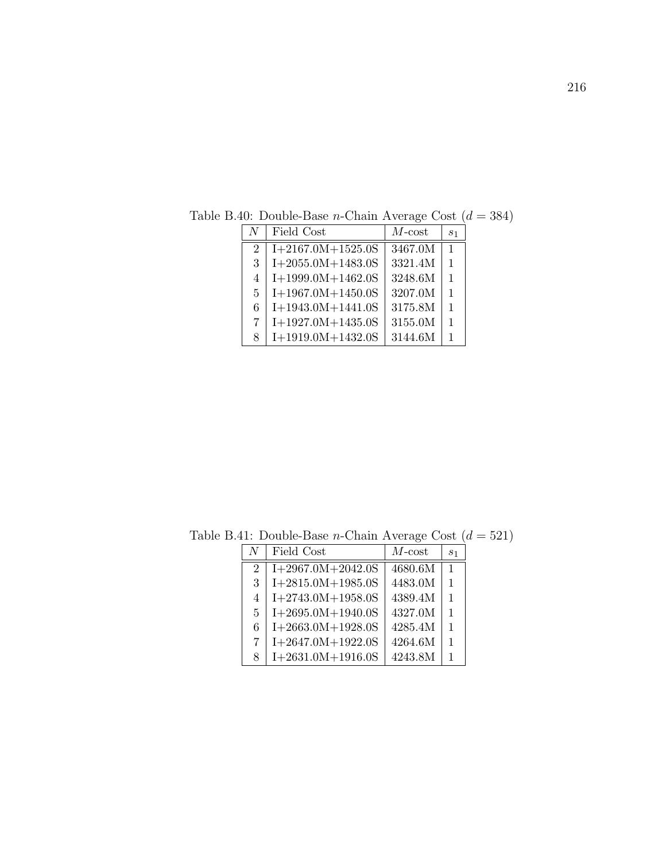| N                           | Field Cost          | $M$ -cost | S <sub>1</sub> |
|-----------------------------|---------------------|-----------|----------------|
| $\mathcal{D}_{\mathcal{L}}$ | $I+2167.0M+1525.0S$ | 3467.0M   | $\mathbf{1}$   |
| 3                           | $I+2055.0M+1483.0S$ | 3321.4M   | $\mathbf{1}$   |
| 4                           | $I+1999.0M+1462.0S$ | 3248.6M   | $\mathbf{1}$   |
| 5.                          | $I+1967.0M+1450.0S$ | 3207.0M   | $\mathbf{1}$   |
| 6                           | $I+1943.0M+1441.0S$ | 3175.8M   | $\mathbf{1}$   |
| 7                           | $I+1927.0M+1435.0S$ | 3155.0M   | $\mathbf{1}$   |
| 8                           | $I+1919.0M+1432.0S$ | 3144.6M   |                |

Table B.40: Double-Base *n*-Chain Average Cost  $(d = 384)$ 

 $N \mid$  Field Cost  $\mid M\text{-cost} \mid s_1$  $2 | I+2967.0M+2042.0S | 4680.6M | 1$  | I+2815.0M+1985.0S | 4483.0M | 1 | I+2743.0M+1958.0S | 4389.4M | 1 | I+2695.0M+1940.0S | 4327.0M | 1 6 | I+2663.0M+1928.0S | 4285.4M | 1 | I+2647.0M+1922.0S | 4264.6M | 1 8 | I+2631.0M+1916.0S | 4243.8M | 1

Table B.41: Double-Base *n*-Chain Average Cost  $(d = 521)$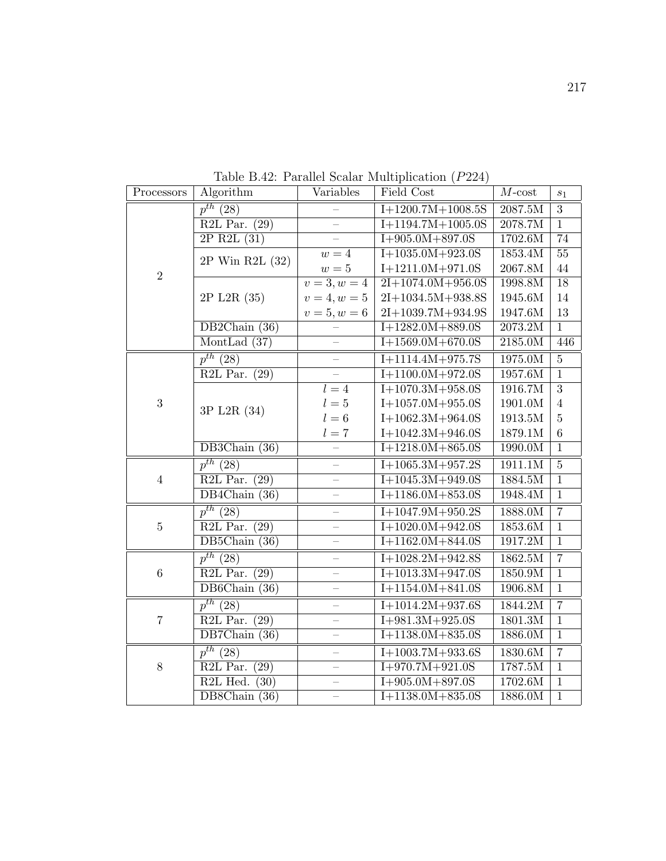| Processors       | Algorithm                     | Variables                | Field Cost                     | $M$ -cost      | $\sqrt{s_{1}}$  |
|------------------|-------------------------------|--------------------------|--------------------------------|----------------|-----------------|
|                  | $p^{th}$ (28)                 |                          | $\overline{I+12}00.7M+1008.5S$ | 2087.5M        | $\overline{3}$  |
|                  | R2L Par. $(29)$               |                          | $I+1194.7M+1005.0S$            | 2078.7M        | $\overline{1}$  |
|                  | $2P$ R2L $(31)$               |                          | $I+905.0M+897.0S$              | 1702.6M        | $\overline{74}$ |
|                  | 2P Win R2L (32)               | $w=4$                    | $I+1035.0M+923.0S$             | 1853.4M        | $\overline{55}$ |
| $\overline{2}$   |                               | $w=5$                    | $I+1211.0M+971.0S$             | 2067.8M        | 44              |
|                  |                               | $\overline{v=3,w}=4$     | $2I+1074.0M+956.0S$            | 1998.8M        | $\overline{18}$ |
|                  | 2P L2R (35)                   | $v = 4, w = 5$           | $2I+1034.5M+938.8S$            | 1945.6M        | 14              |
|                  |                               | $v = 5, w = 6$           | 2I+1039.7M+934.9S              | 1947.6M        | 13              |
|                  | DB2Chain (36)                 |                          | $I+1282.0M+889.0S$             | 2073.2M        | $\overline{1}$  |
|                  | MontLad $(37)$                |                          | $I+1569.0M+670.0S$             | 2185.0M        | 446             |
|                  | $p^{th}$ (28)                 |                          | $I+1114.4M+975.7S$             | 1975.0M        | $\overline{5}$  |
|                  | R2L Par.<br>(29)              | $\equiv$                 | $I+1100.0M+972.0S$             | 1957.6M        | $\overline{1}$  |
|                  |                               | $\overline{l} = 4$       | $I+1070.3M+958.0S$             | 1916.7M        | $\overline{3}$  |
| 3                | 3P L2R (34)                   | $l=5$                    | $I+1057.0M+955.0S$             | 1901.0M        | $\overline{4}$  |
|                  |                               | $l=6$                    | $I+1062.3M+964.0S$             | $1913.5\rm{M}$ | $\overline{5}$  |
|                  |                               | $l=7$                    | $I+1042.3M+946.0S$             | 1879.1M        | $\,$ 6 $\,$     |
|                  | DB3Chain (36)                 |                          | $I+1218.0M+865.0S$             | 1990.0M        | $\overline{1}$  |
|                  | $p^{th}$ (28)                 | —                        | $1+1065.3M+957.2S$             | 1911.1M        | $\overline{5}$  |
| $\,4\,$          | R2L Par.<br>(29)              | $\overline{\phantom{0}}$ | $I+1045.3M+949.0S$             | 1884.5M        | $\overline{1}$  |
|                  | $DB4Chain$ (36)               | $\equiv$                 | $I+1186.0M+853.0S$             | 1948.4M        | $\overline{1}$  |
|                  | $p^{th}$ (28)                 |                          | $I+1047.9M+950.2S$             | 1888.0M        | $\overline{7}$  |
| $\bf 5$          | R2L Par. $(29)$               |                          | $I+1020.0M+942.0S$             | 1853.6M        | $1\,$           |
|                  | DB5Chain $(36)$               |                          | $I+1162.0M+844.0S$             | 1917.2M        | $\mathbf{1}$    |
|                  | $p^{th}$ (28)                 |                          | $I+1028.2M+942.8S$             | 1862.5M        | $\overline{7}$  |
| $\boldsymbol{6}$ | R2L Par.<br>(29)              | $\overline{\phantom{0}}$ | $I+1013.3M+947.0S$             | 1850.9M        | $\overline{1}$  |
|                  | DB6Chain $(36)$               | $\equiv$                 | $I+1154.0M+841.0S$             | 1906.8M        | $\overline{1}$  |
|                  | $p^{th}$ (28)                 |                          | $I+1014.2M+937.6S$             | 1844.2M        | $\overline{7}$  |
| $\overline{7}$   | R2L Par. $(29)$               |                          | $I+981.3M+925.0S$              | 1801.3M        | $\overline{1}$  |
|                  | DB7Chain $(36)$               |                          | $I+1138.0M+835.0S$             | 1886.0M        | $\overline{1}$  |
|                  | $p^{th}$ (28)                 |                          | $I+1003.7M+933.6S$             | 1830.6M        | $\overline{7}$  |
| 8                | R <sub>2L</sub> Par.<br>(29)  | $\overline{a}$           | $I+970.7M+921.0S$              | 1787.5M        | $\overline{1}$  |
|                  | R <sub>2</sub> L Hed.<br>(30) |                          | $I+905.0M+897.0S$              | 1702.6M        | $\overline{1}$  |
|                  | DB8Chain (36)                 |                          | $I+1138.0M+835.0S$             | 1886.0M        | $\overline{1}$  |

Table B.42: Parallel Scalar Multiplication (P224)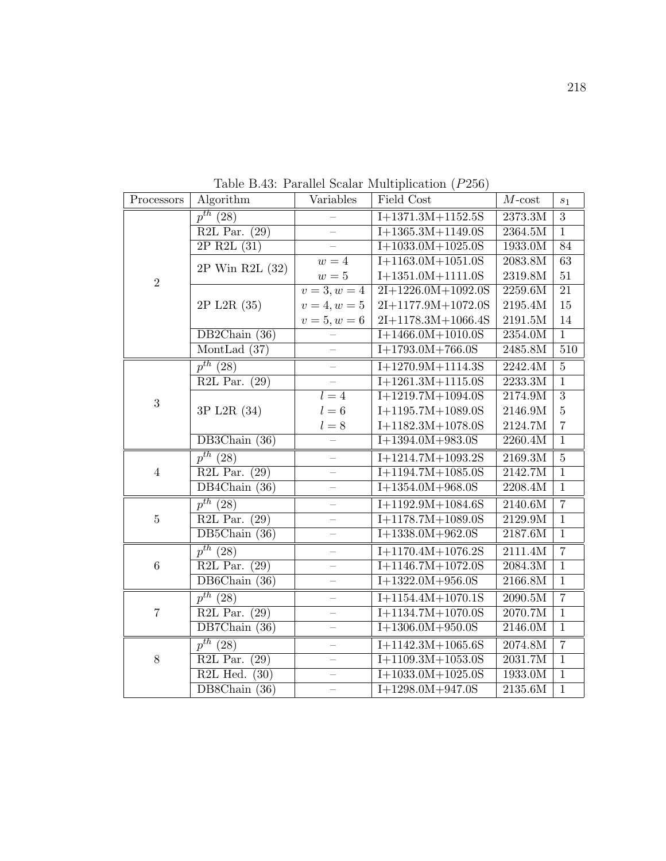| Processors     | Algorithm                                  | Variables                | Field Cost                     | $M$ -cost          | $s_1$            |
|----------------|--------------------------------------------|--------------------------|--------------------------------|--------------------|------------------|
|                | $p^{th}$ (28)                              |                          | $I+1371.3M+1152.5S$            | 2373.3M            | $\overline{3}$   |
|                | R2L Par. $(29)$                            | $\equiv$                 | $I+1365.3M+1149.0S$            | 2364.5M            | $\overline{1}$   |
|                | $2P$ R2L $(31)$                            | $\equiv$                 | $I+1033.0M+1025.0S$            | 1933.0M            | $\overline{84}$  |
|                | 2P Win R2L (32)                            | $w=4$                    | $I+1163.0M+1051.0S$            | 2083.8M            | $\overline{63}$  |
| $\overline{2}$ |                                            | $w=5$                    | $I+1351.0M+1111.0S$            | 2319.8M            | 51               |
|                |                                            | $v=3, w=4$               | $2I+1226.0M+1092.0S$           | 2259.6M            | $\overline{21}$  |
|                | 2P L2R (35)                                | $v = 4, w = 5$           | $2I+1177.9M+1072.0S$           | 2195.4M            | 15               |
|                |                                            | $v = 5, w = 6$           | $2I+1178.3M+1066.4S$           | $2191.5\rm{M}$     | 14               |
|                | DB2Chain (36)                              |                          | $I+1466.0M+1010.0S$            | 2354.0M            | $\overline{1}$   |
|                | MontLad $(37)$                             | $\equiv$                 | $I+1793.0M+766.0S$             | 2485.8M            | $\overline{510}$ |
|                | $p^{th}$ (28)                              |                          | $I+1270.9M+1114.3S$            | 2242.4M            | $\overline{5}$   |
|                | $\overline{\text{R2L} \text{ Par.}}$ (29)  |                          | $I+1261.3M+1115.0S$            | 2233.3M            | $\overline{1}$   |
| $\sqrt{3}$     |                                            | $l = 4$                  | $I+1219.7M+1094.0S$            | 2174.9M            | $\overline{3}$   |
|                | 3P L2R (34)                                | $l=6$                    | $I+1195.7M+1089.0S$            | $2146.9\mathrm{M}$ | $\overline{5}$   |
|                |                                            | $l=8$                    | $I+1182.3M+1078.0S$            | 2124.7M            | $\overline{7}$   |
|                | $\overline{\mathrm{DB3Chain}\, (36)}$      |                          | $I+1394.0M+983.0S$             | 2260.4M            | $\overline{1}$   |
|                | $p^{th}$ (28)                              | $\overline{\phantom{0}}$ | $I+1214.7M+1093.2S$            | 2169.3M            | $\overline{5}$   |
| $\overline{4}$ | $R2L$ Par.<br>(29)                         | $\overline{\phantom{0}}$ | $\overline{I+1194.7M+1085.0S}$ | 2142.7M            | $\overline{1}$   |
|                | $DB4Chain$ (36)                            | $\overline{\phantom{0}}$ | $I+1354.0M+968.0S$             | 2208.4M            | $\overline{1}$   |
|                | $p^{th}$ (28)                              | $\overline{\phantom{0}}$ | $I+1192.9M+1084.6S$            | 2140.6M            | $\overline{7}$   |
| $\bf 5$        | $R2L$ Par.<br>(29)                         | $\overline{\phantom{0}}$ | $I+1178.7M+1089.0S$            | 2129.9M            | $\mathbf{1}$     |
|                | DB5Chain (36)                              | $\equiv$                 | $I+1338.0M+962.0S$             | 2187.6M            | $\overline{1}$   |
|                | $p^{th}$ (28)                              | $\overline{\phantom{0}}$ | $I+1170.4M+1076.2S$            | 2111.4M            | $\overline{7}$   |
| $\,6\,$        | R2L Par. $(29)$                            | $\overline{\phantom{0}}$ | $\overline{I+1146.7M+1072.0S}$ | 2084.3M            | $\mathbf{1}$     |
|                | DB6Chain $(36)$                            | $\overline{\phantom{0}}$ | $I+1322.0M+956.0S$             | 2166.8M            | $\overline{1}$   |
|                | $p^{th}$ (28)                              | $\equiv$                 | $I+1154.4M+1070.1S$            | 2090.5M            | $\overline{7}$   |
| $\sqrt{ }$     | R2L Par.<br>(29)                           | $\overline{\phantom{0}}$ | $I+1134.7M+1070.0S$            | 2070.7M            | $\mathbf{1}$     |
|                | DB7Chain $(36)$                            | $\equiv$                 | $I+1306.0M+950.0S$             | 2146.0M            | $\overline{1}$   |
|                | $p^{th}$ (28)                              |                          | $I+1142.3M+1065.6S$            | 2074.8M            | $\overline{7}$   |
| $8\,$          | R2L Par.<br>(29)                           | $\equiv$                 | $I+1109.3M+1053.0S$            | 2031.7M            | $\overline{1}$   |
|                | R <sub>2</sub> L Hed.<br>$\overline{(30)}$ | $-$                      | $I+1033.0M+1025.0S$            | 1933.0M            | $\overline{1}$   |
|                | DB8Chain $(36)$                            |                          | $I+1298.0M+947.0S$             | 2135.6M            | $\overline{1}$   |

Table B.43: Parallel Scalar Multiplication (P256)